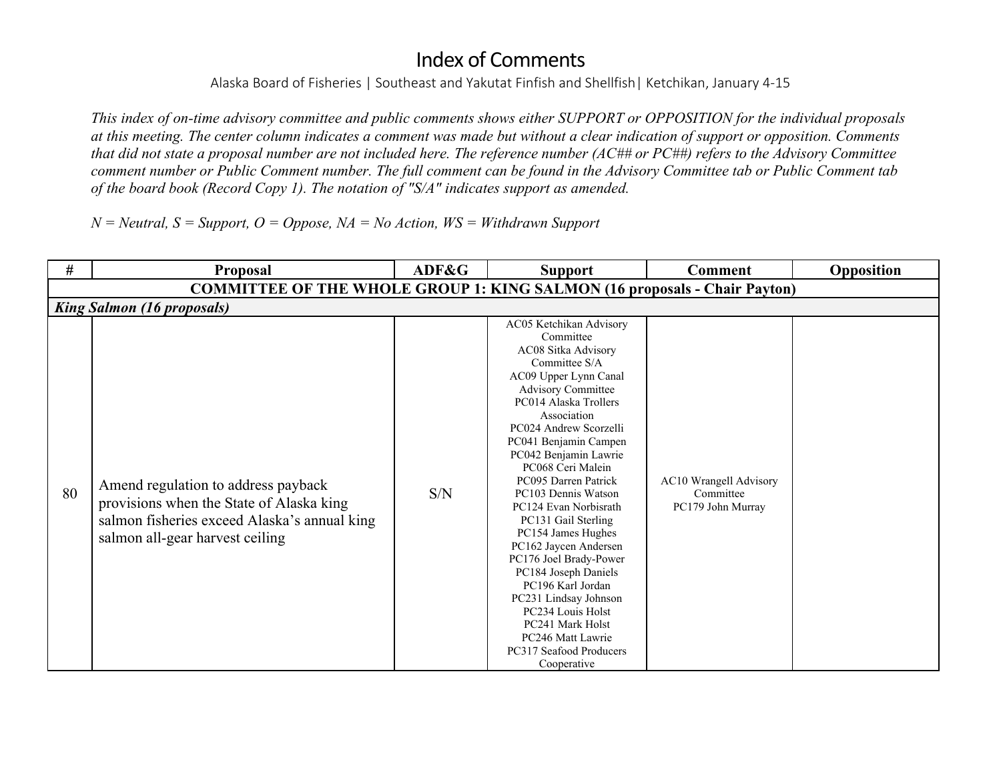Alaska Board of Fisheries | Southeast and Yakutat Finfish and Shellfish| Ketchikan, January 4-15

*This index of on-time advisory committee and public comments shows either SUPPORT or OPPOSITION for the individual proposals at this meeting. The center column indicates a comment was made but without a clear indication of support or opposition. Comments that did not state a proposal number are not included here. The reference number (AC## or PC##) refers to the Advisory Committee comment number or Public Comment number. The full comment can be found in the Advisory Committee tab or Public Comment tab of the board book (Record Copy 1). The notation of "S/A" indicates support as amended.* 

 $N =$  Neutral,  $S =$  Support,  $O =$  Oppose,  $NA =$  No Action,  $WS =$  Withdrawn Support

| #  | <b>Proposal</b>                                                                                                                                                    | ADF&G | <b>Support</b>                                                                                                                                                                                                                                                                                                                                                                                                                                                                                                                                                                                                                    | <b>Comment</b>                                                  | Opposition |  |  |  |  |
|----|--------------------------------------------------------------------------------------------------------------------------------------------------------------------|-------|-----------------------------------------------------------------------------------------------------------------------------------------------------------------------------------------------------------------------------------------------------------------------------------------------------------------------------------------------------------------------------------------------------------------------------------------------------------------------------------------------------------------------------------------------------------------------------------------------------------------------------------|-----------------------------------------------------------------|------------|--|--|--|--|
|    | <b>COMMITTEE OF THE WHOLE GROUP 1: KING SALMON (16 proposals - Chair Payton)</b>                                                                                   |       |                                                                                                                                                                                                                                                                                                                                                                                                                                                                                                                                                                                                                                   |                                                                 |            |  |  |  |  |
|    | <b>King Salmon (16 proposals)</b>                                                                                                                                  |       |                                                                                                                                                                                                                                                                                                                                                                                                                                                                                                                                                                                                                                   |                                                                 |            |  |  |  |  |
| 80 | Amend regulation to address payback<br>provisions when the State of Alaska king<br>salmon fisheries exceed Alaska's annual king<br>salmon all-gear harvest ceiling | S/N   | AC05 Ketchikan Advisory<br>Committee<br>AC08 Sitka Advisory<br>Committee S/A<br>AC09 Upper Lynn Canal<br><b>Advisory Committee</b><br>PC014 Alaska Trollers<br>Association<br>PC024 Andrew Scorzelli<br>PC041 Benjamin Campen<br>PC042 Benjamin Lawrie<br>PC068 Ceri Malein<br>PC095 Darren Patrick<br>PC103 Dennis Watson<br>PC124 Evan Norbisrath<br>PC131 Gail Sterling<br>PC154 James Hughes<br>PC162 Jaycen Andersen<br>PC176 Joel Brady-Power<br>PC184 Joseph Daniels<br>PC196 Karl Jordan<br>PC231 Lindsay Johnson<br>PC234 Louis Holst<br>PC241 Mark Holst<br>PC246 Matt Lawrie<br>PC317 Seafood Producers<br>Cooperative | <b>AC10</b> Wrangell Advisory<br>Committee<br>PC179 John Murray |            |  |  |  |  |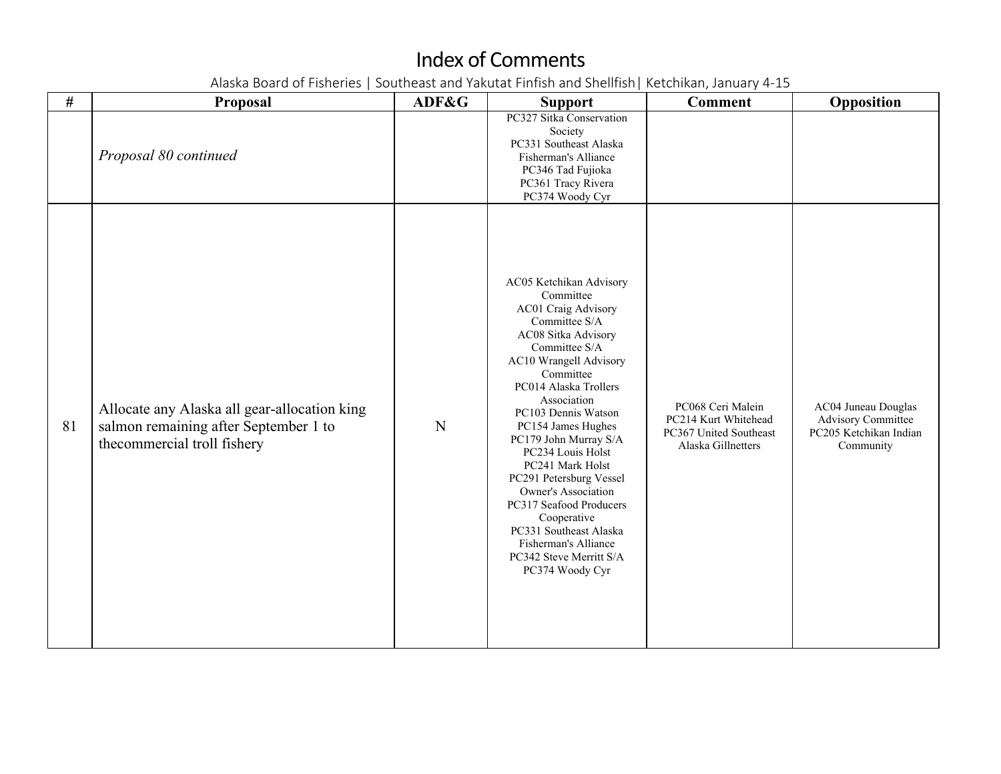| $\#$ | Proposal                                                                                                                 | ADF&G       | <b>Support</b>                                                                                                                                                                                                                                                                                                                                                                                                                                                                                                 | <b>Comment</b>                                                                            | Opposition                                                                              |
|------|--------------------------------------------------------------------------------------------------------------------------|-------------|----------------------------------------------------------------------------------------------------------------------------------------------------------------------------------------------------------------------------------------------------------------------------------------------------------------------------------------------------------------------------------------------------------------------------------------------------------------------------------------------------------------|-------------------------------------------------------------------------------------------|-----------------------------------------------------------------------------------------|
|      | Proposal 80 continued                                                                                                    |             | PC327 Sitka Conservation<br>Society<br>PC331 Southeast Alaska<br>Fisherman's Alliance<br>PC346 Tad Fujioka<br>PC361 Tracy Rivera<br>PC374 Woody Cyr                                                                                                                                                                                                                                                                                                                                                            |                                                                                           |                                                                                         |
| 81   | Allocate any Alaska all gear-allocation king<br>salmon remaining after September 1 to<br>the<br>commercial troll fishery | $\mathbf N$ | AC05 Ketchikan Advisory<br>Committee<br>AC01 Craig Advisory<br>Committee S/A<br>AC08 Sitka Advisory<br>Committee S/A<br>AC10 Wrangell Advisory<br>Committee<br>PC014 Alaska Trollers<br>Association<br>PC103 Dennis Watson<br>PC154 James Hughes<br>PC179 John Murray S/A<br>PC234 Louis Holst<br>PC241 Mark Holst<br>PC291 Petersburg Vessel<br>Owner's Association<br>PC317 Seafood Producers<br>Cooperative<br>PC331 Southeast Alaska<br>Fisherman's Alliance<br>PC342 Steve Merritt S/A<br>PC374 Woody Cyr | PC068 Ceri Malein<br>PC214 Kurt Whitehead<br>PC367 United Southeast<br>Alaska Gillnetters | AC04 Juneau Douglas<br><b>Advisory Committee</b><br>PC205 Ketchikan Indian<br>Community |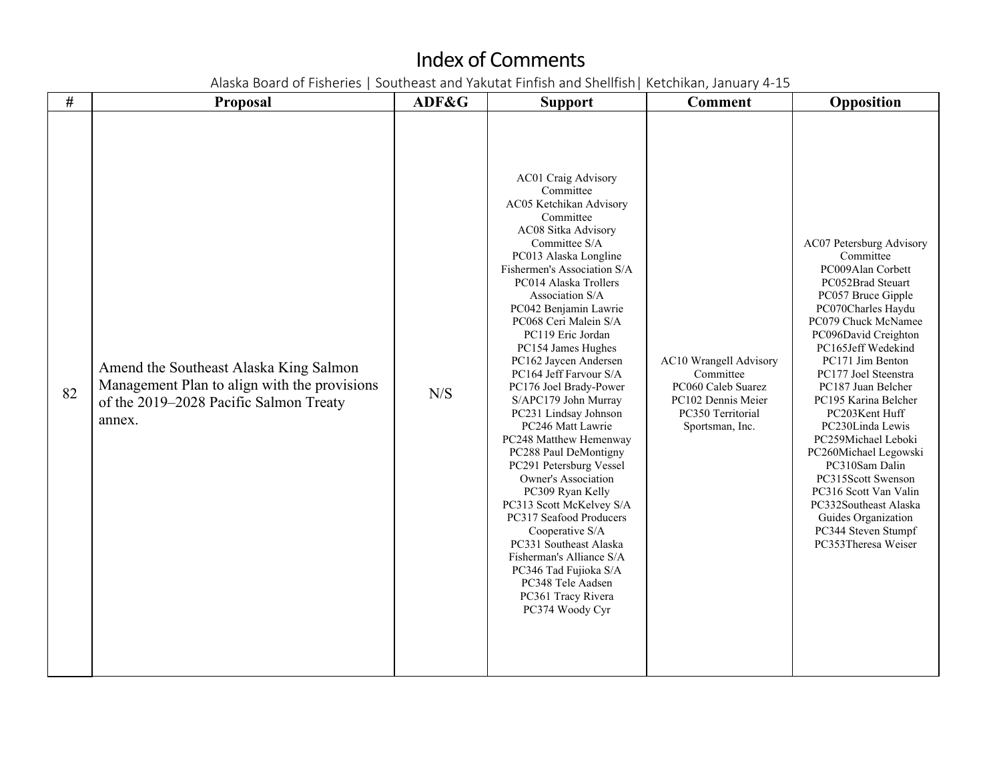| #  | <b>Proposal</b>                                                                                                                            | ADF&G | <b>Support</b>                                                                                                                                                                                                                                                                                                                                                                                                                                                                                                                                                                                                                                                                                                                                                                                                                     | <b>Comment</b>                                                                                                          | Opposition                                                                                                                                                                                                                                                                                                                                                                                                                                                                                                                                      |
|----|--------------------------------------------------------------------------------------------------------------------------------------------|-------|------------------------------------------------------------------------------------------------------------------------------------------------------------------------------------------------------------------------------------------------------------------------------------------------------------------------------------------------------------------------------------------------------------------------------------------------------------------------------------------------------------------------------------------------------------------------------------------------------------------------------------------------------------------------------------------------------------------------------------------------------------------------------------------------------------------------------------|-------------------------------------------------------------------------------------------------------------------------|-------------------------------------------------------------------------------------------------------------------------------------------------------------------------------------------------------------------------------------------------------------------------------------------------------------------------------------------------------------------------------------------------------------------------------------------------------------------------------------------------------------------------------------------------|
| 82 | Amend the Southeast Alaska King Salmon<br>Management Plan to align with the provisions<br>of the 2019-2028 Pacific Salmon Treaty<br>annex. | N/S   | <b>AC01 Craig Advisory</b><br>Committee<br>AC05 Ketchikan Advisory<br>Committee<br>AC08 Sitka Advisory<br>Committee S/A<br>PC013 Alaska Longline<br>Fishermen's Association S/A<br>PC014 Alaska Trollers<br>Association S/A<br>PC042 Benjamin Lawrie<br>PC068 Ceri Malein S/A<br>PC119 Eric Jordan<br>PC154 James Hughes<br>PC162 Jaycen Andersen<br>PC164 Jeff Farvour S/A<br>PC176 Joel Brady-Power<br>S/APC179 John Murray<br>PC231 Lindsay Johnson<br>PC246 Matt Lawrie<br>PC248 Matthew Hemenway<br>PC288 Paul DeMontigny<br>PC291 Petersburg Vessel<br><b>Owner's Association</b><br>PC309 Ryan Kelly<br>PC313 Scott McKelvey S/A<br>PC317 Seafood Producers<br>Cooperative S/A<br>PC331 Southeast Alaska<br>Fisherman's Alliance S/A<br>PC346 Tad Fujioka S/A<br>PC348 Tele Aadsen<br>PC361 Tracy Rivera<br>PC374 Woody Cyr | AC10 Wrangell Advisory<br>Committee<br>PC060 Caleb Suarez<br>PC102 Dennis Meier<br>PC350 Territorial<br>Sportsman, Inc. | AC07 Petersburg Advisory<br>Committee<br>PC009Alan Corbett<br>PC052Brad Steuart<br>PC057 Bruce Gipple<br>PC070Charles Haydu<br>PC079 Chuck McNamee<br>PC096David Creighton<br>PC165Jeff Wedekind<br>PC171 Jim Benton<br>PC177 Joel Steenstra<br>PC187 Juan Belcher<br>PC195 Karina Belcher<br>PC203Kent Huff<br>PC230Linda Lewis<br>PC259Michael Leboki<br>PC260Michael Legowski<br>PC310Sam Dalin<br>PC315Scott Swenson<br>PC316 Scott Van Valin<br>PC332Southeast Alaska<br>Guides Organization<br>PC344 Steven Stumpf<br>PC353Theresa Weiser |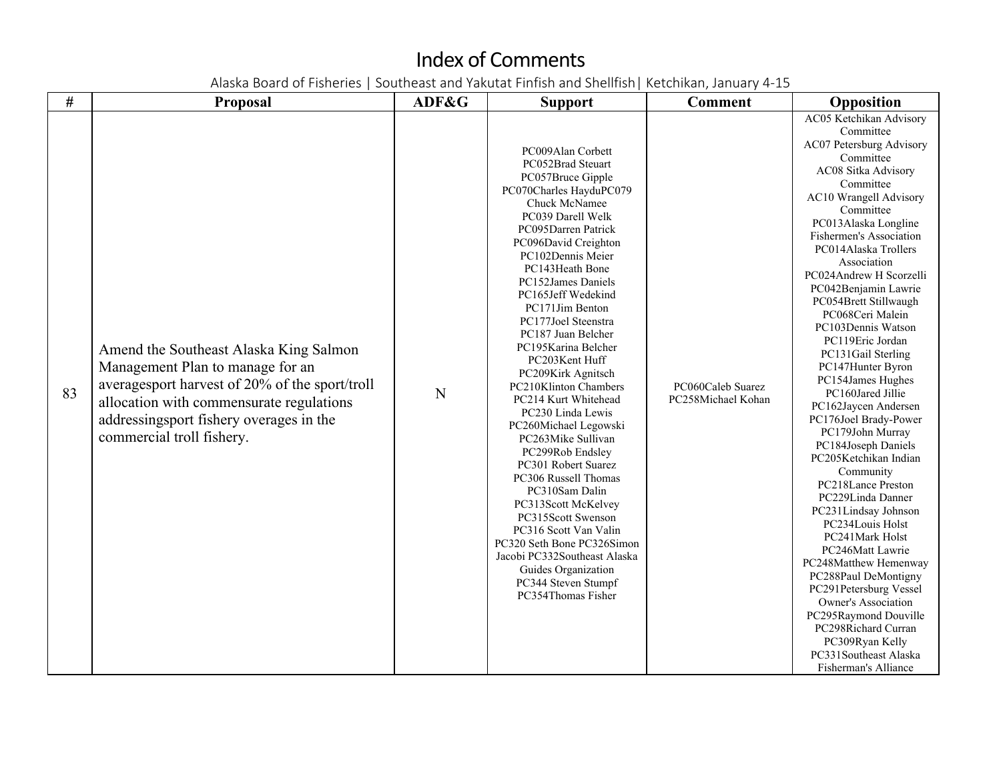| $\#$ | <b>Proposal</b>                                                                                                                                                                                                                                  | ADF&G | <b>Support</b>                                                                                                                                                                                                                                                                                                                                                                                                                                                                                                                                                                                                                                                                                                                                                                                                   | <b>Comment</b>                          | Opposition                                                                                                                                                                                                                                                                                                                                                                                                                                                                                                                                                                                                                                                                                                                                                                                                                                                                                                                                                                            |
|------|--------------------------------------------------------------------------------------------------------------------------------------------------------------------------------------------------------------------------------------------------|-------|------------------------------------------------------------------------------------------------------------------------------------------------------------------------------------------------------------------------------------------------------------------------------------------------------------------------------------------------------------------------------------------------------------------------------------------------------------------------------------------------------------------------------------------------------------------------------------------------------------------------------------------------------------------------------------------------------------------------------------------------------------------------------------------------------------------|-----------------------------------------|---------------------------------------------------------------------------------------------------------------------------------------------------------------------------------------------------------------------------------------------------------------------------------------------------------------------------------------------------------------------------------------------------------------------------------------------------------------------------------------------------------------------------------------------------------------------------------------------------------------------------------------------------------------------------------------------------------------------------------------------------------------------------------------------------------------------------------------------------------------------------------------------------------------------------------------------------------------------------------------|
| 83   | Amend the Southeast Alaska King Salmon<br>Management Plan to manage for an<br>averagesport harvest of 20% of the sport/troll<br>allocation with commensurate regulations<br>addressingsport fishery overages in the<br>commercial troll fishery. | N     | PC009Alan Corbett<br>PC052Brad Steuart<br>PC057Bruce Gipple<br>PC070Charles HayduPC079<br>Chuck McNamee<br>PC039 Darell Welk<br>PC095Darren Patrick<br>PC096David Creighton<br>PC102Dennis Meier<br>PC143Heath Bone<br>PC152James Daniels<br>PC165Jeff Wedekind<br>PC171Jim Benton<br>PC177Joel Steenstra<br>PC187 Juan Belcher<br>PC195Karina Belcher<br>PC203Kent Huff<br>PC209Kirk Agnitsch<br>PC210Klinton Chambers<br>PC214 Kurt Whitehead<br>PC230 Linda Lewis<br>PC260Michael Legowski<br>PC263Mike Sullivan<br>PC299Rob Endsley<br>PC301 Robert Suarez<br>PC306 Russell Thomas<br>PC310Sam Dalin<br>PC313Scott McKelvey<br>PC315Scott Swenson<br>PC316 Scott Van Valin<br>PC320 Seth Bone PC326Simon<br>Jacobi PC332Southeast Alaska<br>Guides Organization<br>PC344 Steven Stumpf<br>PC354Thomas Fisher | PC060Caleb Suarez<br>PC258Michael Kohan | AC05 Ketchikan Advisory<br>Committee<br>AC07 Petersburg Advisory<br>Committee<br>AC08 Sitka Advisory<br>Committee<br><b>AC10 Wrangell Advisory</b><br>Committee<br>PC013Alaska Longline<br>Fishermen's Association<br>PC014Alaska Trollers<br>Association<br>PC024Andrew H Scorzelli<br>PC042Benjamin Lawrie<br>PC054Brett Stillwaugh<br>PC068Ceri Malein<br>PC103Dennis Watson<br>PC119Eric Jordan<br>PC131Gail Sterling<br>PC147Hunter Byron<br>PC154James Hughes<br>PC160Jared Jillie<br>PC162Jaycen Andersen<br>PC176Joel Brady-Power<br>PC179John Murray<br>PC184Joseph Daniels<br>PC205Ketchikan Indian<br>Community<br>PC218Lance Preston<br>PC229Linda Danner<br>PC231Lindsay Johnson<br>PC234Louis Holst<br>PC241Mark Holst<br>PC246Matt Lawrie<br>PC248Matthew Hemenway<br>PC288Paul DeMontigny<br>PC291Petersburg Vessel<br><b>Owner's Association</b><br>PC295Raymond Douville<br>PC298Richard Curran<br>PC309Ryan Kelly<br>PC331Southeast Alaska<br>Fisherman's Alliance |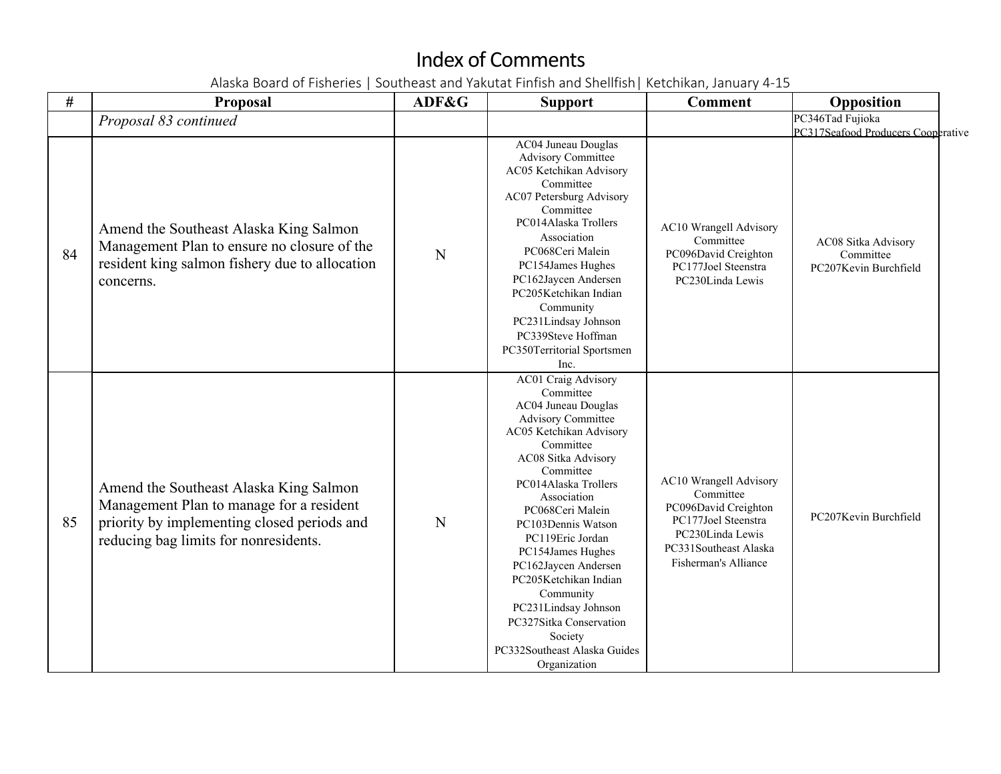| #  | Proposal                                                                                                                                                                   | ADF&G | <b>Support</b>                                                                                                                                                                                                                                                                                                                                                                                                                                                         | <b>Comment</b>                                                                                                                                          | Opposition                                                |
|----|----------------------------------------------------------------------------------------------------------------------------------------------------------------------------|-------|------------------------------------------------------------------------------------------------------------------------------------------------------------------------------------------------------------------------------------------------------------------------------------------------------------------------------------------------------------------------------------------------------------------------------------------------------------------------|---------------------------------------------------------------------------------------------------------------------------------------------------------|-----------------------------------------------------------|
|    | Proposal 83 continued                                                                                                                                                      |       |                                                                                                                                                                                                                                                                                                                                                                                                                                                                        |                                                                                                                                                         | PC346Tad Fujioka<br>PC317Seafood Producers Cooperative    |
| 84 | Amend the Southeast Alaska King Salmon<br>Management Plan to ensure no closure of the<br>resident king salmon fishery due to allocation<br>concerns.                       | N     | AC04 Juneau Douglas<br><b>Advisory Committee</b><br>AC05 Ketchikan Advisory<br>Committee<br>AC07 Petersburg Advisory<br>Committee<br>PC014Alaska Trollers<br>Association<br>PC068Ceri Malein<br>PC154James Hughes<br>PC162Jaycen Andersen<br>PC205Ketchikan Indian<br>Community<br>PC231Lindsay Johnson<br>PC339Steve Hoffman<br>PC350Territorial Sportsmen<br>Inc.                                                                                                    | <b>AC10 Wrangell Advisory</b><br>Committee<br>PC096David Creighton<br>PC177Joel Steenstra<br>PC230Linda Lewis                                           | AC08 Sitka Advisory<br>Committee<br>PC207Kevin Burchfield |
| 85 | Amend the Southeast Alaska King Salmon<br>Management Plan to manage for a resident<br>priority by implementing closed periods and<br>reducing bag limits for nonresidents. | N     | AC01 Craig Advisory<br>Committee<br>AC04 Juneau Douglas<br><b>Advisory Committee</b><br>AC05 Ketchikan Advisory<br>Committee<br>AC08 Sitka Advisory<br>Committee<br>PC014Alaska Trollers<br>Association<br>PC068Ceri Malein<br>PC103Dennis Watson<br>PC119Eric Jordan<br>PC154James Hughes<br>PC162Jaycen Andersen<br>PC205Ketchikan Indian<br>Community<br>PC231Lindsay Johnson<br>PC327Sitka Conservation<br>Society<br>PC332Southeast Alaska Guides<br>Organization | AC10 Wrangell Advisory<br>Committee<br>PC096David Creighton<br>PC177Joel Steenstra<br>PC230Linda Lewis<br>PC331Southeast Alaska<br>Fisherman's Alliance | PC207Kevin Burchfield                                     |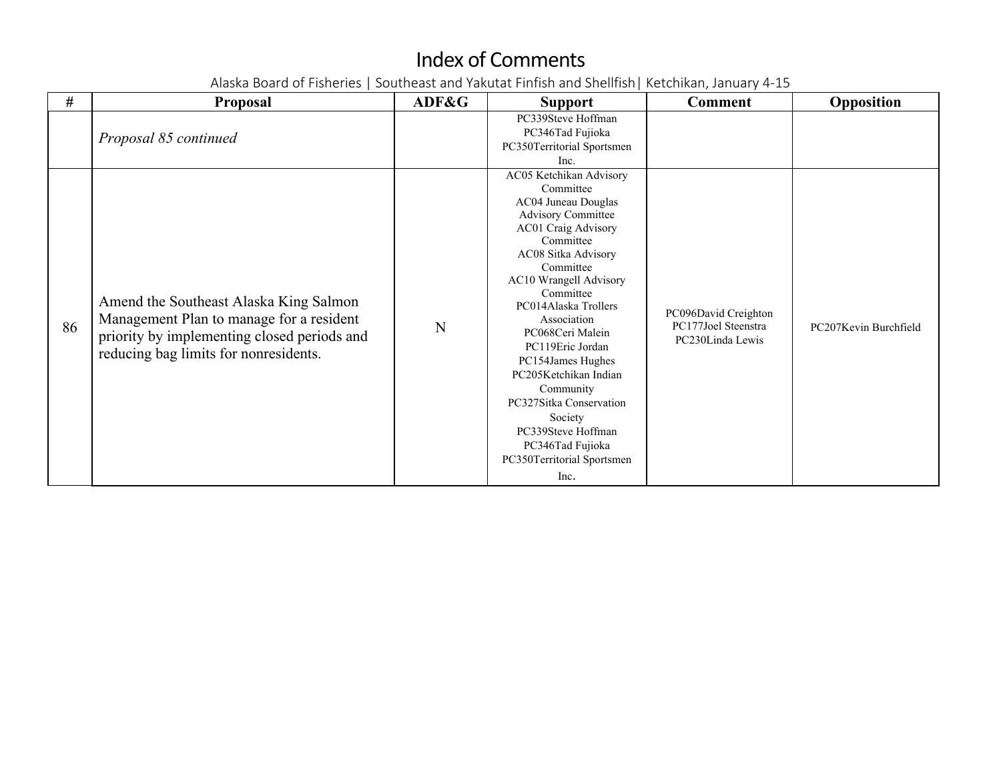| #  | <b>Proposal</b>                                                                                                                                                            | ADF&G | <b>Support</b>                                                                                                                                                                                                                                                                                                                                                                                                                               | <b>Comment</b>                                                  | Opposition            |
|----|----------------------------------------------------------------------------------------------------------------------------------------------------------------------------|-------|----------------------------------------------------------------------------------------------------------------------------------------------------------------------------------------------------------------------------------------------------------------------------------------------------------------------------------------------------------------------------------------------------------------------------------------------|-----------------------------------------------------------------|-----------------------|
|    | Proposal 85 continued                                                                                                                                                      |       | PC339Steve Hoffman<br>PC346Tad Fujioka<br>PC350Territorial Sportsmen<br>Inc.<br>AC05 Ketchikan Advisory                                                                                                                                                                                                                                                                                                                                      |                                                                 |                       |
| 86 | Amend the Southeast Alaska King Salmon<br>Management Plan to manage for a resident<br>priority by implementing closed periods and<br>reducing bag limits for nonresidents. | N     | Committee<br>AC04 Juneau Douglas<br><b>Advisory Committee</b><br>AC01 Craig Advisory<br>Committee<br>AC08 Sitka Advisory<br>Committee<br>AC10 Wrangell Advisory<br>Committee<br>PC014Alaska Trollers<br>Association<br>PC068Ceri Malein<br>PC119Eric Jordan<br>PC154James Hughes<br>PC205Ketchikan Indian<br>Community<br>PC327Sitka Conservation<br>Society<br>PC339Steve Hoffman<br>PC346Tad Fujioka<br>PC350Territorial Sportsmen<br>Inc. | PC096David Creighton<br>PC177Joel Steenstra<br>PC230Linda Lewis | PC207Kevin Burchfield |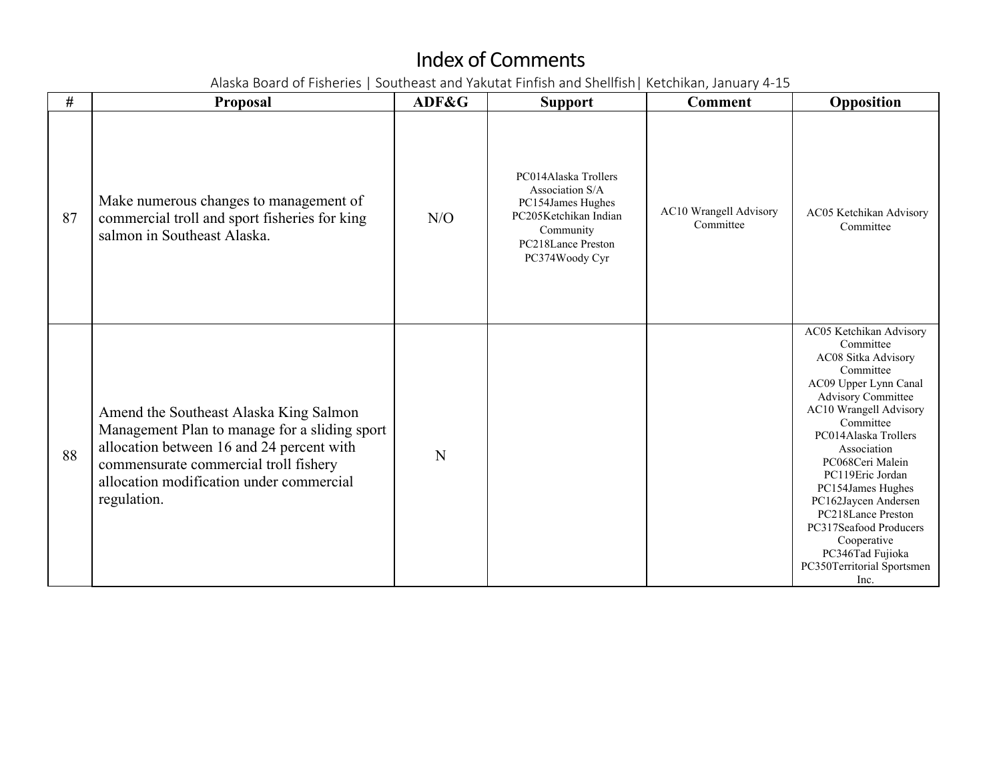| #  | <b>Proposal</b>                                                                                                                                                                                                                          | ADF&G | <b>Support</b>                                                                                                                             | <b>Comment</b>                      | Opposition                                                                                                                                                                                                                                                                                                                                                                                                                 |
|----|------------------------------------------------------------------------------------------------------------------------------------------------------------------------------------------------------------------------------------------|-------|--------------------------------------------------------------------------------------------------------------------------------------------|-------------------------------------|----------------------------------------------------------------------------------------------------------------------------------------------------------------------------------------------------------------------------------------------------------------------------------------------------------------------------------------------------------------------------------------------------------------------------|
| 87 | Make numerous changes to management of<br>commercial troll and sport fisheries for king<br>salmon in Southeast Alaska.                                                                                                                   | N/O   | PC014Alaska Trollers<br>Association S/A<br>PC154James Hughes<br>PC205Ketchikan Indian<br>Community<br>PC218Lance Preston<br>PC374Woody Cyr | AC10 Wrangell Advisory<br>Committee | AC05 Ketchikan Advisory<br>Committee                                                                                                                                                                                                                                                                                                                                                                                       |
| 88 | Amend the Southeast Alaska King Salmon<br>Management Plan to manage for a sliding sport<br>allocation between 16 and 24 percent with<br>commensurate commercial troll fishery<br>allocation modification under commercial<br>regulation. | N     |                                                                                                                                            |                                     | AC05 Ketchikan Advisory<br>Committee<br>AC08 Sitka Advisory<br>Committee<br>AC09 Upper Lynn Canal<br><b>Advisory Committee</b><br>AC10 Wrangell Advisory<br>Committee<br>PC014Alaska Trollers<br>Association<br>PC068Ceri Malein<br>PC119Eric Jordan<br>PC154James Hughes<br>PC162Jaycen Andersen<br>PC218Lance Preston<br>PC317Seafood Producers<br>Cooperative<br>PC346Tad Fujioka<br>PC350Territorial Sportsmen<br>Inc. |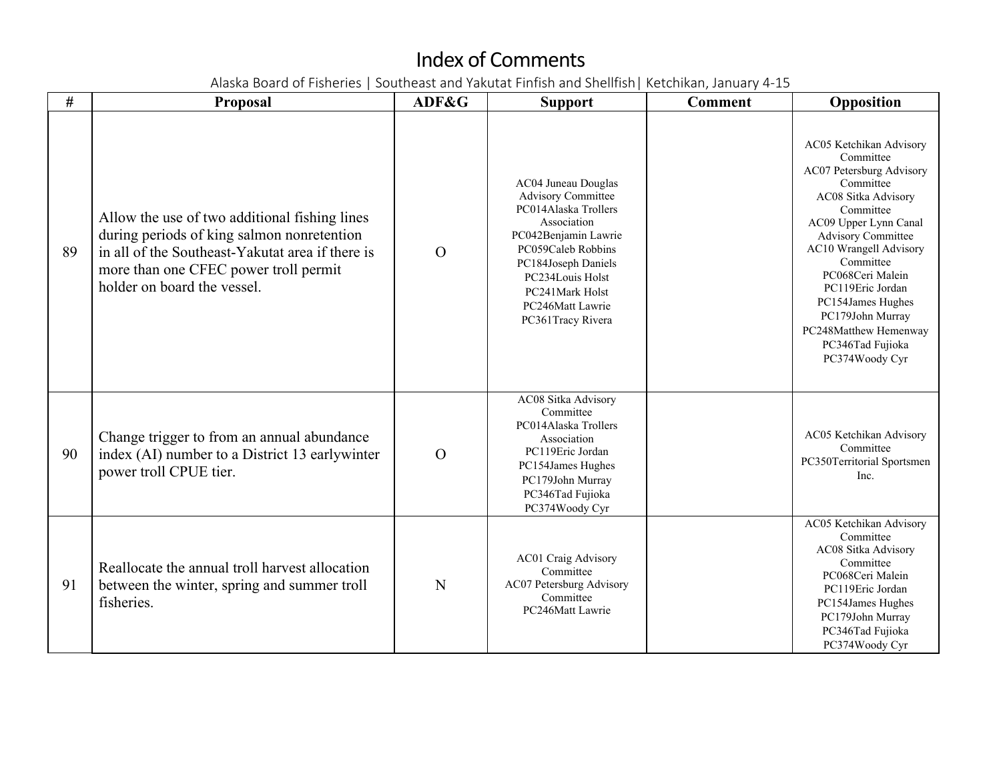| #  | <b>Proposal</b>                                                                                                                                                                                                         | ADF&G    | <b>Support</b>                                                                                                                                                                                                                               | <b>Comment</b> | Opposition                                                                                                                                                                                                                                                                                                                                                     |
|----|-------------------------------------------------------------------------------------------------------------------------------------------------------------------------------------------------------------------------|----------|----------------------------------------------------------------------------------------------------------------------------------------------------------------------------------------------------------------------------------------------|----------------|----------------------------------------------------------------------------------------------------------------------------------------------------------------------------------------------------------------------------------------------------------------------------------------------------------------------------------------------------------------|
| 89 | Allow the use of two additional fishing lines<br>during periods of king salmon nonretention<br>in all of the Southeast-Yakutat area if there is<br>more than one CFEC power troll permit<br>holder on board the vessel. | $\Omega$ | AC04 Juneau Douglas<br><b>Advisory Committee</b><br>PC014Alaska Trollers<br>Association<br>PC042Benjamin Lawrie<br>PC059Caleb Robbins<br>PC184Joseph Daniels<br>PC234Louis Holst<br>PC241Mark Holst<br>PC246Matt Lawrie<br>PC361Tracy Rivera |                | AC05 Ketchikan Advisory<br>Committee<br>AC07 Petersburg Advisory<br>Committee<br>AC08 Sitka Advisory<br>Committee<br>AC09 Upper Lynn Canal<br><b>Advisory Committee</b><br>AC10 Wrangell Advisory<br>Committee<br>PC068Ceri Malein<br>PC119Eric Jordan<br>PC154James Hughes<br>PC179John Murray<br>PC248Matthew Hemenway<br>PC346Tad Fujioka<br>PC374Woody Cyr |
| 90 | Change trigger to from an annual abundance<br>index (AI) number to a District 13 earlywinter<br>power troll CPUE tier.                                                                                                  | $\Omega$ | AC08 Sitka Advisory<br>Committee<br>PC014Alaska Trollers<br>Association<br>PC119Eric Jordan<br>PC154James Hughes<br>PC179John Murray<br>PC346Tad Fujioka<br>PC374Woody Cyr                                                                   |                | AC05 Ketchikan Advisory<br>Committee<br>PC350Territorial Sportsmen<br>Inc.                                                                                                                                                                                                                                                                                     |
| 91 | Reallocate the annual troll harvest allocation<br>between the winter, spring and summer troll<br>fisheries.                                                                                                             | N        | <b>AC01 Craig Advisory</b><br>Committee<br>AC07 Petersburg Advisory<br>Committee<br>PC246Matt Lawrie                                                                                                                                         |                | AC05 Ketchikan Advisory<br>Committee<br>AC08 Sitka Advisory<br>Committee<br>PC068Ceri Malein<br>PC119Eric Jordan<br>PC154James Hughes<br>PC179John Murray<br>PC346Tad Fujioka<br>PC374Woody Cyr                                                                                                                                                                |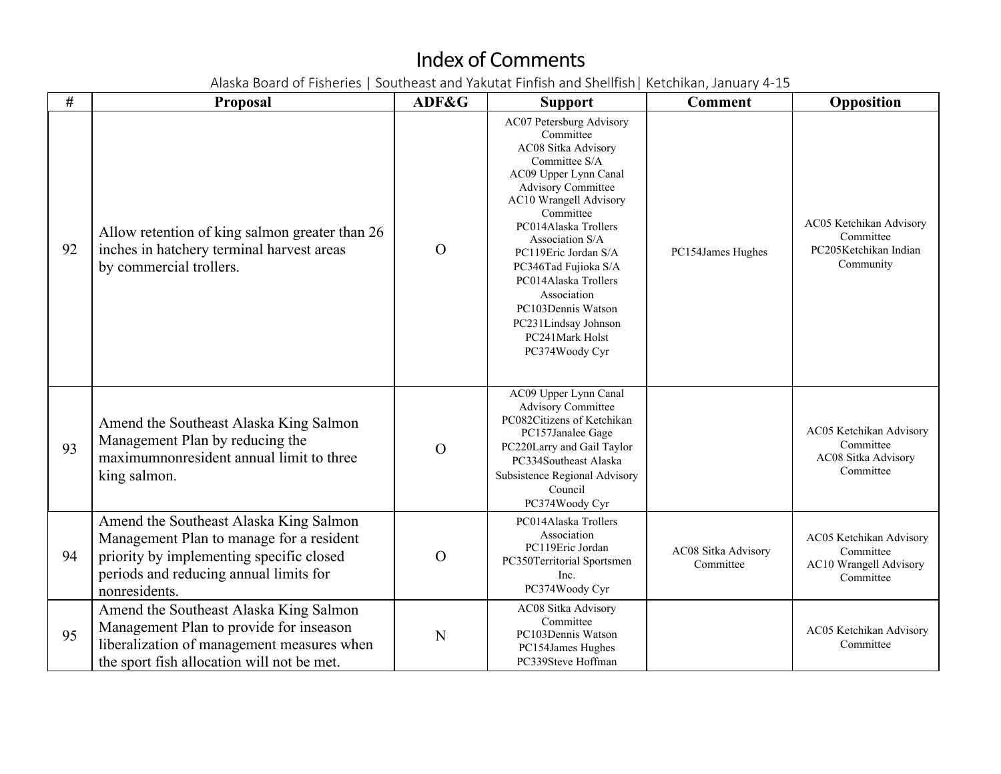| #  | <b>Proposal</b>                                                                                                                                                                           | ADF&G    | <b>Support</b>                                                                                                                                                                                                                                                                                                                                                                                  | <b>Comment</b>                   | Opposition                                                                  |
|----|-------------------------------------------------------------------------------------------------------------------------------------------------------------------------------------------|----------|-------------------------------------------------------------------------------------------------------------------------------------------------------------------------------------------------------------------------------------------------------------------------------------------------------------------------------------------------------------------------------------------------|----------------------------------|-----------------------------------------------------------------------------|
| 92 | Allow retention of king salmon greater than 26<br>inches in hatchery terminal harvest areas<br>by commercial trollers.                                                                    | $\Omega$ | AC07 Petersburg Advisory<br>Committee<br>AC08 Sitka Advisory<br>Committee S/A<br>AC09 Upper Lynn Canal<br><b>Advisory Committee</b><br>AC10 Wrangell Advisory<br>Committee<br>PC014Alaska Trollers<br>Association S/A<br>PC119Eric Jordan S/A<br>PC346Tad Fujioka S/A<br>PC014Alaska Trollers<br>Association<br>PC103Dennis Watson<br>PC231Lindsay Johnson<br>PC241Mark Holst<br>PC374Woody Cyr | PC154James Hughes                | AC05 Ketchikan Advisory<br>Committee<br>PC205Ketchikan Indian<br>Community  |
| 93 | Amend the Southeast Alaska King Salmon<br>Management Plan by reducing the<br>maximumnonresident annual limit to three<br>king salmon.                                                     | $\Omega$ | AC09 Upper Lynn Canal<br><b>Advisory Committee</b><br>PC082Citizens of Ketchikan<br>PC157Janalee Gage<br>PC220Larry and Gail Taylor<br>PC334Southeast Alaska<br>Subsistence Regional Advisory<br>Council<br>PC374Woody Cyr                                                                                                                                                                      |                                  | AC05 Ketchikan Advisory<br>Committee<br>AC08 Sitka Advisory<br>Committee    |
| 94 | Amend the Southeast Alaska King Salmon<br>Management Plan to manage for a resident<br>priority by implementing specific closed<br>periods and reducing annual limits for<br>nonresidents. | $\Omega$ | PC014Alaska Trollers<br>Association<br>PC119Eric Jordan<br>PC350Territorial Sportsmen<br>Inc.<br>PC374Woody Cyr                                                                                                                                                                                                                                                                                 | AC08 Sitka Advisory<br>Committee | AC05 Ketchikan Advisory<br>Committee<br>AC10 Wrangell Advisory<br>Committee |
| 95 | Amend the Southeast Alaska King Salmon<br>Management Plan to provide for inseason<br>liberalization of management measures when<br>the sport fish allocation will not be met.             | N        | AC08 Sitka Advisory<br>Committee<br>PC103Dennis Watson<br>PC154James Hughes<br>PC339Steve Hoffman                                                                                                                                                                                                                                                                                               |                                  | AC05 Ketchikan Advisory<br>Committee                                        |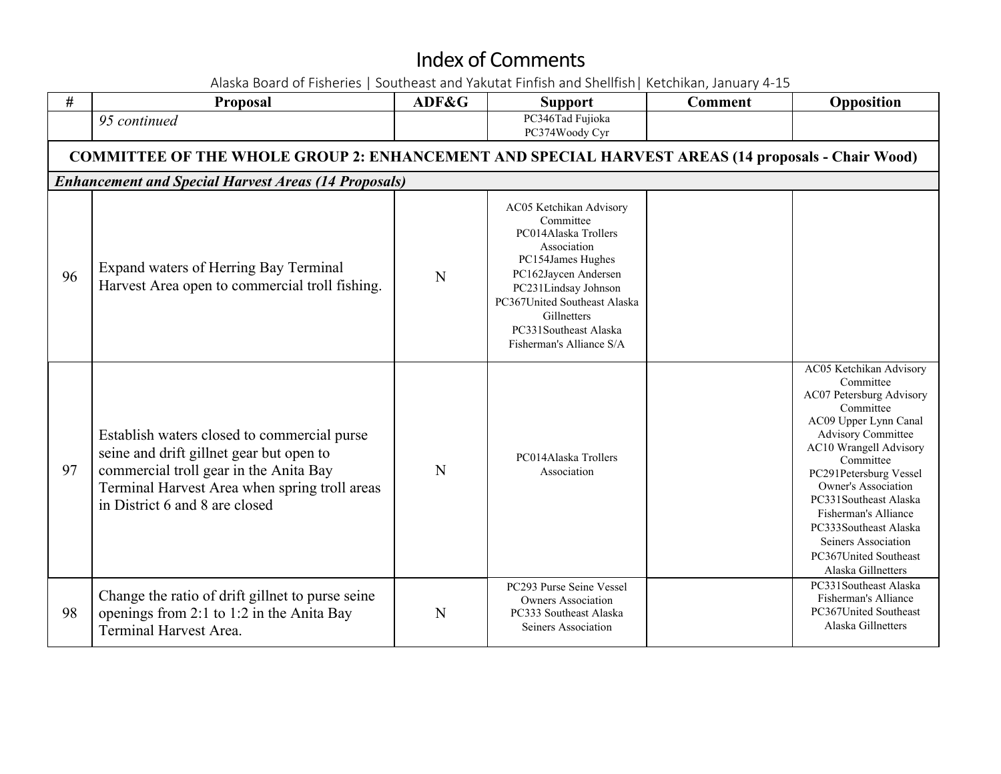| #  | <b>Proposal</b>                                                                                                                                                                                                      | ADF&G | <b>Support</b>                                                                                                                                                                                                                                       | <b>Comment</b> | Opposition                                                                                                                                                                                                                                                                                                                                                                         |
|----|----------------------------------------------------------------------------------------------------------------------------------------------------------------------------------------------------------------------|-------|------------------------------------------------------------------------------------------------------------------------------------------------------------------------------------------------------------------------------------------------------|----------------|------------------------------------------------------------------------------------------------------------------------------------------------------------------------------------------------------------------------------------------------------------------------------------------------------------------------------------------------------------------------------------|
|    | 95 continued                                                                                                                                                                                                         |       | PC346Tad Fujioka<br>PC374Woody Cyr                                                                                                                                                                                                                   |                |                                                                                                                                                                                                                                                                                                                                                                                    |
|    | <b>COMMITTEE OF THE WHOLE GROUP 2: ENHANCEMENT AND SPECIAL HARVEST AREAS (14 proposals - Chair Wood)</b>                                                                                                             |       |                                                                                                                                                                                                                                                      |                |                                                                                                                                                                                                                                                                                                                                                                                    |
|    | <b>Enhancement and Special Harvest Areas (14 Proposals)</b>                                                                                                                                                          |       |                                                                                                                                                                                                                                                      |                |                                                                                                                                                                                                                                                                                                                                                                                    |
| 96 | Expand waters of Herring Bay Terminal<br>Harvest Area open to commercial troll fishing.                                                                                                                              | N     | AC05 Ketchikan Advisory<br>Committee<br>PC014Alaska Trollers<br>Association<br>PC154James Hughes<br>PC162Jaycen Andersen<br>PC231Lindsay Johnson<br>PC367United Southeast Alaska<br>Gillnetters<br>PC331Southeast Alaska<br>Fisherman's Alliance S/A |                |                                                                                                                                                                                                                                                                                                                                                                                    |
| 97 | Establish waters closed to commercial purse<br>seine and drift gillnet gear but open to<br>commercial troll gear in the Anita Bay<br>Terminal Harvest Area when spring troll areas<br>in District 6 and 8 are closed | N     | PC014Alaska Trollers<br>Association                                                                                                                                                                                                                  |                | AC05 Ketchikan Advisory<br>Committee<br>AC07 Petersburg Advisory<br>Committee<br>AC09 Upper Lynn Canal<br><b>Advisory Committee</b><br>AC10 Wrangell Advisory<br>Committee<br>PC291Petersburg Vessel<br><b>Owner's Association</b><br>PC331Southeast Alaska<br>Fisherman's Alliance<br>PC333Southeast Alaska<br>Seiners Association<br>PC367United Southeast<br>Alaska Gillnetters |
| 98 | Change the ratio of drift gillnet to purse seine<br>openings from 2:1 to 1:2 in the Anita Bay<br><b>Terminal Harvest Area.</b>                                                                                       | N     | PC293 Purse Seine Vessel<br><b>Owners Association</b><br>PC333 Southeast Alaska<br>Seiners Association                                                                                                                                               |                | PC331Southeast Alaska<br>Fisherman's Alliance<br>PC367United Southeast<br>Alaska Gillnetters                                                                                                                                                                                                                                                                                       |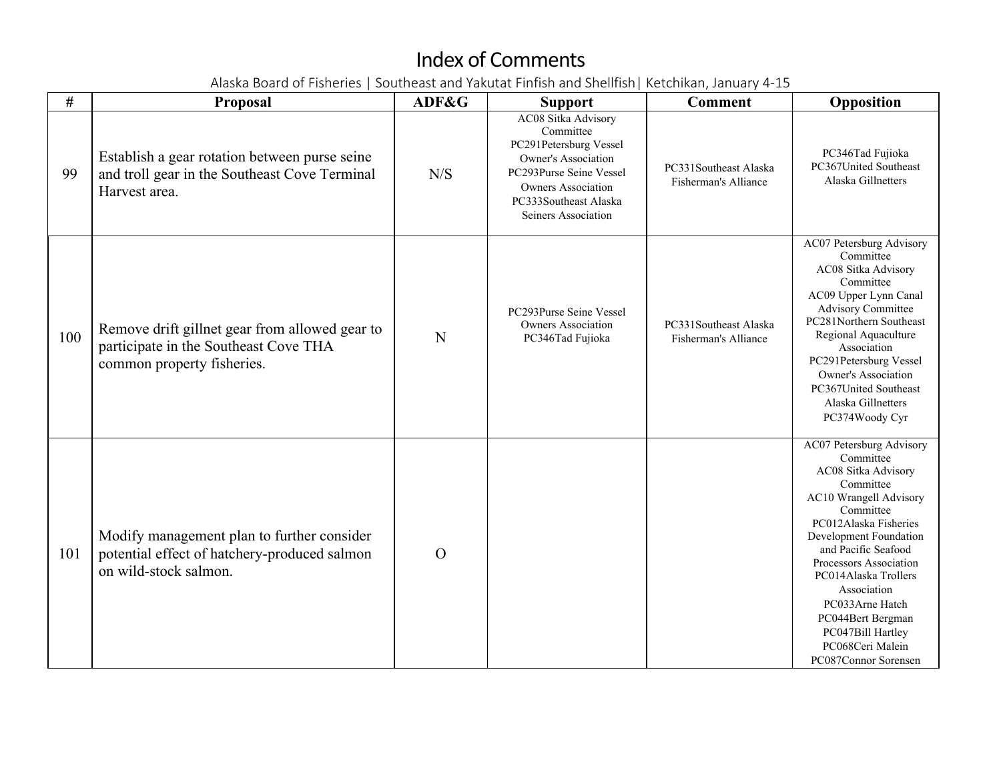| #   | <b>Proposal</b>                                                                                                       | ADF&G          | <b>Support</b>                                                                                                                                                                            | <b>Comment</b>                                | Opposition                                                                                                                                                                                                                                                                                                                                                                         |
|-----|-----------------------------------------------------------------------------------------------------------------------|----------------|-------------------------------------------------------------------------------------------------------------------------------------------------------------------------------------------|-----------------------------------------------|------------------------------------------------------------------------------------------------------------------------------------------------------------------------------------------------------------------------------------------------------------------------------------------------------------------------------------------------------------------------------------|
| 99  | Establish a gear rotation between purse seine<br>and troll gear in the Southeast Cove Terminal<br>Harvest area.       | N/S            | AC08 Sitka Advisory<br>Committee<br>PC291Petersburg Vessel<br>Owner's Association<br>PC293Purse Seine Vessel<br><b>Owners Association</b><br>PC333Southeast Alaska<br>Seiners Association | PC331Southeast Alaska<br>Fisherman's Alliance | PC346Tad Fujioka<br>PC367United Southeast<br>Alaska Gillnetters                                                                                                                                                                                                                                                                                                                    |
| 100 | Remove drift gillnet gear from allowed gear to<br>participate in the Southeast Cove THA<br>common property fisheries. | N              | PC293Purse Seine Vessel<br><b>Owners Association</b><br>PC346Tad Fujioka                                                                                                                  | PC331Southeast Alaska<br>Fisherman's Alliance | AC07 Petersburg Advisory<br>Committee<br>AC08 Sitka Advisory<br>Committee<br>AC09 Upper Lynn Canal<br><b>Advisory Committee</b><br>PC281Northern Southeast<br>Regional Aquaculture<br>Association<br>PC291Petersburg Vessel<br>Owner's Association<br>PC367United Southeast<br>Alaska Gillnetters<br>PC374Woody Cyr                                                                |
| 101 | Modify management plan to further consider<br>potential effect of hatchery-produced salmon<br>on wild-stock salmon.   | $\overline{O}$ |                                                                                                                                                                                           |                                               | <b>AC07 Petersburg Advisory</b><br>Committee<br>AC08 Sitka Advisory<br>Committee<br><b>AC10 Wrangell Advisory</b><br>Committee<br>PC012Alaska Fisheries<br>Development Foundation<br>and Pacific Seafood<br>Processors Association<br>PC014Alaska Trollers<br>Association<br>PC033Arne Hatch<br>PC044Bert Bergman<br>PC047Bill Hartley<br>PC068Ceri Malein<br>PC087Connor Sorensen |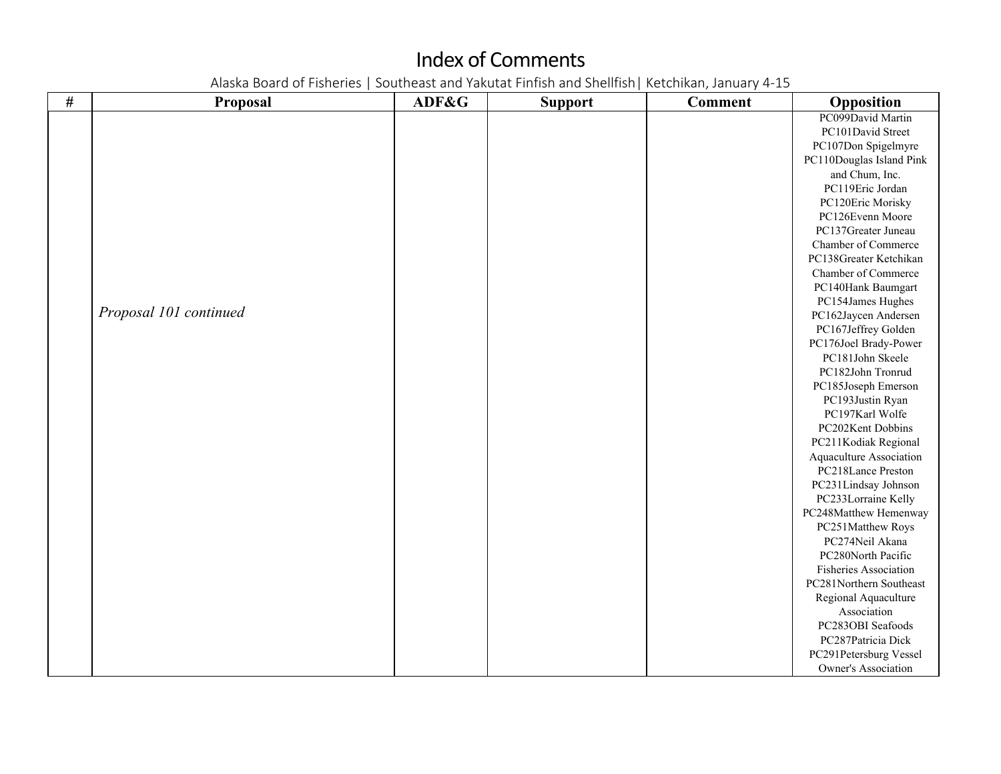| $\#$ | <b>Proposal</b>        | ADF&G | <b>Support</b> | <b>Comment</b> | Opposition                   |
|------|------------------------|-------|----------------|----------------|------------------------------|
|      |                        |       |                |                | PC099David Martin            |
|      |                        |       |                |                | PC101David Street            |
|      |                        |       |                |                | PC107Don Spigelmyre          |
|      |                        |       |                |                | PC110Douglas Island Pink     |
|      |                        |       |                |                | and Chum, Inc.               |
|      |                        |       |                |                | PC119Eric Jordan             |
|      |                        |       |                |                | PC120Eric Morisky            |
|      |                        |       |                |                | PC126Evenn Moore             |
|      |                        |       |                |                | PC137Greater Juneau          |
|      |                        |       |                |                | Chamber of Commerce          |
|      |                        |       |                |                | PC138Greater Ketchikan       |
|      |                        |       |                |                | Chamber of Commerce          |
|      |                        |       |                |                | PC140Hank Baumgart           |
|      |                        |       |                |                | PC154James Hughes            |
|      | Proposal 101 continued |       |                |                | PC162Jaycen Andersen         |
|      |                        |       |                |                | PC167Jeffrey Golden          |
|      |                        |       |                |                | PC176Joel Brady-Power        |
|      |                        |       |                |                | PC181John Skeele             |
|      |                        |       |                |                | PC182John Tronrud            |
|      |                        |       |                |                | PC185Joseph Emerson          |
|      |                        |       |                |                | PC193Justin Ryan             |
|      |                        |       |                |                | PC197Karl Wolfe              |
|      |                        |       |                |                | PC202Kent Dobbins            |
|      |                        |       |                |                | PC211Kodiak Regional         |
|      |                        |       |                |                | Aquaculture Association      |
|      |                        |       |                |                | PC218Lance Preston           |
|      |                        |       |                |                | PC231Lindsay Johnson         |
|      |                        |       |                |                | PC233Lorraine Kelly          |
|      |                        |       |                |                | PC248Matthew Hemenway        |
|      |                        |       |                |                | PC251Matthew Roys            |
|      |                        |       |                |                | PC274Neil Akana              |
|      |                        |       |                |                | PC280North Pacific           |
|      |                        |       |                |                | <b>Fisheries Association</b> |
|      |                        |       |                |                | PC281Northern Southeast      |
|      |                        |       |                |                | Regional Aquaculture         |
|      |                        |       |                |                | Association                  |
|      |                        |       |                |                | PC283OBI Seafoods            |
|      |                        |       |                |                | PC287Patricia Dick           |
|      |                        |       |                |                | PC291Petersburg Vessel       |
|      |                        |       |                |                | Owner's Association          |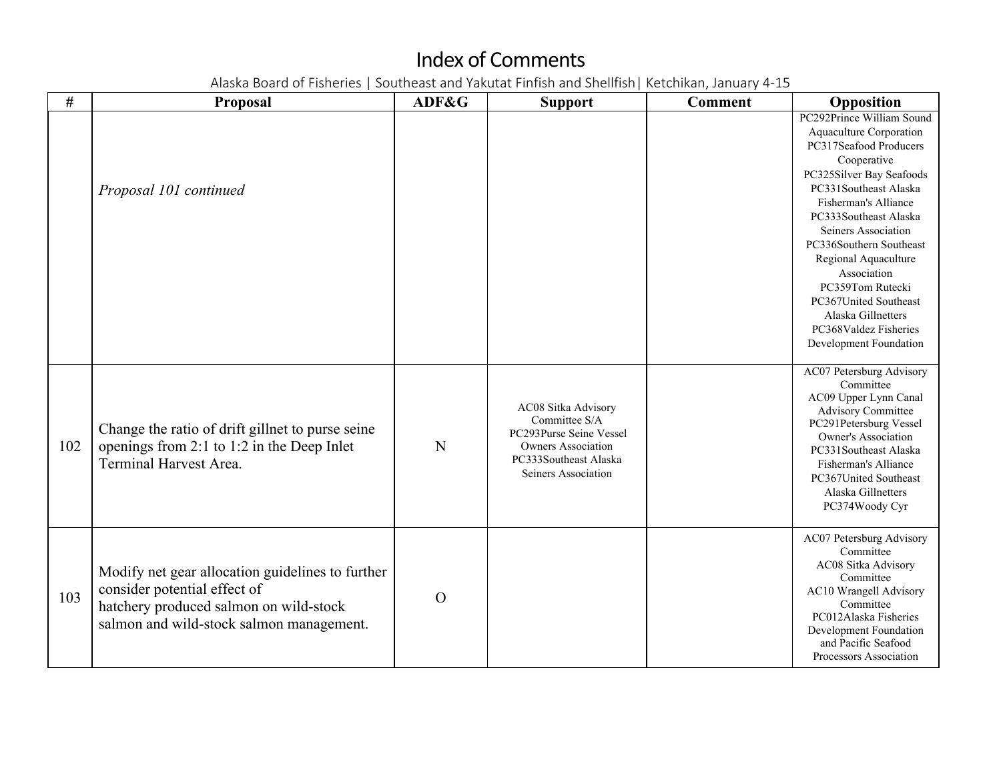| $\#$ | <b>Proposal</b>                                                                                                                                                        | ADF&G    | <b>Support</b>                                                                                                                               | <b>Comment</b> | Opposition                                                                                                                                                                                                                                                                                                                                                                                                         |
|------|------------------------------------------------------------------------------------------------------------------------------------------------------------------------|----------|----------------------------------------------------------------------------------------------------------------------------------------------|----------------|--------------------------------------------------------------------------------------------------------------------------------------------------------------------------------------------------------------------------------------------------------------------------------------------------------------------------------------------------------------------------------------------------------------------|
|      | Proposal 101 continued                                                                                                                                                 |          |                                                                                                                                              |                | PC292Prince William Sound<br>Aquaculture Corporation<br>PC317Seafood Producers<br>Cooperative<br>PC325Silver Bay Seafoods<br>PC331Southeast Alaska<br>Fisherman's Alliance<br>PC333Southeast Alaska<br>Seiners Association<br>PC336Southern Southeast<br>Regional Aquaculture<br>Association<br>PC359Tom Rutecki<br>PC367United Southeast<br>Alaska Gillnetters<br>PC368Valdez Fisheries<br>Development Foundation |
| 102  | Change the ratio of drift gillnet to purse seine<br>openings from 2:1 to 1:2 in the Deep Inlet<br><b>Terminal Harvest Area.</b>                                        | N        | AC08 Sitka Advisory<br>Committee S/A<br>PC293Purse Seine Vessel<br><b>Owners Association</b><br>PC333Southeast Alaska<br>Seiners Association |                | AC07 Petersburg Advisory<br>Committee<br>AC09 Upper Lynn Canal<br><b>Advisory Committee</b><br>PC291Petersburg Vessel<br>Owner's Association<br>PC331Southeast Alaska<br>Fisherman's Alliance<br>PC367United Southeast<br>Alaska Gillnetters<br>PC374Woody Cyr                                                                                                                                                     |
| 103  | Modify net gear allocation guidelines to further<br>consider potential effect of<br>hatchery produced salmon on wild-stock<br>salmon and wild-stock salmon management. | $\Omega$ |                                                                                                                                              |                | AC07 Petersburg Advisory<br>Committee<br>AC08 Sitka Advisory<br>Committee<br>AC10 Wrangell Advisory<br>Committee<br>PC012Alaska Fisheries<br>Development Foundation<br>and Pacific Seafood<br>Processors Association                                                                                                                                                                                               |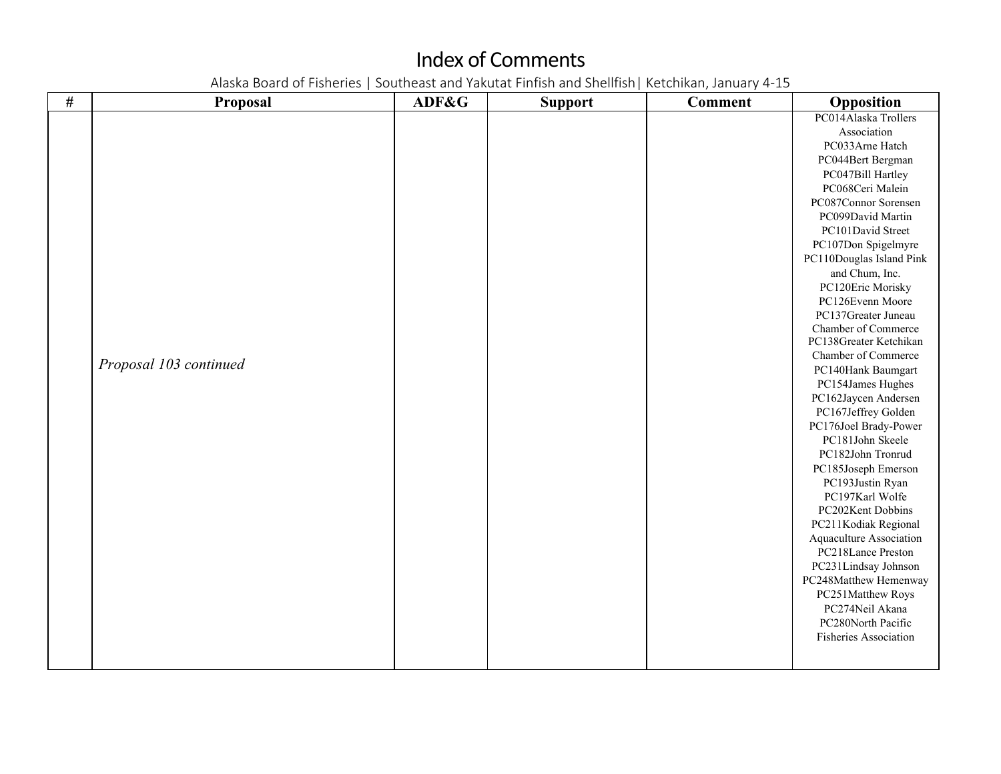| $\#$ | <b>Proposal</b>        | ADF&G | <b>Support</b> | <b>Comment</b> | Opposition                           |
|------|------------------------|-------|----------------|----------------|--------------------------------------|
|      |                        |       |                |                | PC014Alaska Trollers                 |
|      |                        |       |                |                | Association                          |
|      |                        |       |                |                | PC033Arne Hatch                      |
|      |                        |       |                |                | PC044Bert Bergman                    |
|      |                        |       |                |                | PC047Bill Hartley                    |
|      |                        |       |                |                | PC068Ceri Malein                     |
|      |                        |       |                |                | PC087Connor Sorensen                 |
|      |                        |       |                |                | PC099David Martin                    |
|      |                        |       |                |                | PC101David Street                    |
|      |                        |       |                |                | PC107Don Spigelmyre                  |
|      |                        |       |                |                | PC110Douglas Island Pink             |
|      |                        |       |                |                | and Chum, Inc.                       |
|      |                        |       |                |                | PC120Eric Morisky                    |
|      |                        |       |                |                | PC126Evenn Moore                     |
|      |                        |       |                |                | PC137Greater Juneau                  |
|      |                        |       |                |                | Chamber of Commerce                  |
|      |                        |       |                |                | PC138Greater Ketchikan               |
|      |                        |       |                |                | Chamber of Commerce                  |
|      | Proposal 103 continued |       |                |                | PC140Hank Baumgart                   |
|      |                        |       |                |                | PC154James Hughes                    |
|      |                        |       |                |                | PC162Jaycen Andersen                 |
|      |                        |       |                |                | PC167Jeffrey Golden                  |
|      |                        |       |                |                | PC176Joel Brady-Power                |
|      |                        |       |                |                | PC181John Skeele                     |
|      |                        |       |                |                | PC182John Tronrud                    |
|      |                        |       |                |                | PC185Joseph Emerson                  |
|      |                        |       |                |                | PC193Justin Ryan                     |
|      |                        |       |                |                | PC197Karl Wolfe                      |
|      |                        |       |                |                | PC202Kent Dobbins                    |
|      |                        |       |                |                | PC211Kodiak Regional                 |
|      |                        |       |                |                | Aquaculture Association              |
|      |                        |       |                |                | PC218Lance Preston                   |
|      |                        |       |                |                | PC231Lindsay Johnson                 |
|      |                        |       |                |                | PC248Matthew Hemenway                |
|      |                        |       |                |                | PC251Matthew Roys<br>PC274Neil Akana |
|      |                        |       |                |                | PC280North Pacific                   |
|      |                        |       |                |                | Fisheries Association                |
|      |                        |       |                |                |                                      |
|      |                        |       |                |                |                                      |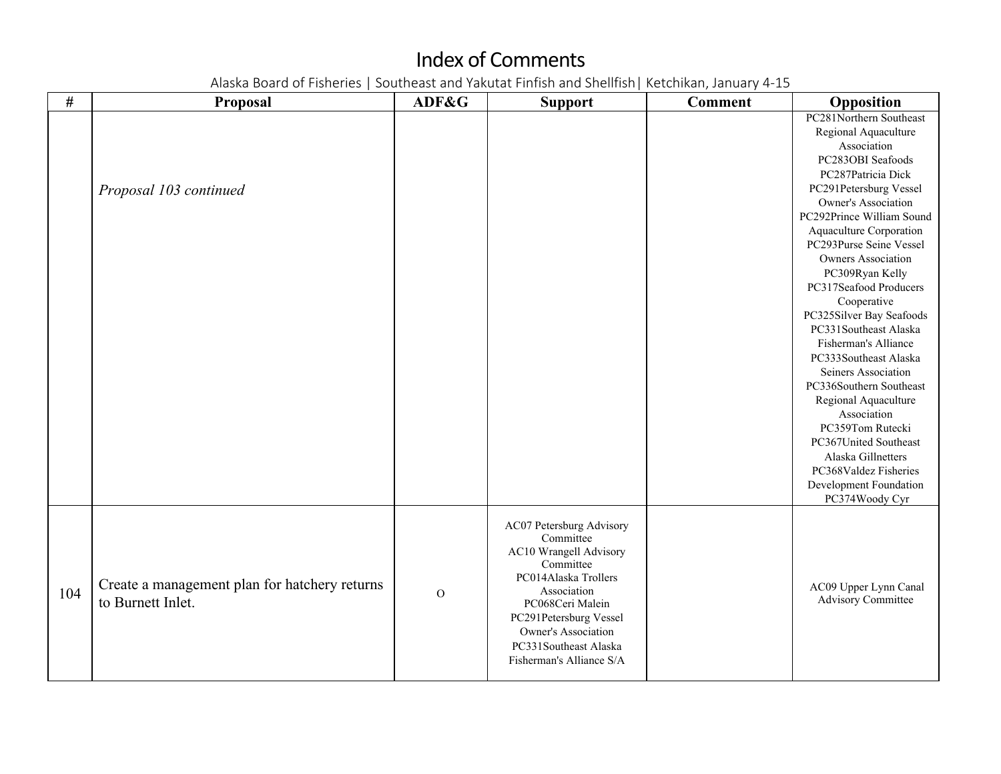| #   | <b>Proposal</b>                                                    | ADF&G          | <b>Support</b>                                                                                                                                                                                                                                | <b>Comment</b> | Opposition                                                                                                                                                                                                                                                                                                                                                                                                                                                                                                                                                                                                                                                                           |
|-----|--------------------------------------------------------------------|----------------|-----------------------------------------------------------------------------------------------------------------------------------------------------------------------------------------------------------------------------------------------|----------------|--------------------------------------------------------------------------------------------------------------------------------------------------------------------------------------------------------------------------------------------------------------------------------------------------------------------------------------------------------------------------------------------------------------------------------------------------------------------------------------------------------------------------------------------------------------------------------------------------------------------------------------------------------------------------------------|
|     | Proposal 103 continued                                             |                |                                                                                                                                                                                                                                               |                | PC281Northern Southeast<br>Regional Aquaculture<br>Association<br>PC283OBI Seafoods<br>PC287Patricia Dick<br>PC291Petersburg Vessel<br><b>Owner's Association</b><br>PC292Prince William Sound<br>Aquaculture Corporation<br>PC293Purse Seine Vessel<br><b>Owners Association</b><br>PC309Ryan Kelly<br>PC317Seafood Producers<br>Cooperative<br>PC325Silver Bay Seafoods<br>PC331Southeast Alaska<br>Fisherman's Alliance<br>PC333Southeast Alaska<br>Seiners Association<br>PC336Southern Southeast<br>Regional Aquaculture<br>Association<br>PC359Tom Rutecki<br>PC367United Southeast<br>Alaska Gillnetters<br>PC368Valdez Fisheries<br>Development Foundation<br>PC374Woody Cyr |
| 104 | Create a management plan for hatchery returns<br>to Burnett Inlet. | $\overline{O}$ | AC07 Petersburg Advisory<br>Committee<br>AC10 Wrangell Advisory<br>Committee<br>PC014Alaska Trollers<br>Association<br>PC068Ceri Malein<br>PC291Petersburg Vessel<br>Owner's Association<br>PC331Southeast Alaska<br>Fisherman's Alliance S/A |                | AC09 Upper Lynn Canal<br><b>Advisory Committee</b>                                                                                                                                                                                                                                                                                                                                                                                                                                                                                                                                                                                                                                   |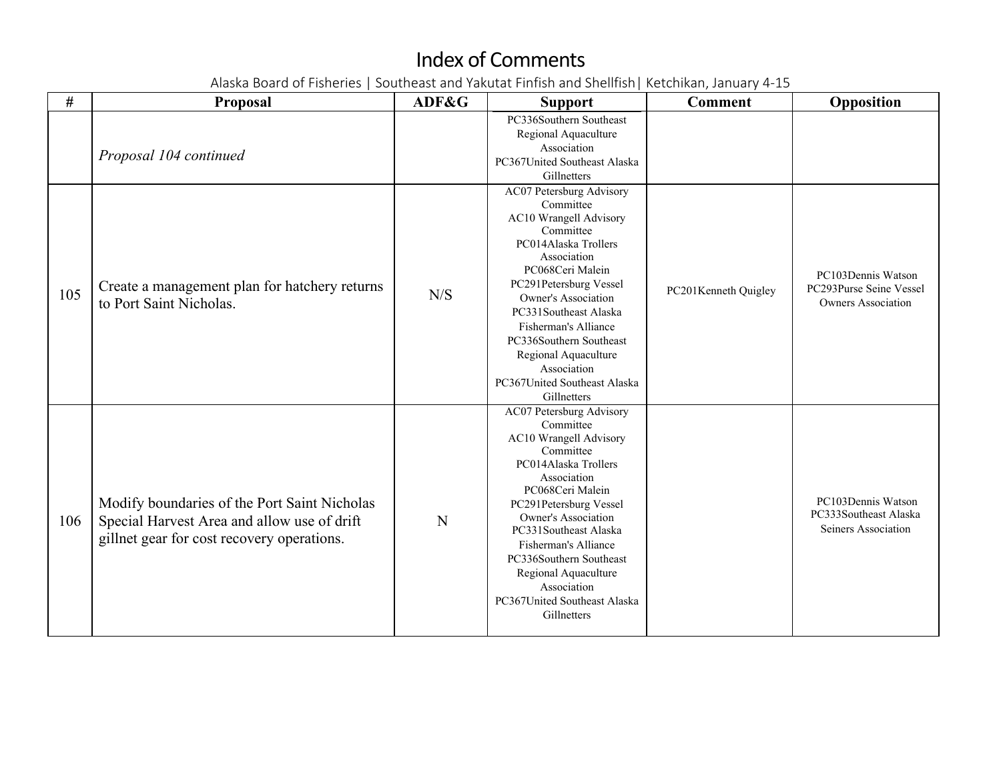| #   | <b>Proposal</b>                                                                                                                           | ADF&G | <b>Support</b>                                                                                                                                                                                                                                                                                                                                                    | <b>Comment</b>       | Opposition                                                                 |
|-----|-------------------------------------------------------------------------------------------------------------------------------------------|-------|-------------------------------------------------------------------------------------------------------------------------------------------------------------------------------------------------------------------------------------------------------------------------------------------------------------------------------------------------------------------|----------------------|----------------------------------------------------------------------------|
|     | Proposal 104 continued                                                                                                                    |       | PC336Southern Southeast<br>Regional Aquaculture<br>Association<br>PC367United Southeast Alaska<br>Gillnetters                                                                                                                                                                                                                                                     |                      |                                                                            |
| 105 | Create a management plan for hatchery returns<br>to Port Saint Nicholas.                                                                  | N/S   | AC07 Petersburg Advisory<br>Committee<br>AC10 Wrangell Advisory<br>Committee<br>PC014Alaska Trollers<br>Association<br>PC068Ceri Malein<br>PC291Petersburg Vessel<br><b>Owner's Association</b><br>PC331Southeast Alaska<br>Fisherman's Alliance<br>PC336Southern Southeast<br>Regional Aquaculture<br>Association<br>PC367United Southeast Alaska<br>Gillnetters | PC201Kenneth Quigley | PC103Dennis Watson<br>PC293Purse Seine Vessel<br><b>Owners Association</b> |
| 106 | Modify boundaries of the Port Saint Nicholas<br>Special Harvest Area and allow use of drift<br>gillnet gear for cost recovery operations. | N     | AC07 Petersburg Advisory<br>Committee<br>AC10 Wrangell Advisory<br>Committee<br>PC014Alaska Trollers<br>Association<br>PC068Ceri Malein<br>PC291Petersburg Vessel<br>Owner's Association<br>PC331Southeast Alaska<br>Fisherman's Alliance<br>PC336Southern Southeast<br>Regional Aquaculture<br>Association<br>PC367United Southeast Alaska<br>Gillnetters        |                      | PC103Dennis Watson<br>PC333Southeast Alaska<br>Seiners Association         |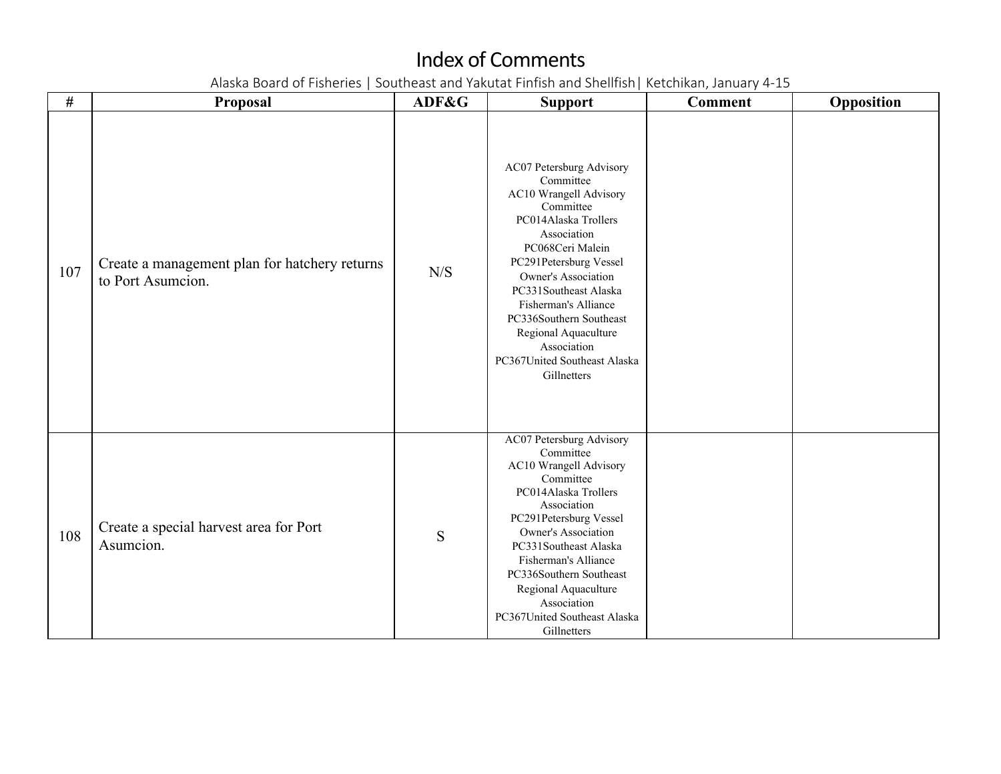| $\#$ | Proposal                                                           | ADF&G     | <b>Support</b>                                                                                                                                                                                                                                                                                                                                                    | <b>Comment</b> | Opposition |
|------|--------------------------------------------------------------------|-----------|-------------------------------------------------------------------------------------------------------------------------------------------------------------------------------------------------------------------------------------------------------------------------------------------------------------------------------------------------------------------|----------------|------------|
| 107  | Create a management plan for hatchery returns<br>to Port Asumcion. | N/S       | AC07 Petersburg Advisory<br>Committee<br>AC10 Wrangell Advisory<br>Committee<br>PC014Alaska Trollers<br>Association<br>PC068Ceri Malein<br>PC291Petersburg Vessel<br><b>Owner's Association</b><br>PC331Southeast Alaska<br>Fisherman's Alliance<br>PC336Southern Southeast<br>Regional Aquaculture<br>Association<br>PC367United Southeast Alaska<br>Gillnetters |                |            |
| 108  | Create a special harvest area for Port<br>Asumcion.                | ${\bf S}$ | <b>AC07 Petersburg Advisory</b><br>Committee<br>AC10 Wrangell Advisory<br>Committee<br>PC014Alaska Trollers<br>Association<br>PC291Petersburg Vessel<br>Owner's Association<br>PC331Southeast Alaska<br>Fisherman's Alliance<br>PC336Southern Southeast<br>Regional Aquaculture<br>Association<br>PC367United Southeast Alaska<br>Gillnetters                     |                |            |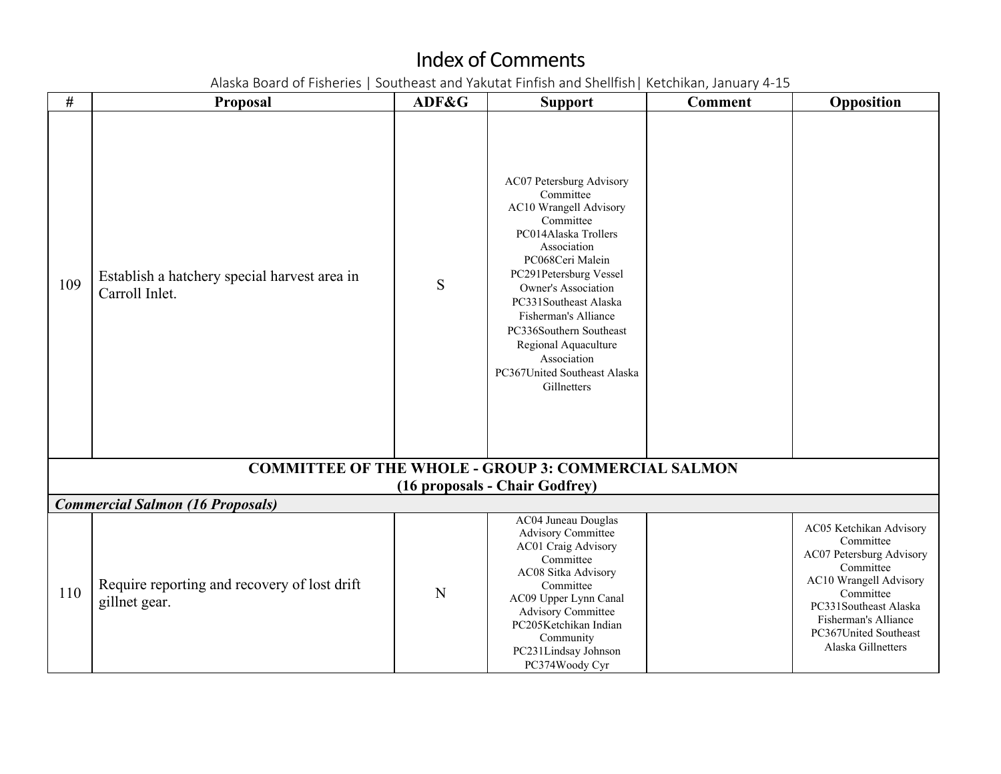| #   | <b>Proposal</b>                                                | ADF&G | <b>Support</b>                                                                                                                                                                                                                                                                                                                                             | <b>Comment</b> | Opposition                                                                                                                                                                                                           |
|-----|----------------------------------------------------------------|-------|------------------------------------------------------------------------------------------------------------------------------------------------------------------------------------------------------------------------------------------------------------------------------------------------------------------------------------------------------------|----------------|----------------------------------------------------------------------------------------------------------------------------------------------------------------------------------------------------------------------|
| 109 | Establish a hatchery special harvest area in<br>Carroll Inlet. | S     | AC07 Petersburg Advisory<br>Committee<br>AC10 Wrangell Advisory<br>Committee<br>PC014Alaska Trollers<br>Association<br>PC068Ceri Malein<br>PC291Petersburg Vessel<br>Owner's Association<br>PC331Southeast Alaska<br>Fisherman's Alliance<br>PC336Southern Southeast<br>Regional Aquaculture<br>Association<br>PC367United Southeast Alaska<br>Gillnetters |                |                                                                                                                                                                                                                      |
|     |                                                                |       | <b>COMMITTEE OF THE WHOLE - GROUP 3: COMMERCIAL SALMON</b>                                                                                                                                                                                                                                                                                                 |                |                                                                                                                                                                                                                      |
|     | <b>Commercial Salmon (16 Proposals)</b>                        |       | (16 proposals - Chair Godfrey)                                                                                                                                                                                                                                                                                                                             |                |                                                                                                                                                                                                                      |
| 110 | Require reporting and recovery of lost drift<br>gillnet gear.  | N     | AC04 Juneau Douglas<br><b>Advisory Committee</b><br>AC01 Craig Advisory<br>Committee<br>AC08 Sitka Advisory<br>Committee<br>AC09 Upper Lynn Canal<br>Advisory Committee<br>PC205Ketchikan Indian<br>Community<br>PC231Lindsay Johnson<br>PC374Woody Cyr                                                                                                    |                | AC05 Ketchikan Advisory<br>Committee<br>AC07 Petersburg Advisory<br>Committee<br>AC10 Wrangell Advisory<br>Committee<br>PC331Southeast Alaska<br>Fisherman's Alliance<br>PC367United Southeast<br>Alaska Gillnetters |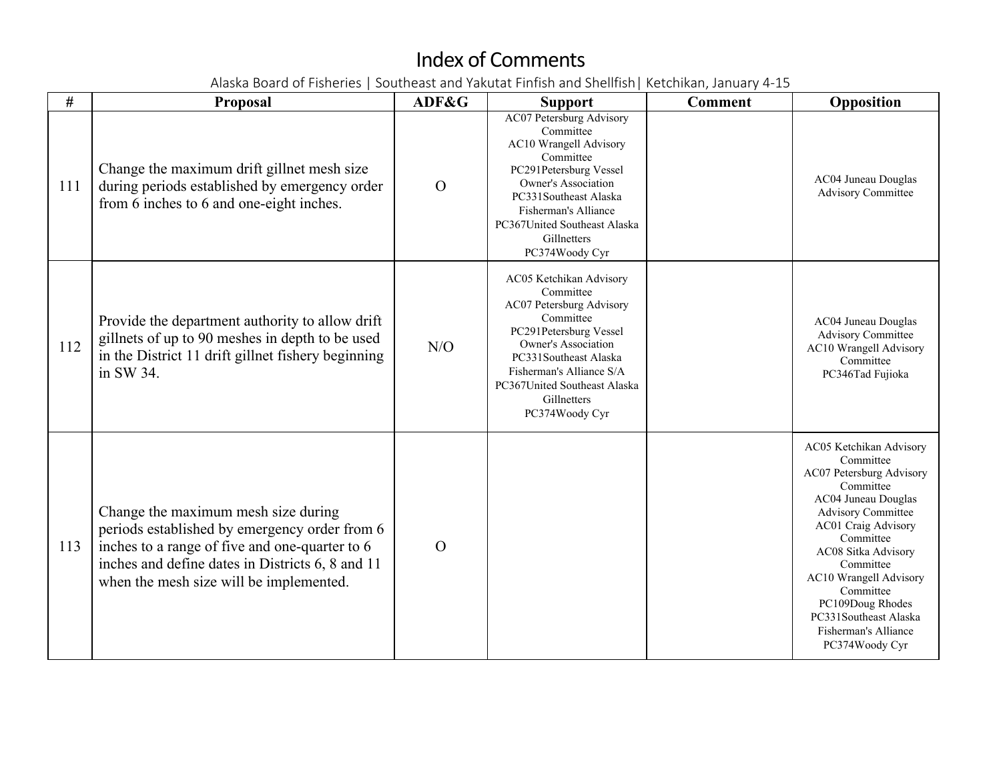| #   | <b>Proposal</b>                                                                                                                                                                                                                       | ADF&G          | <b>Support</b>                                                                                                                                                                                                                                              | <b>Comment</b> | Opposition                                                                                                                                                                                                                                                                                                                                     |
|-----|---------------------------------------------------------------------------------------------------------------------------------------------------------------------------------------------------------------------------------------|----------------|-------------------------------------------------------------------------------------------------------------------------------------------------------------------------------------------------------------------------------------------------------------|----------------|------------------------------------------------------------------------------------------------------------------------------------------------------------------------------------------------------------------------------------------------------------------------------------------------------------------------------------------------|
| 111 | Change the maximum drift gillnet mesh size<br>during periods established by emergency order<br>from 6 inches to 6 and one-eight inches.                                                                                               | $\Omega$       | AC07 Petersburg Advisory<br>Committee<br>AC10 Wrangell Advisory<br>Committee<br>PC291Petersburg Vessel<br><b>Owner's Association</b><br>PC331Southeast Alaska<br>Fisherman's Alliance<br>PC367United Southeast Alaska<br>Gillnetters<br>PC374Woody Cyr      |                | AC04 Juneau Douglas<br><b>Advisory Committee</b>                                                                                                                                                                                                                                                                                               |
| 112 | Provide the department authority to allow drift<br>gillnets of up to 90 meshes in depth to be used<br>in the District 11 drift gillnet fishery beginning<br>in SW 34.                                                                 | N/O            | AC05 Ketchikan Advisory<br>Committee<br>AC07 Petersburg Advisory<br>Committee<br>PC291Petersburg Vessel<br><b>Owner's Association</b><br>PC331Southeast Alaska<br>Fisherman's Alliance S/A<br>PC367United Southeast Alaska<br>Gillnetters<br>PC374Woody Cyr |                | AC04 Juneau Douglas<br><b>Advisory Committee</b><br>AC10 Wrangell Advisory<br>Committee<br>PC346Tad Fujioka                                                                                                                                                                                                                                    |
| 113 | Change the maximum mesh size during<br>periods established by emergency order from 6<br>inches to a range of five and one-quarter to 6<br>inches and define dates in Districts 6, 8 and 11<br>when the mesh size will be implemented. | $\overline{O}$ |                                                                                                                                                                                                                                                             |                | AC05 Ketchikan Advisory<br>Committee<br>AC07 Petersburg Advisory<br>Committee<br>AC04 Juneau Douglas<br><b>Advisory Committee</b><br><b>AC01 Craig Advisory</b><br>Committee<br>AC08 Sitka Advisory<br>Committee<br>AC10 Wrangell Advisory<br>Committee<br>PC109Doug Rhodes<br>PC331Southeast Alaska<br>Fisherman's Alliance<br>PC374Woody Cyr |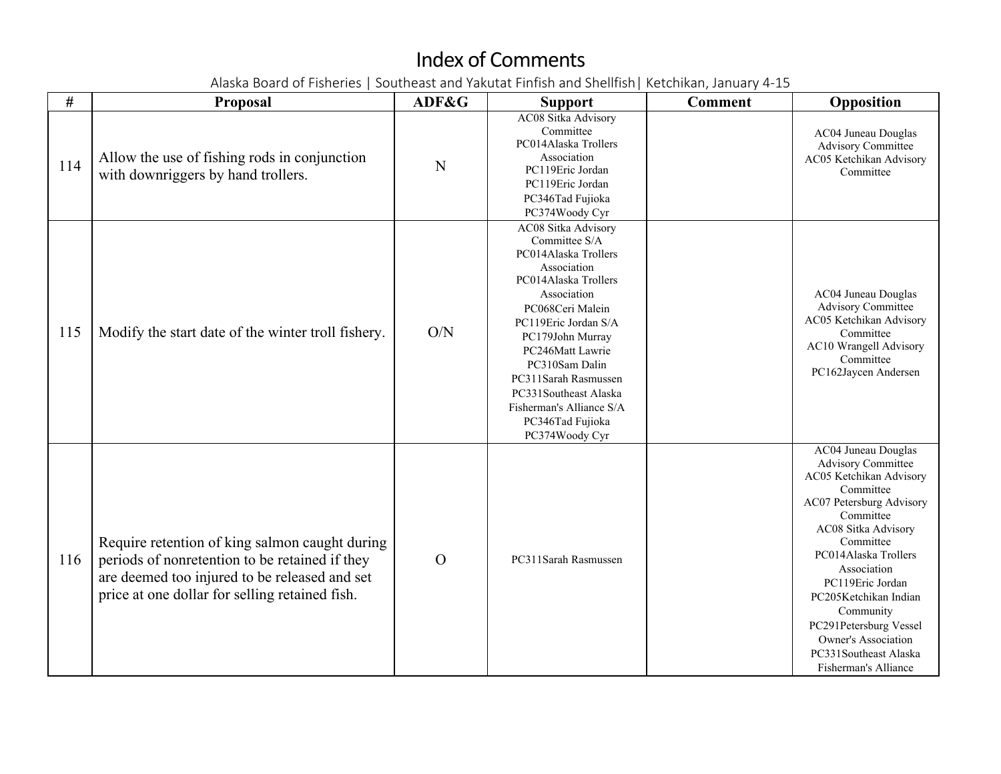| #   | Proposal                                                                                                                                                                                            | ADF&G          | <b>Support</b>                                                                                                                                                                                                                                                                                                                              | <b>Comment</b> | Opposition                                                                                                                                                                                                                                                                                                                                                                             |
|-----|-----------------------------------------------------------------------------------------------------------------------------------------------------------------------------------------------------|----------------|---------------------------------------------------------------------------------------------------------------------------------------------------------------------------------------------------------------------------------------------------------------------------------------------------------------------------------------------|----------------|----------------------------------------------------------------------------------------------------------------------------------------------------------------------------------------------------------------------------------------------------------------------------------------------------------------------------------------------------------------------------------------|
| 114 | Allow the use of fishing rods in conjunction<br>with downriggers by hand trollers.                                                                                                                  | N              | <b>AC08 Sitka Advisory</b><br>Committee<br>PC014Alaska Trollers<br>Association<br>PC119Eric Jordan<br>PC119Eric Jordan<br>PC346Tad Fujioka<br>PC374Woody Cyr                                                                                                                                                                                |                | AC04 Juneau Douglas<br><b>Advisory Committee</b><br>AC05 Ketchikan Advisory<br>Committee                                                                                                                                                                                                                                                                                               |
| 115 | Modify the start date of the winter troll fishery.                                                                                                                                                  | O/N            | AC08 Sitka Advisory<br>Committee S/A<br>PC014Alaska Trollers<br>Association<br>PC014Alaska Trollers<br>Association<br>PC068Ceri Malein<br>PC119Eric Jordan S/A<br>PC179John Murray<br>PC246Matt Lawrie<br>PC310Sam Dalin<br>PC311Sarah Rasmussen<br>PC331Southeast Alaska<br>Fisherman's Alliance S/A<br>PC346Tad Fujioka<br>PC374Woody Cyr |                | AC04 Juneau Douglas<br><b>Advisory Committee</b><br>AC05 Ketchikan Advisory<br>Committee<br>AC10 Wrangell Advisory<br>Committee<br>PC162Jaycen Andersen                                                                                                                                                                                                                                |
| 116 | Require retention of king salmon caught during<br>periods of nonretention to be retained if they<br>are deemed too injured to be released and set<br>price at one dollar for selling retained fish. | $\overline{O}$ | PC311Sarah Rasmussen                                                                                                                                                                                                                                                                                                                        |                | <b>AC04 Juneau Douglas</b><br><b>Advisory Committee</b><br>AC05 Ketchikan Advisory<br>Committee<br>AC07 Petersburg Advisory<br>Committee<br>AC08 Sitka Advisory<br>Committee<br>PC014Alaska Trollers<br>Association<br>PC119Eric Jordan<br>PC205Ketchikan Indian<br>Community<br>PC291Petersburg Vessel<br><b>Owner's Association</b><br>PC331Southeast Alaska<br>Fisherman's Alliance |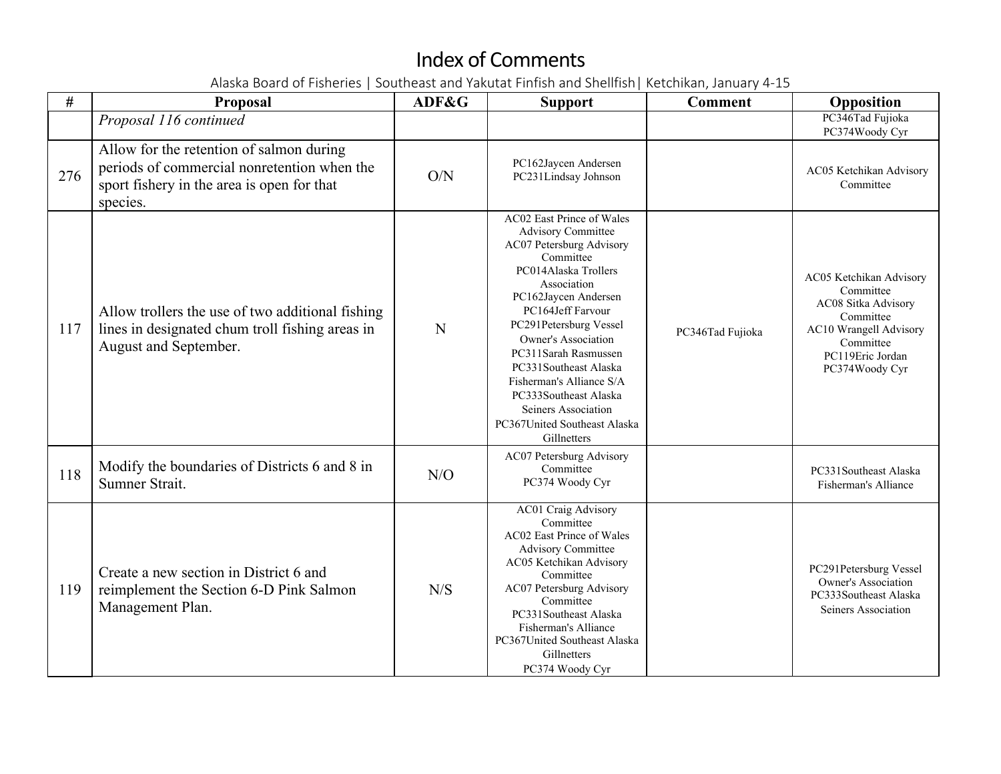| #   | Proposal                                                                                                                                          | ADF&G | <b>Support</b>                                                                                                                                                                                                                                                                                                                                                                                                          | <b>Comment</b>   | Opposition                                                                                                                                            |
|-----|---------------------------------------------------------------------------------------------------------------------------------------------------|-------|-------------------------------------------------------------------------------------------------------------------------------------------------------------------------------------------------------------------------------------------------------------------------------------------------------------------------------------------------------------------------------------------------------------------------|------------------|-------------------------------------------------------------------------------------------------------------------------------------------------------|
|     | Proposal 116 continued                                                                                                                            |       |                                                                                                                                                                                                                                                                                                                                                                                                                         |                  | PC346Tad Fujioka<br>PC374Woody Cyr                                                                                                                    |
| 276 | Allow for the retention of salmon during<br>periods of commercial nonretention when the<br>sport fishery in the area is open for that<br>species. | O/N   | PC162Jaycen Andersen<br>PC231Lindsay Johnson                                                                                                                                                                                                                                                                                                                                                                            |                  | AC05 Ketchikan Advisory<br>Committee                                                                                                                  |
| 117 | Allow trollers the use of two additional fishing<br>lines in designated chum troll fishing areas in<br>August and September.                      | N     | AC02 East Prince of Wales<br><b>Advisory Committee</b><br>AC07 Petersburg Advisory<br>Committee<br>PC014Alaska Trollers<br>Association<br>PC162Jaycen Andersen<br>PC164Jeff Farvour<br>PC291Petersburg Vessel<br><b>Owner's Association</b><br>PC311Sarah Rasmussen<br>PC331Southeast Alaska<br>Fisherman's Alliance S/A<br>PC333Southeast Alaska<br>Seiners Association<br>PC367United Southeast Alaska<br>Gillnetters | PC346Tad Fujioka | AC05 Ketchikan Advisory<br>Committee<br>AC08 Sitka Advisory<br>Committee<br>AC10 Wrangell Advisory<br>Committee<br>PC119Eric Jordan<br>PC374Woody Cyr |
| 118 | Modify the boundaries of Districts 6 and 8 in<br>Sumner Strait.                                                                                   | N/O   | AC07 Petersburg Advisory<br>Committee<br>PC374 Woody Cyr                                                                                                                                                                                                                                                                                                                                                                |                  | PC331Southeast Alaska<br>Fisherman's Alliance                                                                                                         |
| 119 | Create a new section in District 6 and<br>reimplement the Section 6-D Pink Salmon<br>Management Plan.                                             | N/S   | <b>AC01 Craig Advisory</b><br>Committee<br>AC02 East Prince of Wales<br><b>Advisory Committee</b><br>AC05 Ketchikan Advisory<br>Committee<br>AC07 Petersburg Advisory<br>Committee<br>PC331Southeast Alaska<br>Fisherman's Alliance<br>PC367United Southeast Alaska<br>Gillnetters<br>PC374 Woody Cyr                                                                                                                   |                  | PC291Petersburg Vessel<br><b>Owner's Association</b><br>PC333Southeast Alaska<br>Seiners Association                                                  |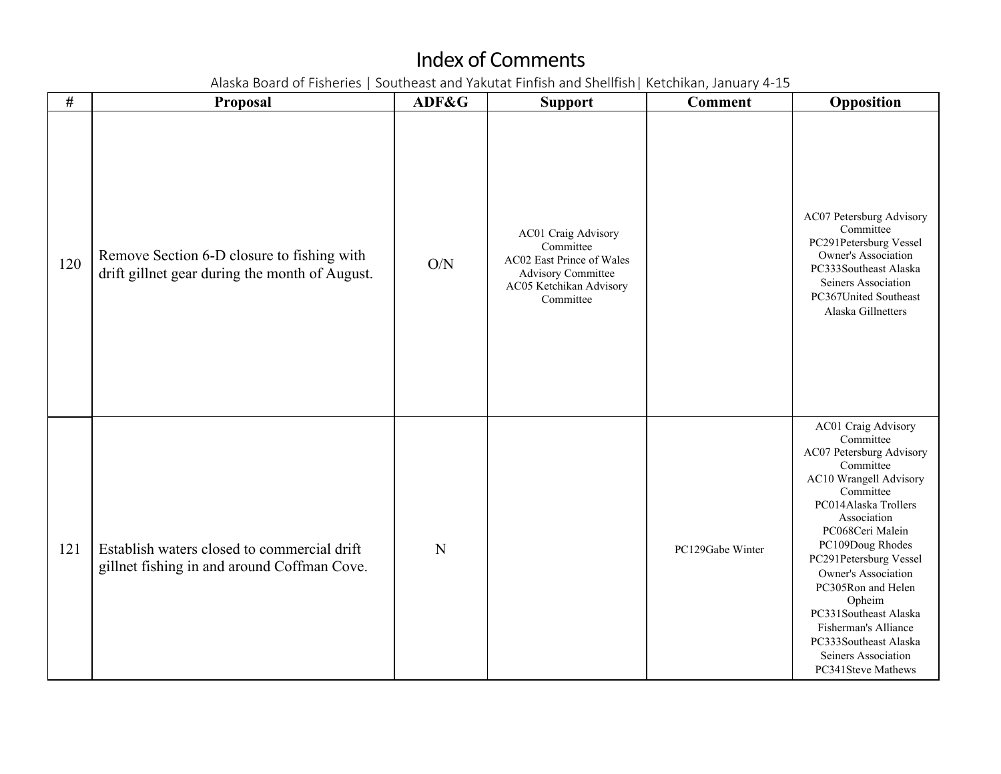| $\#$ | Proposal                                                                                     | ADF&G | <b>Support</b>                                                                                                                     | <b>Comment</b>   | Opposition                                                                                                                                                                                                                                                                                                                                                                                                     |
|------|----------------------------------------------------------------------------------------------|-------|------------------------------------------------------------------------------------------------------------------------------------|------------------|----------------------------------------------------------------------------------------------------------------------------------------------------------------------------------------------------------------------------------------------------------------------------------------------------------------------------------------------------------------------------------------------------------------|
| 120  | Remove Section 6-D closure to fishing with<br>drift gillnet gear during the month of August. | O/N   | AC01 Craig Advisory<br>Committee<br>AC02 East Prince of Wales<br><b>Advisory Committee</b><br>AC05 Ketchikan Advisory<br>Committee |                  | AC07 Petersburg Advisory<br>Committee<br>PC291Petersburg Vessel<br>Owner's Association<br>PC333Southeast Alaska<br>Seiners Association<br>PC367United Southeast<br>Alaska Gillnetters                                                                                                                                                                                                                          |
| 121  | Establish waters closed to commercial drift<br>gillnet fishing in and around Coffman Cove.   | N     |                                                                                                                                    | PC129Gabe Winter | AC01 Craig Advisory<br>Committee<br>AC07 Petersburg Advisory<br>Committee<br>AC10 Wrangell Advisory<br>Committee<br>PC014Alaska Trollers<br>Association<br>PC068Ceri Malein<br>PC109Doug Rhodes<br>PC291Petersburg Vessel<br><b>Owner's Association</b><br>PC305Ron and Helen<br>Opheim<br>PC331Southeast Alaska<br>Fisherman's Alliance<br>PC333Southeast Alaska<br>Seiners Association<br>PC341Steve Mathews |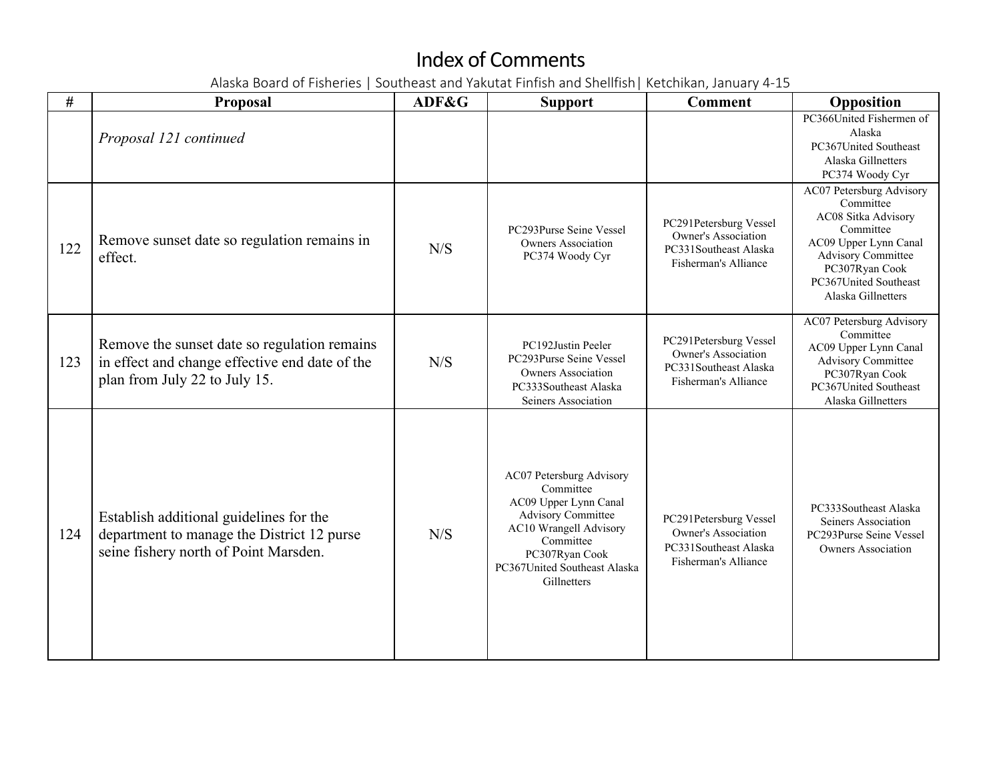| $\#$ | <b>Proposal</b>                                                                                                                 | ADF&G | <b>Support</b>                                                                                                                                                                                      | <b>Comment</b>                                                                                        | Opposition                                                                                                                                                                                       |
|------|---------------------------------------------------------------------------------------------------------------------------------|-------|-----------------------------------------------------------------------------------------------------------------------------------------------------------------------------------------------------|-------------------------------------------------------------------------------------------------------|--------------------------------------------------------------------------------------------------------------------------------------------------------------------------------------------------|
|      | Proposal 121 continued                                                                                                          |       |                                                                                                                                                                                                     |                                                                                                       | PC366United Fishermen of<br>Alaska<br>PC367United Southeast<br>Alaska Gillnetters<br>PC374 Woody Cyr                                                                                             |
| 122  | Remove sunset date so regulation remains in<br>effect.                                                                          | N/S   | PC293Purse Seine Vessel<br><b>Owners Association</b><br>PC374 Woody Cyr                                                                                                                             | PC291Petersburg Vessel<br><b>Owner's Association</b><br>PC331Southeast Alaska<br>Fisherman's Alliance | AC07 Petersburg Advisory<br>Committee<br>AC08 Sitka Advisory<br>Committee<br>AC09 Upper Lynn Canal<br><b>Advisory Committee</b><br>PC307Ryan Cook<br>PC367United Southeast<br>Alaska Gillnetters |
| 123  | Remove the sunset date so regulation remains<br>in effect and change effective end date of the<br>plan from July 22 to July 15. | N/S   | PC192Justin Peeler<br>PC293Purse Seine Vessel<br><b>Owners Association</b><br>PC333Southeast Alaska<br>Seiners Association                                                                          | PC291Petersburg Vessel<br>Owner's Association<br>PC331Southeast Alaska<br>Fisherman's Alliance        | AC07 Petersburg Advisory<br>Committee<br>AC09 Upper Lynn Canal<br><b>Advisory Committee</b><br>PC307Ryan Cook<br>PC367United Southeast<br>Alaska Gillnetters                                     |
| 124  | Establish additional guidelines for the<br>department to manage the District 12 purse<br>seine fishery north of Point Marsden.  | N/S   | AC07 Petersburg Advisory<br>Committee<br>AC09 Upper Lynn Canal<br><b>Advisory Committee</b><br>AC10 Wrangell Advisory<br>Committee<br>PC307Ryan Cook<br>PC367United Southeast Alaska<br>Gillnetters | PC291Petersburg Vessel<br><b>Owner's Association</b><br>PC331Southeast Alaska<br>Fisherman's Alliance | PC333Southeast Alaska<br>Seiners Association<br>PC293Purse Seine Vessel<br><b>Owners Association</b>                                                                                             |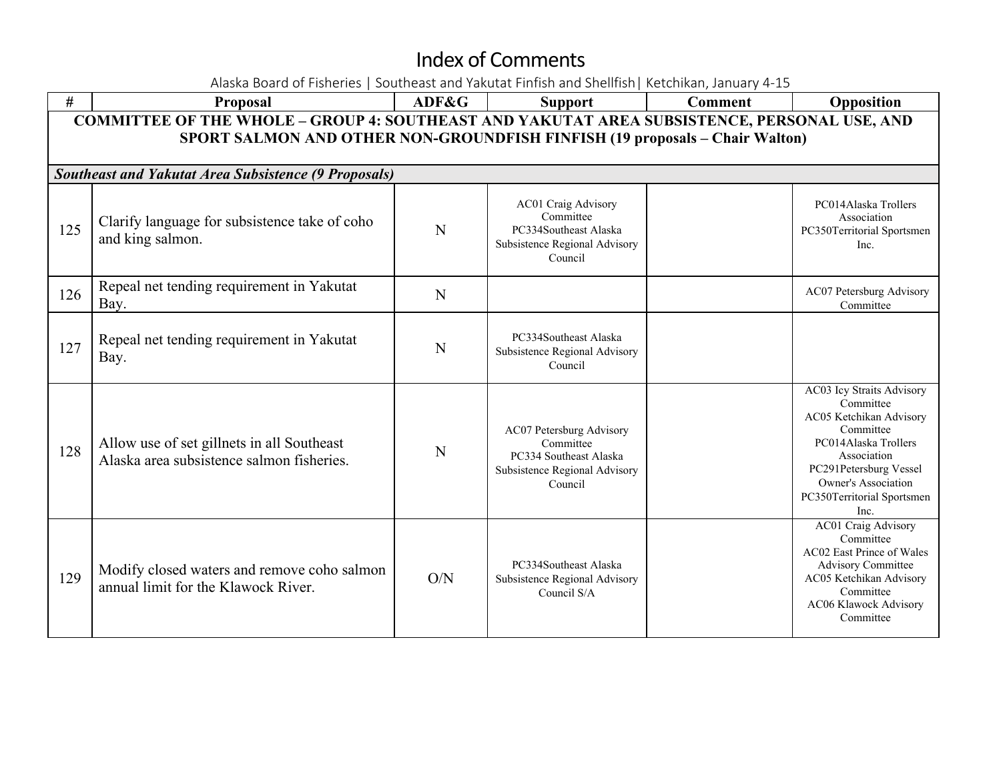Alaska Board of Fisheries | Southeast and Yakutat Finfish and Shellfish| Ketchikan, January 4-15 **# Proposal ADF&G Support Comment Opposition COMMITTEE OF THE WHOLE – GROUP 4: SOUTHEAST AND YAKUTAT AREA SUBSISTENCE, PERSONAL USE, AND SPORT SALMON AND OTHER NON-GROUNDFISH FINFISH (19 proposals – Chair Walton)** *Southeast and Yakutat Area Subsistence (9 Proposals)*  $125$  Clarify language for subsistence take of coho Liarity language for subsistence take of cono<br>and king salmon. AC01 Craig Advisory Committee PC334Southeast Alaska Subsistence Regional Advisory Council PC014Alaska Trollers Association PC350Territorial Sportsmen Inc. 126 Repeal net tending requirement in Yakutat Bay. Repeat the tending requirement in Takutat M<br>Bay. Committee Committee Committee Committee 127 Repeal net tending requirement in Yakutat N PC334Southeast Alaska Subsistence Regional Advisory Council  $128$  Allow use of set gillnets in all Southeast Alaska area subsistence salmon fisheries. AC07 Petersburg Advisory Committee PC334 Southeast Alaska Subsistence Regional Advisory Council AC03 Icy Straits Advisory Committee AC05 Ketchikan Advisory Committee PC014Alaska Trollers Association PC291Petersburg Vessel Owner's Association PC350Territorial Sportsmen Inc. 129 Modify closed waters and remove coho salmon annual limit for the Klawock River. O/N PC334Southeast Alaska Subsistence Regional Advisory Council S/A AC01 Craig Advisory Committee AC02 East Prince of Wales Advisory Committee AC05 Ketchikan Advisory Committee AC06 Klawock Advisory Committee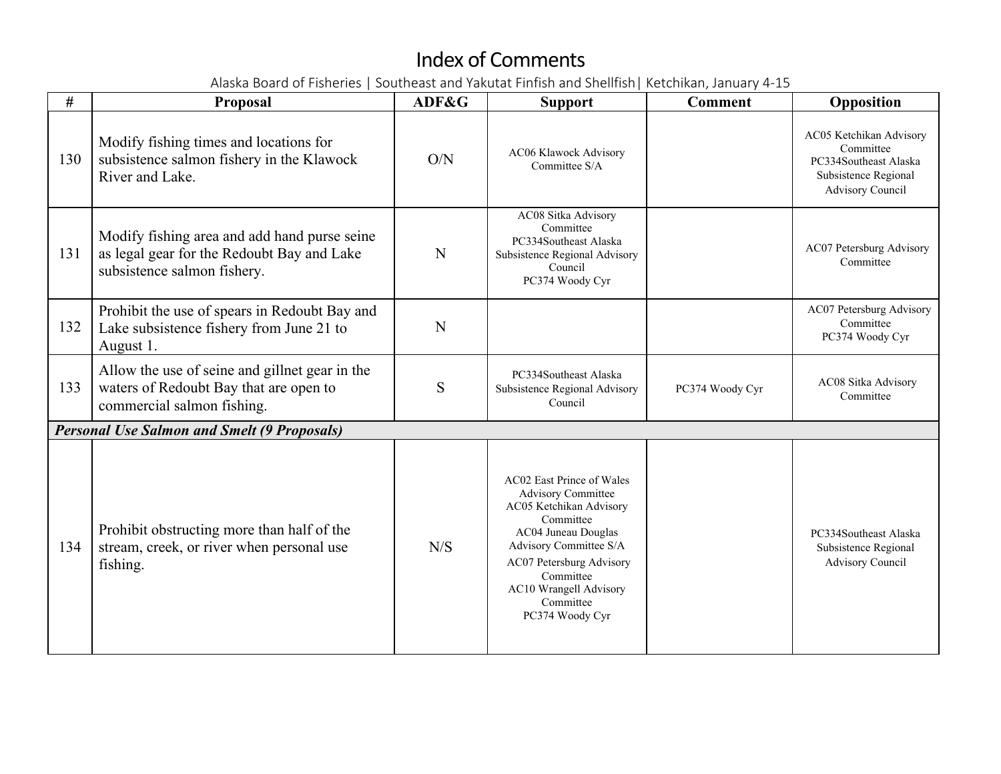| #   | <b>Proposal</b>                                                                                                           | ADF&G | <b>Support</b>                                                                                                                                                                                                                                     | <b>Comment</b>  | Opposition                                                                                                |
|-----|---------------------------------------------------------------------------------------------------------------------------|-------|----------------------------------------------------------------------------------------------------------------------------------------------------------------------------------------------------------------------------------------------------|-----------------|-----------------------------------------------------------------------------------------------------------|
| 130 | Modify fishing times and locations for<br>subsistence salmon fishery in the Klawock<br>River and Lake.                    | O/N   | AC06 Klawock Advisory<br>Committee S/A                                                                                                                                                                                                             |                 | AC05 Ketchikan Advisory<br>Committee<br>PC334Southeast Alaska<br>Subsistence Regional<br>Advisory Council |
| 131 | Modify fishing area and add hand purse seine<br>as legal gear for the Redoubt Bay and Lake<br>subsistence salmon fishery. | N     | AC08 Sitka Advisory<br>Committee<br>PC334Southeast Alaska<br>Subsistence Regional Advisory<br>Council<br>PC374 Woody Cyr                                                                                                                           |                 | AC07 Petersburg Advisory<br>Committee                                                                     |
| 132 | Prohibit the use of spears in Redoubt Bay and<br>Lake subsistence fishery from June 21 to<br>August 1.                    | N     |                                                                                                                                                                                                                                                    |                 | AC07 Petersburg Advisory<br>Committee<br>PC374 Woody Cyr                                                  |
| 133 | Allow the use of seine and gillnet gear in the<br>waters of Redoubt Bay that are open to<br>commercial salmon fishing.    | S     | PC334Southeast Alaska<br>Subsistence Regional Advisory<br>Council                                                                                                                                                                                  | PC374 Woody Cyr | AC08 Sitka Advisory<br>Committee                                                                          |
|     | <b>Personal Use Salmon and Smelt (9 Proposals)</b>                                                                        |       |                                                                                                                                                                                                                                                    |                 |                                                                                                           |
| 134 | Prohibit obstructing more than half of the<br>stream, creek, or river when personal use<br>fishing.                       | N/S   | AC02 East Prince of Wales<br><b>Advisory Committee</b><br>AC05 Ketchikan Advisory<br>Committee<br>AC04 Juneau Douglas<br>Advisory Committee S/A<br>AC07 Petersburg Advisory<br>Committee<br>AC10 Wrangell Advisory<br>Committee<br>PC374 Woody Cyr |                 | PC334Southeast Alaska<br>Subsistence Regional<br>Advisory Council                                         |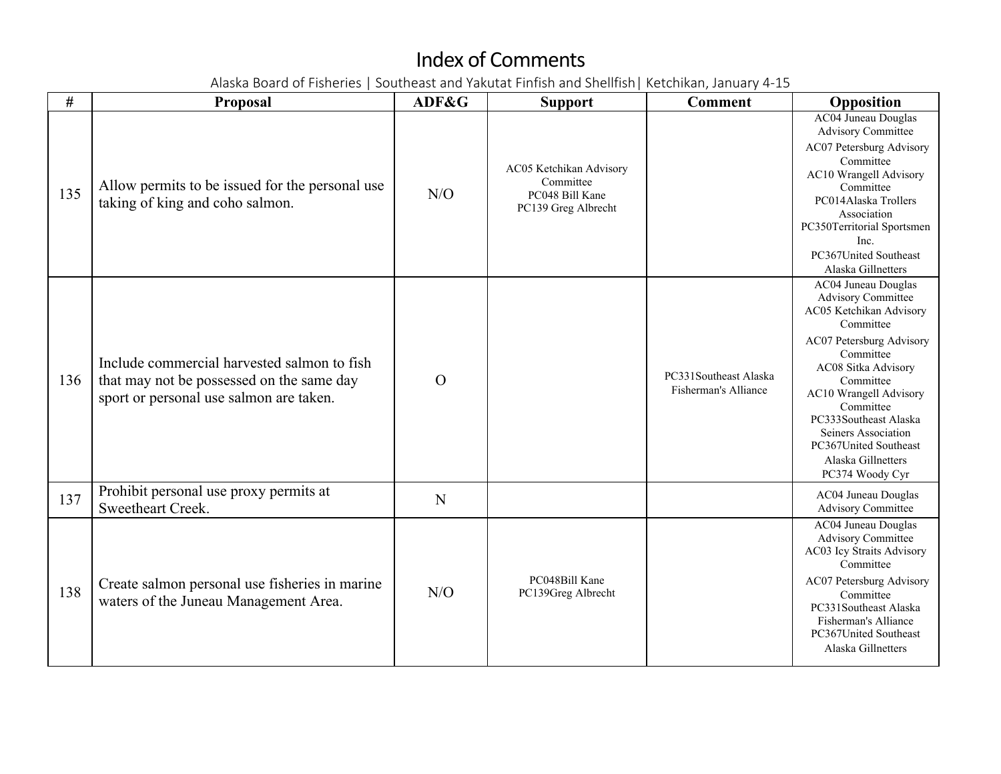| #   | <b>Proposal</b>                                                                                                                     | ADF&G          | <b>Support</b>                                                                 | <b>Comment</b>                                | Opposition                                                                                                                                                                                                                                                                                                                            |
|-----|-------------------------------------------------------------------------------------------------------------------------------------|----------------|--------------------------------------------------------------------------------|-----------------------------------------------|---------------------------------------------------------------------------------------------------------------------------------------------------------------------------------------------------------------------------------------------------------------------------------------------------------------------------------------|
| 135 | Allow permits to be issued for the personal use<br>taking of king and coho salmon.                                                  | N/O            | AC05 Ketchikan Advisory<br>Committee<br>PC048 Bill Kane<br>PC139 Greg Albrecht |                                               | <b>AC04 Juneau Douglas</b><br><b>Advisory Committee</b><br>AC07 Petersburg Advisory<br>Committee<br>AC10 Wrangell Advisory<br>Committee<br>PC014Alaska Trollers<br>Association<br>PC350Territorial Sportsmen<br>Inc.<br>PC367United Southeast<br>Alaska Gillnetters                                                                   |
| 136 | Include commercial harvested salmon to fish<br>that may not be possessed on the same day<br>sport or personal use salmon are taken. | $\overline{O}$ |                                                                                | PC331Southeast Alaska<br>Fisherman's Alliance | AC04 Juneau Douglas<br><b>Advisory Committee</b><br>AC05 Ketchikan Advisory<br>Committee<br>AC07 Petersburg Advisory<br>Committee<br>AC08 Sitka Advisory<br>Committee<br><b>AC10 Wrangell Advisory</b><br>Committee<br>PC333Southeast Alaska<br>Seiners Association<br>PC367United Southeast<br>Alaska Gillnetters<br>PC374 Woody Cyr |
| 137 | Prohibit personal use proxy permits at<br>Sweetheart Creek.                                                                         | N              |                                                                                |                                               | AC04 Juneau Douglas<br><b>Advisory Committee</b>                                                                                                                                                                                                                                                                                      |
| 138 | Create salmon personal use fisheries in marine<br>waters of the Juneau Management Area.                                             | N/O            | PC048Bill Kane<br>PC139Greg Albrecht                                           |                                               | AC04 Juneau Douglas<br><b>Advisory Committee</b><br>AC03 Icy Straits Advisory<br>Committee<br>AC07 Petersburg Advisory<br>Committee<br>PC331Southeast Alaska<br>Fisherman's Alliance<br>PC367United Southeast<br>Alaska Gillnetters                                                                                                   |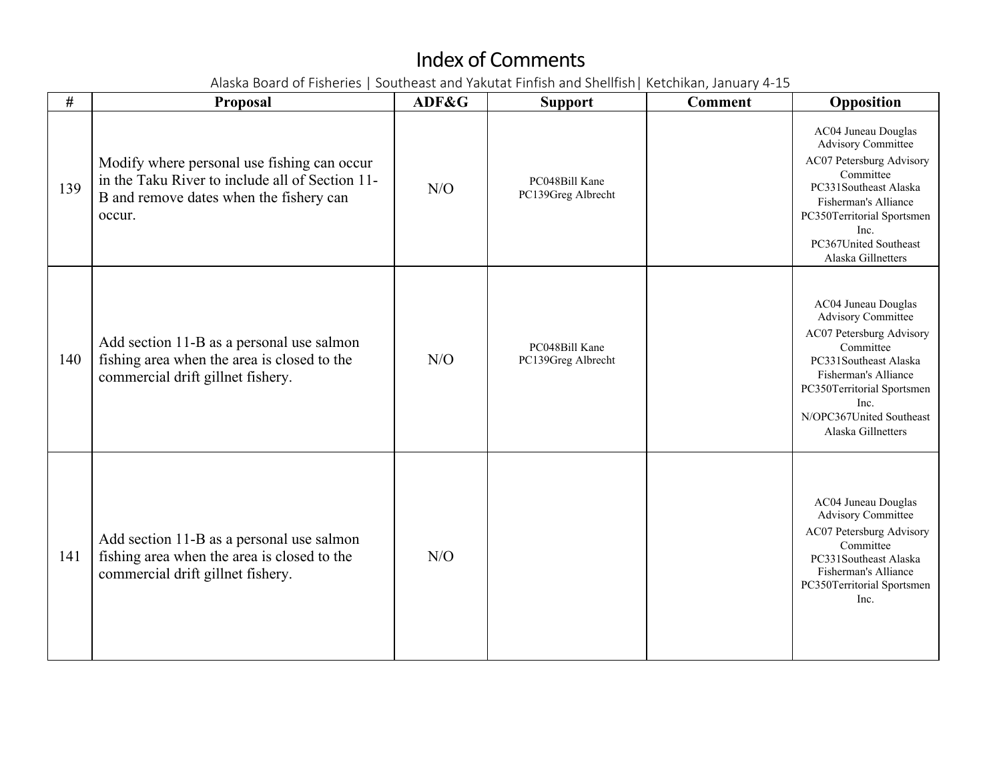| #   | <b>Proposal</b>                                                                                                                                     | ADF&G | <b>Support</b>                       | <b>Comment</b> | Opposition                                                                                                                                                                                                                         |
|-----|-----------------------------------------------------------------------------------------------------------------------------------------------------|-------|--------------------------------------|----------------|------------------------------------------------------------------------------------------------------------------------------------------------------------------------------------------------------------------------------------|
| 139 | Modify where personal use fishing can occur<br>in the Taku River to include all of Section 11-<br>B and remove dates when the fishery can<br>occur. | N/O   | PC048Bill Kane<br>PC139Greg Albrecht |                | AC04 Juneau Douglas<br><b>Advisory Committee</b><br>AC07 Petersburg Advisory<br>Committee<br>PC331Southeast Alaska<br>Fisherman's Alliance<br>PC350Territorial Sportsmen<br>Inc.<br>PC367United Southeast<br>Alaska Gillnetters    |
| 140 | Add section 11-B as a personal use salmon<br>fishing area when the area is closed to the<br>commercial drift gillnet fishery.                       | N/O   | PC048Bill Kane<br>PC139Greg Albrecht |                | AC04 Juneau Douglas<br><b>Advisory Committee</b><br>AC07 Petersburg Advisory<br>Committee<br>PC331Southeast Alaska<br>Fisherman's Alliance<br>PC350Territorial Sportsmen<br>Inc.<br>N/OPC367United Southeast<br>Alaska Gillnetters |
| 141 | Add section 11-B as a personal use salmon<br>fishing area when the area is closed to the<br>commercial drift gillnet fishery.                       | N/O   |                                      |                | AC04 Juneau Douglas<br>Advisory Committee<br>AC07 Petersburg Advisory<br>Committee<br>PC331Southeast Alaska<br>Fisherman's Alliance<br>PC350Territorial Sportsmen<br>Inc.                                                          |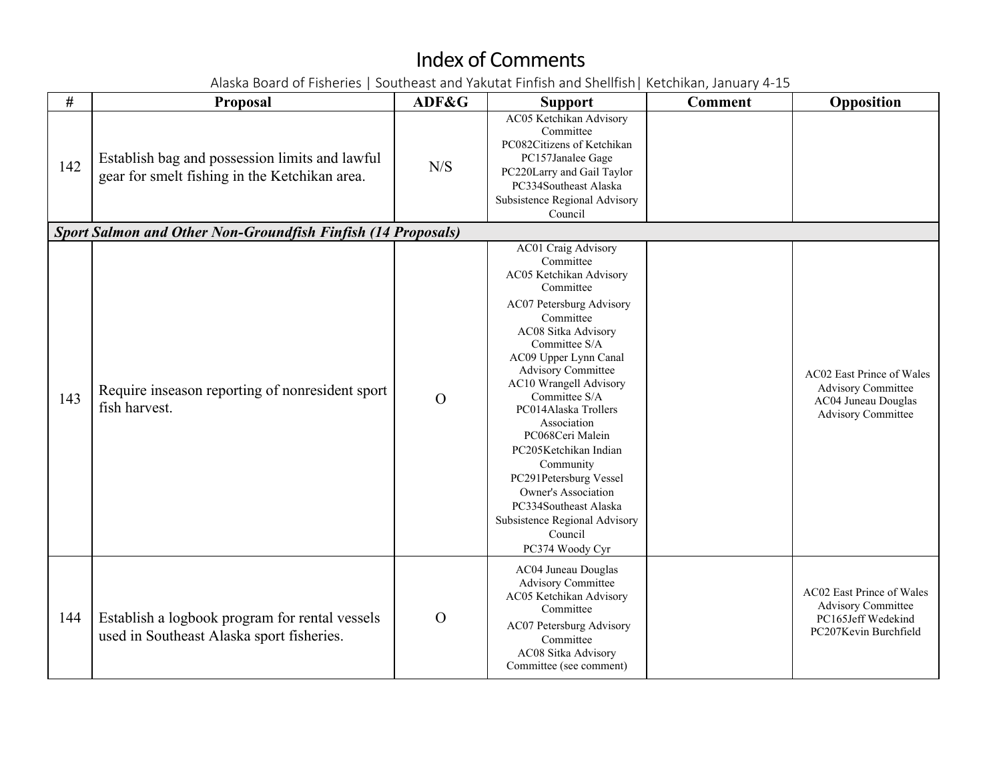| #   | Proposal                                                                                        | ADF&G          | <b>Support</b>                                                                                                                                                                                                                                                                                                                                                                                                                                                                                              | <b>Comment</b> | Opposition                                                                                                 |
|-----|-------------------------------------------------------------------------------------------------|----------------|-------------------------------------------------------------------------------------------------------------------------------------------------------------------------------------------------------------------------------------------------------------------------------------------------------------------------------------------------------------------------------------------------------------------------------------------------------------------------------------------------------------|----------------|------------------------------------------------------------------------------------------------------------|
| 142 | Establish bag and possession limits and lawful<br>gear for smelt fishing in the Ketchikan area. | N/S            | AC05 Ketchikan Advisory<br>Committee<br>PC082Citizens of Ketchikan<br>PC157Janalee Gage<br>PC220Larry and Gail Taylor<br>PC334Southeast Alaska<br>Subsistence Regional Advisory<br>Council                                                                                                                                                                                                                                                                                                                  |                |                                                                                                            |
|     | <b>Sport Salmon and Other Non-Groundfish Finfish (14 Proposals)</b>                             |                |                                                                                                                                                                                                                                                                                                                                                                                                                                                                                                             |                |                                                                                                            |
| 143 | Require inseason reporting of nonresident sport<br>fish harvest.                                | $\Omega$       | AC01 Craig Advisory<br>Committee<br>AC05 Ketchikan Advisory<br>Committee<br>AC07 Petersburg Advisory<br>Committee<br>AC08 Sitka Advisory<br>Committee S/A<br>AC09 Upper Lynn Canal<br><b>Advisory Committee</b><br>AC10 Wrangell Advisory<br>Committee S/A<br>PC014Alaska Trollers<br>Association<br>PC068Ceri Malein<br>PC205Ketchikan Indian<br>Community<br>PC291Petersburg Vessel<br><b>Owner's Association</b><br>PC334Southeast Alaska<br>Subsistence Regional Advisory<br>Council<br>PC374 Woody Cyr |                | AC02 East Prince of Wales<br><b>Advisory Committee</b><br>AC04 Juneau Douglas<br><b>Advisory Committee</b> |
| 144 | Establish a logbook program for rental vessels<br>used in Southeast Alaska sport fisheries.     | $\overline{O}$ | AC04 Juneau Douglas<br><b>Advisory Committee</b><br>AC05 Ketchikan Advisory<br>Committee<br>AC07 Petersburg Advisory<br>Committee<br>AC08 Sitka Advisory<br>Committee (see comment)                                                                                                                                                                                                                                                                                                                         |                | AC02 East Prince of Wales<br><b>Advisory Committee</b><br>PC165Jeff Wedekind<br>PC207Kevin Burchfield      |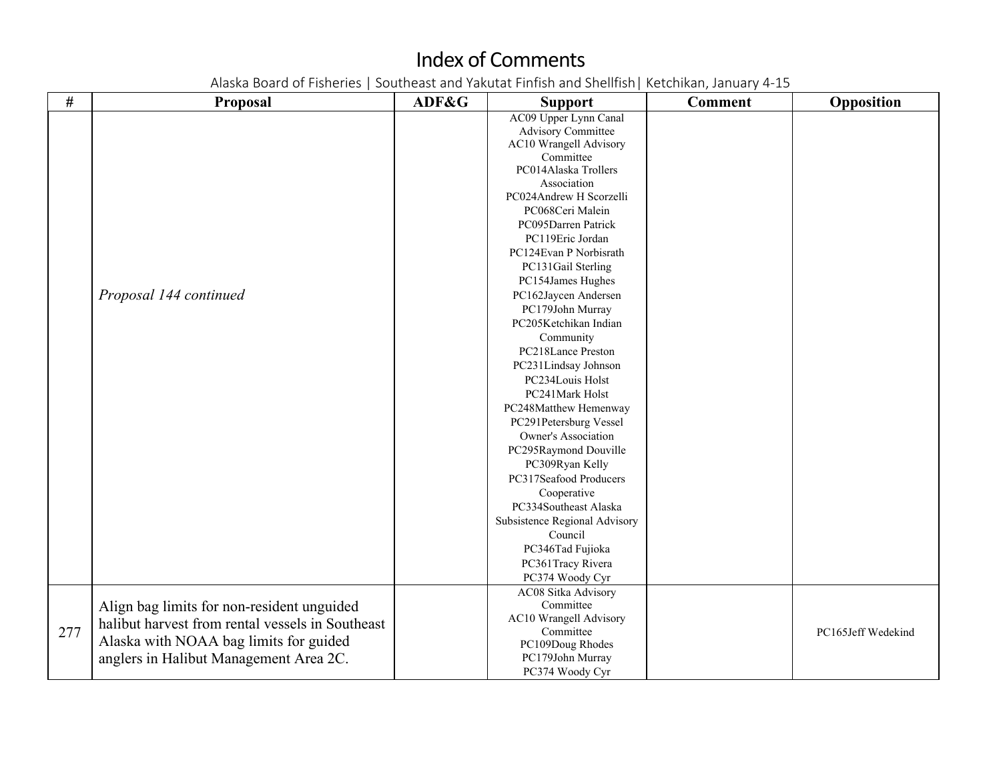| $\#$ | <b>Proposal</b>                                  | ADF&G | <b>Support</b>                | <b>Comment</b> | Opposition         |
|------|--------------------------------------------------|-------|-------------------------------|----------------|--------------------|
|      |                                                  |       | AC09 Upper Lynn Canal         |                |                    |
|      |                                                  |       | <b>Advisory Committee</b>     |                |                    |
|      |                                                  |       | AC10 Wrangell Advisory        |                |                    |
|      |                                                  |       | Committee                     |                |                    |
|      |                                                  |       | PC014Alaska Trollers          |                |                    |
|      |                                                  |       | Association                   |                |                    |
|      |                                                  |       | PC024Andrew H Scorzelli       |                |                    |
|      |                                                  |       | PC068Ceri Malein              |                |                    |
|      |                                                  |       | PC095Darren Patrick           |                |                    |
|      |                                                  |       | PC119Eric Jordan              |                |                    |
|      |                                                  |       | PC124Evan P Norbisrath        |                |                    |
|      |                                                  |       | PC131Gail Sterling            |                |                    |
|      |                                                  |       | PC154James Hughes             |                |                    |
|      | Proposal 144 continued                           |       | PC162Jaycen Andersen          |                |                    |
|      |                                                  |       | PC179John Murray              |                |                    |
|      |                                                  |       | PC205Ketchikan Indian         |                |                    |
|      |                                                  |       | Community                     |                |                    |
|      |                                                  |       | PC218Lance Preston            |                |                    |
|      |                                                  |       | PC231Lindsay Johnson          |                |                    |
|      |                                                  |       | PC234Louis Holst              |                |                    |
|      |                                                  |       | PC241Mark Holst               |                |                    |
|      |                                                  |       | PC248Matthew Hemenway         |                |                    |
|      |                                                  |       | PC291Petersburg Vessel        |                |                    |
|      |                                                  |       | Owner's Association           |                |                    |
|      |                                                  |       | PC295Raymond Douville         |                |                    |
|      |                                                  |       | PC309Ryan Kelly               |                |                    |
|      |                                                  |       | PC317Seafood Producers        |                |                    |
|      |                                                  |       | Cooperative                   |                |                    |
|      |                                                  |       | PC334Southeast Alaska         |                |                    |
|      |                                                  |       | Subsistence Regional Advisory |                |                    |
|      |                                                  |       | Council                       |                |                    |
|      |                                                  |       | PC346Tad Fujioka              |                |                    |
|      |                                                  |       | PC361Tracy Rivera             |                |                    |
|      |                                                  |       | PC374 Woody Cyr               |                |                    |
|      |                                                  |       | <b>AC08 Sitka Advisory</b>    |                |                    |
|      | Align bag limits for non-resident unguided       |       | Committee                     |                |                    |
|      | halibut harvest from rental vessels in Southeast |       | AC10 Wrangell Advisory        |                |                    |
| 277  |                                                  |       | Committee                     |                | PC165Jeff Wedekind |
|      | Alaska with NOAA bag limits for guided           |       | PC109Doug Rhodes              |                |                    |
|      | anglers in Halibut Management Area 2C.           |       | PC179John Murray              |                |                    |
|      |                                                  |       | PC374 Woody Cyr               |                |                    |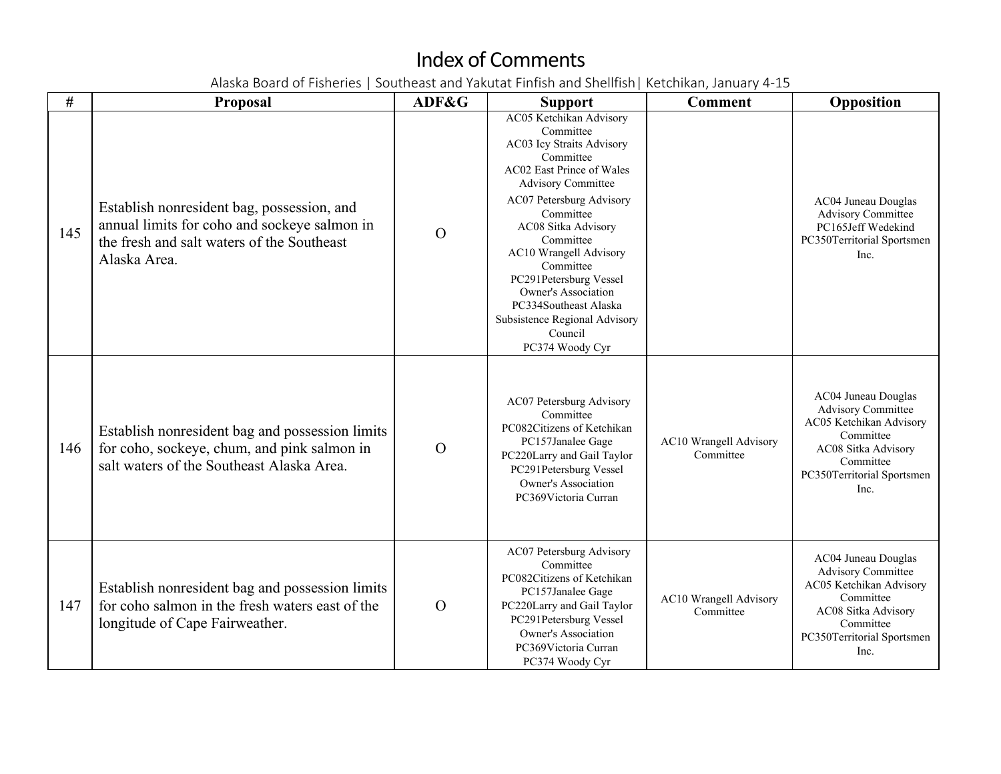| #   | <b>Proposal</b>                                                                                                                                          | ADF&G          | <b>Support</b>                                                                                                                                                                                                                                                                                                                                                                                                      | <b>Comment</b>                      | Opposition                                                                                                                                                         |
|-----|----------------------------------------------------------------------------------------------------------------------------------------------------------|----------------|---------------------------------------------------------------------------------------------------------------------------------------------------------------------------------------------------------------------------------------------------------------------------------------------------------------------------------------------------------------------------------------------------------------------|-------------------------------------|--------------------------------------------------------------------------------------------------------------------------------------------------------------------|
| 145 | Establish nonresident bag, possession, and<br>annual limits for coho and sockeye salmon in<br>the fresh and salt waters of the Southeast<br>Alaska Area. | $\Omega$       | AC05 Ketchikan Advisory<br>Committee<br>AC03 Icy Straits Advisory<br>Committee<br>AC02 East Prince of Wales<br><b>Advisory Committee</b><br>AC07 Petersburg Advisory<br>Committee<br>AC08 Sitka Advisory<br>Committee<br><b>AC10 Wrangell Advisory</b><br>Committee<br>PC291Petersburg Vessel<br><b>Owner's Association</b><br>PC334Southeast Alaska<br>Subsistence Regional Advisory<br>Council<br>PC374 Woody Cyr |                                     | AC04 Juneau Douglas<br><b>Advisory Committee</b><br>PC165Jeff Wedekind<br>PC350Territorial Sportsmen<br>Inc.                                                       |
| 146 | Establish nonresident bag and possession limits<br>for coho, sockeye, chum, and pink salmon in<br>salt waters of the Southeast Alaska Area.              | $\Omega$       | AC07 Petersburg Advisory<br>Committee<br>PC082Citizens of Ketchikan<br>PC157Janalee Gage<br>PC220Larry and Gail Taylor<br>PC291Petersburg Vessel<br><b>Owner's Association</b><br>PC369Victoria Curran                                                                                                                                                                                                              | AC10 Wrangell Advisory<br>Committee | AC04 Juneau Douglas<br><b>Advisory Committee</b><br>AC05 Ketchikan Advisory<br>Committee<br>AC08 Sitka Advisory<br>Committee<br>PC350Territorial Sportsmen<br>Inc. |
| 147 | Establish nonresident bag and possession limits<br>for coho salmon in the fresh waters east of the<br>longitude of Cape Fairweather.                     | $\overline{O}$ | AC07 Petersburg Advisory<br>Committee<br>PC082Citizens of Ketchikan<br>PC157Janalee Gage<br>PC220Larry and Gail Taylor<br>PC291Petersburg Vessel<br><b>Owner's Association</b><br>PC369Victoria Curran<br>PC374 Woody Cyr                                                                                                                                                                                           | AC10 Wrangell Advisory<br>Committee | AC04 Juneau Douglas<br><b>Advisory Committee</b><br>AC05 Ketchikan Advisory<br>Committee<br>AC08 Sitka Advisory<br>Committee<br>PC350Territorial Sportsmen<br>Inc. |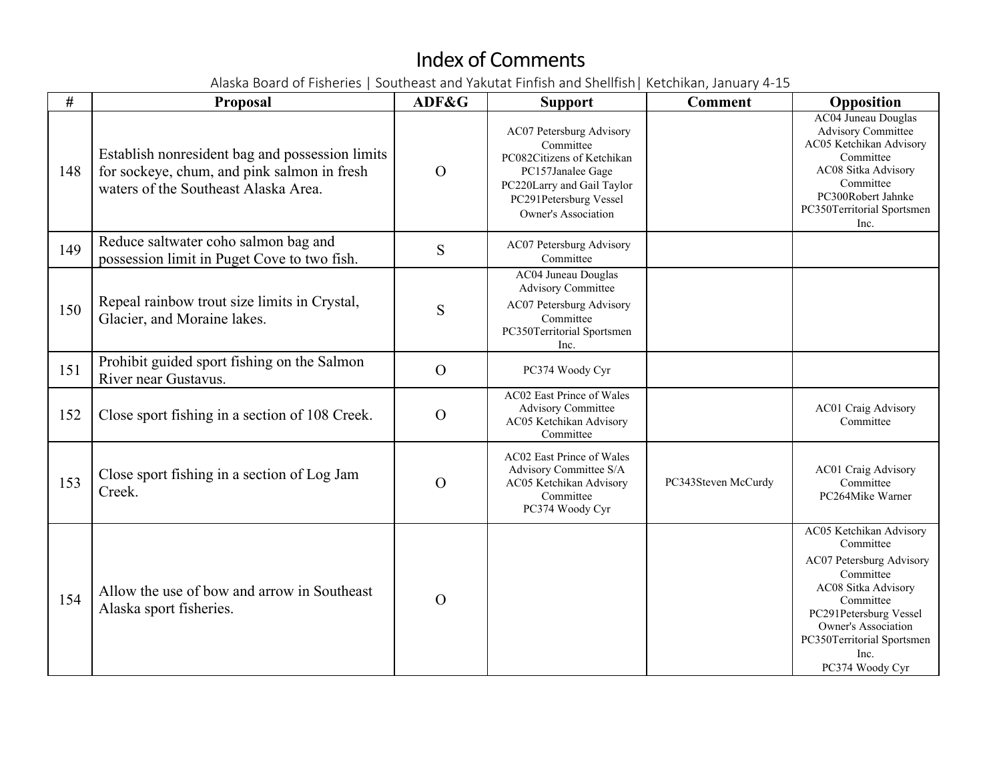| #   | Proposal                                                                                                                               | ADF&G          | <b>Support</b>                                                                                                                                                                 | <b>Comment</b>      | Opposition                                                                                                                                                                                                                  |
|-----|----------------------------------------------------------------------------------------------------------------------------------------|----------------|--------------------------------------------------------------------------------------------------------------------------------------------------------------------------------|---------------------|-----------------------------------------------------------------------------------------------------------------------------------------------------------------------------------------------------------------------------|
| 148 | Establish nonresident bag and possession limits<br>for sockeye, chum, and pink salmon in fresh<br>waters of the Southeast Alaska Area. | $\Omega$       | AC07 Petersburg Advisory<br>Committee<br>PC082Citizens of Ketchikan<br>PC157Janalee Gage<br>PC220Larry and Gail Taylor<br>PC291Petersburg Vessel<br><b>Owner's Association</b> |                     | <b>AC04 Juneau Douglas</b><br><b>Advisory Committee</b><br>AC05 Ketchikan Advisory<br>Committee<br>AC08 Sitka Advisory<br>Committee<br>PC300Robert Jahnke<br>PC350Territorial Sportsmen<br>Inc.                             |
| 149 | Reduce saltwater coho salmon bag and<br>possession limit in Puget Cove to two fish.                                                    | S              | AC07 Petersburg Advisory<br>Committee                                                                                                                                          |                     |                                                                                                                                                                                                                             |
| 150 | Repeal rainbow trout size limits in Crystal,<br>Glacier, and Moraine lakes.                                                            | S              | AC04 Juneau Douglas<br>Advisory Committee<br>AC07 Petersburg Advisory<br>Committee<br>PC350Territorial Sportsmen<br>Inc.                                                       |                     |                                                                                                                                                                                                                             |
| 151 | Prohibit guided sport fishing on the Salmon<br>River near Gustavus.                                                                    | $\overline{O}$ | PC374 Woody Cyr                                                                                                                                                                |                     |                                                                                                                                                                                                                             |
| 152 | Close sport fishing in a section of 108 Creek.                                                                                         | $\Omega$       | <b>AC02 East Prince of Wales</b><br><b>Advisory Committee</b><br>AC05 Ketchikan Advisory<br>Committee                                                                          |                     | <b>AC01 Craig Advisory</b><br>Committee                                                                                                                                                                                     |
| 153 | Close sport fishing in a section of Log Jam<br>Creek.                                                                                  | $\Omega$       | AC02 East Prince of Wales<br>Advisory Committee S/A<br>AC05 Ketchikan Advisory<br>Committee<br>PC374 Woody Cyr                                                                 | PC343Steven McCurdy | <b>AC01 Craig Advisory</b><br>Committee<br>PC264Mike Warner                                                                                                                                                                 |
| 154 | Allow the use of bow and arrow in Southeast<br>Alaska sport fisheries.                                                                 | $\overline{O}$ |                                                                                                                                                                                |                     | AC05 Ketchikan Advisory<br>Committee<br>AC07 Petersburg Advisory<br>Committee<br>AC08 Sitka Advisory<br>Committee<br>PC291Petersburg Vessel<br>Owner's Association<br>PC350Territorial Sportsmen<br>Inc.<br>PC374 Woody Cyr |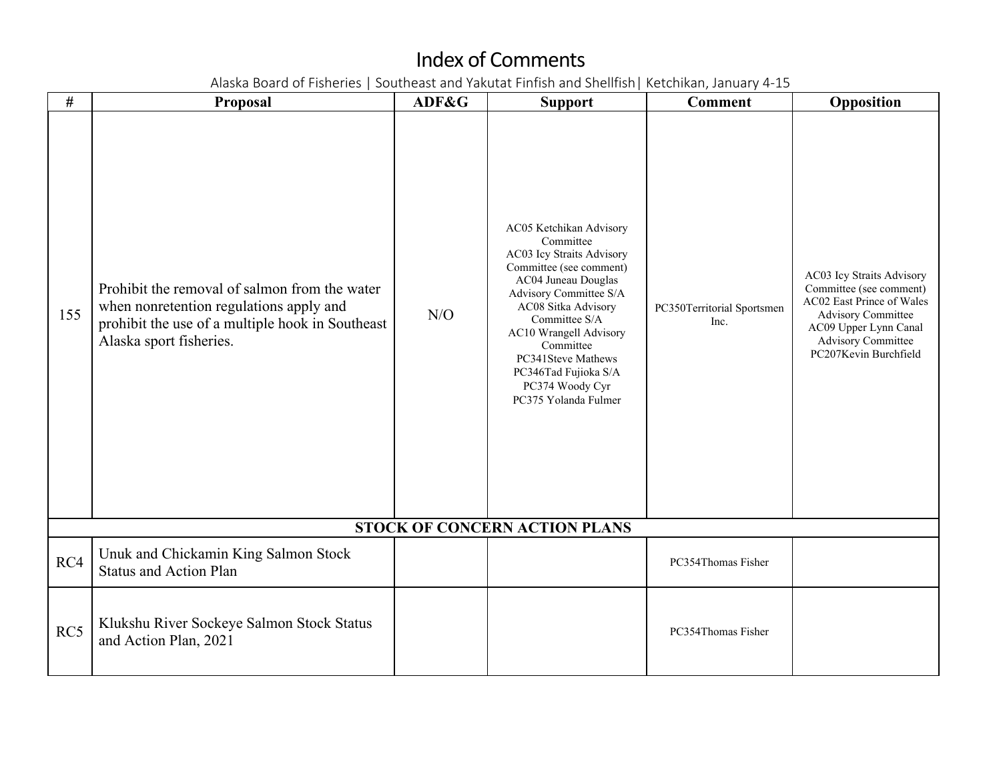| $\#$ | Proposal                                                                                                                                                                | ADF&G | <b>Support</b>                                                                                                                                                                                                                                                                                                               | <b>Comment</b>                     | Opposition                                                                                                                                                                             |
|------|-------------------------------------------------------------------------------------------------------------------------------------------------------------------------|-------|------------------------------------------------------------------------------------------------------------------------------------------------------------------------------------------------------------------------------------------------------------------------------------------------------------------------------|------------------------------------|----------------------------------------------------------------------------------------------------------------------------------------------------------------------------------------|
| 155  | Prohibit the removal of salmon from the water<br>when nonretention regulations apply and<br>prohibit the use of a multiple hook in Southeast<br>Alaska sport fisheries. | N/O   | AC05 Ketchikan Advisory<br>Committee<br>AC03 Icy Straits Advisory<br>Committee (see comment)<br>AC04 Juneau Douglas<br>Advisory Committee S/A<br>AC08 Sitka Advisory<br>Committee S/A<br><b>AC10 Wrangell Advisory</b><br>Committee<br>PC341Steve Mathews<br>PC346Tad Fujioka S/A<br>PC374 Woody Cyr<br>PC375 Yolanda Fulmer | PC350Territorial Sportsmen<br>Inc. | AC03 Icy Straits Advisory<br>Committee (see comment)<br>AC02 East Prince of Wales<br>Advisory Committee<br>AC09 Upper Lynn Canal<br><b>Advisory Committee</b><br>PC207Kevin Burchfield |
|      |                                                                                                                                                                         |       | STOCK OF CONCERN ACTION PLANS                                                                                                                                                                                                                                                                                                |                                    |                                                                                                                                                                                        |
| RC4  | Unuk and Chickamin King Salmon Stock<br><b>Status and Action Plan</b>                                                                                                   |       |                                                                                                                                                                                                                                                                                                                              | PC354Thomas Fisher                 |                                                                                                                                                                                        |
| RC5  | Klukshu River Sockeye Salmon Stock Status<br>and Action Plan, 2021                                                                                                      |       |                                                                                                                                                                                                                                                                                                                              | PC354Thomas Fisher                 |                                                                                                                                                                                        |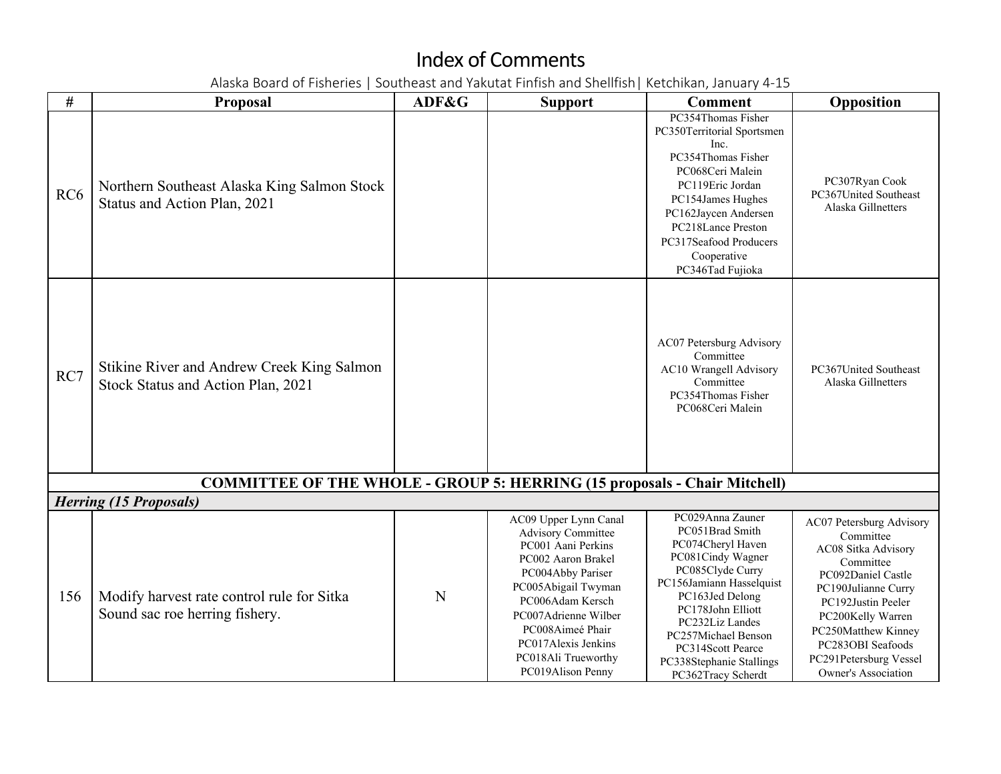| #               | <b>Proposal</b>                                                                  | ADF&G | <b>Support</b>                                                                                                                                                                                                                                                                | <b>Comment</b>                                                                                                                                                                                                                                                                         | Opposition                                                                                                                                                                                                                                                     |
|-----------------|----------------------------------------------------------------------------------|-------|-------------------------------------------------------------------------------------------------------------------------------------------------------------------------------------------------------------------------------------------------------------------------------|----------------------------------------------------------------------------------------------------------------------------------------------------------------------------------------------------------------------------------------------------------------------------------------|----------------------------------------------------------------------------------------------------------------------------------------------------------------------------------------------------------------------------------------------------------------|
| RC <sub>6</sub> | Northern Southeast Alaska King Salmon Stock<br>Status and Action Plan, 2021      |       |                                                                                                                                                                                                                                                                               | PC354Thomas Fisher<br>PC350Territorial Sportsmen<br>Inc.<br>PC354Thomas Fisher<br>PC068Ceri Malein<br>PC119Eric Jordan<br>PC154James Hughes<br>PC162Jaycen Andersen<br>PC218Lance Preston<br>PC317Seafood Producers<br>Cooperative<br>PC346Tad Fujioka                                 | PC307Ryan Cook<br>PC367United Southeast<br>Alaska Gillnetters                                                                                                                                                                                                  |
| RC7             | Stikine River and Andrew Creek King Salmon<br>Stock Status and Action Plan, 2021 |       |                                                                                                                                                                                                                                                                               | AC07 Petersburg Advisory<br>Committee<br>AC10 Wrangell Advisory<br>Committee<br>PC354Thomas Fisher<br>PC068Ceri Malein                                                                                                                                                                 | PC367United Southeast<br>Alaska Gillnetters                                                                                                                                                                                                                    |
|                 | <b>COMMITTEE OF THE WHOLE - GROUP 5: HERRING (15 proposals - Chair Mitchell)</b> |       |                                                                                                                                                                                                                                                                               |                                                                                                                                                                                                                                                                                        |                                                                                                                                                                                                                                                                |
|                 | <b>Herring (15 Proposals)</b>                                                    |       |                                                                                                                                                                                                                                                                               |                                                                                                                                                                                                                                                                                        |                                                                                                                                                                                                                                                                |
| 156             | Modify harvest rate control rule for Sitka<br>Sound sac roe herring fishery.     | N     | AC09 Upper Lynn Canal<br><b>Advisory Committee</b><br>PC001 Aani Perkins<br>PC002 Aaron Brakel<br>PC004Abby Pariser<br>PC005Abigail Twyman<br>PC006Adam Kersch<br>PC007Adrienne Wilber<br>PC008Aimeé Phair<br>PC017Alexis Jenkins<br>PC018Ali Trueworthy<br>PC019Alison Penny | PC029Anna Zauner<br>PC051Brad Smith<br>PC074Cheryl Haven<br>PC081Cindy Wagner<br>PC085Clyde Curry<br>PC156Jamiann Hasselquist<br>PC163Jed Delong<br>PC178John Elliott<br>PC232Liz Landes<br>PC257Michael Benson<br>PC314Scott Pearce<br>PC338Stephanie Stallings<br>PC362Tracy Scherdt | AC07 Petersburg Advisory<br>Committee<br>AC08 Sitka Advisory<br>Committee<br>PC092Daniel Castle<br>PC190Julianne Curry<br>PC192Justin Peeler<br>PC200Kelly Warren<br>PC250Matthew Kinney<br>PC283OBI Seafoods<br>PC291Petersburg Vessel<br>Owner's Association |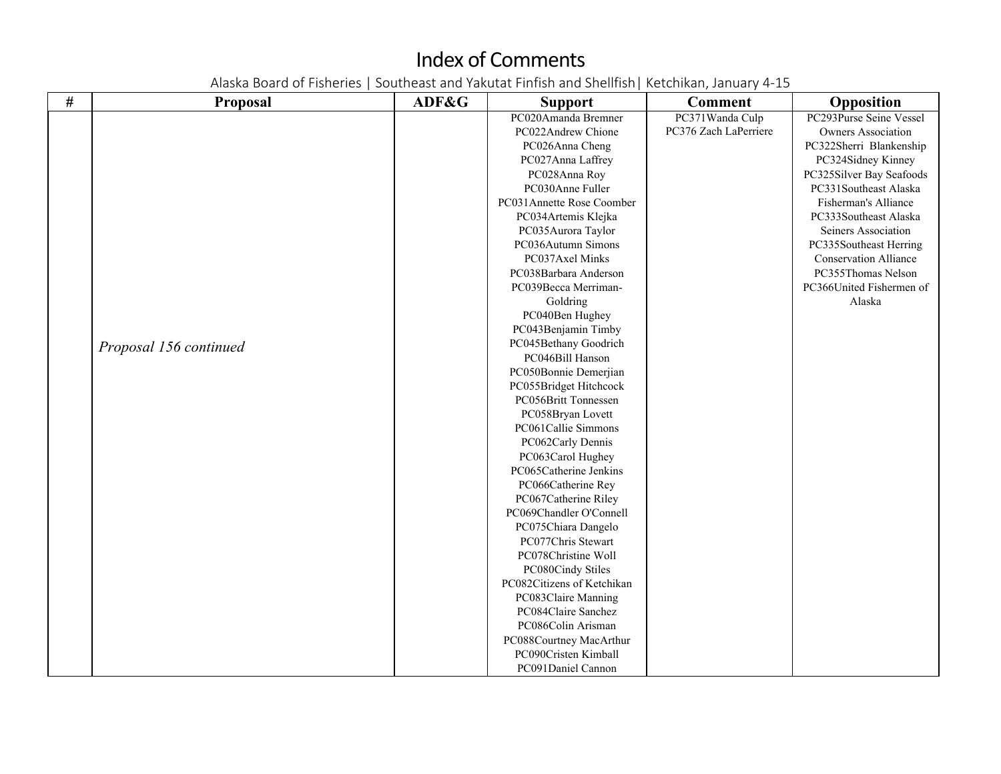| $\#$ | Proposal               | ADF&G | <b>Support</b>                                    | <b>Comment</b>        | Opposition                   |
|------|------------------------|-------|---------------------------------------------------|-----------------------|------------------------------|
|      |                        |       | PC020Amanda Bremner                               | PC371Wanda Culp       | PC293Purse Seine Vessel      |
|      |                        |       | PC022Andrew Chione                                | PC376 Zach LaPerriere | <b>Owners Association</b>    |
|      |                        |       | PC026Anna Cheng                                   |                       | PC322Sherri Blankenship      |
|      |                        |       | PC027Anna Laffrey                                 |                       | PC324Sidney Kinney           |
|      |                        |       | PC028Anna Roy                                     |                       | PC325Silver Bay Seafoods     |
|      |                        |       | PC030Anne Fuller                                  |                       | PC331Southeast Alaska        |
|      |                        |       | PC031Annette Rose Coomber                         |                       | Fisherman's Alliance         |
|      |                        |       | PC034Artemis Klejka                               |                       | PC333Southeast Alaska        |
|      |                        |       | PC035Aurora Taylor                                |                       | Seiners Association          |
|      |                        |       | PC036Autumn Simons                                |                       | PC335Southeast Herring       |
|      |                        |       | PC037Axel Minks                                   |                       | <b>Conservation Alliance</b> |
|      |                        |       | PC038Barbara Anderson                             |                       | PC355Thomas Nelson           |
|      |                        |       | PC039Becca Merriman-                              |                       | PC366United Fishermen of     |
|      |                        |       | Goldring                                          |                       | Alaska                       |
|      |                        |       | PC040Ben Hughey                                   |                       |                              |
|      |                        |       | PC043Benjamin Timby                               |                       |                              |
|      | Proposal 156 continued |       | PC045Bethany Goodrich                             |                       |                              |
|      |                        |       | PC046Bill Hanson                                  |                       |                              |
|      |                        |       | PC050Bonnie Demerjian                             |                       |                              |
|      |                        |       | PC055Bridget Hitchcock                            |                       |                              |
|      |                        |       | PC056Britt Tonnessen                              |                       |                              |
|      |                        |       | PC058Bryan Lovett                                 |                       |                              |
|      |                        |       | PC061Callie Simmons                               |                       |                              |
|      |                        |       | PC062Carly Dennis                                 |                       |                              |
|      |                        |       | PC063Carol Hughey                                 |                       |                              |
|      |                        |       | PC065Catherine Jenkins                            |                       |                              |
|      |                        |       | PC066Catherine Rey                                |                       |                              |
|      |                        |       | PC067Catherine Riley                              |                       |                              |
|      |                        |       | PC069Chandler O'Connell                           |                       |                              |
|      |                        |       | PC075Chiara Dangelo                               |                       |                              |
|      |                        |       | PC077Chris Stewart                                |                       |                              |
|      |                        |       | PC078Christine Woll                               |                       |                              |
|      |                        |       | PC080Cindy Stiles                                 |                       |                              |
|      |                        |       | PC082Citizens of Ketchikan<br>PC083Claire Manning |                       |                              |
|      |                        |       | PC084Claire Sanchez                               |                       |                              |
|      |                        |       | PC086Colin Arisman                                |                       |                              |
|      |                        |       | PC088Courtney MacArthur                           |                       |                              |
|      |                        |       | PC090Cristen Kimball                              |                       |                              |
|      |                        |       | PC091Daniel Cannon                                |                       |                              |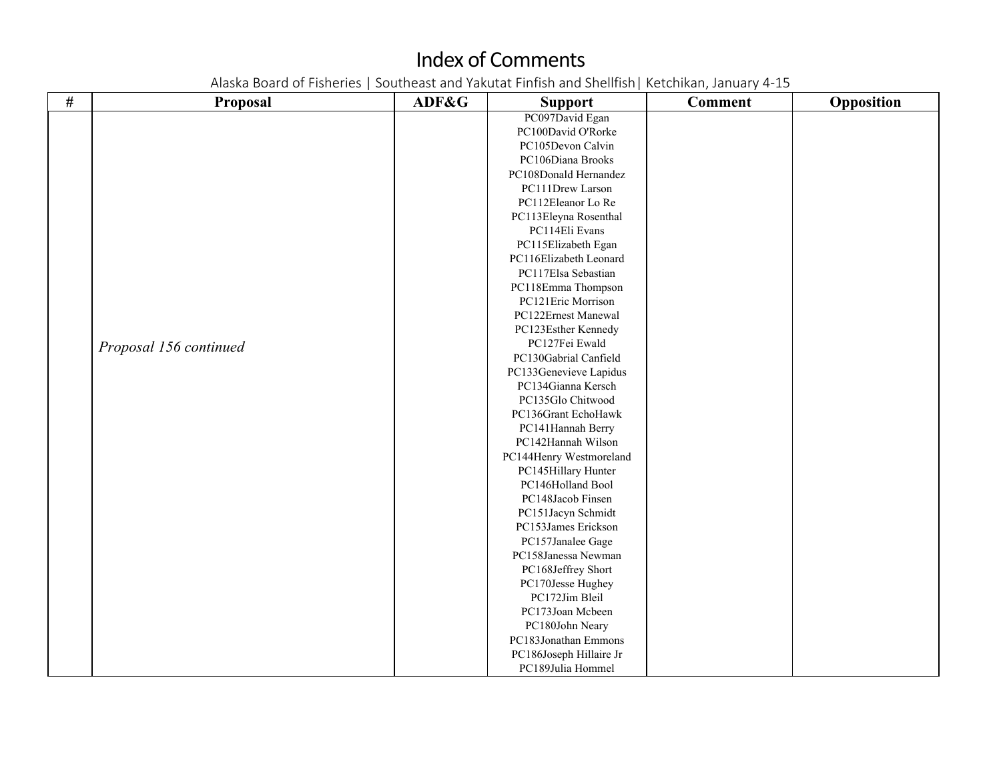| $\#$ | <b>Proposal</b>        | ADF&G | <b>Support</b>          | <b>Comment</b> | Opposition |
|------|------------------------|-------|-------------------------|----------------|------------|
|      |                        |       | PC097David Egan         |                |            |
|      |                        |       | PC100David O'Rorke      |                |            |
|      |                        |       | PC105Devon Calvin       |                |            |
|      |                        |       | PC106Diana Brooks       |                |            |
|      |                        |       | PC108Donald Hernandez   |                |            |
|      |                        |       | PC111Drew Larson        |                |            |
|      |                        |       | PC112Eleanor Lo Re      |                |            |
|      |                        |       | PC113Eleyna Rosenthal   |                |            |
|      |                        |       | PC114Eli Evans          |                |            |
|      |                        |       | PC115Elizabeth Egan     |                |            |
|      |                        |       | PC116Elizabeth Leonard  |                |            |
|      |                        |       | PC117Elsa Sebastian     |                |            |
|      |                        |       | PC118Emma Thompson      |                |            |
|      |                        |       | PC121Eric Morrison      |                |            |
|      |                        |       | PC122Ernest Manewal     |                |            |
|      |                        |       | PC123Esther Kennedy     |                |            |
|      | Proposal 156 continued |       | PC127Fei Ewald          |                |            |
|      |                        |       | PC130Gabrial Canfield   |                |            |
|      |                        |       | PC133Genevieve Lapidus  |                |            |
|      |                        |       | PC134Gianna Kersch      |                |            |
|      |                        |       | PC135Glo Chitwood       |                |            |
|      |                        |       | PC136Grant EchoHawk     |                |            |
|      |                        |       | PC141Hannah Berry       |                |            |
|      |                        |       | PC142Hannah Wilson      |                |            |
|      |                        |       | PC144Henry Westmoreland |                |            |
|      |                        |       | PC145Hillary Hunter     |                |            |
|      |                        |       | PC146Holland Bool       |                |            |
|      |                        |       | PC148Jacob Finsen       |                |            |
|      |                        |       | PC151Jacyn Schmidt      |                |            |
|      |                        |       | PC153James Erickson     |                |            |
|      |                        |       | PC157Janalee Gage       |                |            |
|      |                        |       | PC158Janessa Newman     |                |            |
|      |                        |       | PC168Jeffrey Short      |                |            |
|      |                        |       | PC170Jesse Hughey       |                |            |
|      |                        |       | PC172Jim Bleil          |                |            |
|      |                        |       | PC173Joan Mcbeen        |                |            |
|      |                        |       | PC180John Neary         |                |            |
|      |                        |       | PC183Jonathan Emmons    |                |            |
|      |                        |       | PC186Joseph Hillaire Jr |                |            |
|      |                        |       | PC189Julia Hommel       |                |            |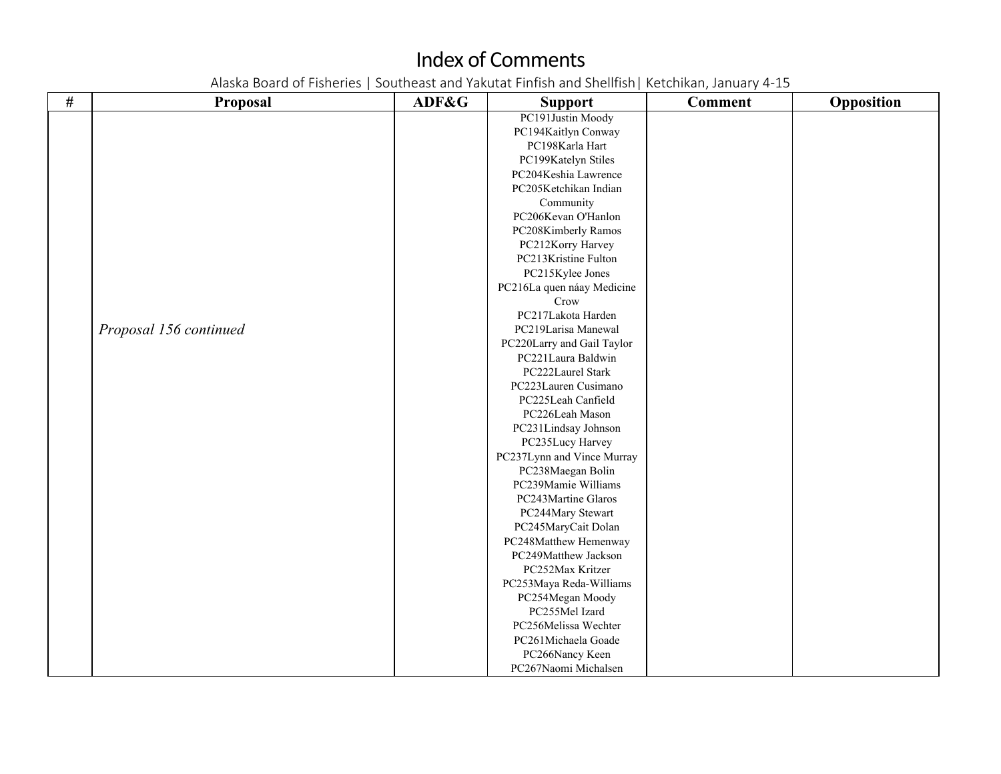| $\#$ | <b>Proposal</b>        | ADF&G | <b>Support</b>             | <b>Comment</b> | Opposition |
|------|------------------------|-------|----------------------------|----------------|------------|
|      |                        |       | PC191Justin Moody          |                |            |
|      |                        |       | PC194Kaitlyn Conway        |                |            |
|      |                        |       | PC198Karla Hart            |                |            |
|      |                        |       | PC199Katelyn Stiles        |                |            |
|      |                        |       | PC204Keshia Lawrence       |                |            |
|      |                        |       | PC205Ketchikan Indian      |                |            |
|      |                        |       | Community                  |                |            |
|      |                        |       | PC206Kevan O'Hanlon        |                |            |
|      |                        |       | PC208Kimberly Ramos        |                |            |
|      |                        |       | PC212Korry Harvey          |                |            |
|      |                        |       | PC213Kristine Fulton       |                |            |
|      |                        |       | PC215Kylee Jones           |                |            |
|      |                        |       | PC216La quen náay Medicine |                |            |
|      |                        |       | Crow                       |                |            |
|      |                        |       | PC217Lakota Harden         |                |            |
|      | Proposal 156 continued |       | PC219Larisa Manewal        |                |            |
|      |                        |       | PC220Larry and Gail Taylor |                |            |
|      |                        |       | PC221Laura Baldwin         |                |            |
|      |                        |       | PC222Laurel Stark          |                |            |
|      |                        |       | PC223Lauren Cusimano       |                |            |
|      |                        |       | PC225Leah Canfield         |                |            |
|      |                        |       | PC226Leah Mason            |                |            |
|      |                        |       | PC231Lindsay Johnson       |                |            |
|      |                        |       | PC235Lucy Harvey           |                |            |
|      |                        |       | PC237Lynn and Vince Murray |                |            |
|      |                        |       | PC238Maegan Bolin          |                |            |
|      |                        |       | PC239Mamie Williams        |                |            |
|      |                        |       | PC243Martine Glaros        |                |            |
|      |                        |       | PC244Mary Stewart          |                |            |
|      |                        |       | PC245MaryCait Dolan        |                |            |
|      |                        |       | PC248Matthew Hemenway      |                |            |
|      |                        |       | PC249Matthew Jackson       |                |            |
|      |                        |       | PC252Max Kritzer           |                |            |
|      |                        |       | PC253Maya Reda-Williams    |                |            |
|      |                        |       | PC254Megan Moody           |                |            |
|      |                        |       | PC255Mel Izard             |                |            |
|      |                        |       | PC256Melissa Wechter       |                |            |
|      |                        |       | PC261Michaela Goade        |                |            |
|      |                        |       | PC266Nancy Keen            |                |            |
|      |                        |       | PC267Naomi Michalsen       |                |            |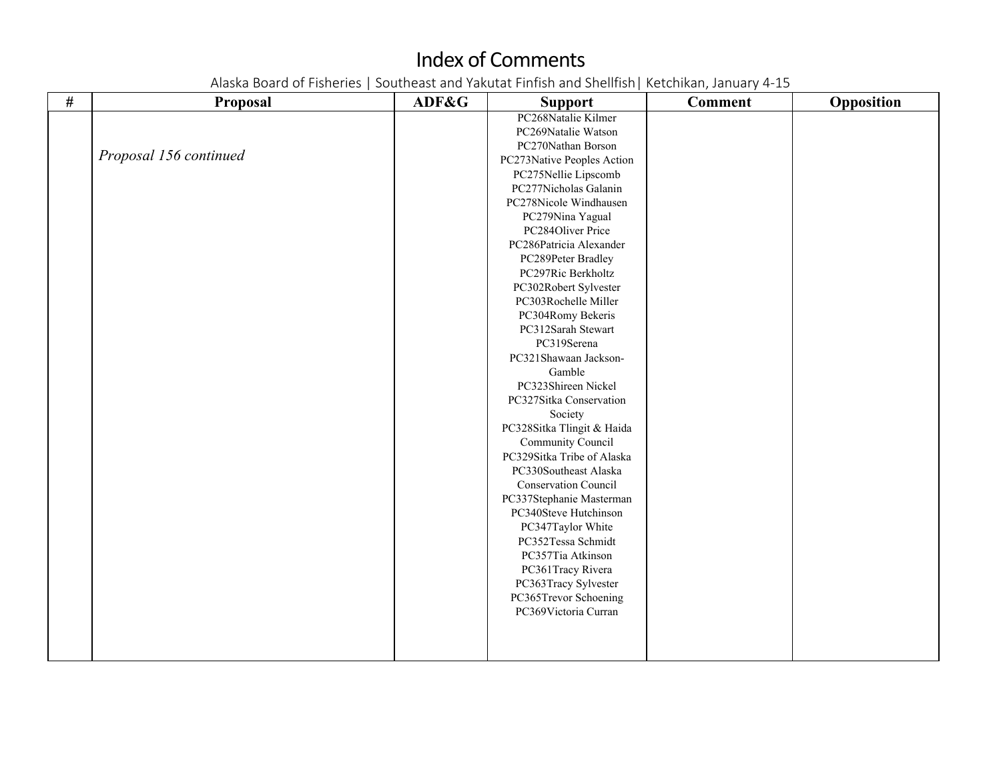| $\#$ | Proposal               | ADF&G | <b>Support</b>             | <b>Comment</b> | Opposition |
|------|------------------------|-------|----------------------------|----------------|------------|
|      |                        |       | PC268Natalie Kilmer        |                |            |
|      |                        |       | PC269Natalie Watson        |                |            |
|      |                        |       | PC270Nathan Borson         |                |            |
|      | Proposal 156 continued |       | PC273Native Peoples Action |                |            |
|      |                        |       | PC275Nellie Lipscomb       |                |            |
|      |                        |       | PC277Nicholas Galanin      |                |            |
|      |                        |       | PC278Nicole Windhausen     |                |            |
|      |                        |       | PC279Nina Yagual           |                |            |
|      |                        |       | PC284Oliver Price          |                |            |
|      |                        |       | PC286Patricia Alexander    |                |            |
|      |                        |       | PC289Peter Bradley         |                |            |
|      |                        |       | PC297Ric Berkholtz         |                |            |
|      |                        |       | PC302Robert Sylvester      |                |            |
|      |                        |       | PC303Rochelle Miller       |                |            |
|      |                        |       | PC304Romy Bekeris          |                |            |
|      |                        |       | PC312Sarah Stewart         |                |            |
|      |                        |       | PC319Serena                |                |            |
|      |                        |       | PC321Shawaan Jackson-      |                |            |
|      |                        |       | Gamble                     |                |            |
|      |                        |       | PC323Shireen Nickel        |                |            |
|      |                        |       | PC327Sitka Conservation    |                |            |
|      |                        |       | Society                    |                |            |
|      |                        |       | PC328Sitka Tlingit & Haida |                |            |
|      |                        |       | Community Council          |                |            |
|      |                        |       | PC329Sitka Tribe of Alaska |                |            |
|      |                        |       | PC330Southeast Alaska      |                |            |
|      |                        |       | Conservation Council       |                |            |
|      |                        |       | PC337Stephanie Masterman   |                |            |
|      |                        |       | PC340Steve Hutchinson      |                |            |
|      |                        |       | PC347Taylor White          |                |            |
|      |                        |       | PC352Tessa Schmidt         |                |            |
|      |                        |       | PC357Tia Atkinson          |                |            |
|      |                        |       | PC361Tracy Rivera          |                |            |
|      |                        |       | PC363Tracy Sylvester       |                |            |
|      |                        |       | PC365Trevor Schoening      |                |            |
|      |                        |       | PC369Victoria Curran       |                |            |
|      |                        |       |                            |                |            |
|      |                        |       |                            |                |            |
|      |                        |       |                            |                |            |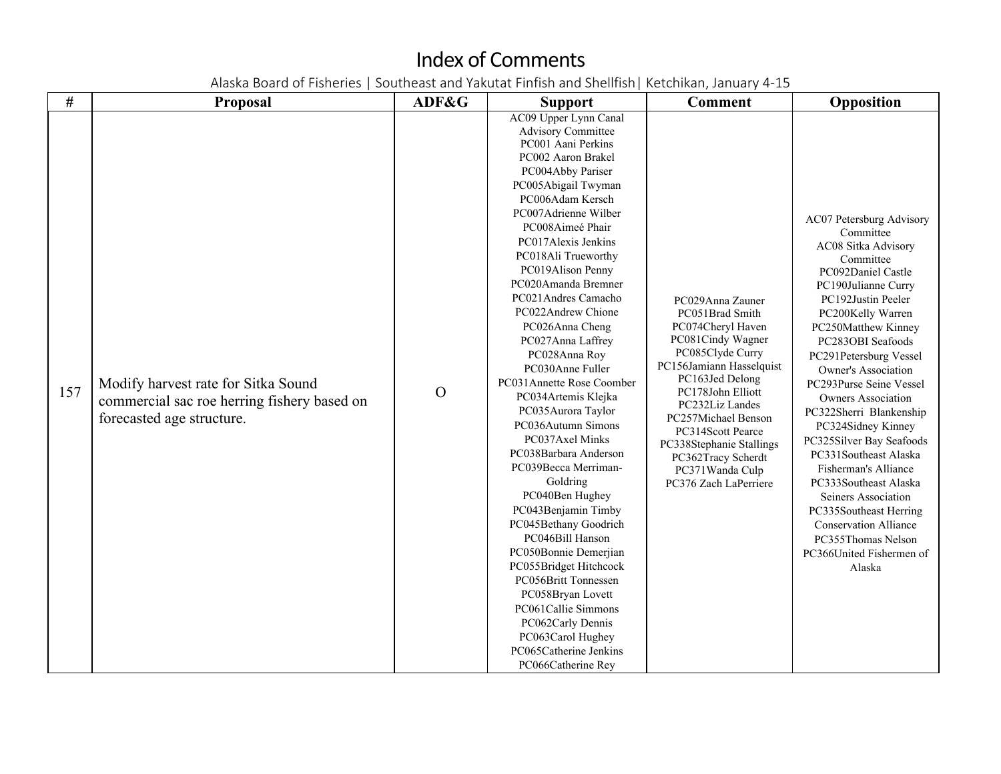| #   | <b>Proposal</b>                                                                                                 | ADF&G         | <b>Support</b>                                                                                                                                                                                                                                                                                                                                                                                                                                                                                                                                                                                                                                                                                                                                                                                                                                                                                                          | <b>Comment</b>                                                                                                                                                                                                                                                                                                                     | Opposition                                                                                                                                                                                                                                                                                                                                                                                                                                                                                                                                                                                                                        |
|-----|-----------------------------------------------------------------------------------------------------------------|---------------|-------------------------------------------------------------------------------------------------------------------------------------------------------------------------------------------------------------------------------------------------------------------------------------------------------------------------------------------------------------------------------------------------------------------------------------------------------------------------------------------------------------------------------------------------------------------------------------------------------------------------------------------------------------------------------------------------------------------------------------------------------------------------------------------------------------------------------------------------------------------------------------------------------------------------|------------------------------------------------------------------------------------------------------------------------------------------------------------------------------------------------------------------------------------------------------------------------------------------------------------------------------------|-----------------------------------------------------------------------------------------------------------------------------------------------------------------------------------------------------------------------------------------------------------------------------------------------------------------------------------------------------------------------------------------------------------------------------------------------------------------------------------------------------------------------------------------------------------------------------------------------------------------------------------|
| 157 | Modify harvest rate for Sitka Sound<br>commercial sac roe herring fishery based on<br>forecasted age structure. | $\mathcal{O}$ | AC09 Upper Lynn Canal<br><b>Advisory Committee</b><br>PC001 Aani Perkins<br>PC002 Aaron Brakel<br>PC004Abby Pariser<br>PC005Abigail Twyman<br>PC006Adam Kersch<br>PC007Adrienne Wilber<br>PC008Aimeé Phair<br>PC017Alexis Jenkins<br>PC018Ali Trueworthy<br>PC019Alison Penny<br>PC020Amanda Bremner<br>PC021 Andres Camacho<br>PC022Andrew Chione<br>PC026Anna Cheng<br>PC027Anna Laffrey<br>PC028Anna Roy<br>PC030Anne Fuller<br>PC031Annette Rose Coomber<br>PC034Artemis Klejka<br>PC035Aurora Taylor<br>PC036Autumn Simons<br>PC037Axel Minks<br>PC038Barbara Anderson<br>PC039Becca Merriman-<br>Goldring<br>PC040Ben Hughey<br>PC043Benjamin Timby<br>PC045Bethany Goodrich<br>PC046Bill Hanson<br>PC050Bonnie Demerjian<br>PC055Bridget Hitchcock<br>PC056Britt Tonnessen<br>PC058Bryan Lovett<br>PC061Callie Simmons<br>PC062Carly Dennis<br>PC063Carol Hughey<br>PC065Catherine Jenkins<br>PC066Catherine Rey | PC029Anna Zauner<br>PC051Brad Smith<br>PC074Cheryl Haven<br>PC081Cindy Wagner<br>PC085Clyde Curry<br>PC156Jamiann Hasselquist<br>PC163Jed Delong<br>PC178John Elliott<br>PC232Liz Landes<br>PC257Michael Benson<br>PC314Scott Pearce<br>PC338Stephanie Stallings<br>PC362Tracy Scherdt<br>PC371Wanda Culp<br>PC376 Zach LaPerriere | AC07 Petersburg Advisory<br>Committee<br>AC08 Sitka Advisory<br>Committee<br>PC092Daniel Castle<br>PC190Julianne Curry<br>PC192Justin Peeler<br>PC200Kelly Warren<br>PC250Matthew Kinney<br>PC283OBI Seafoods<br>PC291Petersburg Vessel<br><b>Owner's Association</b><br>PC293Purse Seine Vessel<br><b>Owners Association</b><br>PC322Sherri Blankenship<br>PC324Sidney Kinney<br>PC325Silver Bay Seafoods<br>PC331Southeast Alaska<br>Fisherman's Alliance<br>PC333Southeast Alaska<br>Seiners Association<br>PC335Southeast Herring<br><b>Conservation Alliance</b><br>PC355Thomas Nelson<br>PC366United Fishermen of<br>Alaska |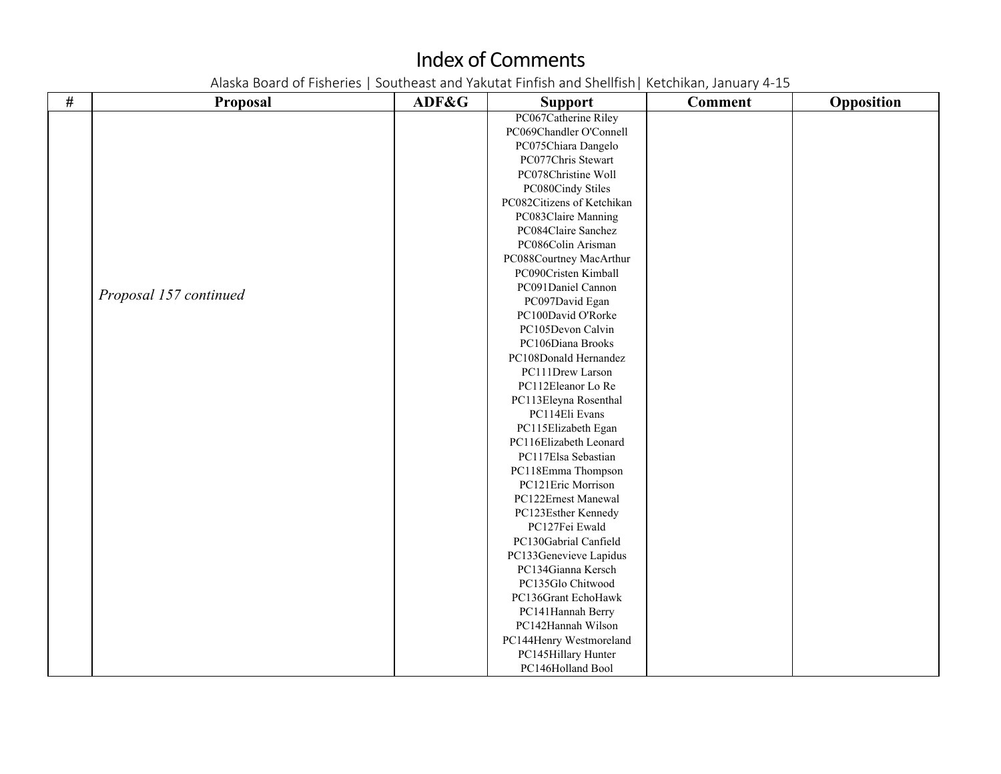| $\#$ | <b>Proposal</b>        | ADF&G | <b>Support</b>             | <b>Comment</b> | Opposition |
|------|------------------------|-------|----------------------------|----------------|------------|
|      |                        |       | PC067Catherine Riley       |                |            |
|      |                        |       | PC069Chandler O'Connell    |                |            |
|      |                        |       | PC075Chiara Dangelo        |                |            |
|      |                        |       | PC077Chris Stewart         |                |            |
|      |                        |       | PC078Christine Woll        |                |            |
|      |                        |       | PC080Cindy Stiles          |                |            |
|      |                        |       | PC082Citizens of Ketchikan |                |            |
|      |                        |       | PC083Claire Manning        |                |            |
|      |                        |       | PC084Claire Sanchez        |                |            |
|      |                        |       | PC086Colin Arisman         |                |            |
|      |                        |       | PC088Courtney MacArthur    |                |            |
|      |                        |       | PC090Cristen Kimball       |                |            |
|      | Proposal 157 continued |       | PC091Daniel Cannon         |                |            |
|      |                        |       | PC097David Egan            |                |            |
|      |                        |       | PC100David O'Rorke         |                |            |
|      |                        |       | PC105Devon Calvin          |                |            |
|      |                        |       | PC106Diana Brooks          |                |            |
|      |                        |       | PC108Donald Hernandez      |                |            |
|      |                        |       | PC111Drew Larson           |                |            |
|      |                        |       | PC112Eleanor Lo Re         |                |            |
|      |                        |       | PC113Eleyna Rosenthal      |                |            |
|      |                        |       | PC114Eli Evans             |                |            |
|      |                        |       | PC115Elizabeth Egan        |                |            |
|      |                        |       | PC116Elizabeth Leonard     |                |            |
|      |                        |       | PC117Elsa Sebastian        |                |            |
|      |                        |       | PC118Emma Thompson         |                |            |
|      |                        |       | PC121Eric Morrison         |                |            |
|      |                        |       | PC122Ernest Manewal        |                |            |
|      |                        |       | PC123Esther Kennedy        |                |            |
|      |                        |       | PC127Fei Ewald             |                |            |
|      |                        |       | PC130Gabrial Canfield      |                |            |
|      |                        |       | PC133Genevieve Lapidus     |                |            |
|      |                        |       | PC134Gianna Kersch         |                |            |
|      |                        |       | PC135Glo Chitwood          |                |            |
|      |                        |       | PC136Grant EchoHawk        |                |            |
|      |                        |       | PC141Hannah Berry          |                |            |
|      |                        |       | PC142Hannah Wilson         |                |            |
|      |                        |       | PC144Henry Westmoreland    |                |            |
|      |                        |       | PC145Hillary Hunter        |                |            |
|      |                        |       | PC146Holland Bool          |                |            |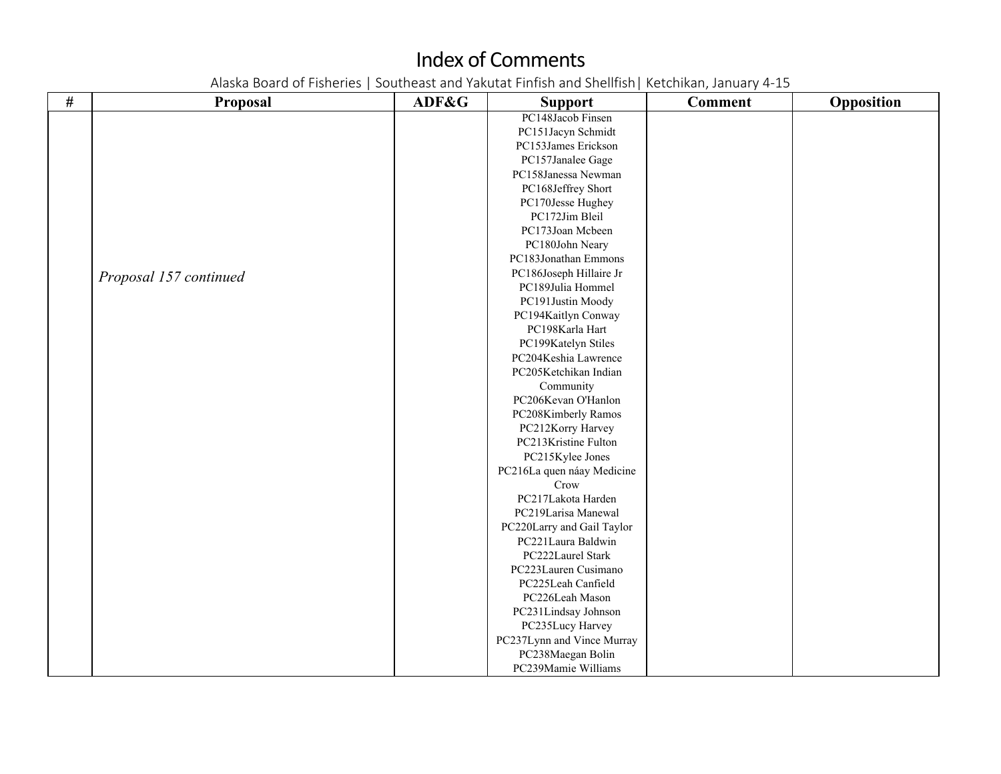| # | Proposal               | ADF&G | <b>Support</b>             | <b>Comment</b> | Opposition |
|---|------------------------|-------|----------------------------|----------------|------------|
|   |                        |       | PC148Jacob Finsen          |                |            |
|   |                        |       | PC151Jacyn Schmidt         |                |            |
|   |                        |       | PC153James Erickson        |                |            |
|   |                        |       | PC157Janalee Gage          |                |            |
|   |                        |       | PC158Janessa Newman        |                |            |
|   |                        |       | PC168Jeffrey Short         |                |            |
|   |                        |       | PC170Jesse Hughey          |                |            |
|   |                        |       | PC172Jim Bleil             |                |            |
|   |                        |       | PC173Joan Mcbeen           |                |            |
|   |                        |       | PC180John Neary            |                |            |
|   |                        |       | PC183Jonathan Emmons       |                |            |
|   | Proposal 157 continued |       | PC186Joseph Hillaire Jr    |                |            |
|   |                        |       | PC189Julia Hommel          |                |            |
|   |                        |       | PC191Justin Moody          |                |            |
|   |                        |       | PC194Kaitlyn Conway        |                |            |
|   |                        |       | PC198Karla Hart            |                |            |
|   |                        |       | PC199Katelyn Stiles        |                |            |
|   |                        |       | PC204Keshia Lawrence       |                |            |
|   |                        |       | PC205Ketchikan Indian      |                |            |
|   |                        |       | Community                  |                |            |
|   |                        |       | PC206Kevan O'Hanlon        |                |            |
|   |                        |       | PC208Kimberly Ramos        |                |            |
|   |                        |       | PC212Korry Harvey          |                |            |
|   |                        |       | PC213Kristine Fulton       |                |            |
|   |                        |       | PC215Kylee Jones           |                |            |
|   |                        |       | PC216La quen náay Medicine |                |            |
|   |                        |       | Crow                       |                |            |
|   |                        |       | PC217Lakota Harden         |                |            |
|   |                        |       | PC219Larisa Manewal        |                |            |
|   |                        |       | PC220Larry and Gail Taylor |                |            |
|   |                        |       | PC221Laura Baldwin         |                |            |
|   |                        |       | PC222Laurel Stark          |                |            |
|   |                        |       | PC223Lauren Cusimano       |                |            |
|   |                        |       | PC225Leah Canfield         |                |            |
|   |                        |       | PC226Leah Mason            |                |            |
|   |                        |       | PC231Lindsay Johnson       |                |            |
|   |                        |       | PC235Lucy Harvey           |                |            |
|   |                        |       | PC237Lynn and Vince Murray |                |            |
|   |                        |       | PC238Maegan Bolin          |                |            |
|   |                        |       | PC239Mamie Williams        |                |            |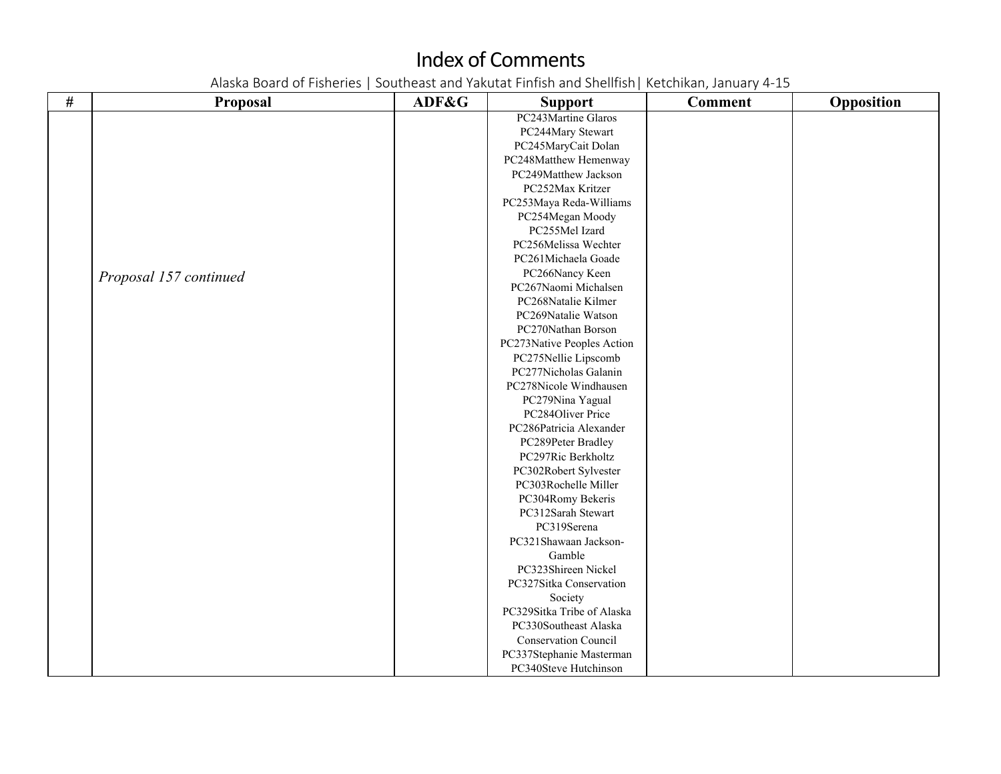| $\#$ | <b>Proposal</b>        | ADF&G | <b>Support</b>             | <b>Comment</b> | Opposition |
|------|------------------------|-------|----------------------------|----------------|------------|
|      |                        |       | PC243Martine Glaros        |                |            |
|      |                        |       | PC244Mary Stewart          |                |            |
|      |                        |       | PC245MaryCait Dolan        |                |            |
|      |                        |       | PC248Matthew Hemenway      |                |            |
|      |                        |       | PC249Matthew Jackson       |                |            |
|      |                        |       | PC252Max Kritzer           |                |            |
|      |                        |       | PC253Maya Reda-Williams    |                |            |
|      |                        |       | PC254Megan Moody           |                |            |
|      |                        |       | PC255Mel Izard             |                |            |
|      |                        |       | PC256Melissa Wechter       |                |            |
|      |                        |       | PC261Michaela Goade        |                |            |
|      | Proposal 157 continued |       | PC266Nancy Keen            |                |            |
|      |                        |       | PC267Naomi Michalsen       |                |            |
|      |                        |       | PC268Natalie Kilmer        |                |            |
|      |                        |       | PC269Natalie Watson        |                |            |
|      |                        |       | PC270Nathan Borson         |                |            |
|      |                        |       | PC273Native Peoples Action |                |            |
|      |                        |       | PC275Nellie Lipscomb       |                |            |
|      |                        |       | PC277Nicholas Galanin      |                |            |
|      |                        |       | PC278Nicole Windhausen     |                |            |
|      |                        |       | PC279Nina Yagual           |                |            |
|      |                        |       | PC284Oliver Price          |                |            |
|      |                        |       | PC286Patricia Alexander    |                |            |
|      |                        |       | PC289Peter Bradley         |                |            |
|      |                        |       | PC297Ric Berkholtz         |                |            |
|      |                        |       | PC302Robert Sylvester      |                |            |
|      |                        |       | PC303Rochelle Miller       |                |            |
|      |                        |       | PC304Romy Bekeris          |                |            |
|      |                        |       | PC312Sarah Stewart         |                |            |
|      |                        |       | PC319Serena                |                |            |
|      |                        |       | PC321Shawaan Jackson-      |                |            |
|      |                        |       | Gamble                     |                |            |
|      |                        |       | PC323Shireen Nickel        |                |            |
|      |                        |       | PC327Sitka Conservation    |                |            |
|      |                        |       | Society                    |                |            |
|      |                        |       | PC329Sitka Tribe of Alaska |                |            |
|      |                        |       | PC330Southeast Alaska      |                |            |
|      |                        |       | Conservation Council       |                |            |
|      |                        |       | PC337Stephanie Masterman   |                |            |
|      |                        |       | PC340Steve Hutchinson      |                |            |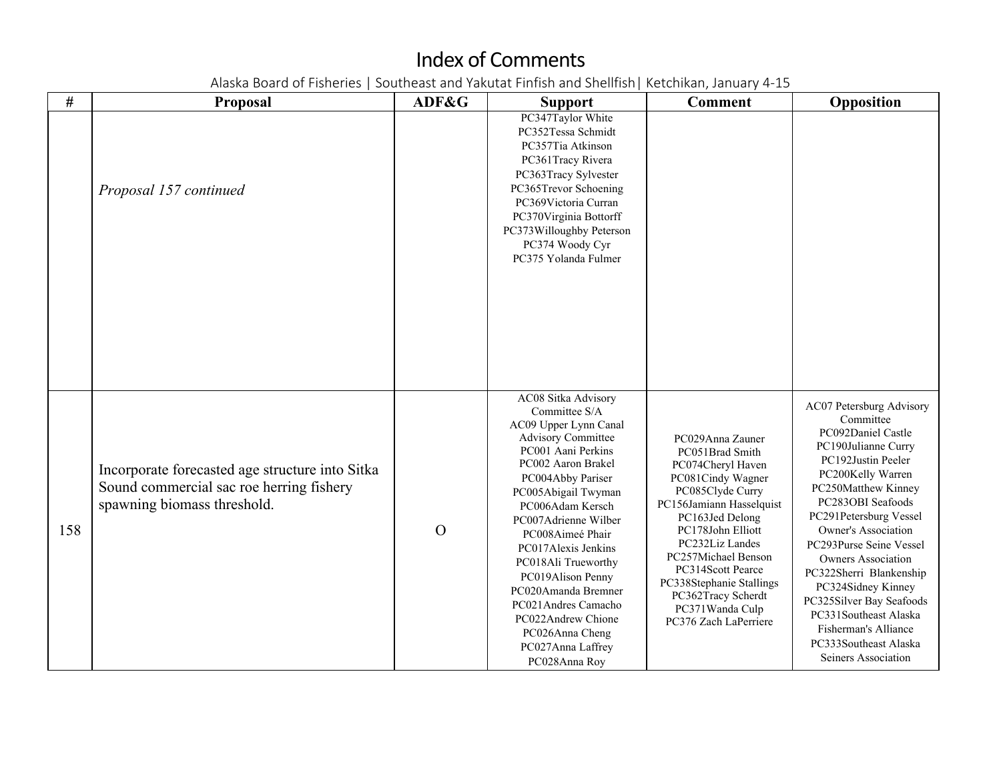| #   | Proposal                                                                                                                   | ADF&G    | <b>Support</b>                                                                                                                                                                                                                                                                                                                                                                                                                                     | <b>Comment</b>                                                                                                                                                                                                                                                                                                                     | Opposition                                                                                                                                                                                                                                                                                                                                                                                                                                                              |
|-----|----------------------------------------------------------------------------------------------------------------------------|----------|----------------------------------------------------------------------------------------------------------------------------------------------------------------------------------------------------------------------------------------------------------------------------------------------------------------------------------------------------------------------------------------------------------------------------------------------------|------------------------------------------------------------------------------------------------------------------------------------------------------------------------------------------------------------------------------------------------------------------------------------------------------------------------------------|-------------------------------------------------------------------------------------------------------------------------------------------------------------------------------------------------------------------------------------------------------------------------------------------------------------------------------------------------------------------------------------------------------------------------------------------------------------------------|
|     | Proposal 157 continued                                                                                                     |          | PC347Taylor White<br>PC352Tessa Schmidt<br>PC357Tia Atkinson<br>PC361Tracy Rivera<br>PC363Tracy Sylvester<br>PC365Trevor Schoening<br>PC369Victoria Curran<br>PC370Virginia Bottorff<br>PC373Willoughby Peterson<br>PC374 Woody Cyr<br>PC375 Yolanda Fulmer                                                                                                                                                                                        |                                                                                                                                                                                                                                                                                                                                    |                                                                                                                                                                                                                                                                                                                                                                                                                                                                         |
| 158 | Incorporate forecasted age structure into Sitka<br>Sound commercial sac roe herring fishery<br>spawning biomass threshold. | $\Omega$ | AC08 Sitka Advisory<br>Committee S/A<br>AC09 Upper Lynn Canal<br><b>Advisory Committee</b><br>PC001 Aani Perkins<br>PC002 Aaron Brakel<br>PC004Abby Pariser<br>PC005Abigail Twyman<br>PC006Adam Kersch<br>PC007Adrienne Wilber<br>PC008Aimeé Phair<br>PC017Alexis Jenkins<br>PC018Ali Trueworthy<br>PC019Alison Penny<br>PC020Amanda Bremner<br>PC021Andres Camacho<br>PC022Andrew Chione<br>PC026Anna Cheng<br>PC027Anna Laffrey<br>PC028Anna Roy | PC029Anna Zauner<br>PC051Brad Smith<br>PC074Cheryl Haven<br>PC081Cindy Wagner<br>PC085Clyde Curry<br>PC156Jamiann Hasselquist<br>PC163Jed Delong<br>PC178John Elliott<br>PC232Liz Landes<br>PC257Michael Benson<br>PC314Scott Pearce<br>PC338Stephanie Stallings<br>PC362Tracy Scherdt<br>PC371Wanda Culp<br>PC376 Zach LaPerriere | AC07 Petersburg Advisory<br>Committee<br>PC092Daniel Castle<br>PC190Julianne Curry<br>PC192Justin Peeler<br>PC200Kelly Warren<br>PC250Matthew Kinney<br>PC283OBI Seafoods<br>PC291Petersburg Vessel<br><b>Owner's Association</b><br>PC293Purse Seine Vessel<br><b>Owners Association</b><br>PC322Sherri Blankenship<br>PC324Sidney Kinney<br>PC325Silver Bay Seafoods<br>PC331Southeast Alaska<br>Fisherman's Alliance<br>PC333Southeast Alaska<br>Seiners Association |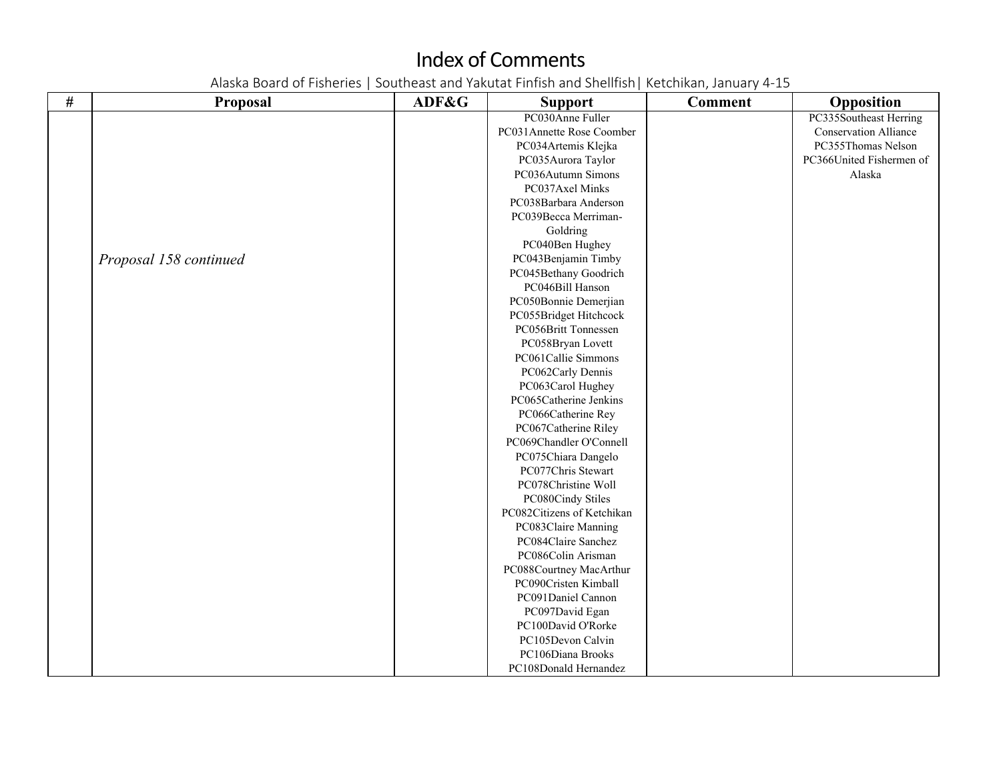| $\#$ | Proposal               | ADF&G | <b>Support</b>             | <b>Comment</b> | Opposition                   |
|------|------------------------|-------|----------------------------|----------------|------------------------------|
|      |                        |       | PC030Anne Fuller           |                | PC335Southeast Herring       |
|      |                        |       | PC031Annette Rose Coomber  |                | <b>Conservation Alliance</b> |
|      |                        |       | PC034Artemis Klejka        |                | PC355Thomas Nelson           |
|      |                        |       | PC035Aurora Taylor         |                | PC366United Fishermen of     |
|      |                        |       | PC036Autumn Simons         |                | Alaska                       |
|      |                        |       | PC037Axel Minks            |                |                              |
|      |                        |       | PC038Barbara Anderson      |                |                              |
|      |                        |       | PC039Becca Merriman-       |                |                              |
|      |                        |       | Goldring                   |                |                              |
|      |                        |       | PC040Ben Hughey            |                |                              |
|      | Proposal 158 continued |       | PC043Benjamin Timby        |                |                              |
|      |                        |       | PC045Bethany Goodrich      |                |                              |
|      |                        |       | PC046Bill Hanson           |                |                              |
|      |                        |       | PC050Bonnie Demerjian      |                |                              |
|      |                        |       | PC055Bridget Hitchcock     |                |                              |
|      |                        |       | PC056Britt Tonnessen       |                |                              |
|      |                        |       | PC058Bryan Lovett          |                |                              |
|      |                        |       | PC061Callie Simmons        |                |                              |
|      |                        |       | PC062Carly Dennis          |                |                              |
|      |                        |       | PC063Carol Hughey          |                |                              |
|      |                        |       | PC065Catherine Jenkins     |                |                              |
|      |                        |       | PC066Catherine Rey         |                |                              |
|      |                        |       | PC067Catherine Riley       |                |                              |
|      |                        |       | PC069Chandler O'Connell    |                |                              |
|      |                        |       | PC075Chiara Dangelo        |                |                              |
|      |                        |       | PC077Chris Stewart         |                |                              |
|      |                        |       | PC078Christine Woll        |                |                              |
|      |                        |       | PC080Cindy Stiles          |                |                              |
|      |                        |       | PC082Citizens of Ketchikan |                |                              |
|      |                        |       | PC083Claire Manning        |                |                              |
|      |                        |       | PC084Claire Sanchez        |                |                              |
|      |                        |       | PC086Colin Arisman         |                |                              |
|      |                        |       | PC088Courtney MacArthur    |                |                              |
|      |                        |       | PC090Cristen Kimball       |                |                              |
|      |                        |       | PC091Daniel Cannon         |                |                              |
|      |                        |       | PC097David Egan            |                |                              |
|      |                        |       | PC100David O'Rorke         |                |                              |
|      |                        |       | PC105Devon Calvin          |                |                              |
|      |                        |       | PC106Diana Brooks          |                |                              |
|      |                        |       | PC108Donald Hernandez      |                |                              |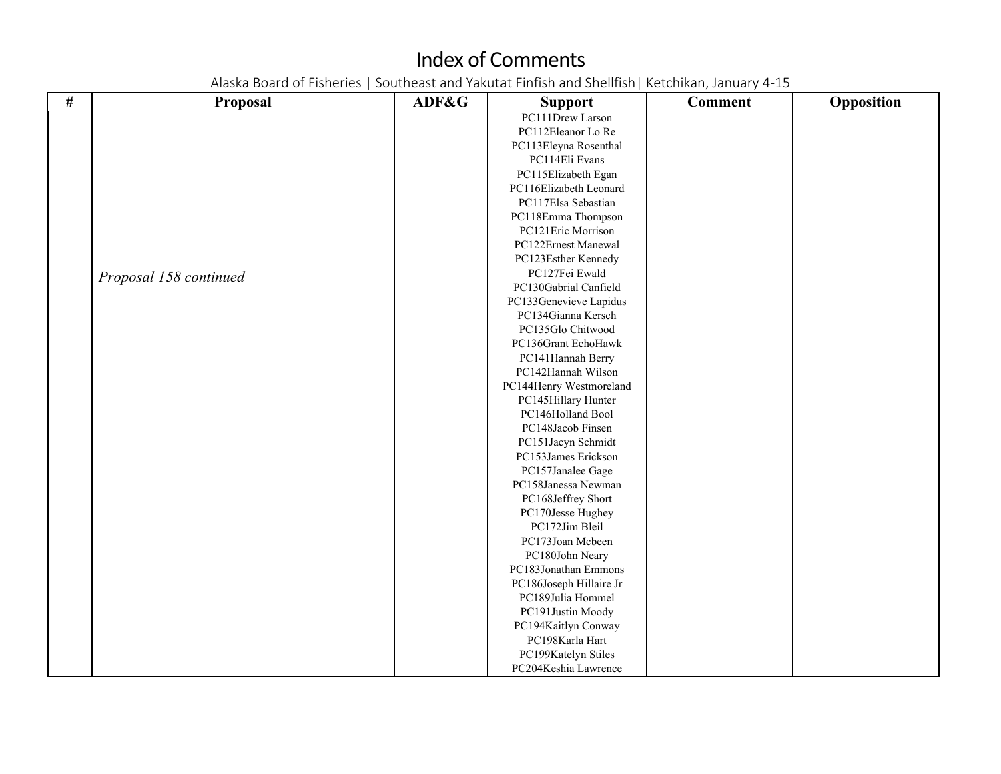| $\#$ | <b>Proposal</b>        | ADF&G | <b>Support</b>          | <b>Comment</b> | Opposition |
|------|------------------------|-------|-------------------------|----------------|------------|
|      |                        |       | PC111Drew Larson        |                |            |
|      |                        |       | PC112Eleanor Lo Re      |                |            |
|      |                        |       | PC113Eleyna Rosenthal   |                |            |
|      |                        |       | PC114Eli Evans          |                |            |
|      |                        |       | PC115Elizabeth Egan     |                |            |
|      |                        |       | PC116Elizabeth Leonard  |                |            |
|      |                        |       | PC117Elsa Sebastian     |                |            |
|      |                        |       | PC118Emma Thompson      |                |            |
|      |                        |       | PC121Eric Morrison      |                |            |
|      |                        |       | PC122Ernest Manewal     |                |            |
|      |                        |       | PC123Esther Kennedy     |                |            |
|      | Proposal 158 continued |       | PC127Fei Ewald          |                |            |
|      |                        |       | PC130Gabrial Canfield   |                |            |
|      |                        |       | PC133Genevieve Lapidus  |                |            |
|      |                        |       | PC134Gianna Kersch      |                |            |
|      |                        |       | PC135Glo Chitwood       |                |            |
|      |                        |       | PC136Grant EchoHawk     |                |            |
|      |                        |       | PC141Hannah Berry       |                |            |
|      |                        |       | PC142Hannah Wilson      |                |            |
|      |                        |       | PC144Henry Westmoreland |                |            |
|      |                        |       | PC145Hillary Hunter     |                |            |
|      |                        |       | PC146Holland Bool       |                |            |
|      |                        |       | PC148Jacob Finsen       |                |            |
|      |                        |       | PC151Jacyn Schmidt      |                |            |
|      |                        |       | PC153James Erickson     |                |            |
|      |                        |       | PC157Janalee Gage       |                |            |
|      |                        |       | PC158Janessa Newman     |                |            |
|      |                        |       | PC168Jeffrey Short      |                |            |
|      |                        |       | PC170Jesse Hughey       |                |            |
|      |                        |       | PC172Jim Bleil          |                |            |
|      |                        |       | PC173Joan Mcbeen        |                |            |
|      |                        |       | PC180John Neary         |                |            |
|      |                        |       | PC183Jonathan Emmons    |                |            |
|      |                        |       | PC186Joseph Hillaire Jr |                |            |
|      |                        |       | PC189Julia Hommel       |                |            |
|      |                        |       | PC191Justin Moody       |                |            |
|      |                        |       | PC194Kaitlyn Conway     |                |            |
|      |                        |       | PC198Karla Hart         |                |            |
|      |                        |       | PC199Katelyn Stiles     |                |            |
|      |                        |       | PC204Keshia Lawrence    |                |            |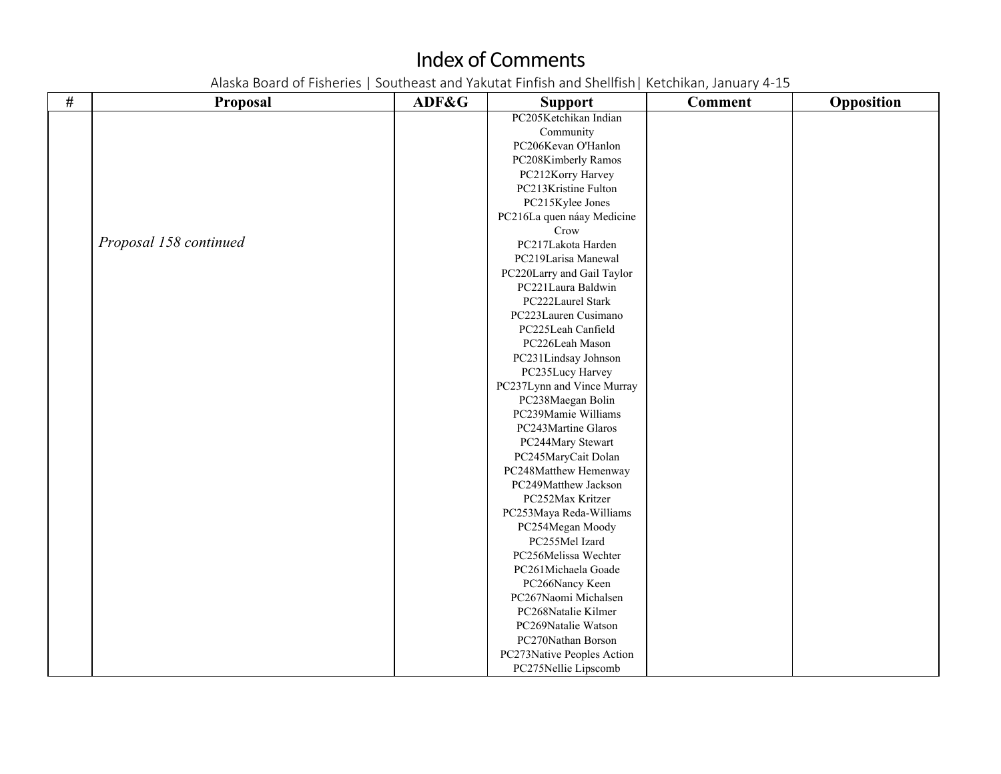| # | <b>Proposal</b>        | ADF&G | <b>Support</b>             | <b>Comment</b> | Opposition |
|---|------------------------|-------|----------------------------|----------------|------------|
|   |                        |       | PC205Ketchikan Indian      |                |            |
|   |                        |       | Community                  |                |            |
|   |                        |       | PC206Kevan O'Hanlon        |                |            |
|   |                        |       | PC208Kimberly Ramos        |                |            |
|   |                        |       | PC212Korry Harvey          |                |            |
|   |                        |       | PC213Kristine Fulton       |                |            |
|   |                        |       | PC215Kylee Jones           |                |            |
|   |                        |       | PC216La quen náay Medicine |                |            |
|   |                        |       | Crow                       |                |            |
|   | Proposal 158 continued |       | PC217Lakota Harden         |                |            |
|   |                        |       | PC219Larisa Manewal        |                |            |
|   |                        |       | PC220Larry and Gail Taylor |                |            |
|   |                        |       | PC221Laura Baldwin         |                |            |
|   |                        |       | PC222Laurel Stark          |                |            |
|   |                        |       | PC223Lauren Cusimano       |                |            |
|   |                        |       | PC225Leah Canfield         |                |            |
|   |                        |       | PC226Leah Mason            |                |            |
|   |                        |       | PC231Lindsay Johnson       |                |            |
|   |                        |       | PC235Lucy Harvey           |                |            |
|   |                        |       | PC237Lynn and Vince Murray |                |            |
|   |                        |       | PC238Maegan Bolin          |                |            |
|   |                        |       | PC239Mamie Williams        |                |            |
|   |                        |       | PC243Martine Glaros        |                |            |
|   |                        |       | PC244Mary Stewart          |                |            |
|   |                        |       | PC245MaryCait Dolan        |                |            |
|   |                        |       | PC248Matthew Hemenway      |                |            |
|   |                        |       | PC249Matthew Jackson       |                |            |
|   |                        |       | PC252Max Kritzer           |                |            |
|   |                        |       | PC253Maya Reda-Williams    |                |            |
|   |                        |       | PC254Megan Moody           |                |            |
|   |                        |       | PC255Mel Izard             |                |            |
|   |                        |       | PC256Melissa Wechter       |                |            |
|   |                        |       | PC261Michaela Goade        |                |            |
|   |                        |       | PC266Nancy Keen            |                |            |
|   |                        |       | PC267Naomi Michalsen       |                |            |
|   |                        |       | PC268Natalie Kilmer        |                |            |
|   |                        |       | PC269Natalie Watson        |                |            |
|   |                        |       | PC270Nathan Borson         |                |            |
|   |                        |       | PC273Native Peoples Action |                |            |
|   |                        |       | PC275Nellie Lipscomb       |                |            |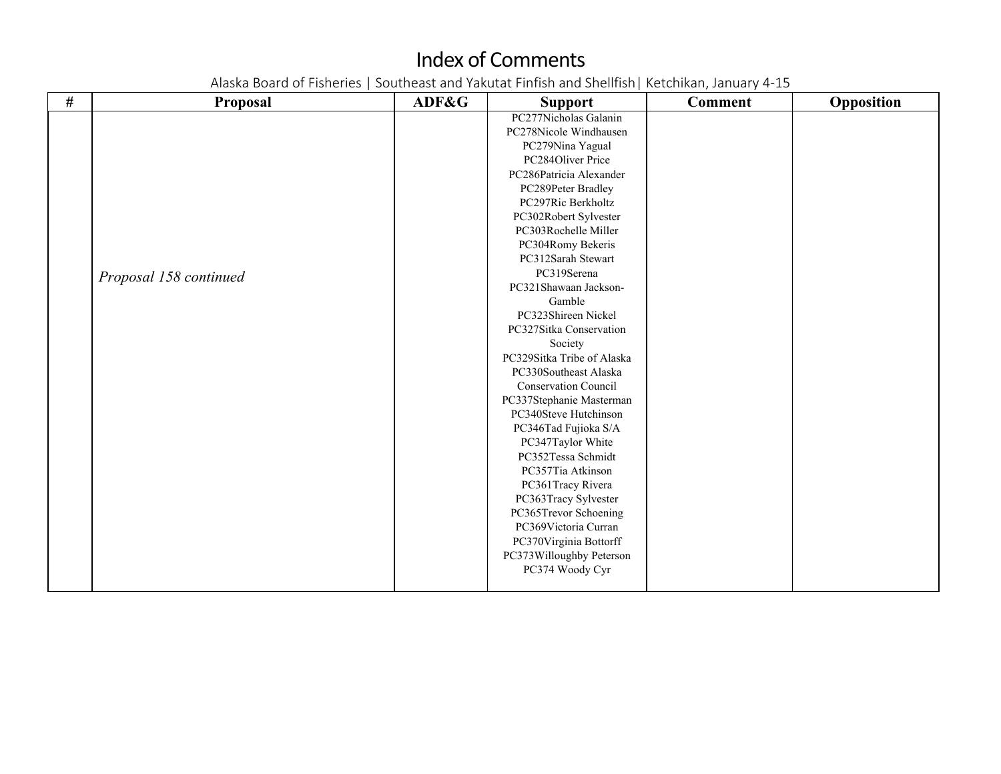| # | <b>Proposal</b>        | ADF&G | <b>Support</b>              | <b>Comment</b> | Opposition |
|---|------------------------|-------|-----------------------------|----------------|------------|
|   |                        |       | PC277Nicholas Galanin       |                |            |
|   |                        |       | PC278Nicole Windhausen      |                |            |
|   |                        |       | PC279Nina Yagual            |                |            |
|   |                        |       | PC284Oliver Price           |                |            |
|   |                        |       | PC286Patricia Alexander     |                |            |
|   |                        |       | PC289Peter Bradley          |                |            |
|   |                        |       | PC297Ric Berkholtz          |                |            |
|   |                        |       | PC302Robert Sylvester       |                |            |
|   |                        |       | PC303Rochelle Miller        |                |            |
|   |                        |       | PC304Romy Bekeris           |                |            |
|   |                        |       | PC312Sarah Stewart          |                |            |
|   | Proposal 158 continued |       | PC319Serena                 |                |            |
|   |                        |       | PC321Shawaan Jackson-       |                |            |
|   |                        |       | Gamble                      |                |            |
|   |                        |       | PC323Shireen Nickel         |                |            |
|   |                        |       | PC327Sitka Conservation     |                |            |
|   |                        |       | Society                     |                |            |
|   |                        |       | PC329Sitka Tribe of Alaska  |                |            |
|   |                        |       | PC330Southeast Alaska       |                |            |
|   |                        |       | <b>Conservation Council</b> |                |            |
|   |                        |       | PC337Stephanie Masterman    |                |            |
|   |                        |       | PC340Steve Hutchinson       |                |            |
|   |                        |       | PC346Tad Fujioka S/A        |                |            |
|   |                        |       | PC347Taylor White           |                |            |
|   |                        |       | PC352Tessa Schmidt          |                |            |
|   |                        |       | PC357Tia Atkinson           |                |            |
|   |                        |       | PC361Tracy Rivera           |                |            |
|   |                        |       | PC363Tracy Sylvester        |                |            |
|   |                        |       | PC365Trevor Schoening       |                |            |
|   |                        |       | PC369Victoria Curran        |                |            |
|   |                        |       | PC370Virginia Bottorff      |                |            |
|   |                        |       | PC373Willoughby Peterson    |                |            |
|   |                        |       | PC374 Woody Cyr             |                |            |
|   |                        |       |                             |                |            |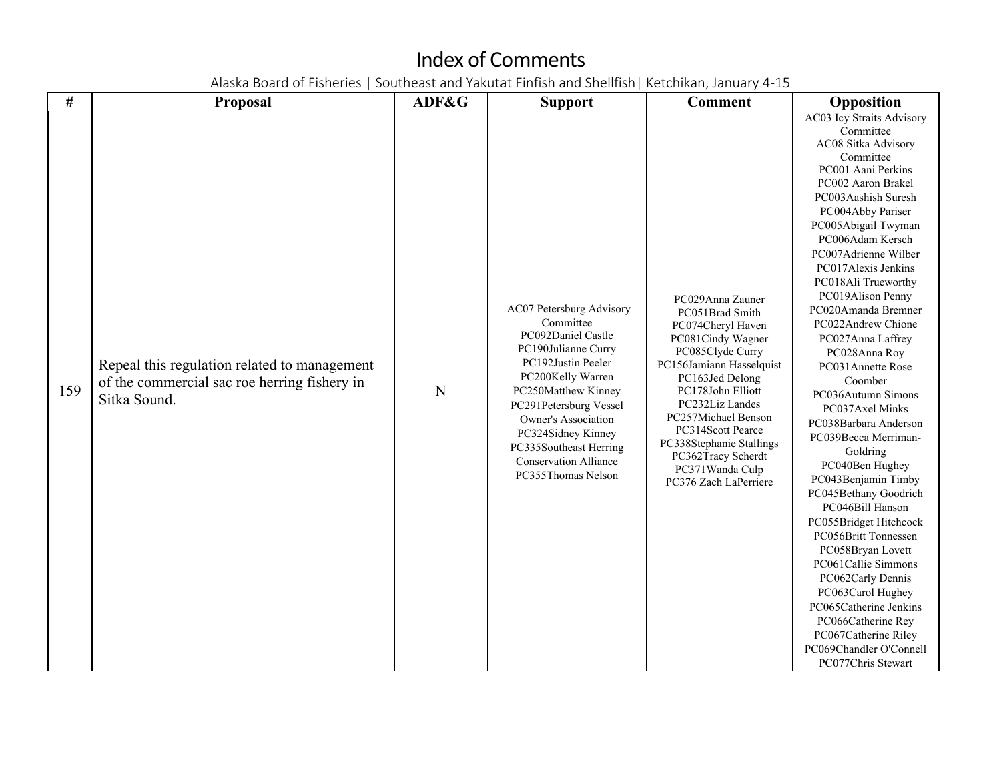| $\#$ | <b>Proposal</b>                                                                                              | ADF&G | <b>Support</b>                                                                                                                                                                                                                                                                                              | <b>Comment</b>                                                                                                                                                                                                                                                                                                                     | Opposition                                                                                                                                                                                                                                                                                                                                                                                                                                                                                                                                                                                                                                                                                                                                                                                                                                                                                |
|------|--------------------------------------------------------------------------------------------------------------|-------|-------------------------------------------------------------------------------------------------------------------------------------------------------------------------------------------------------------------------------------------------------------------------------------------------------------|------------------------------------------------------------------------------------------------------------------------------------------------------------------------------------------------------------------------------------------------------------------------------------------------------------------------------------|-------------------------------------------------------------------------------------------------------------------------------------------------------------------------------------------------------------------------------------------------------------------------------------------------------------------------------------------------------------------------------------------------------------------------------------------------------------------------------------------------------------------------------------------------------------------------------------------------------------------------------------------------------------------------------------------------------------------------------------------------------------------------------------------------------------------------------------------------------------------------------------------|
| 159  | Repeal this regulation related to management<br>of the commercial sac roe herring fishery in<br>Sitka Sound. | N     | AC07 Petersburg Advisory<br>Committee<br>PC092Daniel Castle<br>PC190Julianne Curry<br>PC192Justin Peeler<br>PC200Kelly Warren<br>PC250Matthew Kinney<br>PC291Petersburg Vessel<br>Owner's Association<br>PC324Sidney Kinney<br>PC335Southeast Herring<br><b>Conservation Alliance</b><br>PC355Thomas Nelson | PC029Anna Zauner<br>PC051Brad Smith<br>PC074Cheryl Haven<br>PC081Cindy Wagner<br>PC085Clyde Curry<br>PC156Jamiann Hasselquist<br>PC163Jed Delong<br>PC178John Elliott<br>PC232Liz Landes<br>PC257Michael Benson<br>PC314Scott Pearce<br>PC338Stephanie Stallings<br>PC362Tracy Scherdt<br>PC371Wanda Culp<br>PC376 Zach LaPerriere | AC03 Icy Straits Advisory<br>Committee<br>AC08 Sitka Advisory<br>Committee<br>PC001 Aani Perkins<br>PC002 Aaron Brakel<br>PC003Aashish Suresh<br>PC004Abby Pariser<br>PC005Abigail Twyman<br>PC006Adam Kersch<br>PC007Adrienne Wilber<br>PC017Alexis Jenkins<br>PC018Ali Trueworthy<br>PC019Alison Penny<br>PC020Amanda Bremner<br>PC022Andrew Chione<br>PC027Anna Laffrey<br>PC028Anna Roy<br>PC031Annette Rose<br>Coomber<br>PC036Autumn Simons<br>PC037Axel Minks<br>PC038Barbara Anderson<br>PC039Becca Merriman-<br>Goldring<br>PC040Ben Hughey<br>PC043Benjamin Timby<br>PC045Bethany Goodrich<br>PC046Bill Hanson<br>PC055Bridget Hitchcock<br>PC056Britt Tonnessen<br>PC058Bryan Lovett<br>PC061Callie Simmons<br>PC062Carly Dennis<br>PC063Carol Hughey<br>PC065Catherine Jenkins<br>PC066Catherine Rey<br>PC067Catherine Riley<br>PC069Chandler O'Connell<br>PC077Chris Stewart |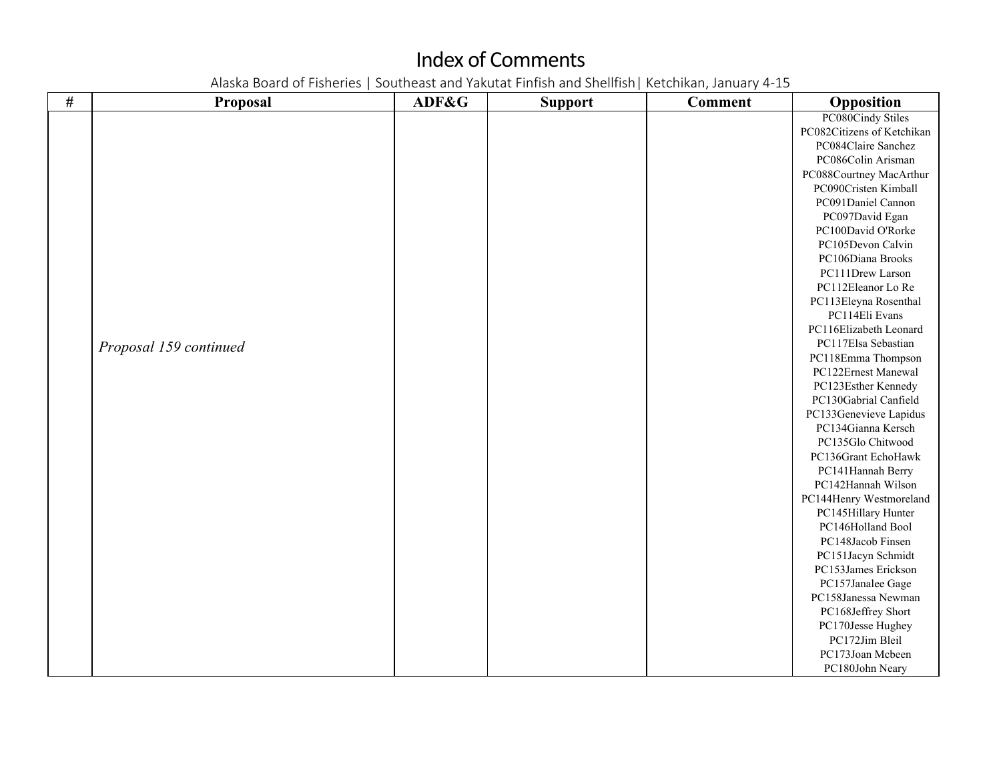| $\#$ | <b>Proposal</b>        | ADF&G | <b>Support</b> | <b>Comment</b> | Opposition                 |
|------|------------------------|-------|----------------|----------------|----------------------------|
|      |                        |       |                |                | PC080Cindy Stiles          |
|      |                        |       |                |                | PC082Citizens of Ketchikan |
|      |                        |       |                |                | PC084Claire Sanchez        |
|      |                        |       |                |                | PC086Colin Arisman         |
|      |                        |       |                |                | PC088Courtney MacArthur    |
|      |                        |       |                |                | PC090Cristen Kimball       |
|      |                        |       |                |                | PC091Daniel Cannon         |
|      |                        |       |                |                | PC097David Egan            |
|      |                        |       |                |                | PC100David O'Rorke         |
|      |                        |       |                |                | PC105Devon Calvin          |
|      |                        |       |                |                | PC106Diana Brooks          |
|      |                        |       |                |                | PC111Drew Larson           |
|      |                        |       |                |                | PC112Eleanor Lo Re         |
|      |                        |       |                |                | PC113Eleyna Rosenthal      |
|      |                        |       |                |                | PC114Eli Evans             |
|      |                        |       |                |                | PC116Elizabeth Leonard     |
|      | Proposal 159 continued |       |                |                | PC117Elsa Sebastian        |
|      |                        |       |                |                | PC118Emma Thompson         |
|      |                        |       |                |                | PC122Ernest Manewal        |
|      |                        |       |                |                | PC123Esther Kennedy        |
|      |                        |       |                |                | PC130Gabrial Canfield      |
|      |                        |       |                |                | PC133Genevieve Lapidus     |
|      |                        |       |                |                | PC134Gianna Kersch         |
|      |                        |       |                |                | PC135Glo Chitwood          |
|      |                        |       |                |                | PC136Grant EchoHawk        |
|      |                        |       |                |                | PC141Hannah Berry          |
|      |                        |       |                |                | PC142Hannah Wilson         |
|      |                        |       |                |                | PC144Henry Westmoreland    |
|      |                        |       |                |                | PC145Hillary Hunter        |
|      |                        |       |                |                | PC146Holland Bool          |
|      |                        |       |                |                | PC148Jacob Finsen          |
|      |                        |       |                |                | PC151Jacyn Schmidt         |
|      |                        |       |                |                | PC153James Erickson        |
|      |                        |       |                |                | PC157Janalee Gage          |
|      |                        |       |                |                | PC158Janessa Newman        |
|      |                        |       |                |                | PC168Jeffrey Short         |
|      |                        |       |                |                | PC170Jesse Hughey          |
|      |                        |       |                |                | PC172Jim Bleil             |
|      |                        |       |                |                | PC173Joan Mcbeen           |
|      |                        |       |                |                | PC180John Neary            |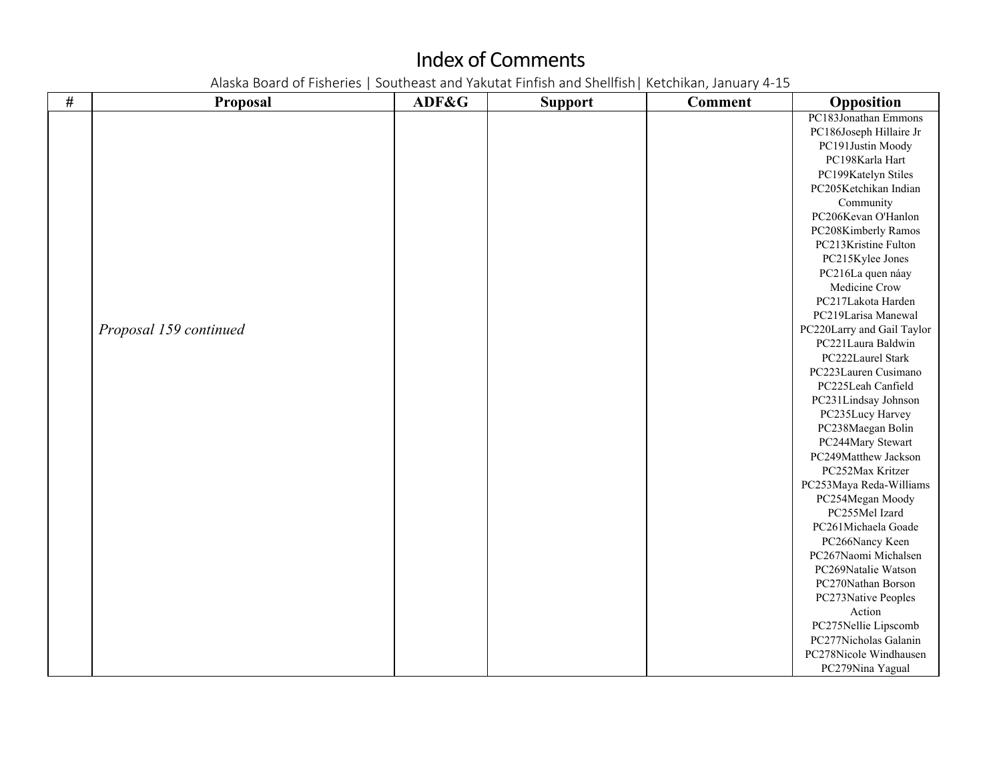| $\#$ | Proposal               | ADF&G | <b>Support</b> | <b>Comment</b> | Opposition                 |
|------|------------------------|-------|----------------|----------------|----------------------------|
|      |                        |       |                |                | PC183Jonathan Emmons       |
|      |                        |       |                |                | PC186Joseph Hillaire Jr    |
|      |                        |       |                |                | PC191Justin Moody          |
|      |                        |       |                |                | PC198Karla Hart            |
|      |                        |       |                |                | PC199Katelyn Stiles        |
|      |                        |       |                |                | PC205Ketchikan Indian      |
|      |                        |       |                |                | Community                  |
|      |                        |       |                |                | PC206Kevan O'Hanlon        |
|      |                        |       |                |                | PC208Kimberly Ramos        |
|      |                        |       |                |                | PC213Kristine Fulton       |
|      |                        |       |                |                | PC215Kylee Jones           |
|      |                        |       |                |                | PC216La quen náay          |
|      |                        |       |                |                | Medicine Crow              |
|      |                        |       |                |                | PC217Lakota Harden         |
|      |                        |       |                |                | PC219Larisa Manewal        |
|      | Proposal 159 continued |       |                |                | PC220Larry and Gail Taylor |
|      |                        |       |                |                | PC221Laura Baldwin         |
|      |                        |       |                |                | PC222Laurel Stark          |
|      |                        |       |                |                | PC223Lauren Cusimano       |
|      |                        |       |                |                | PC225Leah Canfield         |
|      |                        |       |                |                | PC231Lindsay Johnson       |
|      |                        |       |                |                | PC235Lucy Harvey           |
|      |                        |       |                |                | PC238Maegan Bolin          |
|      |                        |       |                |                | PC244Mary Stewart          |
|      |                        |       |                |                | PC249Matthew Jackson       |
|      |                        |       |                |                | PC252Max Kritzer           |
|      |                        |       |                |                | PC253Maya Reda-Williams    |
|      |                        |       |                |                | PC254Megan Moody           |
|      |                        |       |                |                | PC255Mel Izard             |
|      |                        |       |                |                | PC261Michaela Goade        |
|      |                        |       |                |                | PC266Nancy Keen            |
|      |                        |       |                |                | PC267Naomi Michalsen       |
|      |                        |       |                |                | PC269Natalie Watson        |
|      |                        |       |                |                | PC270Nathan Borson         |
|      |                        |       |                |                | PC273Native Peoples        |
|      |                        |       |                |                | Action                     |
|      |                        |       |                |                | PC275Nellie Lipscomb       |
|      |                        |       |                |                | PC277Nicholas Galanin      |
|      |                        |       |                |                | PC278Nicole Windhausen     |
|      |                        |       |                |                | PC279Nina Yagual           |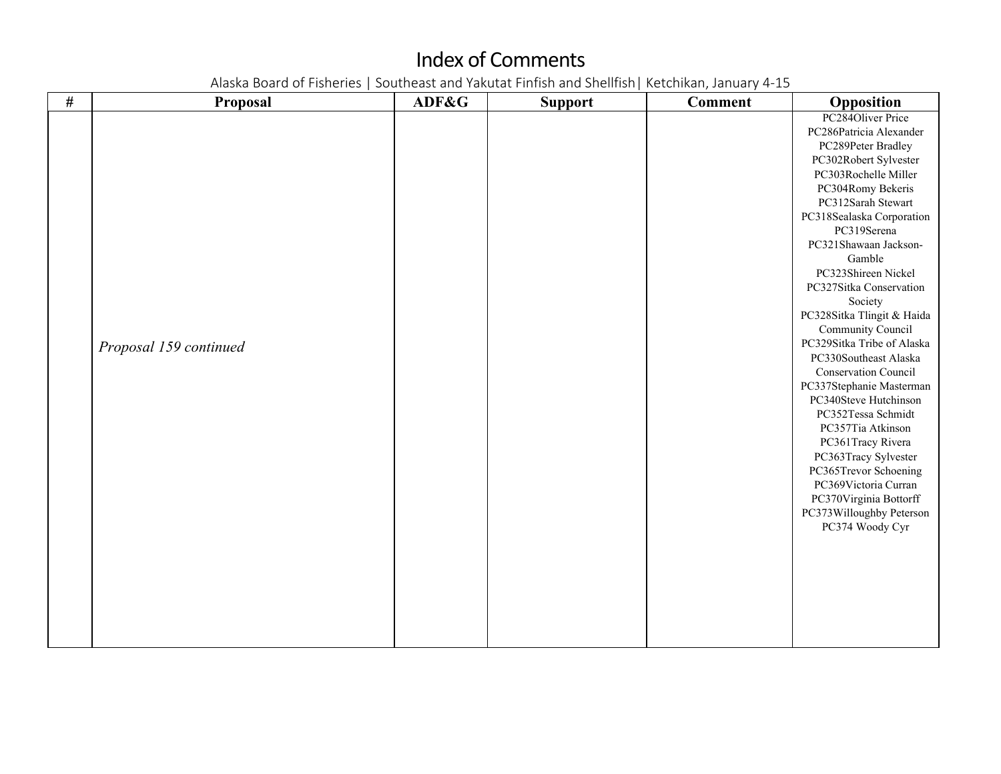| $\#$ | Proposal               | ADF&G | <b>Support</b> | <b>Comment</b> | Opposition                  |
|------|------------------------|-------|----------------|----------------|-----------------------------|
|      |                        |       |                |                | PC284Oliver Price           |
|      |                        |       |                |                | PC286Patricia Alexander     |
|      |                        |       |                |                | PC289Peter Bradley          |
|      |                        |       |                |                | PC302Robert Sylvester       |
|      |                        |       |                |                | PC303Rochelle Miller        |
|      |                        |       |                |                | PC304Romy Bekeris           |
|      |                        |       |                |                | PC312Sarah Stewart          |
|      |                        |       |                |                | PC318Sealaska Corporation   |
|      |                        |       |                |                | PC319Serena                 |
|      |                        |       |                |                | PC321Shawaan Jackson-       |
|      |                        |       |                |                | Gamble                      |
|      |                        |       |                |                | PC323Shireen Nickel         |
|      |                        |       |                |                | PC327Sitka Conservation     |
|      |                        |       |                |                | Society                     |
|      |                        |       |                |                | PC328Sitka Tlingit & Haida  |
|      |                        |       |                |                | Community Council           |
|      | Proposal 159 continued |       |                |                | PC329Sitka Tribe of Alaska  |
|      |                        |       |                |                | PC330Southeast Alaska       |
|      |                        |       |                |                | <b>Conservation Council</b> |
|      |                        |       |                |                | PC337Stephanie Masterman    |
|      |                        |       |                |                | PC340Steve Hutchinson       |
|      |                        |       |                |                | PC352Tessa Schmidt          |
|      |                        |       |                |                | PC357Tia Atkinson           |
|      |                        |       |                |                | PC361Tracy Rivera           |
|      |                        |       |                |                | PC363Tracy Sylvester        |
|      |                        |       |                |                | PC365Trevor Schoening       |
|      |                        |       |                |                | PC369Victoria Curran        |
|      |                        |       |                |                | PC370Virginia Bottorff      |
|      |                        |       |                |                | PC373Willoughby Peterson    |
|      |                        |       |                |                | PC374 Woody Cyr             |
|      |                        |       |                |                |                             |
|      |                        |       |                |                |                             |
|      |                        |       |                |                |                             |
|      |                        |       |                |                |                             |
|      |                        |       |                |                |                             |
|      |                        |       |                |                |                             |
|      |                        |       |                |                |                             |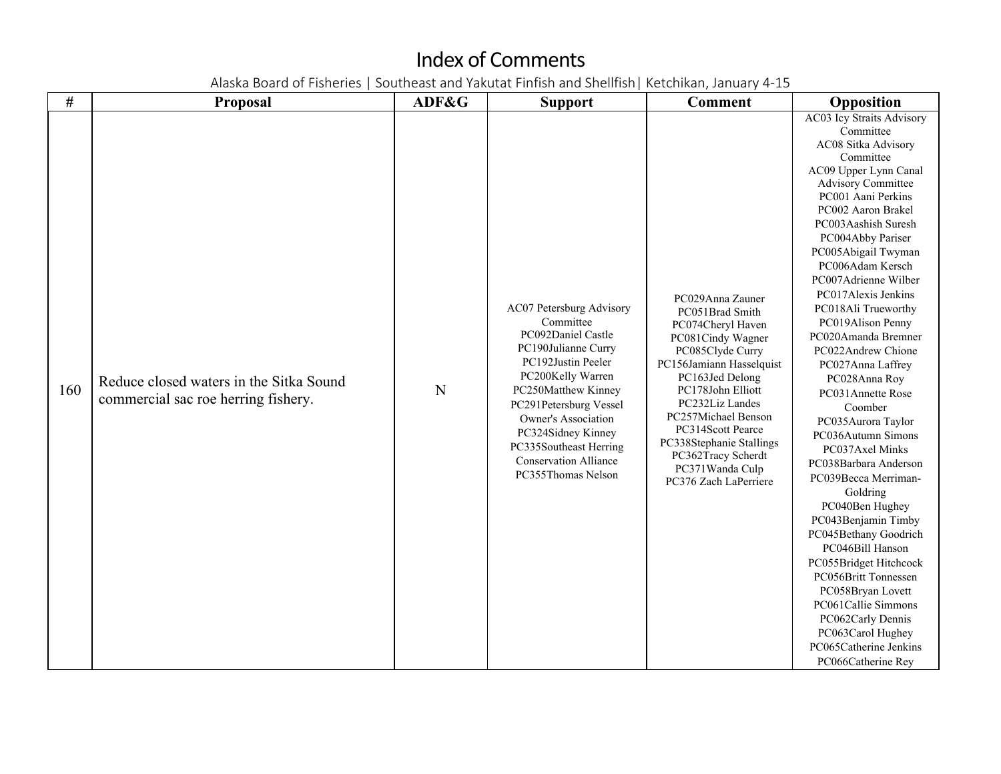| $\#$ | <b>Proposal</b>                                                                | ADF&G | <b>Support</b>                                                                                                                                                                                                                                                                                              | <b>Comment</b>                                                                                                                                                                                                                                                                                                                     | Opposition                                                                                                                                                                                                                                                                                                                                                                                                                                                                                                                                                                                                                                                                                                                                                                                                                                                                                   |
|------|--------------------------------------------------------------------------------|-------|-------------------------------------------------------------------------------------------------------------------------------------------------------------------------------------------------------------------------------------------------------------------------------------------------------------|------------------------------------------------------------------------------------------------------------------------------------------------------------------------------------------------------------------------------------------------------------------------------------------------------------------------------------|----------------------------------------------------------------------------------------------------------------------------------------------------------------------------------------------------------------------------------------------------------------------------------------------------------------------------------------------------------------------------------------------------------------------------------------------------------------------------------------------------------------------------------------------------------------------------------------------------------------------------------------------------------------------------------------------------------------------------------------------------------------------------------------------------------------------------------------------------------------------------------------------|
| 160  | Reduce closed waters in the Sitka Sound<br>commercial sac roe herring fishery. | N     | AC07 Petersburg Advisory<br>Committee<br>PC092Daniel Castle<br>PC190Julianne Curry<br>PC192Justin Peeler<br>PC200Kelly Warren<br>PC250Matthew Kinney<br>PC291Petersburg Vessel<br>Owner's Association<br>PC324Sidney Kinney<br>PC335Southeast Herring<br><b>Conservation Alliance</b><br>PC355Thomas Nelson | PC029Anna Zauner<br>PC051Brad Smith<br>PC074Cheryl Haven<br>PC081Cindy Wagner<br>PC085Clyde Curry<br>PC156Jamiann Hasselquist<br>PC163Jed Delong<br>PC178John Elliott<br>PC232Liz Landes<br>PC257Michael Benson<br>PC314Scott Pearce<br>PC338Stephanie Stallings<br>PC362Tracy Scherdt<br>PC371Wanda Culp<br>PC376 Zach LaPerriere | AC03 Icy Straits Advisory<br>Committee<br>AC08 Sitka Advisory<br>Committee<br>AC09 Upper Lynn Canal<br><b>Advisory Committee</b><br>PC001 Aani Perkins<br>PC002 Aaron Brakel<br>PC003Aashish Suresh<br>PC004Abby Pariser<br>PC005Abigail Twyman<br>PC006Adam Kersch<br>PC007Adrienne Wilber<br>PC017Alexis Jenkins<br>PC018Ali Trueworthy<br>PC019Alison Penny<br>PC020Amanda Bremner<br>PC022Andrew Chione<br>PC027Anna Laffrey<br>PC028Anna Roy<br>PC031Annette Rose<br>Coomber<br>PC035Aurora Taylor<br>PC036Autumn Simons<br>PC037Axel Minks<br>PC038Barbara Anderson<br>PC039Becca Merriman-<br>Goldring<br>PC040Ben Hughey<br>PC043Benjamin Timby<br>PC045Bethany Goodrich<br>PC046Bill Hanson<br>PC055Bridget Hitchcock<br>PC056Britt Tonnessen<br>PC058Bryan Lovett<br>PC061Callie Simmons<br>PC062Carly Dennis<br>PC063Carol Hughey<br>PC065Catherine Jenkins<br>PC066Catherine Rey |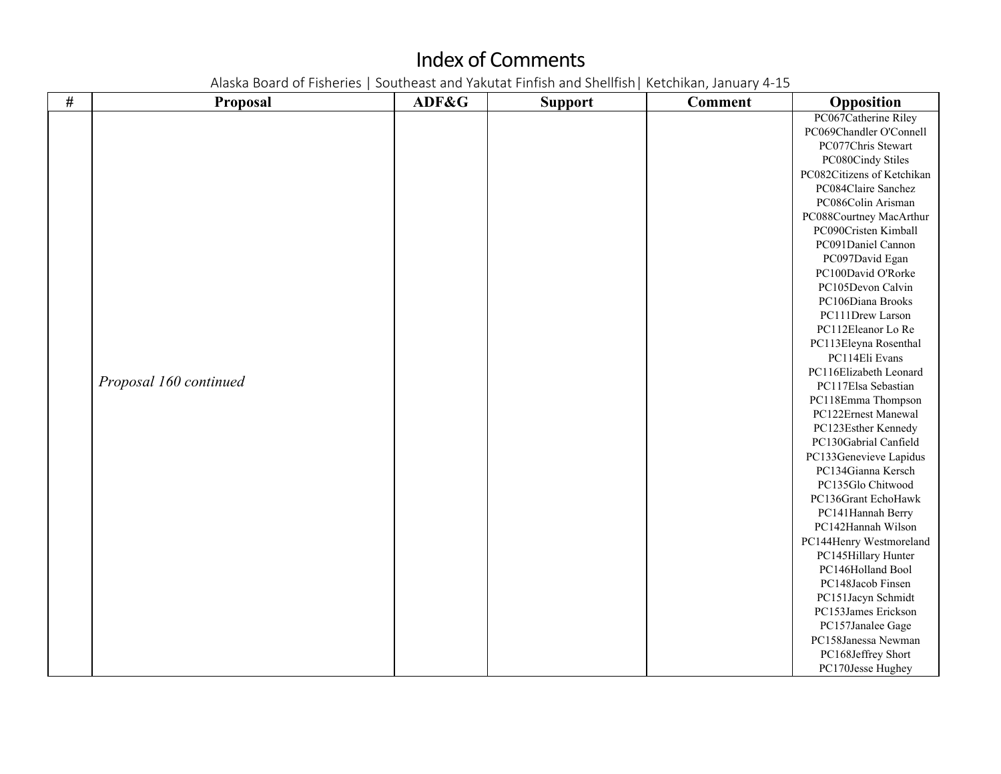| $\#$ | Proposal               | ADF&G | <b>Support</b> | <b>Comment</b> | Opposition                 |
|------|------------------------|-------|----------------|----------------|----------------------------|
|      |                        |       |                |                | PC067Catherine Riley       |
|      |                        |       |                |                | PC069Chandler O'Connell    |
|      |                        |       |                |                | PC077Chris Stewart         |
|      |                        |       |                |                | PC080Cindy Stiles          |
|      |                        |       |                |                | PC082Citizens of Ketchikan |
|      |                        |       |                |                | PC084Claire Sanchez        |
|      |                        |       |                |                | PC086Colin Arisman         |
|      |                        |       |                |                | PC088Courtney MacArthur    |
|      |                        |       |                |                | PC090Cristen Kimball       |
|      |                        |       |                |                | PC091Daniel Cannon         |
|      |                        |       |                |                | PC097David Egan            |
|      |                        |       |                |                | PC100David O'Rorke         |
|      |                        |       |                |                | PC105Devon Calvin          |
|      |                        |       |                |                | PC106Diana Brooks          |
|      |                        |       |                |                | PC111Drew Larson           |
|      |                        |       |                |                | PC112Eleanor Lo Re         |
|      |                        |       |                |                | PC113Eleyna Rosenthal      |
|      |                        |       |                |                | PC114Eli Evans             |
|      |                        |       |                |                | PC116Elizabeth Leonard     |
|      | Proposal 160 continued |       |                |                | PC117Elsa Sebastian        |
|      |                        |       |                |                | PC118Emma Thompson         |
|      |                        |       |                |                | PC122Ernest Manewal        |
|      |                        |       |                |                | PC123Esther Kennedy        |
|      |                        |       |                |                | PC130Gabrial Canfield      |
|      |                        |       |                |                | PC133Genevieve Lapidus     |
|      |                        |       |                |                | PC134Gianna Kersch         |
|      |                        |       |                |                | PC135Glo Chitwood          |
|      |                        |       |                |                | PC136Grant EchoHawk        |
|      |                        |       |                |                | PC141Hannah Berry          |
|      |                        |       |                |                | PC142Hannah Wilson         |
|      |                        |       |                |                | PC144Henry Westmoreland    |
|      |                        |       |                |                | PC145Hillary Hunter        |
|      |                        |       |                |                | PC146Holland Bool          |
|      |                        |       |                |                | PC148Jacob Finsen          |
|      |                        |       |                |                | PC151Jacyn Schmidt         |
|      |                        |       |                |                | PC153James Erickson        |
|      |                        |       |                |                | PC157Janalee Gage          |
|      |                        |       |                |                | PC158Janessa Newman        |
|      |                        |       |                |                | PC168Jeffrey Short         |
|      |                        |       |                |                | PC170Jesse Hughey          |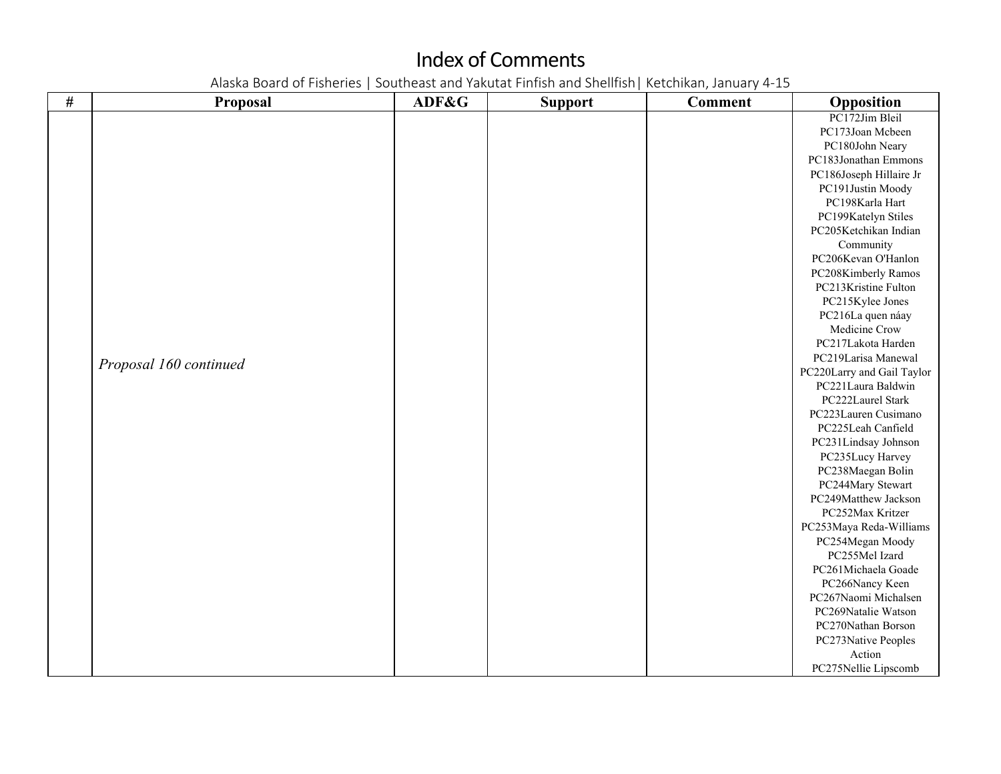| $\#$ | Proposal               | ADF&G | <b>Support</b> | <b>Comment</b> | Opposition                 |
|------|------------------------|-------|----------------|----------------|----------------------------|
|      |                        |       |                |                | PC172Jim Bleil             |
|      |                        |       |                |                | PC173Joan Mcbeen           |
|      |                        |       |                |                | PC180John Neary            |
|      |                        |       |                |                | PC183Jonathan Emmons       |
|      |                        |       |                |                | PC186Joseph Hillaire Jr    |
|      |                        |       |                |                | PC191Justin Moody          |
|      |                        |       |                |                | PC198Karla Hart            |
|      |                        |       |                |                | PC199Katelyn Stiles        |
|      |                        |       |                |                | PC205Ketchikan Indian      |
|      |                        |       |                |                | Community                  |
|      |                        |       |                |                | PC206Kevan O'Hanlon        |
|      |                        |       |                |                | PC208Kimberly Ramos        |
|      |                        |       |                |                | PC213Kristine Fulton       |
|      |                        |       |                |                | PC215Kylee Jones           |
|      |                        |       |                |                | PC216La quen náay          |
|      |                        |       |                |                | Medicine Crow              |
|      |                        |       |                |                | PC217Lakota Harden         |
|      | Proposal 160 continued |       |                |                | PC219Larisa Manewal        |
|      |                        |       |                |                | PC220Larry and Gail Taylor |
|      |                        |       |                |                | PC221Laura Baldwin         |
|      |                        |       |                |                | PC222Laurel Stark          |
|      |                        |       |                |                | PC223Lauren Cusimano       |
|      |                        |       |                |                | PC225Leah Canfield         |
|      |                        |       |                |                | PC231Lindsay Johnson       |
|      |                        |       |                |                | PC235Lucy Harvey           |
|      |                        |       |                |                | PC238Maegan Bolin          |
|      |                        |       |                |                | PC244Mary Stewart          |
|      |                        |       |                |                | PC249Matthew Jackson       |
|      |                        |       |                |                | PC252Max Kritzer           |
|      |                        |       |                |                | PC253Maya Reda-Williams    |
|      |                        |       |                |                | PC254Megan Moody           |
|      |                        |       |                |                | PC255Mel Izard             |
|      |                        |       |                |                | PC261Michaela Goade        |
|      |                        |       |                |                | PC266Nancy Keen            |
|      |                        |       |                |                | PC267Naomi Michalsen       |
|      |                        |       |                |                | PC269Natalie Watson        |
|      |                        |       |                |                | PC270Nathan Borson         |
|      |                        |       |                |                | PC273Native Peoples        |
|      |                        |       |                |                | Action                     |
|      |                        |       |                |                | PC275Nellie Lipscomb       |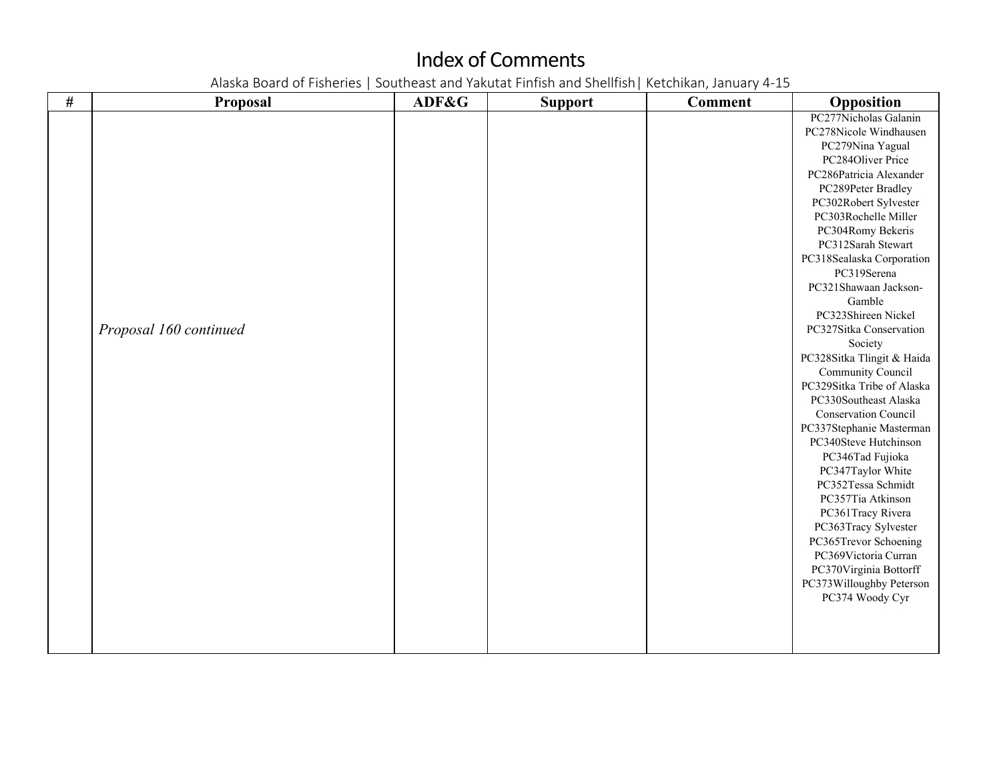| # | Proposal               | ADF&G | <b>Support</b> | <b>Comment</b> | Opposition                  |
|---|------------------------|-------|----------------|----------------|-----------------------------|
|   |                        |       |                |                | PC277Nicholas Galanin       |
|   |                        |       |                |                | PC278Nicole Windhausen      |
|   |                        |       |                |                | PC279Nina Yagual            |
|   |                        |       |                |                | PC284Oliver Price           |
|   |                        |       |                |                | PC286Patricia Alexander     |
|   |                        |       |                |                | PC289Peter Bradley          |
|   |                        |       |                |                | PC302Robert Sylvester       |
|   |                        |       |                |                | PC303Rochelle Miller        |
|   |                        |       |                |                | PC304Romy Bekeris           |
|   |                        |       |                |                | PC312Sarah Stewart          |
|   |                        |       |                |                | PC318Sealaska Corporation   |
|   |                        |       |                |                | PC319Serena                 |
|   |                        |       |                |                | PC321Shawaan Jackson-       |
|   |                        |       |                |                | Gamble                      |
|   |                        |       |                |                | PC323Shireen Nickel         |
|   | Proposal 160 continued |       |                |                | PC327Sitka Conservation     |
|   |                        |       |                |                | Society                     |
|   |                        |       |                |                | PC328Sitka Tlingit & Haida  |
|   |                        |       |                |                | Community Council           |
|   |                        |       |                |                | PC329Sitka Tribe of Alaska  |
|   |                        |       |                |                | PC330Southeast Alaska       |
|   |                        |       |                |                | <b>Conservation Council</b> |
|   |                        |       |                |                | PC337Stephanie Masterman    |
|   |                        |       |                |                | PC340Steve Hutchinson       |
|   |                        |       |                |                | PC346Tad Fujioka            |
|   |                        |       |                |                | PC347Taylor White           |
|   |                        |       |                |                | PC352Tessa Schmidt          |
|   |                        |       |                |                | PC357Tia Atkinson           |
|   |                        |       |                |                | PC361Tracy Rivera           |
|   |                        |       |                |                | PC363Tracy Sylvester        |
|   |                        |       |                |                | PC365Trevor Schoening       |
|   |                        |       |                |                | PC369Victoria Curran        |
|   |                        |       |                |                | PC370Virginia Bottorff      |
|   |                        |       |                |                | PC373Willoughby Peterson    |
|   |                        |       |                |                | PC374 Woody Cyr             |
|   |                        |       |                |                |                             |
|   |                        |       |                |                |                             |
|   |                        |       |                |                |                             |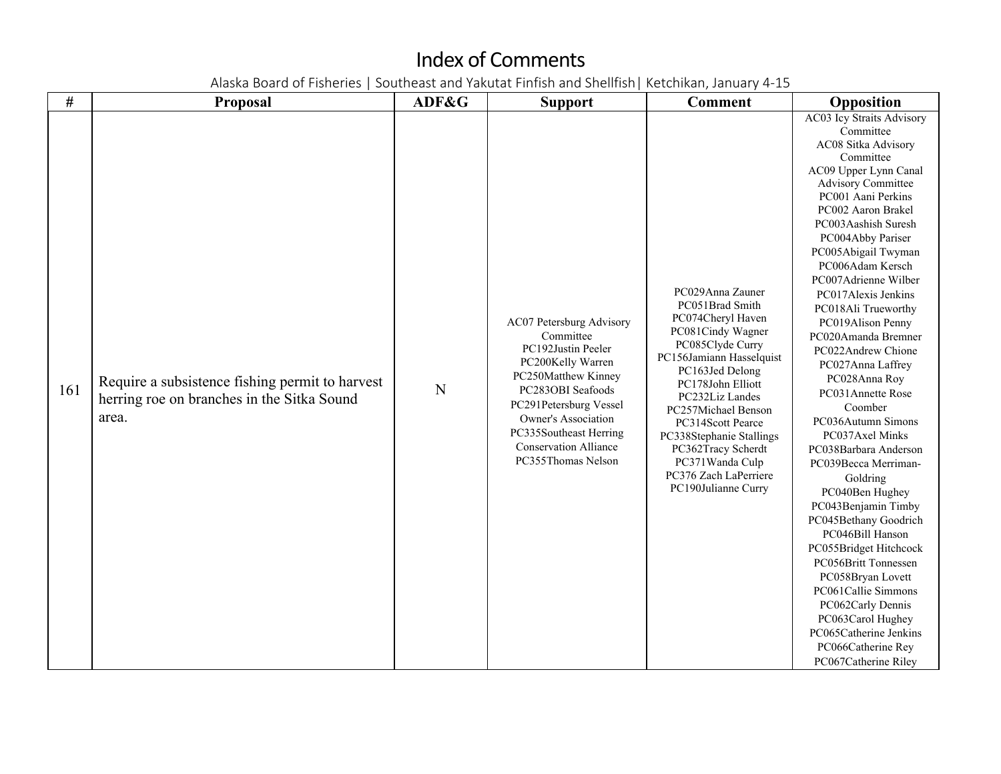| #   | <b>Proposal</b>                                                                                        | ADF&G | <b>Support</b>                                                                                                                                                                                                                                                | <b>Comment</b>                                                                                                                                                                                                                                                                                                                                            | Opposition                                                                                                                                                                                                                                                                                                                                                                                                                                                                                                                                                                                                                                                                                                                                                                                                                                                                                     |
|-----|--------------------------------------------------------------------------------------------------------|-------|---------------------------------------------------------------------------------------------------------------------------------------------------------------------------------------------------------------------------------------------------------------|-----------------------------------------------------------------------------------------------------------------------------------------------------------------------------------------------------------------------------------------------------------------------------------------------------------------------------------------------------------|------------------------------------------------------------------------------------------------------------------------------------------------------------------------------------------------------------------------------------------------------------------------------------------------------------------------------------------------------------------------------------------------------------------------------------------------------------------------------------------------------------------------------------------------------------------------------------------------------------------------------------------------------------------------------------------------------------------------------------------------------------------------------------------------------------------------------------------------------------------------------------------------|
| 161 | Require a subsistence fishing permit to harvest<br>herring roe on branches in the Sitka Sound<br>area. | N     | AC07 Petersburg Advisory<br>Committee<br>PC192Justin Peeler<br>PC200Kelly Warren<br>PC250Matthew Kinney<br>PC283OBI Seafoods<br>PC291Petersburg Vessel<br>Owner's Association<br>PC335Southeast Herring<br><b>Conservation Alliance</b><br>PC355Thomas Nelson | PC029Anna Zauner<br>PC051Brad Smith<br>PC074Cheryl Haven<br>PC081Cindy Wagner<br>PC085Clyde Curry<br>PC156Jamiann Hasselquist<br>PC163Jed Delong<br>PC178John Elliott<br>PC232Liz Landes<br>PC257Michael Benson<br>PC314Scott Pearce<br>PC338Stephanie Stallings<br>PC362Tracy Scherdt<br>PC371Wanda Culp<br>PC376 Zach LaPerriere<br>PC190Julianne Curry | AC03 Icy Straits Advisory<br>Committee<br>AC08 Sitka Advisory<br>Committee<br>AC09 Upper Lynn Canal<br><b>Advisory Committee</b><br>PC001 Aani Perkins<br>PC002 Aaron Brakel<br>PC003Aashish Suresh<br>PC004Abby Pariser<br>PC005Abigail Twyman<br>PC006Adam Kersch<br>PC007Adrienne Wilber<br>PC017Alexis Jenkins<br>PC018Ali Trueworthy<br>PC019Alison Penny<br>PC020Amanda Bremner<br>PC022Andrew Chione<br>PC027Anna Laffrey<br>PC028Anna Roy<br>PC031Annette Rose<br>Coomber<br>PC036Autumn Simons<br>PC037Axel Minks<br>PC038Barbara Anderson<br>PC039Becca Merriman-<br>Goldring<br>PC040Ben Hughey<br>PC043Benjamin Timby<br>PC045Bethany Goodrich<br>PC046Bill Hanson<br>PC055Bridget Hitchcock<br>PC056Britt Tonnessen<br>PC058Bryan Lovett<br>PC061Callie Simmons<br>PC062Carly Dennis<br>PC063Carol Hughey<br>PC065Catherine Jenkins<br>PC066Catherine Rey<br>PC067Catherine Riley |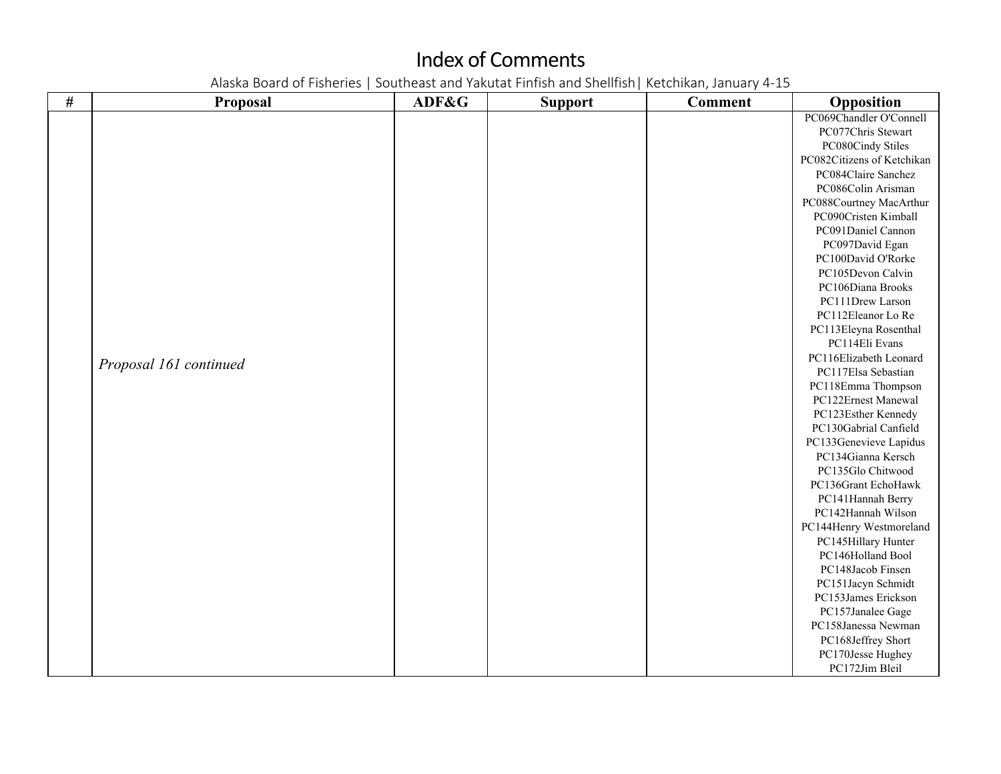| $\#$ | Proposal               | ADF&G | <b>Support</b> | <b>Comment</b> | Opposition                 |
|------|------------------------|-------|----------------|----------------|----------------------------|
|      |                        |       |                |                | PC069Chandler O'Connell    |
|      |                        |       |                |                | PC077Chris Stewart         |
|      |                        |       |                |                | PC080Cindy Stiles          |
|      |                        |       |                |                | PC082Citizens of Ketchikan |
|      |                        |       |                |                | PC084Claire Sanchez        |
|      |                        |       |                |                | PC086Colin Arisman         |
|      |                        |       |                |                | PC088Courtney MacArthur    |
|      |                        |       |                |                | PC090Cristen Kimball       |
|      |                        |       |                |                | PC091Daniel Cannon         |
|      |                        |       |                |                | PC097David Egan            |
|      |                        |       |                |                | PC100David O'Rorke         |
|      |                        |       |                |                | PC105Devon Calvin          |
|      |                        |       |                |                | PC106Diana Brooks          |
|      |                        |       |                |                | PC111Drew Larson           |
|      |                        |       |                |                | PC112Eleanor Lo Re         |
|      |                        |       |                |                | PC113Eleyna Rosenthal      |
|      |                        |       |                |                | PC114Eli Evans             |
|      | Proposal 161 continued |       |                |                | PC116Elizabeth Leonard     |
|      |                        |       |                |                | PC117Elsa Sebastian        |
|      |                        |       |                |                | PC118Emma Thompson         |
|      |                        |       |                |                | PC122Ernest Manewal        |
|      |                        |       |                |                | PC123Esther Kennedy        |
|      |                        |       |                |                | PC130Gabrial Canfield      |
|      |                        |       |                |                | PC133Genevieve Lapidus     |
|      |                        |       |                |                | PC134Gianna Kersch         |
|      |                        |       |                |                | PC135Glo Chitwood          |
|      |                        |       |                |                | PC136Grant EchoHawk        |
|      |                        |       |                |                | PC141Hannah Berry          |
|      |                        |       |                |                | PC142Hannah Wilson         |
|      |                        |       |                |                | PC144Henry Westmoreland    |
|      |                        |       |                |                | PC145Hillary Hunter        |
|      |                        |       |                |                | PC146Holland Bool          |
|      |                        |       |                |                | PC148Jacob Finsen          |
|      |                        |       |                |                | PC151Jacyn Schmidt         |
|      |                        |       |                |                | PC153James Erickson        |
|      |                        |       |                |                | PC157Janalee Gage          |
|      |                        |       |                |                | PC158Janessa Newman        |
|      |                        |       |                |                | PC168Jeffrey Short         |
|      |                        |       |                |                | PC170Jesse Hughey          |
|      |                        |       |                |                | PC172Jim Bleil             |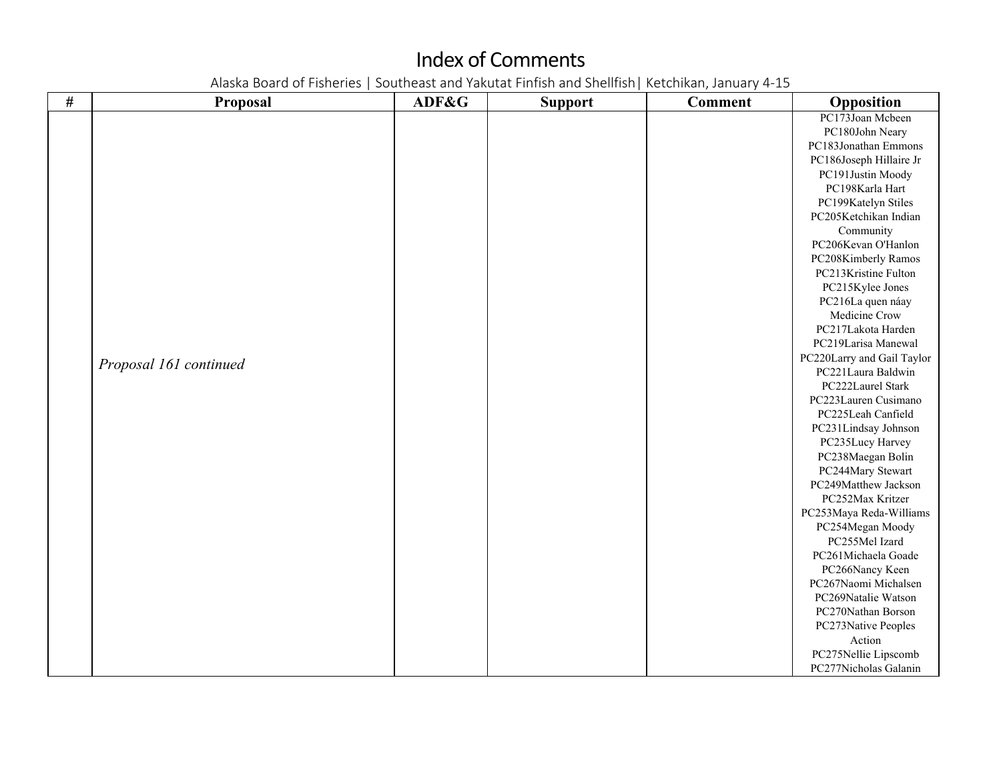| $\#$ | Proposal               | ADF&G | <b>Support</b> | <b>Comment</b> | Opposition                 |
|------|------------------------|-------|----------------|----------------|----------------------------|
|      |                        |       |                |                | PC173Joan Mcbeen           |
|      |                        |       |                |                | PC180John Neary            |
|      |                        |       |                |                | PC183Jonathan Emmons       |
|      |                        |       |                |                | PC186Joseph Hillaire Jr    |
|      |                        |       |                |                | PC191Justin Moody          |
|      |                        |       |                |                | PC198Karla Hart            |
|      |                        |       |                |                | PC199Katelyn Stiles        |
|      |                        |       |                |                | PC205Ketchikan Indian      |
|      |                        |       |                |                | Community                  |
|      |                        |       |                |                | PC206Kevan O'Hanlon        |
|      |                        |       |                |                | PC208Kimberly Ramos        |
|      |                        |       |                |                | PC213Kristine Fulton       |
|      |                        |       |                |                | PC215Kylee Jones           |
|      |                        |       |                |                | PC216La quen náay          |
|      |                        |       |                |                | Medicine Crow              |
|      |                        |       |                |                | PC217Lakota Harden         |
|      |                        |       |                |                | PC219Larisa Manewal        |
|      |                        |       |                |                | PC220Larry and Gail Taylor |
|      | Proposal 161 continued |       |                |                | PC221Laura Baldwin         |
|      |                        |       |                |                | PC222Laurel Stark          |
|      |                        |       |                |                | PC223Lauren Cusimano       |
|      |                        |       |                |                | PC225Leah Canfield         |
|      |                        |       |                |                | PC231Lindsay Johnson       |
|      |                        |       |                |                | PC235Lucy Harvey           |
|      |                        |       |                |                | PC238Maegan Bolin          |
|      |                        |       |                |                | PC244Mary Stewart          |
|      |                        |       |                |                | PC249Matthew Jackson       |
|      |                        |       |                |                | PC252Max Kritzer           |
|      |                        |       |                |                | PC253Maya Reda-Williams    |
|      |                        |       |                |                | PC254Megan Moody           |
|      |                        |       |                |                | PC255Mel Izard             |
|      |                        |       |                |                | PC261Michaela Goade        |
|      |                        |       |                |                | PC266Nancy Keen            |
|      |                        |       |                |                | PC267Naomi Michalsen       |
|      |                        |       |                |                | PC269Natalie Watson        |
|      |                        |       |                |                | PC270Nathan Borson         |
|      |                        |       |                |                | PC273Native Peoples        |
|      |                        |       |                |                | Action                     |
|      |                        |       |                |                | PC275Nellie Lipscomb       |
|      |                        |       |                |                | PC277Nicholas Galanin      |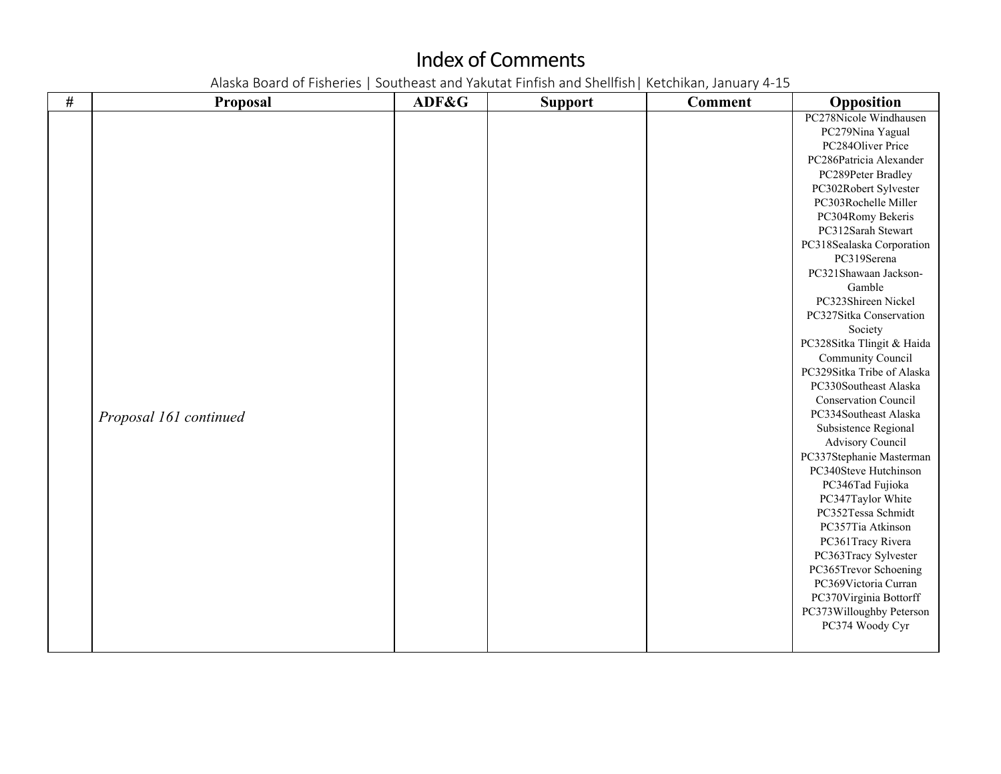| $\#$ | <b>Proposal</b>        | ADF&G | <b>Support</b> | <b>Comment</b> | Opposition                                    |
|------|------------------------|-------|----------------|----------------|-----------------------------------------------|
|      |                        |       |                |                | PC278Nicole Windhausen                        |
|      |                        |       |                |                | PC279Nina Yagual                              |
|      |                        |       |                |                | PC284Oliver Price                             |
|      |                        |       |                |                | PC286Patricia Alexander                       |
|      |                        |       |                |                | PC289Peter Bradley                            |
|      |                        |       |                |                | PC302Robert Sylvester                         |
|      |                        |       |                |                | PC303Rochelle Miller                          |
|      |                        |       |                |                | PC304Romy Bekeris                             |
|      |                        |       |                |                | PC312Sarah Stewart                            |
|      |                        |       |                |                | PC318Sealaska Corporation                     |
|      |                        |       |                |                | PC319Serena                                   |
|      |                        |       |                |                | PC321Shawaan Jackson-                         |
|      |                        |       |                |                | Gamble                                        |
|      |                        |       |                |                | PC323Shireen Nickel                           |
|      |                        |       |                |                | PC327Sitka Conservation                       |
|      |                        |       |                |                | Society                                       |
|      |                        |       |                |                | PC328Sitka Tlingit & Haida                    |
|      |                        |       |                |                | Community Council                             |
|      |                        |       |                |                | PC329Sitka Tribe of Alaska                    |
|      |                        |       |                |                | PC330Southeast Alaska                         |
|      |                        |       |                |                | <b>Conservation Council</b>                   |
|      | Proposal 161 continued |       |                |                | PC334Southeast Alaska                         |
|      |                        |       |                |                | Subsistence Regional                          |
|      |                        |       |                |                | Advisory Council                              |
|      |                        |       |                |                | PC337Stephanie Masterman                      |
|      |                        |       |                |                | PC340Steve Hutchinson                         |
|      |                        |       |                |                | PC346Tad Fujioka                              |
|      |                        |       |                |                | PC347Taylor White                             |
|      |                        |       |                |                | PC352Tessa Schmidt                            |
|      |                        |       |                |                | PC357Tia Atkinson                             |
|      |                        |       |                |                | PC361Tracy Rivera                             |
|      |                        |       |                |                | PC363Tracy Sylvester                          |
|      |                        |       |                |                | PC365Trevor Schoening<br>PC369Victoria Curran |
|      |                        |       |                |                | PC370Virginia Bottorff                        |
|      |                        |       |                |                | PC373Willoughby Peterson                      |
|      |                        |       |                |                | PC374 Woody Cyr                               |
|      |                        |       |                |                |                                               |
|      |                        |       |                |                |                                               |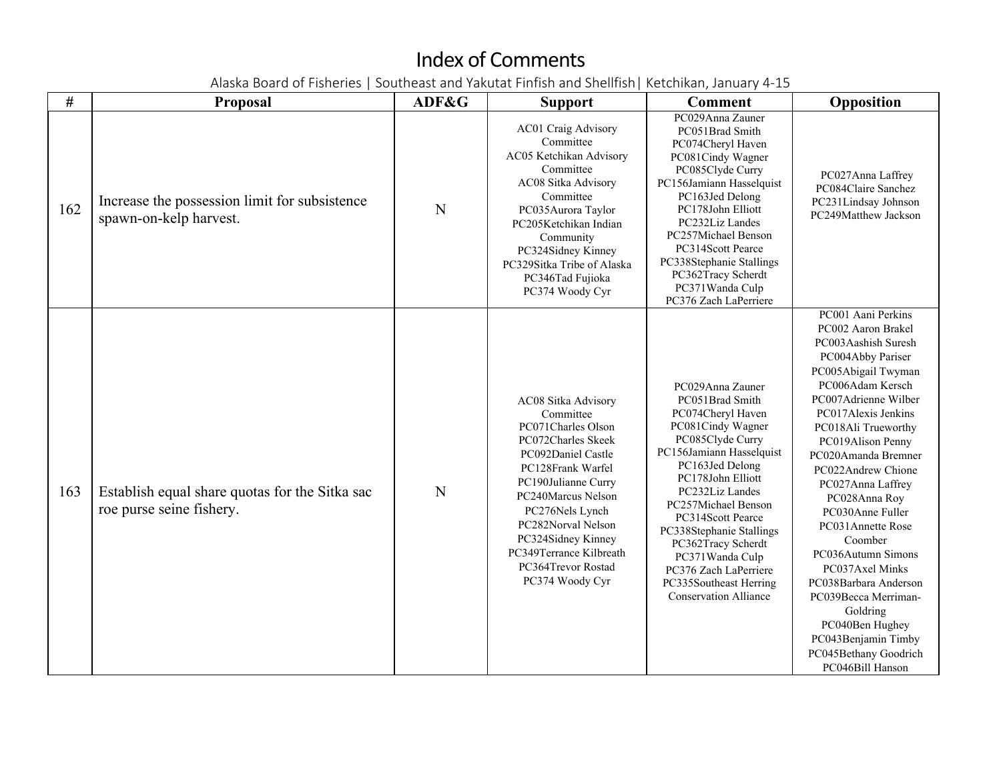| #   | <b>Proposal</b>                                                            | ADF&G | <b>Support</b>                                                                                                                                                                                                                                                                                          | <b>Comment</b>                                                                                                                                                                                                                                                                                                                                                                               | Opposition                                                                                                                                                                                                                                                                                                                                                                                                                                                                                                                                                     |
|-----|----------------------------------------------------------------------------|-------|---------------------------------------------------------------------------------------------------------------------------------------------------------------------------------------------------------------------------------------------------------------------------------------------------------|----------------------------------------------------------------------------------------------------------------------------------------------------------------------------------------------------------------------------------------------------------------------------------------------------------------------------------------------------------------------------------------------|----------------------------------------------------------------------------------------------------------------------------------------------------------------------------------------------------------------------------------------------------------------------------------------------------------------------------------------------------------------------------------------------------------------------------------------------------------------------------------------------------------------------------------------------------------------|
| 162 | Increase the possession limit for subsistence<br>spawn-on-kelp harvest.    | N     | AC01 Craig Advisory<br>Committee<br>AC05 Ketchikan Advisory<br>Committee<br>AC08 Sitka Advisory<br>Committee<br>PC035Aurora Taylor<br>PC205Ketchikan Indian<br>Community<br>PC324Sidney Kinney<br>PC329Sitka Tribe of Alaska<br>PC346Tad Fujioka<br>PC374 Woody Cyr                                     | PC029Anna Zauner<br>PC051Brad Smith<br>PC074Cheryl Haven<br>PC081Cindy Wagner<br>PC085Clyde Curry<br>PC156Jamiann Hasselquist<br>PC163Jed Delong<br>PC178John Elliott<br>PC232Liz Landes<br>PC257Michael Benson<br>PC314Scott Pearce<br>PC338Stephanie Stallings<br>PC362Tracy Scherdt<br>PC371Wanda Culp<br>PC376 Zach LaPerriere                                                           | PC027Anna Laffrey<br>PC084Claire Sanchez<br>PC231Lindsay Johnson<br>PC249Matthew Jackson                                                                                                                                                                                                                                                                                                                                                                                                                                                                       |
| 163 | Establish equal share quotas for the Sitka sac<br>roe purse seine fishery. | N     | AC08 Sitka Advisory<br>Committee<br>PC071Charles Olson<br>PC072Charles Skeek<br>PC092Daniel Castle<br>PC128Frank Warfel<br>PC190Julianne Curry<br>PC240Marcus Nelson<br>PC276Nels Lynch<br>PC282Norval Nelson<br>PC324Sidney Kinney<br>PC349Terrance Kilbreath<br>PC364Trevor Rostad<br>PC374 Woody Cyr | PC029Anna Zauner<br>PC051Brad Smith<br>PC074Cheryl Haven<br>PC081Cindy Wagner<br>PC085Clyde Curry<br>PC156Jamiann Hasselquist<br>PC163Jed Delong<br>PC178John Elliott<br>PC232Liz Landes<br>PC257Michael Benson<br>PC314Scott Pearce<br>PC338Stephanie Stallings<br>PC362Tracy Scherdt<br>PC371Wanda Culp<br>PC376 Zach LaPerriere<br>PC335Southeast Herring<br><b>Conservation Alliance</b> | PC001 Aani Perkins<br>PC002 Aaron Brakel<br>PC003Aashish Suresh<br>PC004Abby Pariser<br>PC005Abigail Twyman<br>PC006Adam Kersch<br>PC007Adrienne Wilber<br>PC017Alexis Jenkins<br>PC018Ali Trueworthy<br>PC019Alison Penny<br>PC020Amanda Bremner<br>PC022Andrew Chione<br>PC027Anna Laffrey<br>PC028Anna Roy<br>PC030Anne Fuller<br>PC031Annette Rose<br>Coomber<br>PC036Autumn Simons<br>PC037Axel Minks<br>PC038Barbara Anderson<br>PC039Becca Merriman-<br>Goldring<br>PC040Ben Hughey<br>PC043Benjamin Timby<br>PC045Bethany Goodrich<br>PC046Bill Hanson |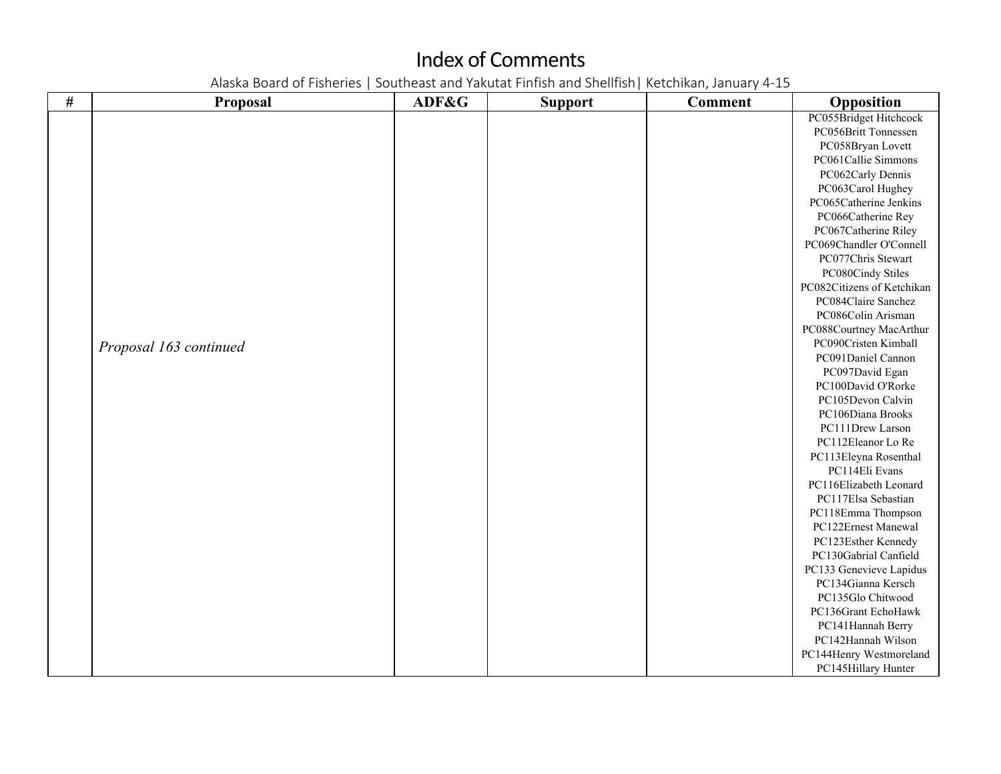| $\#$ | Proposal               | ADF&G | <b>Support</b> | <b>Comment</b> | Opposition                 |
|------|------------------------|-------|----------------|----------------|----------------------------|
|      |                        |       |                |                | PC055Bridget Hitchcock     |
|      |                        |       |                |                | PC056Britt Tonnessen       |
|      |                        |       |                |                | PC058Bryan Lovett          |
|      |                        |       |                |                | PC061Callie Simmons        |
|      |                        |       |                |                | PC062Carly Dennis          |
|      |                        |       |                |                | PC063Carol Hughey          |
|      |                        |       |                |                | PC065Catherine Jenkins     |
|      |                        |       |                |                | PC066Catherine Rey         |
|      |                        |       |                |                | PC067Catherine Riley       |
|      |                        |       |                |                | PC069Chandler O'Connell    |
|      |                        |       |                |                | PC077Chris Stewart         |
|      |                        |       |                |                | PC080Cindy Stiles          |
|      |                        |       |                |                | PC082Citizens of Ketchikan |
|      |                        |       |                |                | PC084Claire Sanchez        |
|      |                        |       |                |                | PC086Colin Arisman         |
|      |                        |       |                |                | PC088Courtney MacArthur    |
|      | Proposal 163 continued |       |                |                | PC090Cristen Kimball       |
|      |                        |       |                |                | PC091Daniel Cannon         |
|      |                        |       |                |                | PC097David Egan            |
|      |                        |       |                |                | PC100David O'Rorke         |
|      |                        |       |                |                | PC105Devon Calvin          |
|      |                        |       |                |                | PC106Diana Brooks          |
|      |                        |       |                |                | PC111Drew Larson           |
|      |                        |       |                |                | PC112Eleanor Lo Re         |
|      |                        |       |                |                | PC113Eleyna Rosenthal      |
|      |                        |       |                |                | PC114Eli Evans             |
|      |                        |       |                |                | PC116Elizabeth Leonard     |
|      |                        |       |                |                | PC117Elsa Sebastian        |
|      |                        |       |                |                | PC118Emma Thompson         |
|      |                        |       |                |                | PC122Ernest Manewal        |
|      |                        |       |                |                | PC123Esther Kennedy        |
|      |                        |       |                |                | PC130Gabrial Canfield      |
|      |                        |       |                |                | PC133 Genevieve Lapidus    |
|      |                        |       |                |                | PC134Gianna Kersch         |
|      |                        |       |                |                | PC135Glo Chitwood          |
|      |                        |       |                |                | PC136Grant EchoHawk        |
|      |                        |       |                |                | PC141Hannah Berry          |
|      |                        |       |                |                | PC142Hannah Wilson         |
|      |                        |       |                |                | PC144Henry Westmoreland    |
|      |                        |       |                |                | PC145Hillary Hunter        |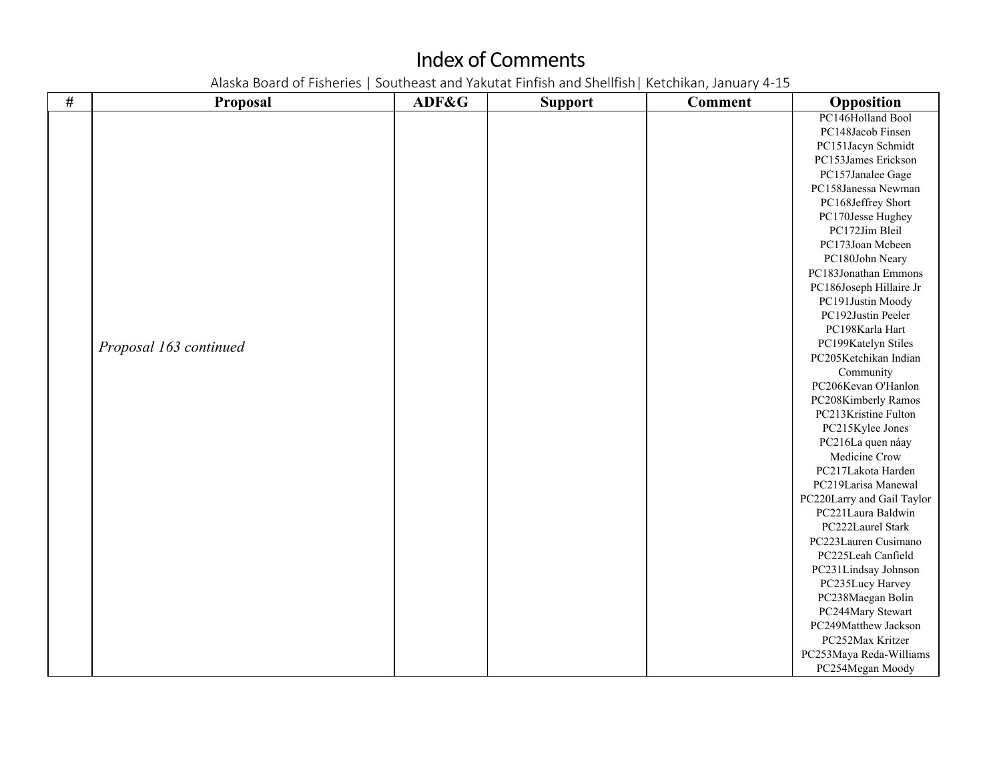| $\#$ | Proposal               | ADF&G | <b>Support</b> | <b>Comment</b> | Opposition                 |
|------|------------------------|-------|----------------|----------------|----------------------------|
|      |                        |       |                |                | PC146Holland Bool          |
|      |                        |       |                |                | PC148Jacob Finsen          |
|      |                        |       |                |                | PC151Jacyn Schmidt         |
|      |                        |       |                |                | PC153James Erickson        |
|      |                        |       |                |                | PC157Janalee Gage          |
|      |                        |       |                |                | PC158Janessa Newman        |
|      |                        |       |                |                | PC168Jeffrey Short         |
|      |                        |       |                |                | PC170Jesse Hughey          |
|      |                        |       |                |                | PC172Jim Bleil             |
|      |                        |       |                |                | PC173Joan Mcbeen           |
|      |                        |       |                |                | PC180John Neary            |
|      |                        |       |                |                | PC183Jonathan Emmons       |
|      |                        |       |                |                | PC186Joseph Hillaire Jr    |
|      |                        |       |                |                | PC191Justin Moody          |
|      |                        |       |                |                | PC192Justin Peeler         |
|      |                        |       |                |                | PC198Karla Hart            |
|      | Proposal 163 continued |       |                |                | PC199Katelyn Stiles        |
|      |                        |       |                |                | PC205Ketchikan Indian      |
|      |                        |       |                |                | Community                  |
|      |                        |       |                |                | PC206Kevan O'Hanlon        |
|      |                        |       |                |                | PC208Kimberly Ramos        |
|      |                        |       |                |                | PC213Kristine Fulton       |
|      |                        |       |                |                | PC215Kylee Jones           |
|      |                        |       |                |                | PC216La quen náay          |
|      |                        |       |                |                | Medicine Crow              |
|      |                        |       |                |                | PC217Lakota Harden         |
|      |                        |       |                |                | PC219Larisa Manewal        |
|      |                        |       |                |                | PC220Larry and Gail Taylor |
|      |                        |       |                |                | PC221Laura Baldwin         |
|      |                        |       |                |                | PC222Laurel Stark          |
|      |                        |       |                |                | PC223Lauren Cusimano       |
|      |                        |       |                |                | PC225Leah Canfield         |
|      |                        |       |                |                | PC231Lindsay Johnson       |
|      |                        |       |                |                | PC235Lucy Harvey           |
|      |                        |       |                |                | PC238Maegan Bolin          |
|      |                        |       |                |                | PC244Mary Stewart          |
|      |                        |       |                |                | PC249Matthew Jackson       |
|      |                        |       |                |                | PC252Max Kritzer           |
|      |                        |       |                |                | PC253Maya Reda-Williams    |
|      |                        |       |                |                | PC254Megan Moody           |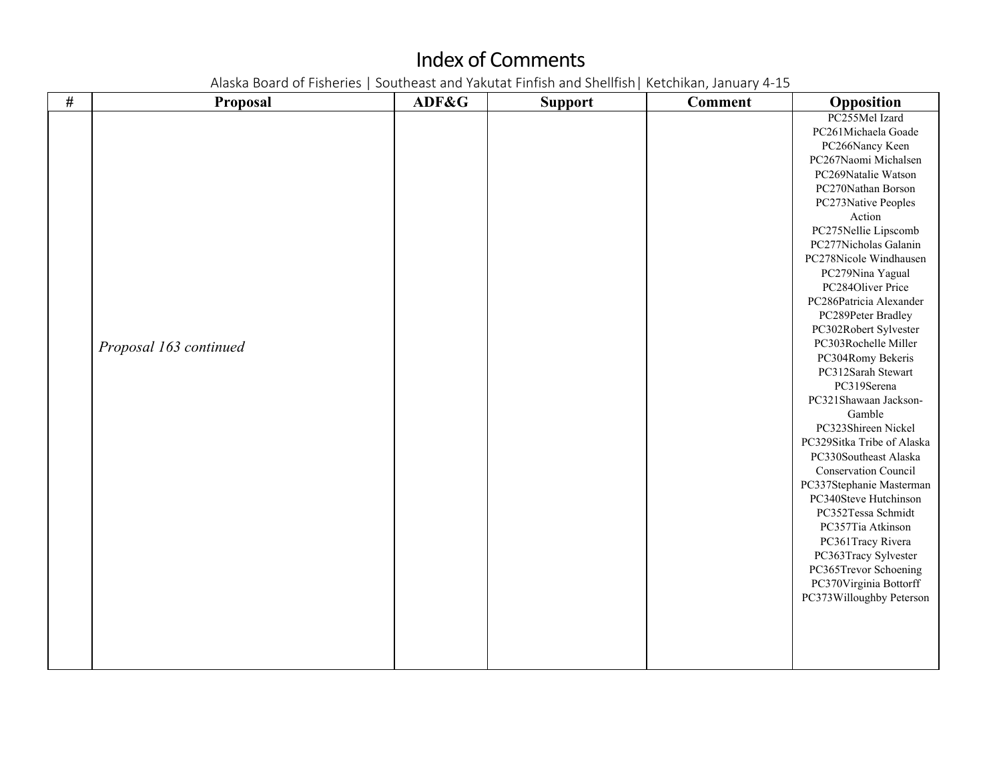| $\#$ | Proposal               | ADF&G | <b>Support</b> | <b>Comment</b> | Opposition                 |
|------|------------------------|-------|----------------|----------------|----------------------------|
|      |                        |       |                |                | PC255Mel Izard             |
|      |                        |       |                |                | PC261Michaela Goade        |
|      |                        |       |                |                | PC266Nancy Keen            |
|      |                        |       |                |                | PC267Naomi Michalsen       |
|      |                        |       |                |                | PC269Natalie Watson        |
|      |                        |       |                |                | PC270Nathan Borson         |
|      |                        |       |                |                | PC273Native Peoples        |
|      |                        |       |                |                | Action                     |
|      |                        |       |                |                | PC275Nellie Lipscomb       |
|      |                        |       |                |                | PC277Nicholas Galanin      |
|      |                        |       |                |                | PC278Nicole Windhausen     |
|      |                        |       |                |                | PC279Nina Yagual           |
|      |                        |       |                |                | PC284Oliver Price          |
|      |                        |       |                |                | PC286Patricia Alexander    |
|      |                        |       |                |                | PC289Peter Bradley         |
|      |                        |       |                |                | PC302Robert Sylvester      |
|      | Proposal 163 continued |       |                |                | PC303Rochelle Miller       |
|      |                        |       |                |                | PC304Romy Bekeris          |
|      |                        |       |                |                | PC312Sarah Stewart         |
|      |                        |       |                |                | PC319Serena                |
|      |                        |       |                |                | PC321Shawaan Jackson-      |
|      |                        |       |                |                | Gamble                     |
|      |                        |       |                |                | PC323Shireen Nickel        |
|      |                        |       |                |                | PC329Sitka Tribe of Alaska |
|      |                        |       |                |                | PC330Southeast Alaska      |
|      |                        |       |                |                | Conservation Council       |
|      |                        |       |                |                | PC337Stephanie Masterman   |
|      |                        |       |                |                | PC340Steve Hutchinson      |
|      |                        |       |                |                | PC352Tessa Schmidt         |
|      |                        |       |                |                | PC357Tia Atkinson          |
|      |                        |       |                |                | PC361Tracy Rivera          |
|      |                        |       |                |                | PC363Tracy Sylvester       |
|      |                        |       |                |                | PC365Trevor Schoening      |
|      |                        |       |                |                | PC370Virginia Bottorff     |
|      |                        |       |                |                | PC373Willoughby Peterson   |
|      |                        |       |                |                |                            |
|      |                        |       |                |                |                            |
|      |                        |       |                |                |                            |
|      |                        |       |                |                |                            |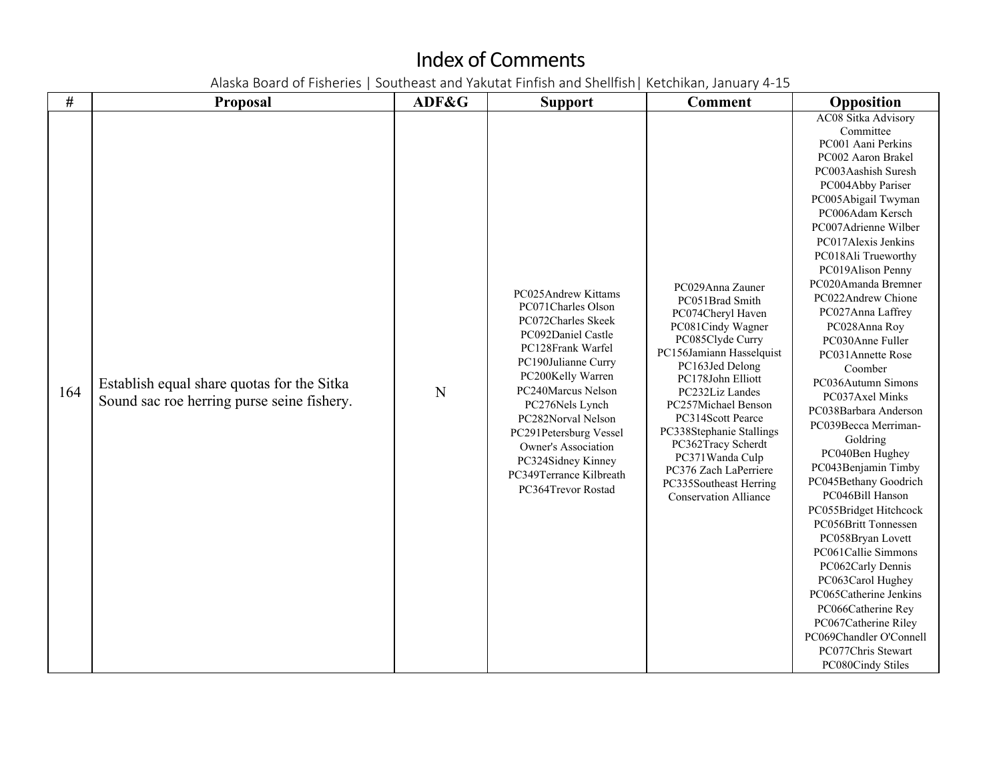| #   | <b>Proposal</b>                                                                          | ADF&G | <b>Support</b>                                                                                                                                                                                                                                                                                                                                | <b>Comment</b>                                                                                                                                                                                                                                                                                                                                                                               | Opposition                                                                                                                                                                                                                                                                                                                                                                                                                                                                                                                                                                                                                                                                                                                                                                                                                                                                               |
|-----|------------------------------------------------------------------------------------------|-------|-----------------------------------------------------------------------------------------------------------------------------------------------------------------------------------------------------------------------------------------------------------------------------------------------------------------------------------------------|----------------------------------------------------------------------------------------------------------------------------------------------------------------------------------------------------------------------------------------------------------------------------------------------------------------------------------------------------------------------------------------------|------------------------------------------------------------------------------------------------------------------------------------------------------------------------------------------------------------------------------------------------------------------------------------------------------------------------------------------------------------------------------------------------------------------------------------------------------------------------------------------------------------------------------------------------------------------------------------------------------------------------------------------------------------------------------------------------------------------------------------------------------------------------------------------------------------------------------------------------------------------------------------------|
| 164 | Establish equal share quotas for the Sitka<br>Sound sac roe herring purse seine fishery. | N     | PC025Andrew Kittams<br>PC071Charles Olson<br>PC072Charles Skeek<br>PC092Daniel Castle<br>PC128Frank Warfel<br>PC190Julianne Curry<br>PC200Kelly Warren<br>PC240Marcus Nelson<br>PC276Nels Lynch<br>PC282Norval Nelson<br>PC291Petersburg Vessel<br>Owner's Association<br>PC324Sidney Kinney<br>PC349Terrance Kilbreath<br>PC364Trevor Rostad | PC029Anna Zauner<br>PC051Brad Smith<br>PC074Cheryl Haven<br>PC081Cindy Wagner<br>PC085Clyde Curry<br>PC156Jamiann Hasselquist<br>PC163Jed Delong<br>PC178John Elliott<br>PC232Liz Landes<br>PC257Michael Benson<br>PC314Scott Pearce<br>PC338Stephanie Stallings<br>PC362Tracy Scherdt<br>PC371Wanda Culp<br>PC376 Zach LaPerriere<br>PC335Southeast Herring<br><b>Conservation Alliance</b> | AC08 Sitka Advisory<br>Committee<br>PC001 Aani Perkins<br>PC002 Aaron Brakel<br>PC003Aashish Suresh<br>PC004Abby Pariser<br>PC005Abigail Twyman<br>PC006Adam Kersch<br>PC007Adrienne Wilber<br>PC017Alexis Jenkins<br>PC018Ali Trueworthy<br>PC019Alison Penny<br>PC020Amanda Bremner<br>PC022Andrew Chione<br>PC027Anna Laffrey<br>PC028Anna Roy<br>PC030Anne Fuller<br>PC031Annette Rose<br>Coomber<br>PC036Autumn Simons<br>PC037Axel Minks<br>PC038Barbara Anderson<br>PC039Becca Merriman-<br>Goldring<br>PC040Ben Hughey<br>PC043Benjamin Timby<br>PC045Bethany Goodrich<br>PC046Bill Hanson<br>PC055Bridget Hitchcock<br>PC056Britt Tonnessen<br>PC058Bryan Lovett<br>PC061Callie Simmons<br>PC062Carly Dennis<br>PC063Carol Hughey<br>PC065Catherine Jenkins<br>PC066Catherine Rey<br>PC067Catherine Riley<br>PC069Chandler O'Connell<br>PC077Chris Stewart<br>PC080Cindy Stiles |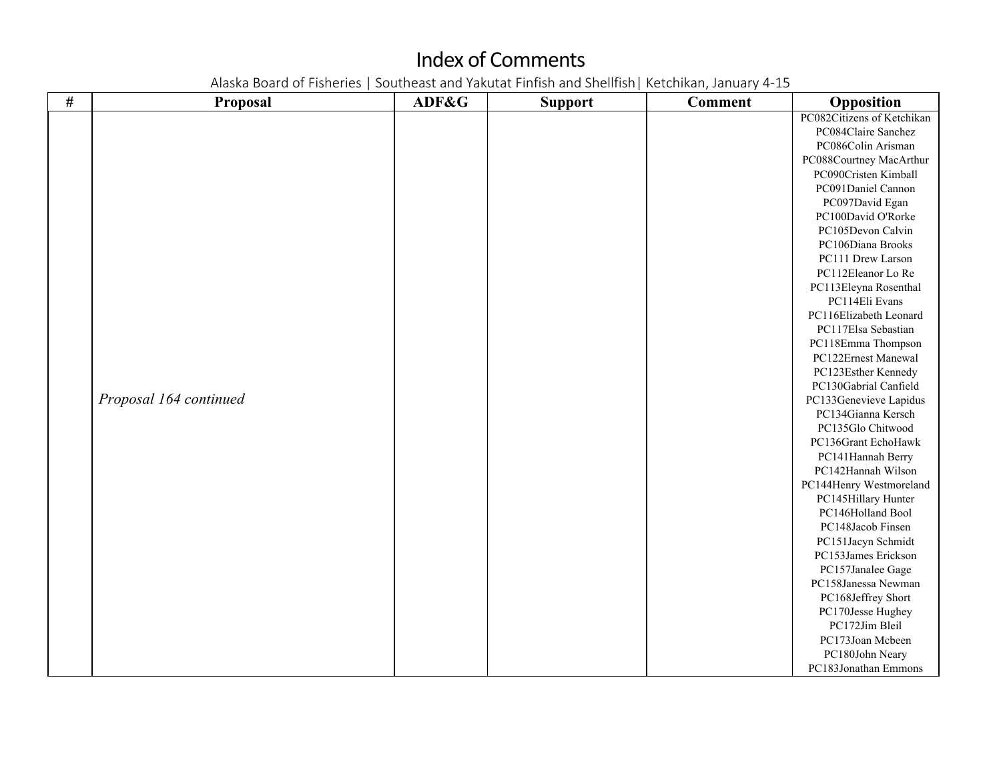| $\#$ | <b>Proposal</b>        | ADF&G | <b>Support</b> | <b>Comment</b> | Opposition                 |
|------|------------------------|-------|----------------|----------------|----------------------------|
|      |                        |       |                |                | PC082Citizens of Ketchikan |
|      |                        |       |                |                | PC084Claire Sanchez        |
|      |                        |       |                |                | PC086Colin Arisman         |
|      |                        |       |                |                | PC088Courtney MacArthur    |
|      |                        |       |                |                | PC090Cristen Kimball       |
|      |                        |       |                |                | PC091Daniel Cannon         |
|      |                        |       |                |                | PC097David Egan            |
|      |                        |       |                |                | PC100David O'Rorke         |
|      |                        |       |                |                | PC105Devon Calvin          |
|      |                        |       |                |                | PC106Diana Brooks          |
|      |                        |       |                |                | PC111 Drew Larson          |
|      |                        |       |                |                | PC112Eleanor Lo Re         |
|      |                        |       |                |                | PC113Eleyna Rosenthal      |
|      |                        |       |                |                | PC114Eli Evans             |
|      |                        |       |                |                | PC116Elizabeth Leonard     |
|      |                        |       |                |                | PC117Elsa Sebastian        |
|      |                        |       |                |                | PC118Emma Thompson         |
|      |                        |       |                |                | PC122Ernest Manewal        |
|      |                        |       |                |                | PC123Esther Kennedy        |
|      |                        |       |                |                | PC130Gabrial Canfield      |
|      | Proposal 164 continued |       |                |                | PC133Genevieve Lapidus     |
|      |                        |       |                |                | PC134Gianna Kersch         |
|      |                        |       |                |                | PC135Glo Chitwood          |
|      |                        |       |                |                | PC136Grant EchoHawk        |
|      |                        |       |                |                | PC141Hannah Berry          |
|      |                        |       |                |                | PC142Hannah Wilson         |
|      |                        |       |                |                | PC144Henry Westmoreland    |
|      |                        |       |                |                | PC145Hillary Hunter        |
|      |                        |       |                |                | PC146Holland Bool          |
|      |                        |       |                |                | PC148Jacob Finsen          |
|      |                        |       |                |                | PC151Jacyn Schmidt         |
|      |                        |       |                |                | PC153James Erickson        |
|      |                        |       |                |                | PC157Janalee Gage          |
|      |                        |       |                |                | PC158Janessa Newman        |
|      |                        |       |                |                | PC168Jeffrey Short         |
|      |                        |       |                |                | PC170Jesse Hughey          |
|      |                        |       |                |                | PC172Jim Bleil             |
|      |                        |       |                |                | PC173Joan Mcbeen           |
|      |                        |       |                |                | PC180John Neary            |
|      |                        |       |                |                | PC183Jonathan Emmons       |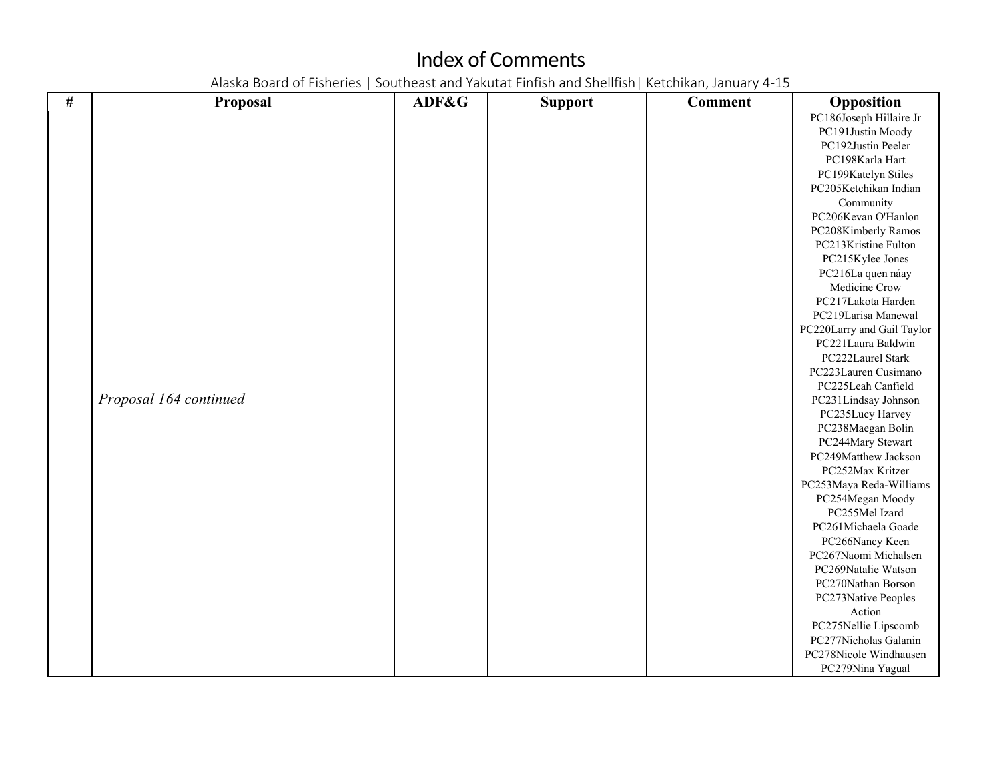| $\#$ | Proposal               | ADF&G | <b>Support</b> | <b>Comment</b> | Opposition                 |
|------|------------------------|-------|----------------|----------------|----------------------------|
|      |                        |       |                |                | PC186Joseph Hillaire Jr    |
|      |                        |       |                |                | PC191Justin Moody          |
|      |                        |       |                |                | PC192Justin Peeler         |
|      |                        |       |                |                | PC198Karla Hart            |
|      |                        |       |                |                | PC199Katelyn Stiles        |
|      |                        |       |                |                | PC205Ketchikan Indian      |
|      |                        |       |                |                | Community                  |
|      |                        |       |                |                | PC206Kevan O'Hanlon        |
|      |                        |       |                |                | PC208Kimberly Ramos        |
|      |                        |       |                |                | PC213Kristine Fulton       |
|      |                        |       |                |                | PC215Kylee Jones           |
|      |                        |       |                |                | PC216La quen náay          |
|      |                        |       |                |                | Medicine Crow              |
|      |                        |       |                |                | PC217Lakota Harden         |
|      |                        |       |                |                | PC219Larisa Manewal        |
|      |                        |       |                |                | PC220Larry and Gail Taylor |
|      |                        |       |                |                | PC221Laura Baldwin         |
|      |                        |       |                |                | PC222Laurel Stark          |
|      |                        |       |                |                | PC223Lauren Cusimano       |
|      |                        |       |                |                | PC225Leah Canfield         |
|      | Proposal 164 continued |       |                |                | PC231Lindsay Johnson       |
|      |                        |       |                |                | PC235Lucy Harvey           |
|      |                        |       |                |                | PC238Maegan Bolin          |
|      |                        |       |                |                | PC244Mary Stewart          |
|      |                        |       |                |                | PC249Matthew Jackson       |
|      |                        |       |                |                | PC252Max Kritzer           |
|      |                        |       |                |                | PC253Maya Reda-Williams    |
|      |                        |       |                |                | PC254Megan Moody           |
|      |                        |       |                |                | PC255Mel Izard             |
|      |                        |       |                |                | PC261Michaela Goade        |
|      |                        |       |                |                | PC266Nancy Keen            |
|      |                        |       |                |                | PC267Naomi Michalsen       |
|      |                        |       |                |                | PC269Natalie Watson        |
|      |                        |       |                |                | PC270Nathan Borson         |
|      |                        |       |                |                | PC273Native Peoples        |
|      |                        |       |                |                | Action                     |
|      |                        |       |                |                | PC275Nellie Lipscomb       |
|      |                        |       |                |                | PC277Nicholas Galanin      |
|      |                        |       |                |                | PC278Nicole Windhausen     |
|      |                        |       |                |                | PC279Nina Yagual           |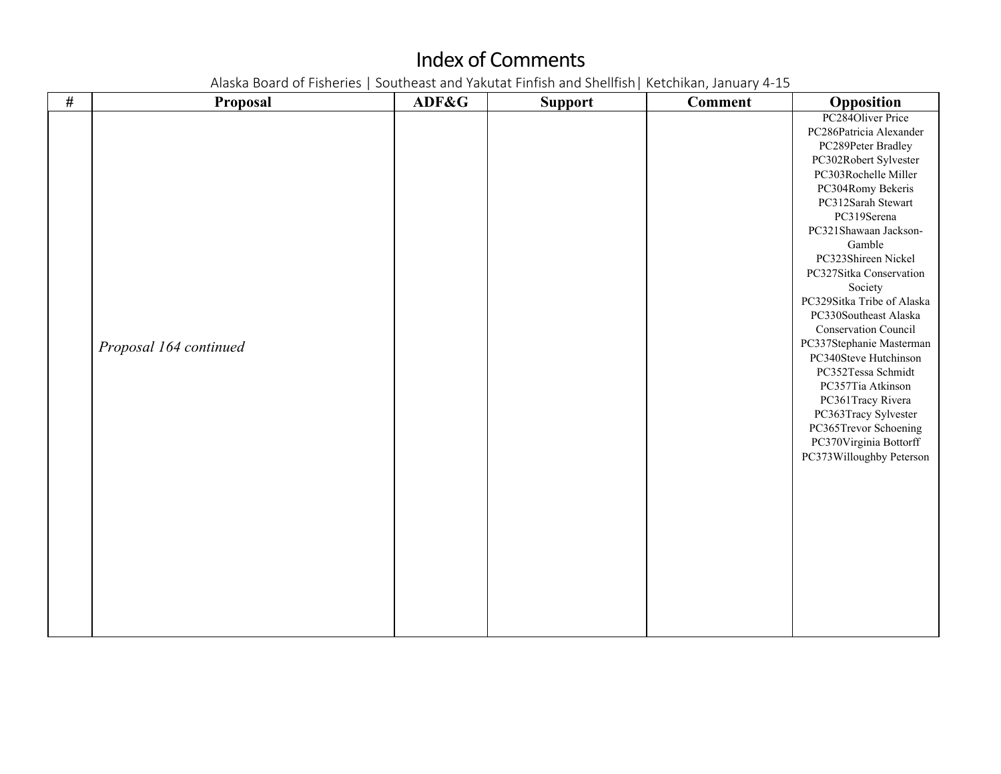| PC284Oliver Price<br>PC286Patricia Alexander<br>PC289Peter Bradley<br>PC302Robert Sylvester<br>PC303Rochelle Miller<br>PC304Romy Bekeris<br>PC312Sarah Stewart<br>PC319Serena<br>PC321Shawaan Jackson-<br>Gamble<br>PC323Shireen Nickel<br>PC327Sitka Conservation<br>Society<br>PC329Sitka Tribe of Alaska<br>PC330Southeast Alaska |
|--------------------------------------------------------------------------------------------------------------------------------------------------------------------------------------------------------------------------------------------------------------------------------------------------------------------------------------|
| Conservation Council<br>PC337Stephanie Masterman<br>Proposal 164 continued<br>PC340Steve Hutchinson<br>PC352Tessa Schmidt<br>PC357Tia Atkinson<br>PC361Tracy Rivera<br>PC363Tracy Sylvester<br>PC365Trevor Schoening<br>PC370Virginia Bottorff<br>PC373Willoughby Peterson                                                           |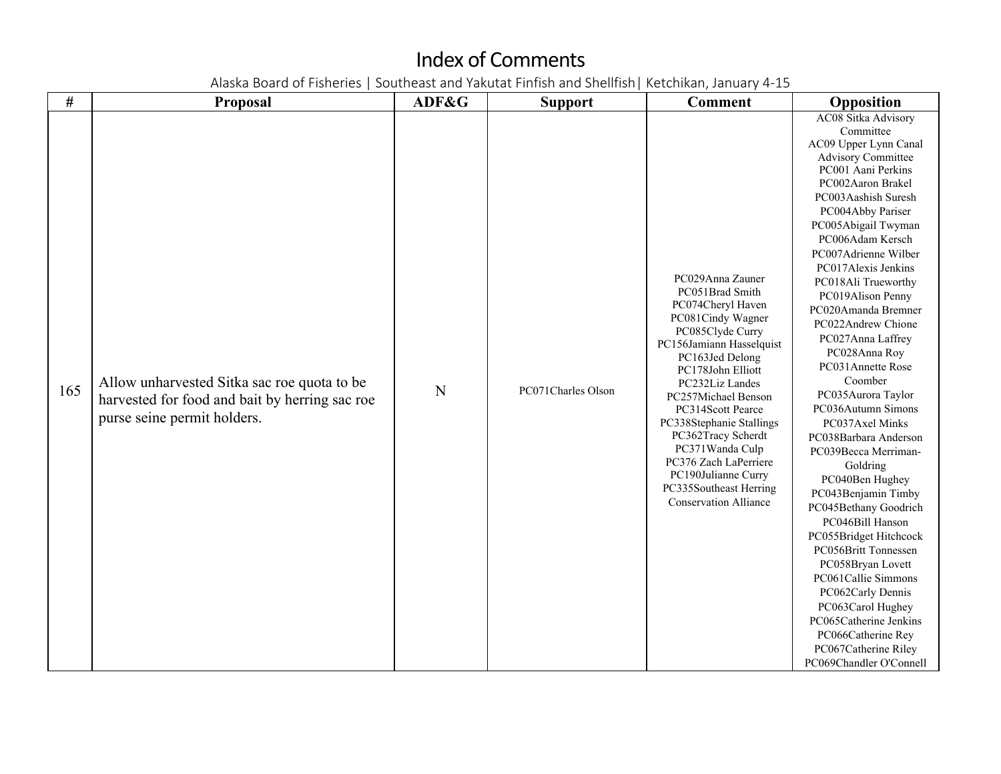| $\#$ | <b>Proposal</b>                                                                                                              | ADF&G | <b>Support</b>     | <b>Comment</b>                                                                                                                                                                                                                                                                                                                                                                                                      | Opposition                                                                                                                                                                                                                                                                                                                                                                                                                                                                                                                                                                                                                                                                                                                                                                                                                                                                                    |
|------|------------------------------------------------------------------------------------------------------------------------------|-------|--------------------|---------------------------------------------------------------------------------------------------------------------------------------------------------------------------------------------------------------------------------------------------------------------------------------------------------------------------------------------------------------------------------------------------------------------|-----------------------------------------------------------------------------------------------------------------------------------------------------------------------------------------------------------------------------------------------------------------------------------------------------------------------------------------------------------------------------------------------------------------------------------------------------------------------------------------------------------------------------------------------------------------------------------------------------------------------------------------------------------------------------------------------------------------------------------------------------------------------------------------------------------------------------------------------------------------------------------------------|
| 165  | Allow unharvested Sitka sac roe quota to be<br>harvested for food and bait by herring sac roe<br>purse seine permit holders. | N     | PC071Charles Olson | PC029Anna Zauner<br>PC051Brad Smith<br>PC074Cheryl Haven<br>PC081Cindy Wagner<br>PC085Clyde Curry<br>PC156Jamiann Hasselquist<br>PC163Jed Delong<br>PC178John Elliott<br>PC232Liz Landes<br>PC257Michael Benson<br>PC314Scott Pearce<br>PC338Stephanie Stallings<br>PC362Tracy Scherdt<br>PC371Wanda Culp<br>PC376 Zach LaPerriere<br>PC190Julianne Curry<br>PC335Southeast Herring<br><b>Conservation Alliance</b> | AC08 Sitka Advisory<br>Committee<br>AC09 Upper Lynn Canal<br>Advisory Committee<br>PC001 Aani Perkins<br>PC002Aaron Brakel<br>PC003Aashish Suresh<br>PC004Abby Pariser<br>PC005Abigail Twyman<br>PC006Adam Kersch<br>PC007Adrienne Wilber<br>PC017Alexis Jenkins<br>PC018Ali Trueworthy<br>PC019Alison Penny<br>PC020Amanda Bremner<br>PC022Andrew Chione<br>PC027Anna Laffrey<br>PC028Anna Roy<br>PC031Annette Rose<br>Coomber<br>PC035Aurora Taylor<br>PC036Autumn Simons<br>PC037Axel Minks<br>PC038Barbara Anderson<br>PC039Becca Merriman-<br>Goldring<br>PC040Ben Hughey<br>PC043Benjamin Timby<br>PC045Bethany Goodrich<br>PC046Bill Hanson<br>PC055Bridget Hitchcock<br>PC056Britt Tonnessen<br>PC058Bryan Lovett<br>PC061Callie Simmons<br>PC062Carly Dennis<br>PC063Carol Hughey<br>PC065Catherine Jenkins<br>PC066Catherine Rey<br>PC067Catherine Riley<br>PC069Chandler O'Connell |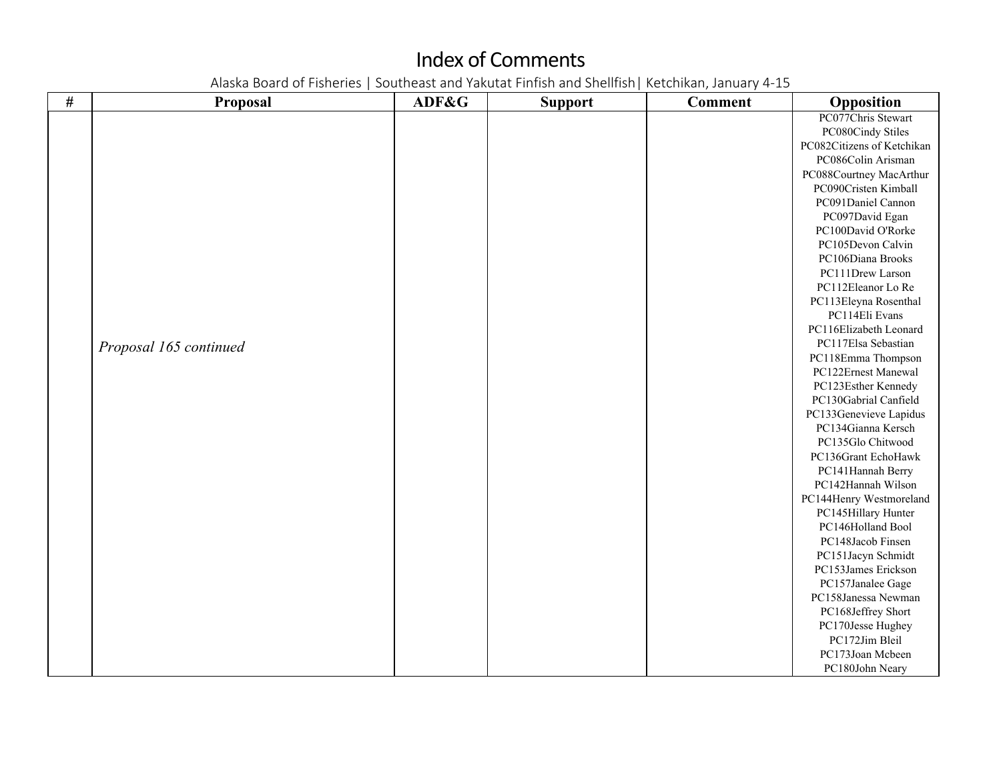| $\#$ | <b>Proposal</b>        | ADF&G | <b>Support</b> | <b>Comment</b> | Opposition                 |
|------|------------------------|-------|----------------|----------------|----------------------------|
|      |                        |       |                |                | PC077Chris Stewart         |
|      |                        |       |                |                | PC080Cindy Stiles          |
|      |                        |       |                |                | PC082Citizens of Ketchikan |
|      |                        |       |                |                | PC086Colin Arisman         |
|      |                        |       |                |                | PC088Courtney MacArthur    |
|      |                        |       |                |                | PC090Cristen Kimball       |
|      |                        |       |                |                | PC091Daniel Cannon         |
|      |                        |       |                |                | PC097David Egan            |
|      |                        |       |                |                | PC100David O'Rorke         |
|      |                        |       |                |                | PC105Devon Calvin          |
|      |                        |       |                |                | PC106Diana Brooks          |
|      |                        |       |                |                | PC111Drew Larson           |
|      |                        |       |                |                | PC112Eleanor Lo Re         |
|      |                        |       |                |                | PC113Eleyna Rosenthal      |
|      |                        |       |                |                | PC114Eli Evans             |
|      |                        |       |                |                | PC116Elizabeth Leonard     |
|      | Proposal 165 continued |       |                |                | PC117Elsa Sebastian        |
|      |                        |       |                |                | PC118Emma Thompson         |
|      |                        |       |                |                | PC122Ernest Manewal        |
|      |                        |       |                |                | PC123Esther Kennedy        |
|      |                        |       |                |                | PC130Gabrial Canfield      |
|      |                        |       |                |                | PC133Genevieve Lapidus     |
|      |                        |       |                |                | PC134Gianna Kersch         |
|      |                        |       |                |                | PC135Glo Chitwood          |
|      |                        |       |                |                | PC136Grant EchoHawk        |
|      |                        |       |                |                | PC141Hannah Berry          |
|      |                        |       |                |                | PC142Hannah Wilson         |
|      |                        |       |                |                | PC144Henry Westmoreland    |
|      |                        |       |                |                | PC145Hillary Hunter        |
|      |                        |       |                |                | PC146Holland Bool          |
|      |                        |       |                |                | PC148Jacob Finsen          |
|      |                        |       |                |                | PC151Jacyn Schmidt         |
|      |                        |       |                |                | PC153James Erickson        |
|      |                        |       |                |                | PC157Janalee Gage          |
|      |                        |       |                |                | PC158Janessa Newman        |
|      |                        |       |                |                | PC168Jeffrey Short         |
|      |                        |       |                |                | PC170Jesse Hughey          |
|      |                        |       |                |                | PC172Jim Bleil             |
|      |                        |       |                |                | PC173Joan Mcbeen           |
|      |                        |       |                |                | PC180John Neary            |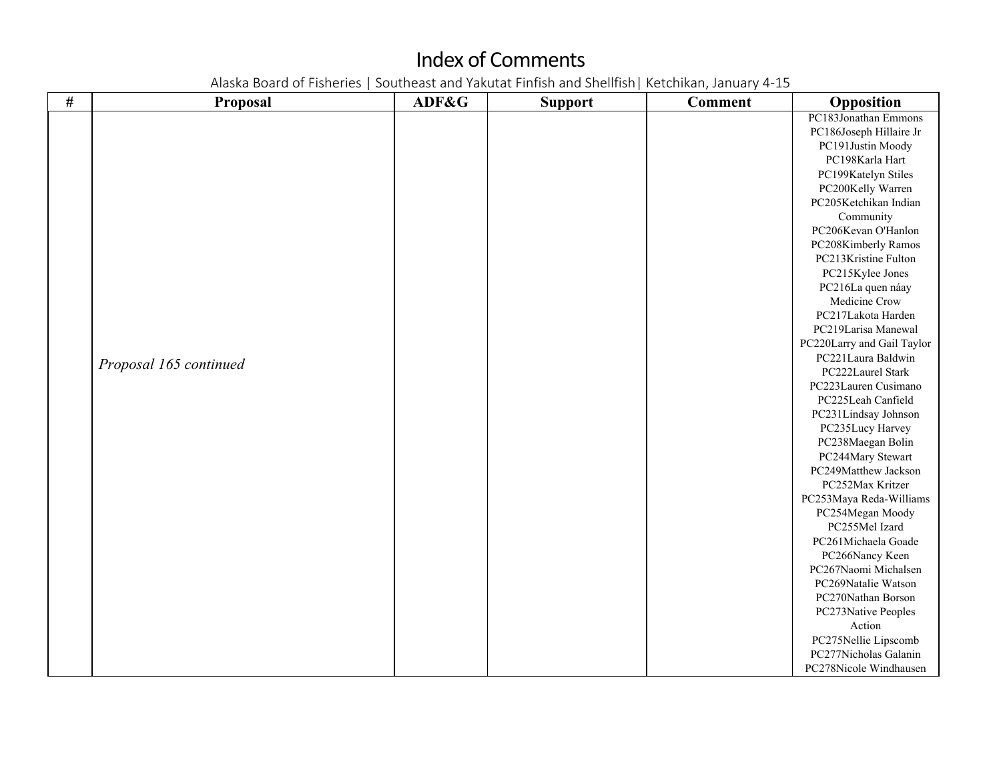| $\#$ | Proposal               | ADF&G | <b>Support</b> | <b>Comment</b> | Opposition                 |
|------|------------------------|-------|----------------|----------------|----------------------------|
|      |                        |       |                |                | PC183Jonathan Emmons       |
|      |                        |       |                |                | PC186Joseph Hillaire Jr    |
|      |                        |       |                |                | PC191Justin Moody          |
|      |                        |       |                |                | PC198Karla Hart            |
|      |                        |       |                |                | PC199Katelyn Stiles        |
|      |                        |       |                |                | PC200Kelly Warren          |
|      |                        |       |                |                | PC205Ketchikan Indian      |
|      |                        |       |                |                | Community                  |
|      |                        |       |                |                | PC206Kevan O'Hanlon        |
|      |                        |       |                |                | PC208Kimberly Ramos        |
|      |                        |       |                |                | PC213Kristine Fulton       |
|      |                        |       |                |                | PC215Kylee Jones           |
|      |                        |       |                |                | PC216La quen náay          |
|      |                        |       |                |                | Medicine Crow              |
|      |                        |       |                |                | PC217Lakota Harden         |
|      |                        |       |                |                | PC219Larisa Manewal        |
|      |                        |       |                |                | PC220Larry and Gail Taylor |
|      |                        |       |                |                | PC221Laura Baldwin         |
|      | Proposal 165 continued |       |                |                | PC222Laurel Stark          |
|      |                        |       |                |                | PC223Lauren Cusimano       |
|      |                        |       |                |                | PC225Leah Canfield         |
|      |                        |       |                |                | PC231Lindsay Johnson       |
|      |                        |       |                |                | PC235Lucy Harvey           |
|      |                        |       |                |                | PC238Maegan Bolin          |
|      |                        |       |                |                | PC244Mary Stewart          |
|      |                        |       |                |                | PC249Matthew Jackson       |
|      |                        |       |                |                | PC252Max Kritzer           |
|      |                        |       |                |                | PC253Maya Reda-Williams    |
|      |                        |       |                |                | PC254Megan Moody           |
|      |                        |       |                |                | PC255Mel Izard             |
|      |                        |       |                |                | PC261Michaela Goade        |
|      |                        |       |                |                | PC266Nancy Keen            |
|      |                        |       |                |                | PC267Naomi Michalsen       |
|      |                        |       |                |                | PC269Natalie Watson        |
|      |                        |       |                |                | PC270Nathan Borson         |
|      |                        |       |                |                | PC273Native Peoples        |
|      |                        |       |                |                | Action                     |
|      |                        |       |                |                | PC275Nellie Lipscomb       |
|      |                        |       |                |                | PC277Nicholas Galanin      |
|      |                        |       |                |                | PC278Nicole Windhausen     |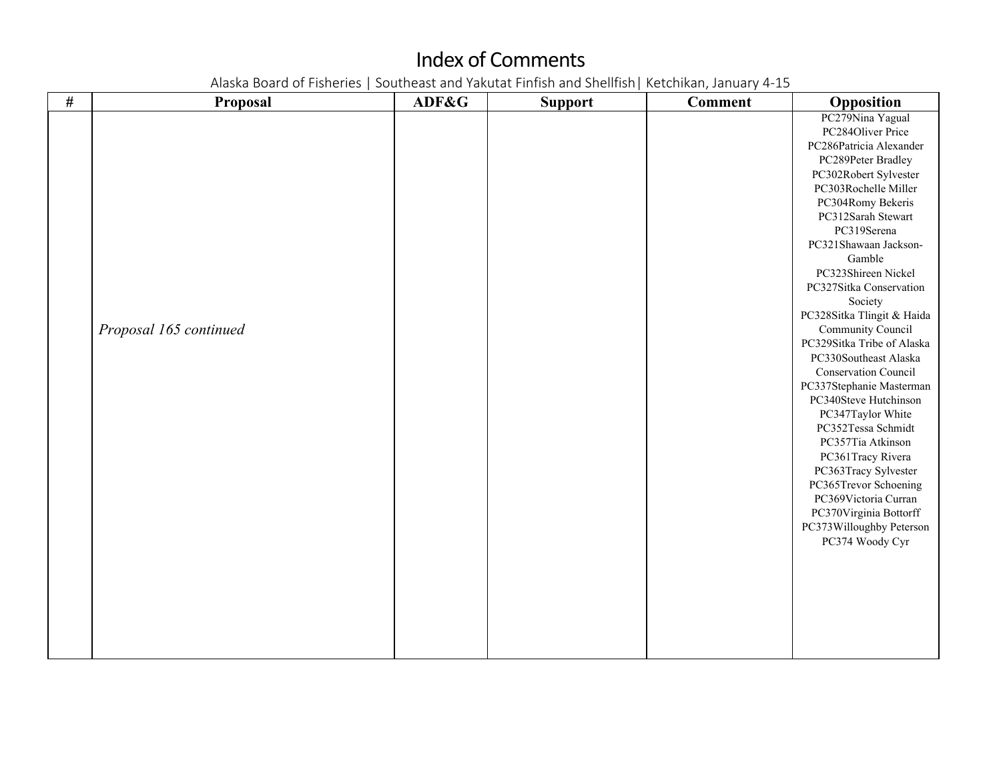| $\#$ | <b>Proposal</b>        | ADF&G | <b>Support</b> | <b>Comment</b> | Opposition                                |
|------|------------------------|-------|----------------|----------------|-------------------------------------------|
|      |                        |       |                |                | PC279Nina Yagual                          |
|      |                        |       |                |                | PC284Oliver Price                         |
|      |                        |       |                |                | PC286Patricia Alexander                   |
|      |                        |       |                |                | PC289Peter Bradley                        |
|      |                        |       |                |                | PC302Robert Sylvester                     |
|      |                        |       |                |                | PC303Rochelle Miller                      |
|      |                        |       |                |                | PC304Romy Bekeris                         |
|      |                        |       |                |                | PC312Sarah Stewart                        |
|      |                        |       |                |                | PC319Serena                               |
|      |                        |       |                |                | PC321Shawaan Jackson-                     |
|      |                        |       |                |                | Gamble                                    |
|      |                        |       |                |                | PC323Shireen Nickel                       |
|      |                        |       |                |                | PC327Sitka Conservation                   |
|      |                        |       |                |                | Society                                   |
|      |                        |       |                |                | PC328Sitka Tlingit & Haida                |
|      | Proposal 165 continued |       |                |                | Community Council                         |
|      |                        |       |                |                | PC329Sitka Tribe of Alaska                |
|      |                        |       |                |                | PC330Southeast Alaska                     |
|      |                        |       |                |                | <b>Conservation Council</b>               |
|      |                        |       |                |                | PC337Stephanie Masterman                  |
|      |                        |       |                |                | PC340Steve Hutchinson                     |
|      |                        |       |                |                | PC347Taylor White                         |
|      |                        |       |                |                | PC352Tessa Schmidt                        |
|      |                        |       |                |                | PC357Tia Atkinson                         |
|      |                        |       |                |                | PC361Tracy Rivera<br>PC363Tracy Sylvester |
|      |                        |       |                |                | PC365Trevor Schoening                     |
|      |                        |       |                |                | PC369Victoria Curran                      |
|      |                        |       |                |                | PC370Virginia Bottorff                    |
|      |                        |       |                |                | PC373Willoughby Peterson                  |
|      |                        |       |                |                | PC374 Woody Cyr                           |
|      |                        |       |                |                |                                           |
|      |                        |       |                |                |                                           |
|      |                        |       |                |                |                                           |
|      |                        |       |                |                |                                           |
|      |                        |       |                |                |                                           |
|      |                        |       |                |                |                                           |
|      |                        |       |                |                |                                           |
|      |                        |       |                |                |                                           |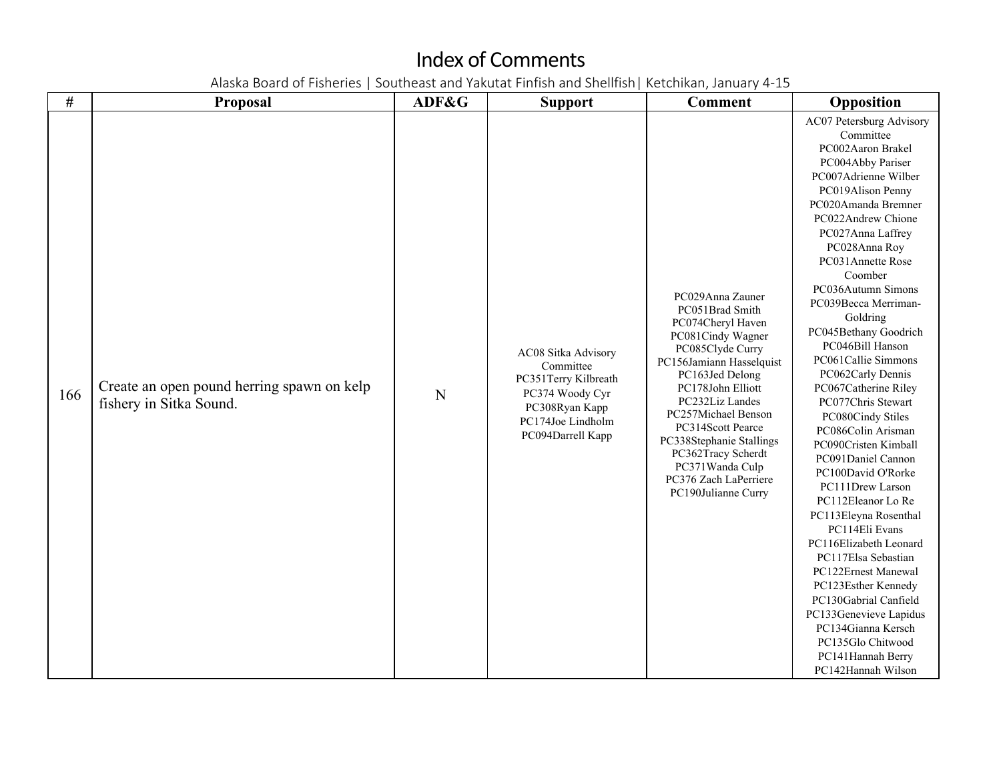| $\#$ | Proposal                                                              | ADF&G | <b>Support</b>                                                                                                                          | <b>Comment</b>                                                                                                                                                                                                                                                                                                                                            | Opposition                                                                                                                                                                                                                                                                                                                                                                                                                                                                                                                                                                                                                                                                                                                                                                                                                                                                                   |
|------|-----------------------------------------------------------------------|-------|-----------------------------------------------------------------------------------------------------------------------------------------|-----------------------------------------------------------------------------------------------------------------------------------------------------------------------------------------------------------------------------------------------------------------------------------------------------------------------------------------------------------|----------------------------------------------------------------------------------------------------------------------------------------------------------------------------------------------------------------------------------------------------------------------------------------------------------------------------------------------------------------------------------------------------------------------------------------------------------------------------------------------------------------------------------------------------------------------------------------------------------------------------------------------------------------------------------------------------------------------------------------------------------------------------------------------------------------------------------------------------------------------------------------------|
| 166  | Create an open pound herring spawn on kelp<br>fishery in Sitka Sound. | N     | AC08 Sitka Advisory<br>Committee<br>PC351Terry Kilbreath<br>PC374 Woody Cyr<br>PC308Ryan Kapp<br>PC174Joe Lindholm<br>PC094Darrell Kapp | PC029Anna Zauner<br>PC051Brad Smith<br>PC074Cheryl Haven<br>PC081Cindy Wagner<br>PC085Clyde Curry<br>PC156Jamiann Hasselquist<br>PC163Jed Delong<br>PC178John Elliott<br>PC232Liz Landes<br>PC257Michael Benson<br>PC314Scott Pearce<br>PC338Stephanie Stallings<br>PC362Tracy Scherdt<br>PC371Wanda Culp<br>PC376 Zach LaPerriere<br>PC190Julianne Curry | AC07 Petersburg Advisory<br>Committee<br>PC002Aaron Brakel<br>PC004Abby Pariser<br>PC007Adrienne Wilber<br>PC019Alison Penny<br>PC020Amanda Bremner<br>PC022Andrew Chione<br>PC027Anna Laffrey<br>PC028Anna Roy<br>PC031Annette Rose<br>Coomber<br>PC036Autumn Simons<br>PC039Becca Merriman-<br>Goldring<br>PC045Bethany Goodrich<br>PC046Bill Hanson<br>PC061Callie Simmons<br>PC062Carly Dennis<br>PC067Catherine Riley<br>PC077Chris Stewart<br>PC080Cindy Stiles<br>PC086Colin Arisman<br>PC090Cristen Kimball<br>PC091Daniel Cannon<br>PC100David O'Rorke<br>PC111Drew Larson<br>PC112Eleanor Lo Re<br>PC113Eleyna Rosenthal<br>PC114Eli Evans<br>PC116Elizabeth Leonard<br>PC117Elsa Sebastian<br>PC122Ernest Manewal<br>PC123Esther Kennedy<br>PC130Gabrial Canfield<br>PC133Genevieve Lapidus<br>PC134Gianna Kersch<br>PC135Glo Chitwood<br>PC141Hannah Berry<br>PC142Hannah Wilson |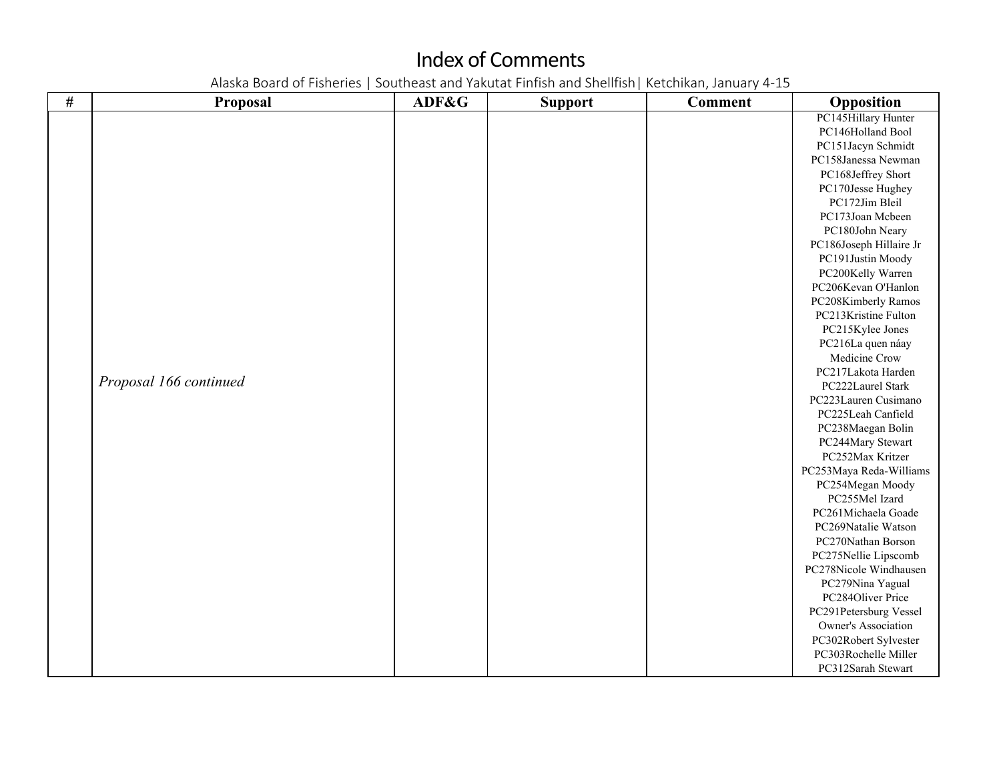| $\#$ | Proposal               | ADF&G | <b>Support</b> | <b>Comment</b> | Opposition              |
|------|------------------------|-------|----------------|----------------|-------------------------|
|      |                        |       |                |                | PC145Hillary Hunter     |
|      |                        |       |                |                | PC146Holland Bool       |
|      |                        |       |                |                | PC151Jacyn Schmidt      |
|      |                        |       |                |                | PC158Janessa Newman     |
|      |                        |       |                |                | PC168Jeffrey Short      |
|      |                        |       |                |                | PC170Jesse Hughey       |
|      |                        |       |                |                | PC172Jim Bleil          |
|      |                        |       |                |                | PC173Joan Mcbeen        |
|      |                        |       |                |                | PC180John Neary         |
|      |                        |       |                |                | PC186Joseph Hillaire Jr |
|      |                        |       |                |                | PC191Justin Moody       |
|      |                        |       |                |                | PC200Kelly Warren       |
|      |                        |       |                |                | PC206Kevan O'Hanlon     |
|      |                        |       |                |                | PC208Kimberly Ramos     |
|      |                        |       |                |                | PC213Kristine Fulton    |
|      |                        |       |                |                | PC215Kylee Jones        |
|      |                        |       |                |                | PC216La quen náay       |
|      |                        |       |                |                | Medicine Crow           |
|      |                        |       |                |                | PC217Lakota Harden      |
|      | Proposal 166 continued |       |                |                | PC222Laurel Stark       |
|      |                        |       |                |                | PC223Lauren Cusimano    |
|      |                        |       |                |                | PC225Leah Canfield      |
|      |                        |       |                |                | PC238Maegan Bolin       |
|      |                        |       |                |                | PC244Mary Stewart       |
|      |                        |       |                |                | PC252Max Kritzer        |
|      |                        |       |                |                | PC253Maya Reda-Williams |
|      |                        |       |                |                | PC254Megan Moody        |
|      |                        |       |                |                | PC255Mel Izard          |
|      |                        |       |                |                | PC261Michaela Goade     |
|      |                        |       |                |                | PC269Natalie Watson     |
|      |                        |       |                |                | PC270Nathan Borson      |
|      |                        |       |                |                | PC275Nellie Lipscomb    |
|      |                        |       |                |                | PC278Nicole Windhausen  |
|      |                        |       |                |                | PC279Nina Yagual        |
|      |                        |       |                |                | PC284Oliver Price       |
|      |                        |       |                |                | PC291Petersburg Vessel  |
|      |                        |       |                |                | Owner's Association     |
|      |                        |       |                |                | PC302Robert Sylvester   |
|      |                        |       |                |                | PC303Rochelle Miller    |
|      |                        |       |                |                | PC312Sarah Stewart      |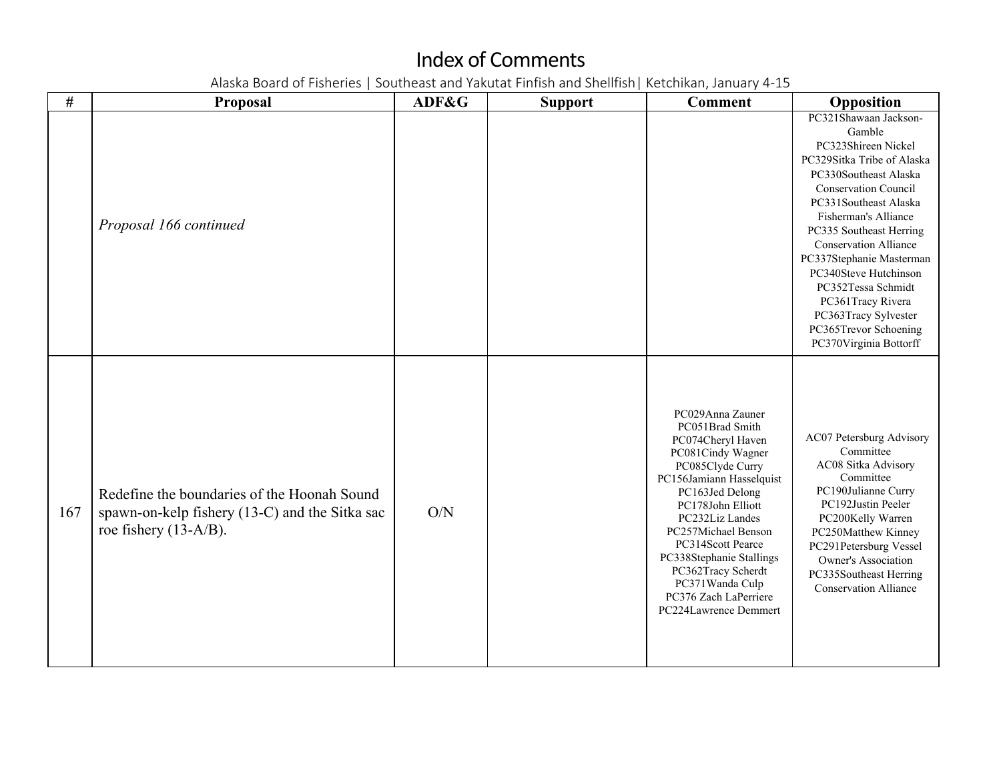| #   | <b>Proposal</b>                                                                                                           | ADF&G | <b>Support</b> | <b>Comment</b>                                                                                                                                                                                                                                                                                                                                              | Opposition                                                                                                                                                                                                                                                                                                                                                                                                                          |
|-----|---------------------------------------------------------------------------------------------------------------------------|-------|----------------|-------------------------------------------------------------------------------------------------------------------------------------------------------------------------------------------------------------------------------------------------------------------------------------------------------------------------------------------------------------|-------------------------------------------------------------------------------------------------------------------------------------------------------------------------------------------------------------------------------------------------------------------------------------------------------------------------------------------------------------------------------------------------------------------------------------|
|     | Proposal 166 continued                                                                                                    |       |                |                                                                                                                                                                                                                                                                                                                                                             | PC321Shawaan Jackson-<br>Gamble<br>PC323Shireen Nickel<br>PC329Sitka Tribe of Alaska<br>PC330Southeast Alaska<br><b>Conservation Council</b><br>PC331Southeast Alaska<br>Fisherman's Alliance<br>PC335 Southeast Herring<br><b>Conservation Alliance</b><br>PC337Stephanie Masterman<br>PC340Steve Hutchinson<br>PC352Tessa Schmidt<br>PC361Tracy Rivera<br>PC363Tracy Sylvester<br>PC365Trevor Schoening<br>PC370Virginia Bottorff |
| 167 | Redefine the boundaries of the Hoonah Sound<br>spawn-on-kelp fishery (13-C) and the Sitka sac<br>roe fishery $(13-A/B)$ . | O/N   |                | PC029Anna Zauner<br>PC051Brad Smith<br>PC074Cheryl Haven<br>PC081Cindy Wagner<br>PC085Clyde Curry<br>PC156Jamiann Hasselquist<br>PC163Jed Delong<br>PC178John Elliott<br>PC232Liz Landes<br>PC257Michael Benson<br>PC314Scott Pearce<br>PC338Stephanie Stallings<br>PC362Tracy Scherdt<br>PC371Wanda Culp<br>PC376 Zach LaPerriere<br>PC224Lawrence Demmert | AC07 Petersburg Advisory<br>Committee<br>AC08 Sitka Advisory<br>Committee<br>PC190Julianne Curry<br>PC192Justin Peeler<br>PC200Kelly Warren<br>PC250Matthew Kinney<br>PC291Petersburg Vessel<br>Owner's Association<br>PC335Southeast Herring<br><b>Conservation Alliance</b>                                                                                                                                                       |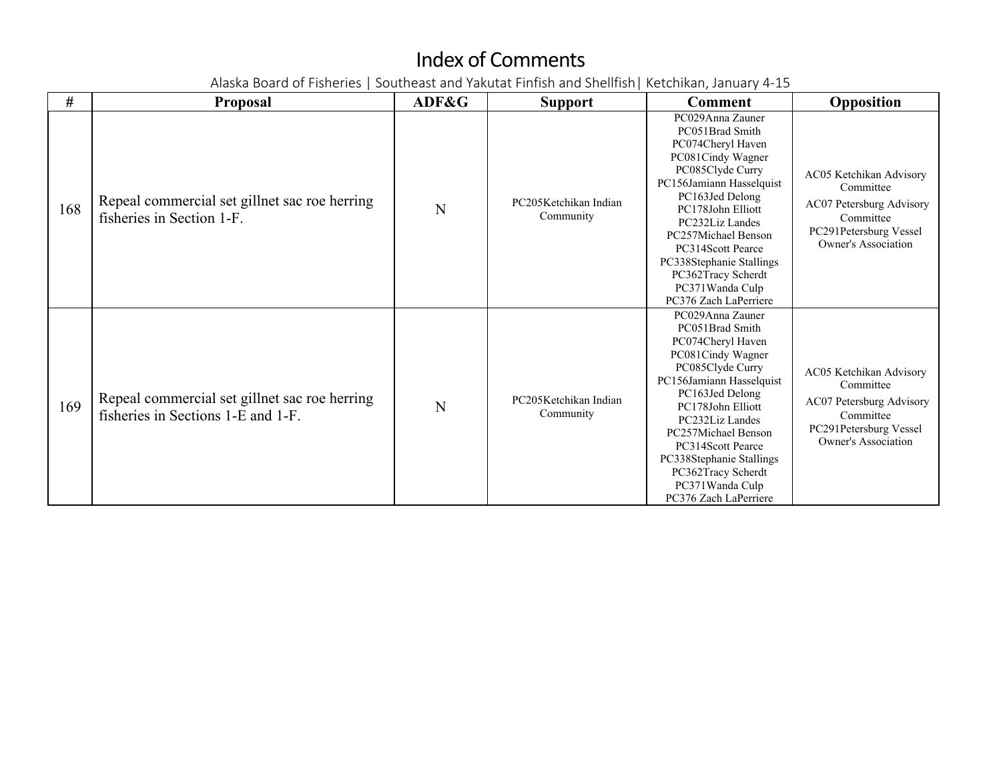| #   | <b>Proposal</b>                                                                     | ADF&G | <b>Support</b>                     | <b>Comment</b>                                                                                                                                                                                                                                                                                                                     | Opposition                                                                                                                     |
|-----|-------------------------------------------------------------------------------------|-------|------------------------------------|------------------------------------------------------------------------------------------------------------------------------------------------------------------------------------------------------------------------------------------------------------------------------------------------------------------------------------|--------------------------------------------------------------------------------------------------------------------------------|
| 168 | Repeal commercial set gillnet sac roe herring<br>fisheries in Section 1-F.          | N     | PC205Ketchikan Indian<br>Community | PC029Anna Zauner<br>PC051Brad Smith<br>PC074Cheryl Haven<br>PC081Cindy Wagner<br>PC085Clyde Curry<br>PC156Jamiann Hasselquist<br>PC163Jed Delong<br>PC178John Elliott<br>PC232Liz Landes<br>PC257Michael Benson<br>PC314Scott Pearce<br>PC338Stephanie Stallings<br>PC362Tracy Scherdt<br>PC371Wanda Culp<br>PC376 Zach LaPerriere | AC05 Ketchikan Advisory<br>Committee<br>AC07 Petersburg Advisory<br>Committee<br>PC291Petersburg Vessel<br>Owner's Association |
| 169 | Repeal commercial set gillnet sac roe herring<br>fisheries in Sections 1-E and 1-F. | N     | PC205Ketchikan Indian<br>Community | PC029Anna Zauner<br>PC051Brad Smith<br>PC074Cheryl Haven<br>PC081Cindy Wagner<br>PC085Clyde Curry<br>PC156Jamiann Hasselquist<br>PC163Jed Delong<br>PC178John Elliott<br>PC232Liz Landes<br>PC257Michael Benson<br>PC314Scott Pearce<br>PC338Stephanie Stallings<br>PC362Tracy Scherdt<br>PC371Wanda Culp<br>PC376 Zach LaPerriere | AC05 Ketchikan Advisory<br>Committee<br>AC07 Petersburg Advisory<br>Committee<br>PC291Petersburg Vessel<br>Owner's Association |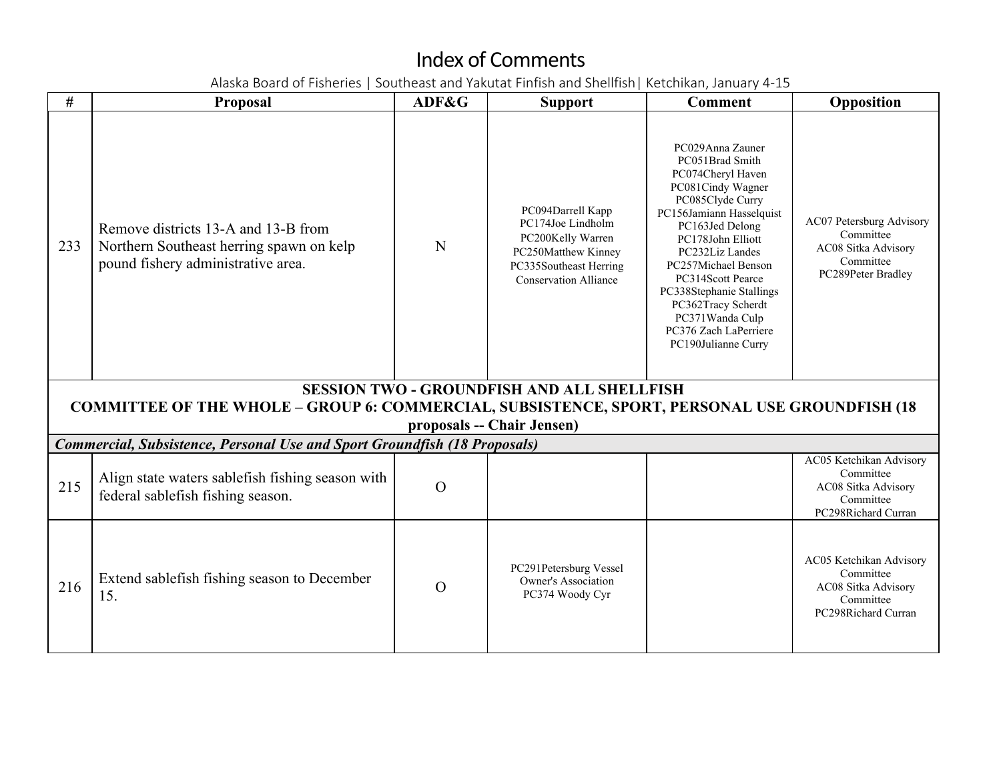| #   | <b>Proposal</b>                                                                                                       | ADF&G    | <b>Support</b>                                                                                                                               | <b>Comment</b>                                                                                                                                                                                                                                                                                                                                            | Opposition                                                                                      |
|-----|-----------------------------------------------------------------------------------------------------------------------|----------|----------------------------------------------------------------------------------------------------------------------------------------------|-----------------------------------------------------------------------------------------------------------------------------------------------------------------------------------------------------------------------------------------------------------------------------------------------------------------------------------------------------------|-------------------------------------------------------------------------------------------------|
| 233 | Remove districts 13-A and 13-B from<br>Northern Southeast herring spawn on kelp<br>pound fishery administrative area. | N        | PC094Darrell Kapp<br>PC174Joe Lindholm<br>PC200Kelly Warren<br>PC250Matthew Kinney<br>PC335Southeast Herring<br><b>Conservation Alliance</b> | PC029Anna Zauner<br>PC051Brad Smith<br>PC074Cheryl Haven<br>PC081Cindy Wagner<br>PC085Clyde Curry<br>PC156Jamiann Hasselquist<br>PC163Jed Delong<br>PC178John Elliott<br>PC232Liz Landes<br>PC257Michael Benson<br>PC314Scott Pearce<br>PC338Stephanie Stallings<br>PC362Tracy Scherdt<br>PC371Wanda Culp<br>PC376 Zach LaPerriere<br>PC190Julianne Curry | AC07 Petersburg Advisory<br>Committee<br>AC08 Sitka Advisory<br>Committee<br>PC289Peter Bradley |
|     |                                                                                                                       |          | <b>SESSION TWO - GROUNDFISH AND ALL SHELLFISH</b>                                                                                            |                                                                                                                                                                                                                                                                                                                                                           |                                                                                                 |
|     | <b>COMMITTEE OF THE WHOLE - GROUP 6: COMMERCIAL, SUBSISTENCE, SPORT, PERSONAL USE GROUNDFISH (18</b>                  |          | proposals -- Chair Jensen)                                                                                                                   |                                                                                                                                                                                                                                                                                                                                                           |                                                                                                 |
|     | <b>Commercial, Subsistence, Personal Use and Sport Groundfish (18 Proposals)</b>                                      |          |                                                                                                                                              |                                                                                                                                                                                                                                                                                                                                                           |                                                                                                 |
| 215 | Align state waters sablefish fishing season with<br>federal sablefish fishing season.                                 | $\Omega$ |                                                                                                                                              |                                                                                                                                                                                                                                                                                                                                                           | AC05 Ketchikan Advisory<br>Committee<br>AC08 Sitka Advisory<br>Committee<br>PC298Richard Curran |
| 216 | Extend sablefish fishing season to December<br>15.                                                                    | $\Omega$ | PC291Petersburg Vessel<br>Owner's Association<br>PC374 Woody Cyr                                                                             |                                                                                                                                                                                                                                                                                                                                                           | AC05 Ketchikan Advisory<br>Committee<br>AC08 Sitka Advisory<br>Committee<br>PC298Richard Curran |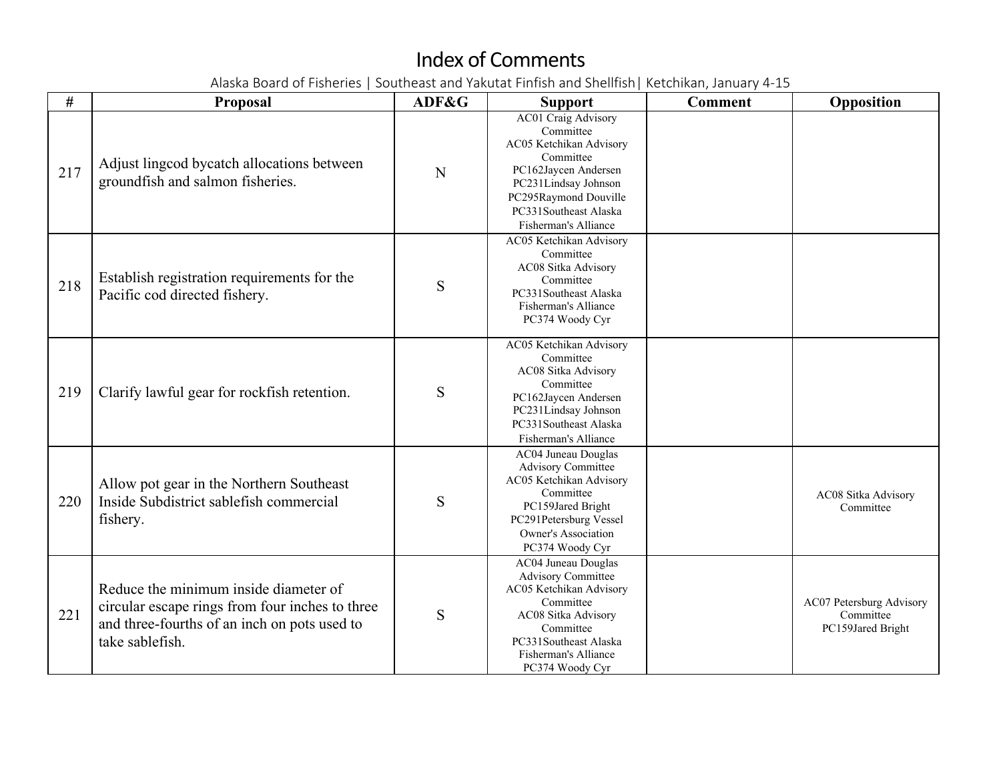| #   | <b>Proposal</b>                                                                                                                                             | ADF&G | <b>Support</b>                                                                                                                                                                                            | <b>Comment</b> | Opposition                                                 |
|-----|-------------------------------------------------------------------------------------------------------------------------------------------------------------|-------|-----------------------------------------------------------------------------------------------------------------------------------------------------------------------------------------------------------|----------------|------------------------------------------------------------|
| 217 | Adjust lingcod bycatch allocations between<br>groundfish and salmon fisheries.                                                                              | N     | <b>AC01 Craig Advisory</b><br>Committee<br>AC05 Ketchikan Advisory<br>Committee<br>PC162Jaycen Andersen<br>PC231Lindsay Johnson<br>PC295Raymond Douville<br>PC331Southeast Alaska<br>Fisherman's Alliance |                |                                                            |
| 218 | Establish registration requirements for the<br>Pacific cod directed fishery.                                                                                | S     | AC05 Ketchikan Advisory<br>Committee<br>AC08 Sitka Advisory<br>Committee<br>PC331Southeast Alaska<br>Fisherman's Alliance<br>PC374 Woody Cyr                                                              |                |                                                            |
| 219 | Clarify lawful gear for rockfish retention.                                                                                                                 | S     | AC05 Ketchikan Advisory<br>Committee<br>AC08 Sitka Advisory<br>Committee<br>PC162Jaycen Andersen<br>PC231Lindsay Johnson<br>PC331Southeast Alaska<br>Fisherman's Alliance                                 |                |                                                            |
| 220 | Allow pot gear in the Northern Southeast<br>Inside Subdistrict sablefish commercial<br>fishery.                                                             | S     | AC04 Juneau Douglas<br><b>Advisory Committee</b><br>AC05 Ketchikan Advisory<br>Committee<br>PC159Jared Bright<br>PC291Petersburg Vessel<br><b>Owner's Association</b><br>PC374 Woody Cyr                  |                | AC08 Sitka Advisory<br>Committee                           |
| 221 | Reduce the minimum inside diameter of<br>circular escape rings from four inches to three<br>and three-fourths of an inch on pots used to<br>take sablefish. | S     | <b>AC04 Juneau Douglas</b><br><b>Advisory Committee</b><br>AC05 Ketchikan Advisory<br>Committee<br>AC08 Sitka Advisory<br>Committee<br>PC331Southeast Alaska<br>Fisherman's Alliance<br>PC374 Woody Cyr   |                | AC07 Petersburg Advisory<br>Committee<br>PC159Jared Bright |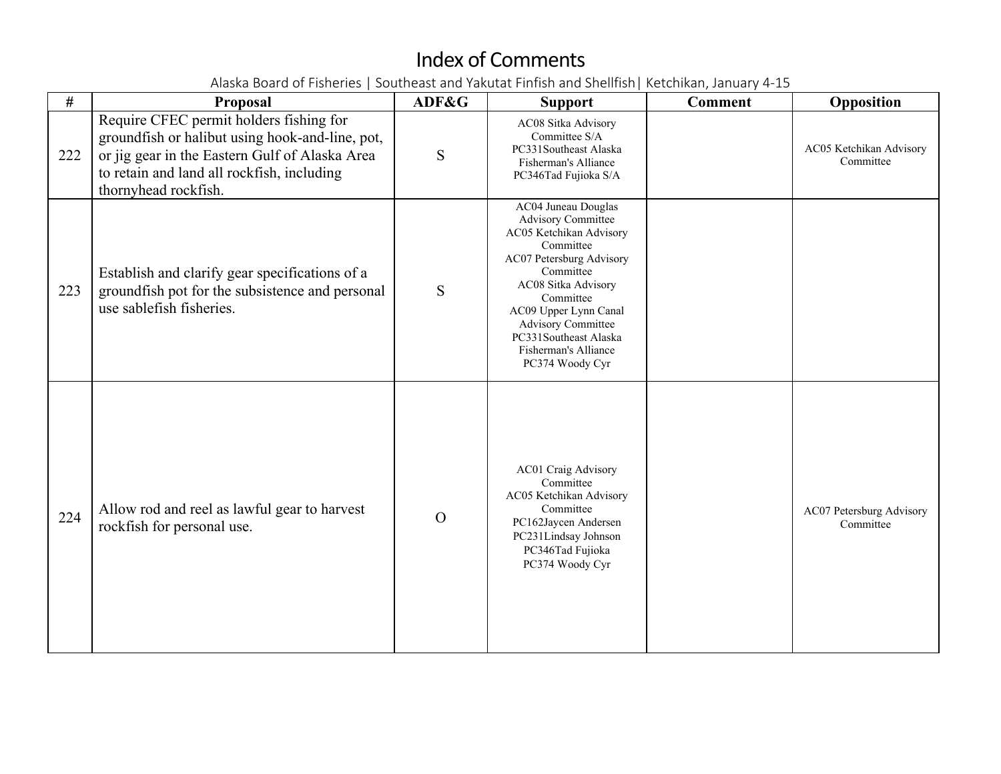| #   | Proposal                                                                                                                                                                                                           | ADF&G    | <b>Support</b>                                                                                                                                                                                                                                                                                  | <b>Comment</b> | Opposition                            |
|-----|--------------------------------------------------------------------------------------------------------------------------------------------------------------------------------------------------------------------|----------|-------------------------------------------------------------------------------------------------------------------------------------------------------------------------------------------------------------------------------------------------------------------------------------------------|----------------|---------------------------------------|
| 222 | Require CFEC permit holders fishing for<br>groundfish or halibut using hook-and-line, pot,<br>or jig gear in the Eastern Gulf of Alaska Area<br>to retain and land all rockfish, including<br>thornyhead rockfish. | S        | AC08 Sitka Advisory<br>Committee S/A<br>PC331Southeast Alaska<br>Fisherman's Alliance<br>PC346Tad Fujioka S/A                                                                                                                                                                                   |                | AC05 Ketchikan Advisory<br>Committee  |
| 223 | Establish and clarify gear specifications of a<br>groundfish pot for the subsistence and personal<br>use sablefish fisheries.                                                                                      | S        | AC04 Juneau Douglas<br><b>Advisory Committee</b><br>AC05 Ketchikan Advisory<br>Committee<br>AC07 Petersburg Advisory<br>Committee<br>AC08 Sitka Advisory<br>Committee<br>AC09 Upper Lynn Canal<br><b>Advisory Committee</b><br>PC331Southeast Alaska<br>Fisherman's Alliance<br>PC374 Woody Cyr |                |                                       |
| 224 | Allow rod and reel as lawful gear to harvest<br>rockfish for personal use.                                                                                                                                         | $\Omega$ | <b>AC01 Craig Advisory</b><br>Committee<br>AC05 Ketchikan Advisory<br>Committee<br>PC162Jaycen Andersen<br>PC231Lindsay Johnson<br>PC346Tad Fujioka<br>PC374 Woody Cyr                                                                                                                          |                | AC07 Petersburg Advisory<br>Committee |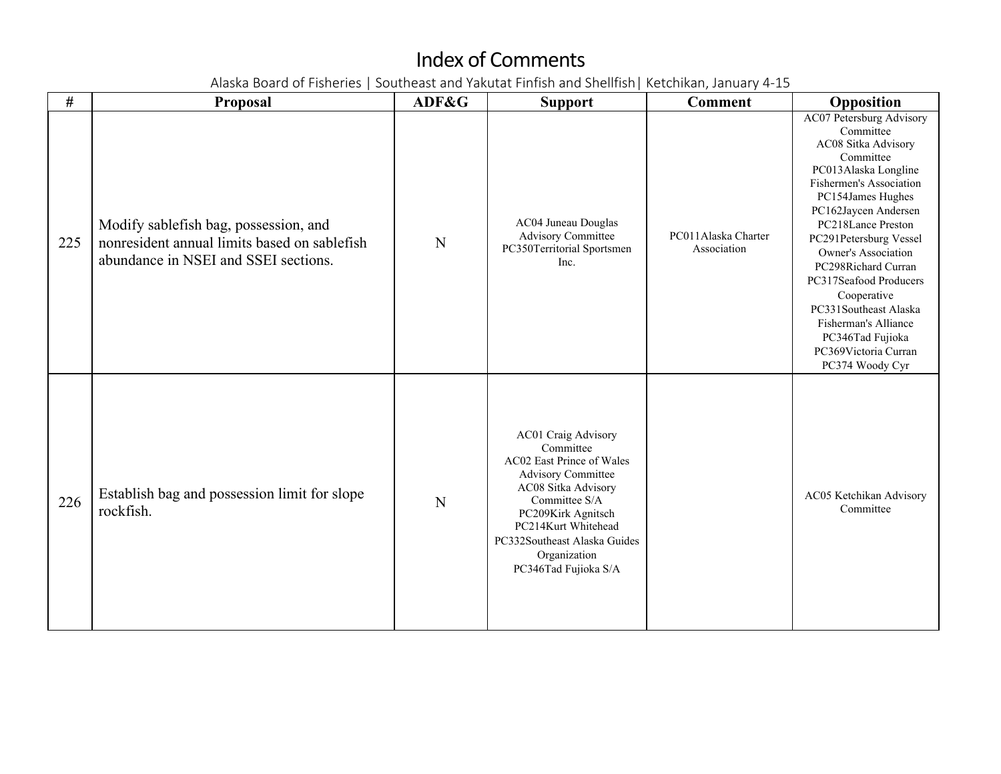| $\#$ | Proposal                                                                                                                      | ADF&G | <b>Support</b>                                                                                                                                                                                                                                          | <b>Comment</b>                     | Opposition                                                                                                                                                                                                                                                                                                                                                                                                                              |
|------|-------------------------------------------------------------------------------------------------------------------------------|-------|---------------------------------------------------------------------------------------------------------------------------------------------------------------------------------------------------------------------------------------------------------|------------------------------------|-----------------------------------------------------------------------------------------------------------------------------------------------------------------------------------------------------------------------------------------------------------------------------------------------------------------------------------------------------------------------------------------------------------------------------------------|
| 225  | Modify sablefish bag, possession, and<br>nonresident annual limits based on sablefish<br>abundance in NSEI and SSEI sections. | N     | AC04 Juneau Douglas<br><b>Advisory Committee</b><br>PC350Territorial Sportsmen<br>Inc.                                                                                                                                                                  | PC011Alaska Charter<br>Association | <b>AC07 Petersburg Advisory</b><br>Committee<br>AC08 Sitka Advisory<br>Committee<br>PC013Alaska Longline<br>Fishermen's Association<br>PC154James Hughes<br>PC162Jaycen Andersen<br>PC218Lance Preston<br>PC291Petersburg Vessel<br>Owner's Association<br>PC298Richard Curran<br>PC317Seafood Producers<br>Cooperative<br>PC331Southeast Alaska<br>Fisherman's Alliance<br>PC346Tad Fujioka<br>PC369Victoria Curran<br>PC374 Woody Cyr |
| 226  | Establish bag and possession limit for slope<br>rockfish.                                                                     | N     | AC01 Craig Advisory<br>Committee<br>AC02 East Prince of Wales<br><b>Advisory Committee</b><br>AC08 Sitka Advisory<br>Committee S/A<br>PC209Kirk Agnitsch<br>PC214Kurt Whitehead<br>PC332Southeast Alaska Guides<br>Organization<br>PC346Tad Fujioka S/A |                                    | AC05 Ketchikan Advisory<br>Committee                                                                                                                                                                                                                                                                                                                                                                                                    |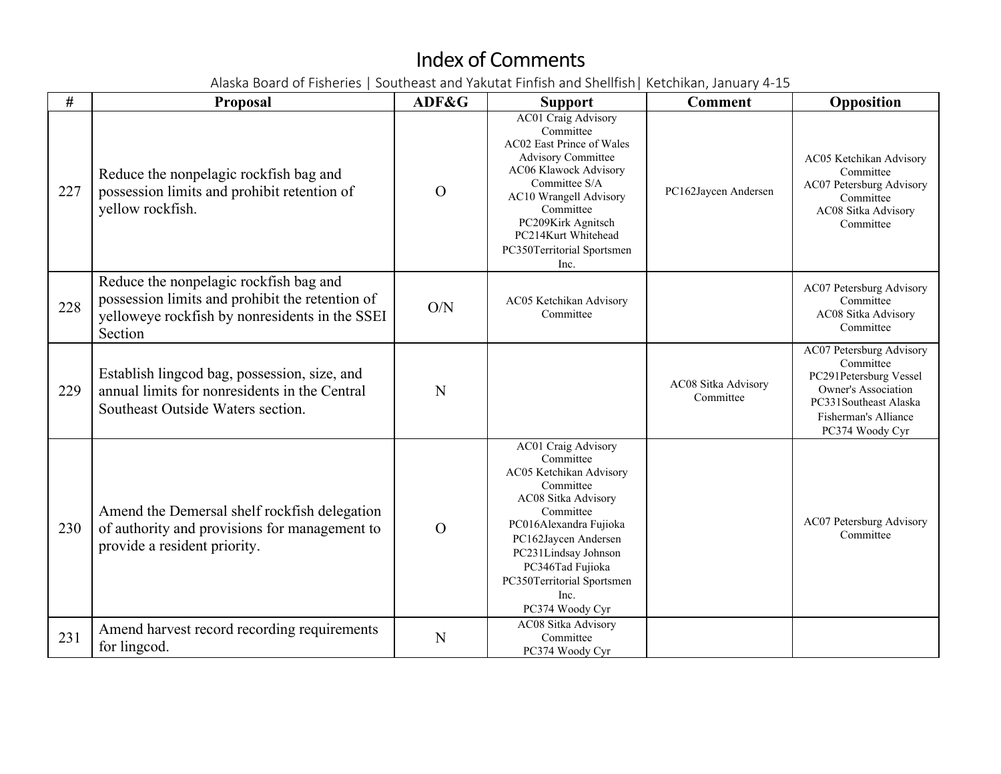| #   | Proposal                                                                                                                                               | ADF&G          | <b>Support</b>                                                                                                                                                                                                                                                      | <b>Comment</b>                   | Opposition                                                                                                                                                        |
|-----|--------------------------------------------------------------------------------------------------------------------------------------------------------|----------------|---------------------------------------------------------------------------------------------------------------------------------------------------------------------------------------------------------------------------------------------------------------------|----------------------------------|-------------------------------------------------------------------------------------------------------------------------------------------------------------------|
| 227 | Reduce the nonpelagic rockfish bag and<br>possession limits and prohibit retention of<br>yellow rockfish.                                              | $\Omega$       | AC01 Craig Advisory<br>Committee<br>AC02 East Prince of Wales<br>Advisory Committee<br>AC06 Klawock Advisory<br>Committee S/A<br>AC10 Wrangell Advisory<br>Committee<br>PC209Kirk Agnitsch<br>PC214Kurt Whitehead<br>PC350Territorial Sportsmen<br>Inc.             | PC162Jaycen Andersen             | AC05 Ketchikan Advisory<br>Committee<br>AC07 Petersburg Advisory<br>Committee<br>AC08 Sitka Advisory<br>Committee                                                 |
| 228 | Reduce the nonpelagic rockfish bag and<br>possession limits and prohibit the retention of<br>yelloweye rockfish by nonresidents in the SSEI<br>Section | O/N            | AC05 Ketchikan Advisory<br>Committee                                                                                                                                                                                                                                |                                  | AC07 Petersburg Advisory<br>Committee<br>AC08 Sitka Advisory<br>Committee                                                                                         |
| 229 | Establish lingcod bag, possession, size, and<br>annual limits for nonresidents in the Central<br>Southeast Outside Waters section.                     | N              |                                                                                                                                                                                                                                                                     | AC08 Sitka Advisory<br>Committee | AC07 Petersburg Advisory<br>Committee<br>PC291Petersburg Vessel<br><b>Owner's Association</b><br>PC331Southeast Alaska<br>Fisherman's Alliance<br>PC374 Woody Cyr |
| 230 | Amend the Demersal shelf rockfish delegation<br>of authority and provisions for management to<br>provide a resident priority.                          | $\overline{O}$ | AC01 Craig Advisory<br>Committee<br>AC05 Ketchikan Advisory<br>Committee<br>AC08 Sitka Advisory<br>Committee<br>PC016Alexandra Fujioka<br>PC162Jaycen Andersen<br>PC231Lindsay Johnson<br>PC346Tad Fujioka<br>PC350Territorial Sportsmen<br>Inc.<br>PC374 Woody Cyr |                                  | AC07 Petersburg Advisory<br>Committee                                                                                                                             |
| 231 | Amend harvest record recording requirements<br>for lingcod.                                                                                            | N              | AC08 Sitka Advisory<br>Committee<br>PC374 Woody Cyr                                                                                                                                                                                                                 |                                  |                                                                                                                                                                   |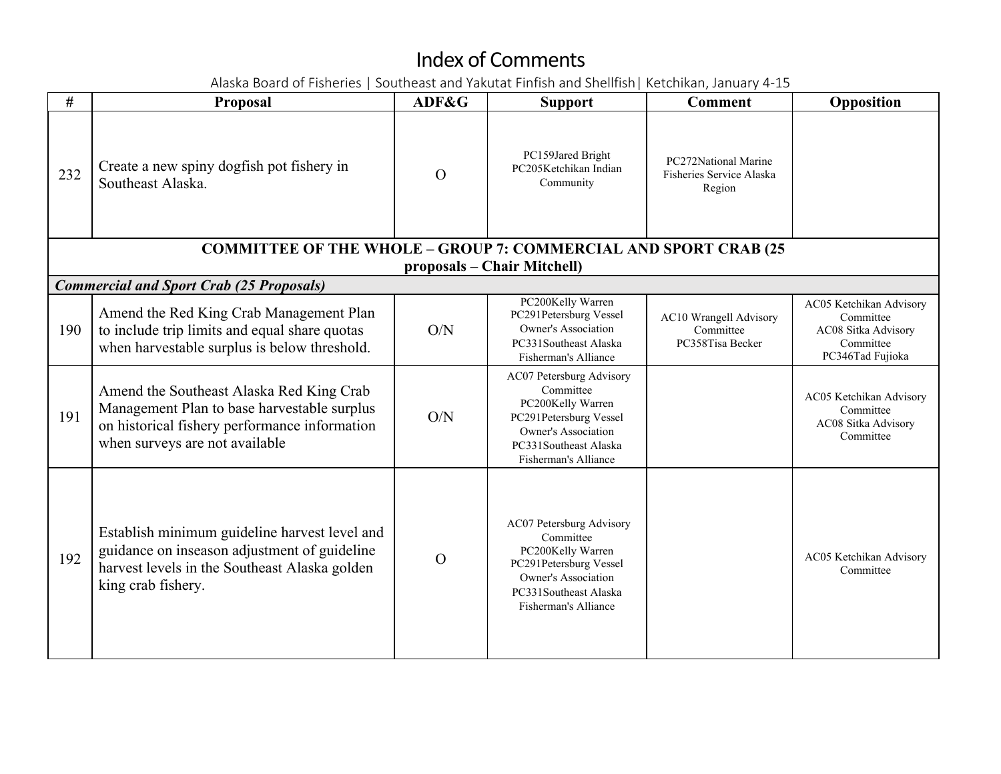| #   | <b>Proposal</b>                                                                                                                                                            | ADF&G          | <b>Support</b>                                                                                                                                                      | <b>Comment</b>                                             | Opposition                                                                                   |
|-----|----------------------------------------------------------------------------------------------------------------------------------------------------------------------------|----------------|---------------------------------------------------------------------------------------------------------------------------------------------------------------------|------------------------------------------------------------|----------------------------------------------------------------------------------------------|
| 232 | Create a new spiny dogfish pot fishery in<br>Southeast Alaska.                                                                                                             | $\Omega$       | PC159Jared Bright<br>PC205Ketchikan Indian<br>Community                                                                                                             | PC272National Marine<br>Fisheries Service Alaska<br>Region |                                                                                              |
|     | <b>COMMITTEE OF THE WHOLE - GROUP 7: COMMERCIAL AND SPORT CRAB (25</b>                                                                                                     |                |                                                                                                                                                                     |                                                            |                                                                                              |
|     | <b>Commercial and Sport Crab (25 Proposals)</b>                                                                                                                            |                | proposals – Chair Mitchell)                                                                                                                                         |                                                            |                                                                                              |
| 190 | Amend the Red King Crab Management Plan<br>to include trip limits and equal share quotas<br>when harvestable surplus is below threshold.                                   | O/N            | PC200Kelly Warren<br>PC291Petersburg Vessel<br><b>Owner's Association</b><br>PC331Southeast Alaska<br>Fisherman's Alliance                                          | AC10 Wrangell Advisory<br>Committee<br>PC358Tisa Becker    | AC05 Ketchikan Advisory<br>Committee<br>AC08 Sitka Advisory<br>Committee<br>PC346Tad Fujioka |
| 191 | Amend the Southeast Alaska Red King Crab<br>Management Plan to base harvestable surplus<br>on historical fishery performance information<br>when surveys are not available | O/N            | AC07 Petersburg Advisory<br>Committee<br>PC200Kelly Warren<br>PC291Petersburg Vessel<br><b>Owner's Association</b><br>PC331Southeast Alaska<br>Fisherman's Alliance |                                                            | AC05 Ketchikan Advisory<br>Committee<br>AC08 Sitka Advisory<br>Committee                     |
| 192 | Establish minimum guideline harvest level and<br>guidance on inseason adjustment of guideline<br>harvest levels in the Southeast Alaska golden<br>king crab fishery.       | $\overline{O}$ | AC07 Petersburg Advisory<br>Committee<br>PC200Kelly Warren<br>PC291Petersburg Vessel<br><b>Owner's Association</b><br>PC331Southeast Alaska<br>Fisherman's Alliance |                                                            | AC05 Ketchikan Advisory<br>Committee                                                         |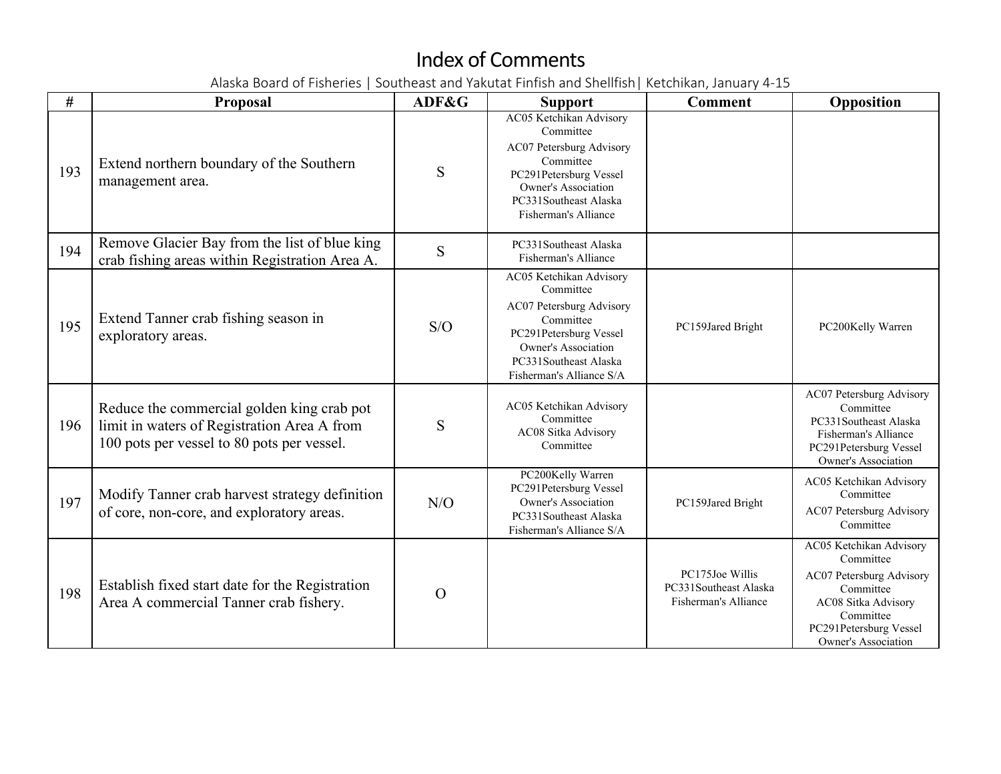| #   | <b>Proposal</b>                                                                                                                         | ADF&G    | <b>Support</b>                                                                                                                                                                             | <b>Comment</b>                                                   | Opposition                                                                                                                                                         |
|-----|-----------------------------------------------------------------------------------------------------------------------------------------|----------|--------------------------------------------------------------------------------------------------------------------------------------------------------------------------------------------|------------------------------------------------------------------|--------------------------------------------------------------------------------------------------------------------------------------------------------------------|
| 193 | Extend northern boundary of the Southern<br>management area.                                                                            | S        | AC05 Ketchikan Advisory<br>Committee<br>AC07 Petersburg Advisory<br>Committee<br>PC291Petersburg Vessel<br>Owner's Association<br>PC331Southeast Alaska<br>Fisherman's Alliance            |                                                                  |                                                                                                                                                                    |
| 194 | Remove Glacier Bay from the list of blue king<br>crab fishing areas within Registration Area A.                                         | S        | PC331Southeast Alaska<br>Fisherman's Alliance                                                                                                                                              |                                                                  |                                                                                                                                                                    |
| 195 | Extend Tanner crab fishing season in<br>exploratory areas.                                                                              | S/O      | AC05 Ketchikan Advisory<br>Committee<br>AC07 Petersburg Advisory<br>Committee<br>PC291Petersburg Vessel<br><b>Owner's Association</b><br>PC331Southeast Alaska<br>Fisherman's Alliance S/A | PC159Jared Bright                                                | PC200Kelly Warren                                                                                                                                                  |
| 196 | Reduce the commercial golden king crab pot<br>limit in waters of Registration Area A from<br>100 pots per vessel to 80 pots per vessel. | S        | AC05 Ketchikan Advisory<br>Committee<br>AC08 Sitka Advisory<br>Committee                                                                                                                   |                                                                  | AC07 Petersburg Advisory<br>Committee<br>PC331Southeast Alaska<br>Fisherman's Alliance<br>PC291Petersburg Vessel<br><b>Owner's Association</b>                     |
| 197 | Modify Tanner crab harvest strategy definition<br>of core, non-core, and exploratory areas.                                             | N/O      | PC200Kelly Warren<br>PC291Petersburg Vessel<br><b>Owner's Association</b><br>PC331Southeast Alaska<br>Fisherman's Alliance S/A                                                             | PC159Jared Bright                                                | AC05 Ketchikan Advisory<br>Committee<br>AC07 Petersburg Advisory<br>Committee                                                                                      |
| 198 | Establish fixed start date for the Registration<br>Area A commercial Tanner crab fishery.                                               | $\Omega$ |                                                                                                                                                                                            | PC175Joe Willis<br>PC331Southeast Alaska<br>Fisherman's Alliance | AC05 Ketchikan Advisory<br>Committee<br>AC07 Petersburg Advisory<br>Committee<br>AC08 Sitka Advisory<br>Committee<br>PC291Petersburg Vessel<br>Owner's Association |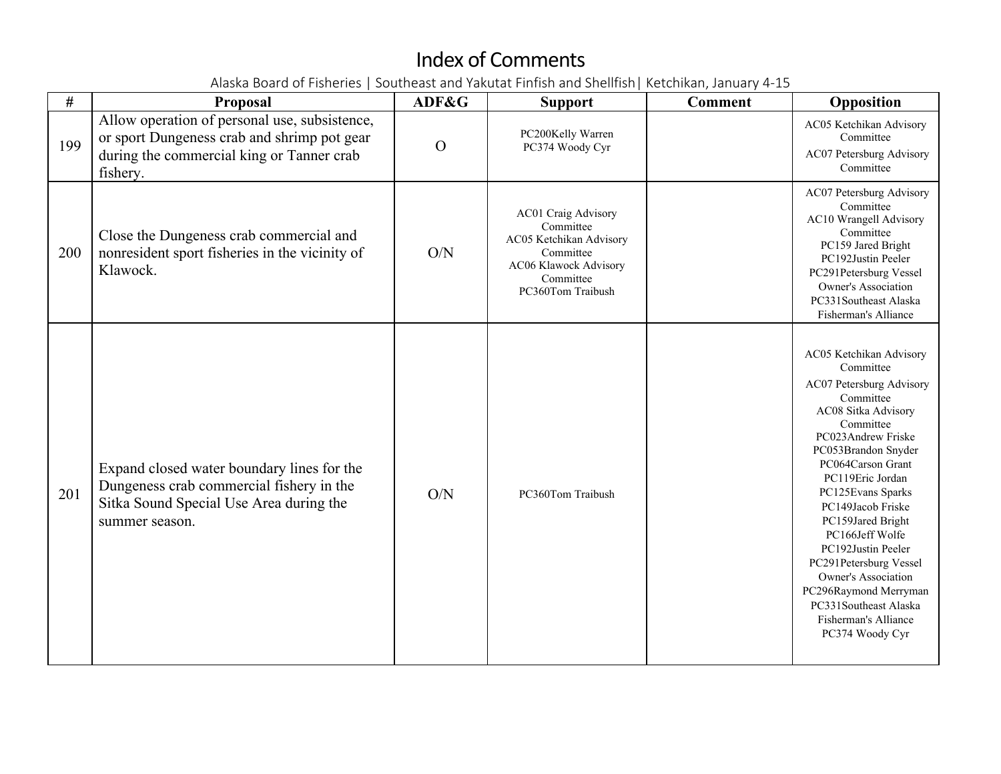| #   | <b>Proposal</b>                                                                                                                                       | ADF&G          | <b>Support</b>                                                                                                                      | <b>Comment</b> | Opposition                                                                                                                                                                                                                                                                                                                                                                                                                                                    |
|-----|-------------------------------------------------------------------------------------------------------------------------------------------------------|----------------|-------------------------------------------------------------------------------------------------------------------------------------|----------------|---------------------------------------------------------------------------------------------------------------------------------------------------------------------------------------------------------------------------------------------------------------------------------------------------------------------------------------------------------------------------------------------------------------------------------------------------------------|
| 199 | Allow operation of personal use, subsistence,<br>or sport Dungeness crab and shrimp pot gear<br>during the commercial king or Tanner crab<br>fishery. | $\overline{O}$ | PC200Kelly Warren<br>PC374 Woody Cyr                                                                                                |                | AC05 Ketchikan Advisory<br>Committee<br>AC07 Petersburg Advisory<br>Committee                                                                                                                                                                                                                                                                                                                                                                                 |
| 200 | Close the Dungeness crab commercial and<br>nonresident sport fisheries in the vicinity of<br>Klawock.                                                 | O/N            | AC01 Craig Advisory<br>Committee<br>AC05 Ketchikan Advisory<br>Committee<br>AC06 Klawock Advisory<br>Committee<br>PC360Tom Traibush |                | AC07 Petersburg Advisory<br>Committee<br><b>AC10 Wrangell Advisory</b><br>Committee<br>PC159 Jared Bright<br>PC192Justin Peeler<br>PC291Petersburg Vessel<br><b>Owner's Association</b><br>PC331Southeast Alaska<br>Fisherman's Alliance                                                                                                                                                                                                                      |
| 201 | Expand closed water boundary lines for the<br>Dungeness crab commercial fishery in the<br>Sitka Sound Special Use Area during the<br>summer season.   | O/N            | PC360Tom Traibush                                                                                                                   |                | AC05 Ketchikan Advisory<br>Committee<br>AC07 Petersburg Advisory<br>Committee<br>AC08 Sitka Advisory<br>Committee<br>PC023Andrew Friske<br>PC053Brandon Snyder<br>PC064Carson Grant<br>PC119Eric Jordan<br>PC125Evans Sparks<br>PC149Jacob Friske<br>PC159Jared Bright<br>PC166Jeff Wolfe<br>PC192Justin Peeler<br>PC291Petersburg Vessel<br>Owner's Association<br>PC296Raymond Merryman<br>PC331Southeast Alaska<br>Fisherman's Alliance<br>PC374 Woody Cyr |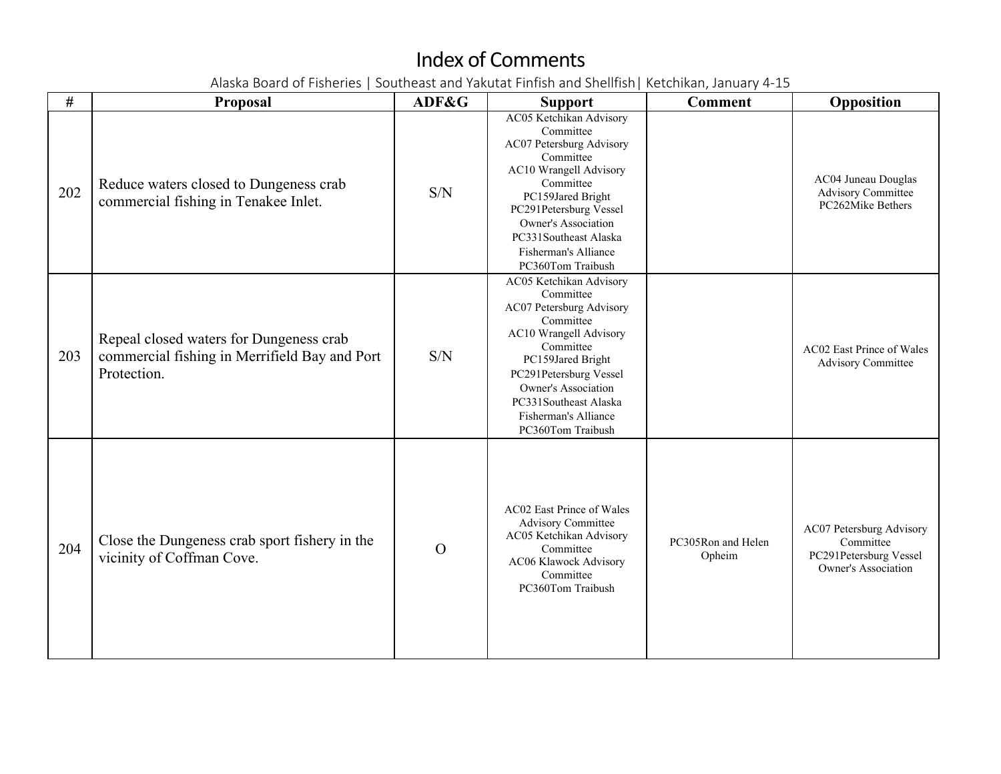| #   | <b>Proposal</b>                                                                                         | ADF&G    | <b>Support</b>                                                                                                                                                                                                                                                          | <b>Comment</b>               | Opposition                                                                                    |
|-----|---------------------------------------------------------------------------------------------------------|----------|-------------------------------------------------------------------------------------------------------------------------------------------------------------------------------------------------------------------------------------------------------------------------|------------------------------|-----------------------------------------------------------------------------------------------|
| 202 | Reduce waters closed to Dungeness crab<br>commercial fishing in Tenakee Inlet.                          | S/N      | AC05 Ketchikan Advisory<br>Committee<br>AC07 Petersburg Advisory<br>Committee<br>AC10 Wrangell Advisory<br>Committee<br>PC159Jared Bright<br>PC291Petersburg Vessel<br><b>Owner's Association</b><br>PC331Southeast Alaska<br>Fisherman's Alliance<br>PC360Tom Traibush |                              | AC04 Juneau Douglas<br><b>Advisory Committee</b><br>PC262Mike Bethers                         |
| 203 | Repeal closed waters for Dungeness crab<br>commercial fishing in Merrifield Bay and Port<br>Protection. | S/N      | AC05 Ketchikan Advisory<br>Committee<br>AC07 Petersburg Advisory<br>Committee<br>AC10 Wrangell Advisory<br>Committee<br>PC159Jared Bright<br>PC291Petersburg Vessel<br>Owner's Association<br>PC331Southeast Alaska<br>Fisherman's Alliance<br>PC360Tom Traibush        |                              | AC02 East Prince of Wales<br><b>Advisory Committee</b>                                        |
| 204 | Close the Dungeness crab sport fishery in the<br>vicinity of Coffman Cove.                              | $\Omega$ | AC02 East Prince of Wales<br><b>Advisory Committee</b><br>AC05 Ketchikan Advisory<br>Committee<br>AC06 Klawock Advisory<br>Committee<br>PC360Tom Traibush                                                                                                               | PC305Ron and Helen<br>Opheim | AC07 Petersburg Advisory<br>Committee<br>PC291Petersburg Vessel<br><b>Owner's Association</b> |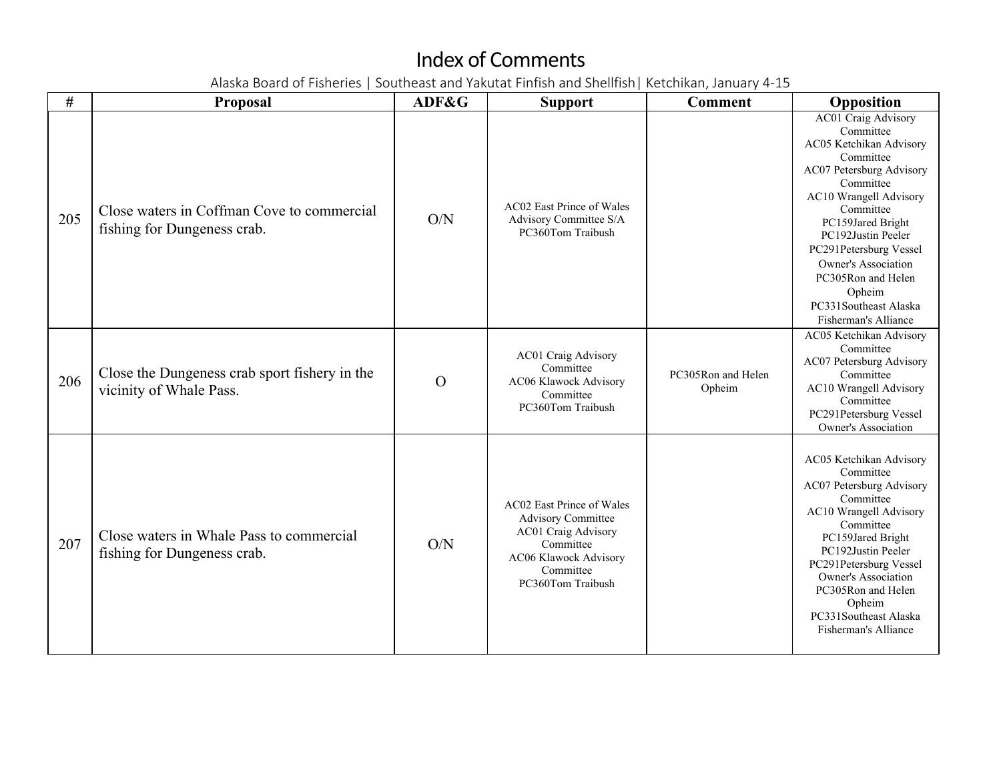| #   | <b>Proposal</b>                                                           | ADF&G    | <b>Support</b>                                                                                                                                               | <b>Comment</b>               | Opposition                                                                                                                                                                                                                                                                                                                                   |
|-----|---------------------------------------------------------------------------|----------|--------------------------------------------------------------------------------------------------------------------------------------------------------------|------------------------------|----------------------------------------------------------------------------------------------------------------------------------------------------------------------------------------------------------------------------------------------------------------------------------------------------------------------------------------------|
| 205 | Close waters in Coffman Cove to commercial<br>fishing for Dungeness crab. | O/N      | AC02 East Prince of Wales<br>Advisory Committee S/A<br>PC360Tom Traibush                                                                                     |                              | AC01 Craig Advisory<br>Committee<br>AC05 Ketchikan Advisory<br>Committee<br>AC07 Petersburg Advisory<br>Committee<br><b>AC10 Wrangell Advisory</b><br>Committee<br>PC159Jared Bright<br>PC192Justin Peeler<br>PC291Petersburg Vessel<br>Owner's Association<br>PC305Ron and Helen<br>Opheim<br>PC331Southeast Alaska<br>Fisherman's Alliance |
| 206 | Close the Dungeness crab sport fishery in the<br>vicinity of Whale Pass.  | $\Omega$ | <b>AC01 Craig Advisory</b><br>Committee<br>AC06 Klawock Advisory<br>Committee<br>PC360Tom Traibush                                                           | PC305Ron and Helen<br>Opheim | AC05 Ketchikan Advisory<br>Committee<br>AC07 Petersburg Advisory<br>Committee<br><b>AC10 Wrangell Advisory</b><br>Committee<br>PC291Petersburg Vessel<br>Owner's Association                                                                                                                                                                 |
| 207 | Close waters in Whale Pass to commercial<br>fishing for Dungeness crab.   | O/N      | AC02 East Prince of Wales<br><b>Advisory Committee</b><br><b>AC01 Craig Advisory</b><br>Committee<br>AC06 Klawock Advisory<br>Committee<br>PC360Tom Traibush |                              | AC05 Ketchikan Advisory<br>Committee<br>AC07 Petersburg Advisory<br>Committee<br>AC10 Wrangell Advisory<br>Committee<br>PC159Jared Bright<br>PC192Justin Peeler<br>PC291Petersburg Vessel<br>Owner's Association<br>PC305Ron and Helen<br>Opheim<br>PC331Southeast Alaska<br>Fisherman's Alliance                                            |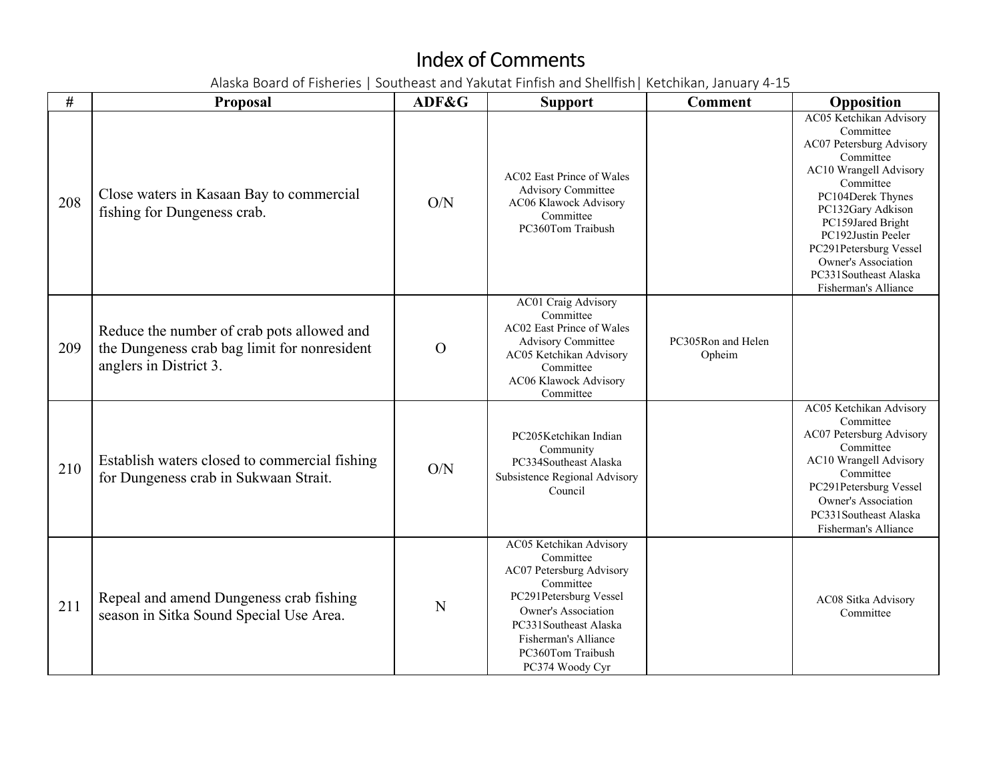| $\#$ | Proposal                                                                                                             | ADF&G          | <b>Support</b>                                                                                                                                                                                                                 | <b>Comment</b>               | Opposition                                                                                                                                                                                                                                                                                                         |
|------|----------------------------------------------------------------------------------------------------------------------|----------------|--------------------------------------------------------------------------------------------------------------------------------------------------------------------------------------------------------------------------------|------------------------------|--------------------------------------------------------------------------------------------------------------------------------------------------------------------------------------------------------------------------------------------------------------------------------------------------------------------|
| 208  | Close waters in Kasaan Bay to commercial<br>fishing for Dungeness crab.                                              | O/N            | AC02 East Prince of Wales<br><b>Advisory Committee</b><br>AC06 Klawock Advisory<br>Committee<br>PC360Tom Traibush                                                                                                              |                              | AC05 Ketchikan Advisory<br>Committee<br>AC07 Petersburg Advisory<br>Committee<br>AC10 Wrangell Advisory<br>Committee<br>PC104Derek Thynes<br>PC132Gary Adkison<br>PC159Jared Bright<br>PC192Justin Peeler<br>PC291Petersburg Vessel<br><b>Owner's Association</b><br>PC331Southeast Alaska<br>Fisherman's Alliance |
| 209  | Reduce the number of crab pots allowed and<br>the Dungeness crab bag limit for nonresident<br>anglers in District 3. | $\overline{O}$ | AC01 Craig Advisory<br>Committee<br>AC02 East Prince of Wales<br><b>Advisory Committee</b><br>AC05 Ketchikan Advisory<br>Committee<br>AC06 Klawock Advisory<br>Committee                                                       | PC305Ron and Helen<br>Opheim |                                                                                                                                                                                                                                                                                                                    |
| 210  | Establish waters closed to commercial fishing<br>for Dungeness crab in Sukwaan Strait.                               | O/N            | PC205Ketchikan Indian<br>Community<br>PC334Southeast Alaska<br>Subsistence Regional Advisory<br>Council                                                                                                                        |                              | AC05 Ketchikan Advisory<br>Committee<br>AC07 Petersburg Advisory<br>Committee<br>AC10 Wrangell Advisory<br>Committee<br>PC291Petersburg Vessel<br>Owner's Association<br>PC331Southeast Alaska<br>Fisherman's Alliance                                                                                             |
| 211  | Repeal and amend Dungeness crab fishing<br>season in Sitka Sound Special Use Area.                                   | N              | AC05 Ketchikan Advisory<br>Committee<br>AC07 Petersburg Advisory<br>Committee<br>PC291Petersburg Vessel<br><b>Owner's Association</b><br>PC331Southeast Alaska<br>Fisherman's Alliance<br>PC360Tom Traibush<br>PC374 Woody Cyr |                              | AC08 Sitka Advisory<br>Committee                                                                                                                                                                                                                                                                                   |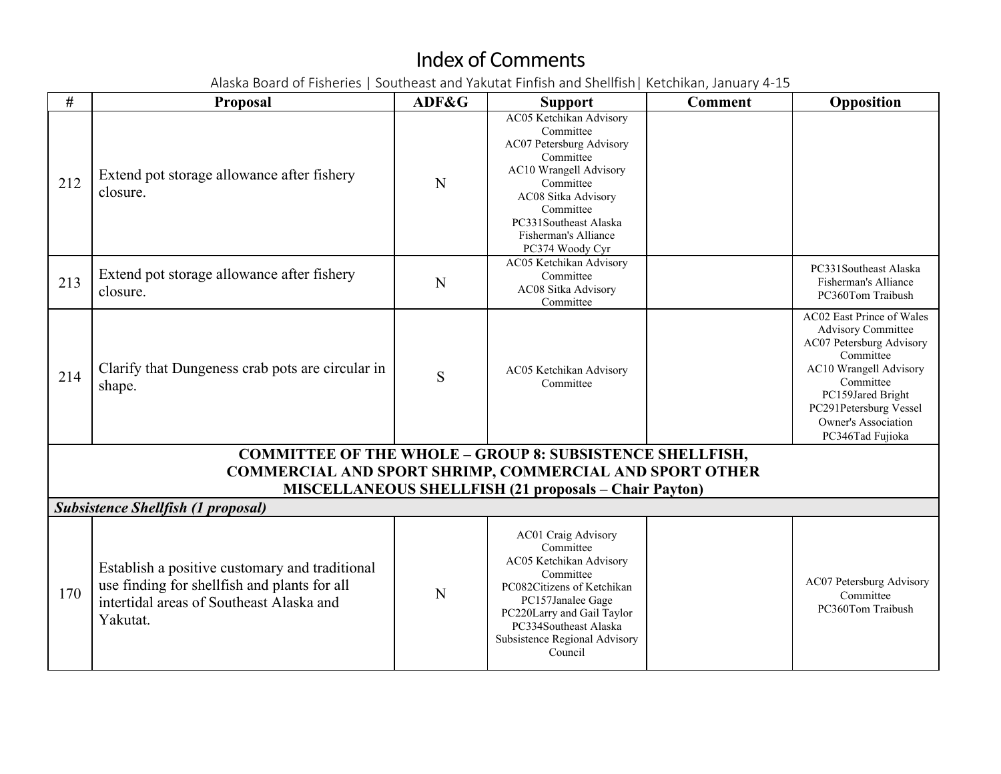| #   | <b>Proposal</b>                                                                                                                                        | ADF&G | <b>Support</b>                                                                                                                                                                                                                 | <b>Comment</b> | Opposition                                                                                                                                                                                                                       |
|-----|--------------------------------------------------------------------------------------------------------------------------------------------------------|-------|--------------------------------------------------------------------------------------------------------------------------------------------------------------------------------------------------------------------------------|----------------|----------------------------------------------------------------------------------------------------------------------------------------------------------------------------------------------------------------------------------|
| 212 | Extend pot storage allowance after fishery<br>closure.                                                                                                 | N     | AC05 Ketchikan Advisory<br>Committee<br>AC07 Petersburg Advisory<br>Committee<br>AC10 Wrangell Advisory<br>Committee<br>AC08 Sitka Advisory<br>Committee<br>PC331Southeast Alaska<br>Fisherman's Alliance<br>PC374 Woody Cyr   |                |                                                                                                                                                                                                                                  |
| 213 | Extend pot storage allowance after fishery<br>closure.                                                                                                 | N     | AC05 Ketchikan Advisory<br>Committee<br>AC08 Sitka Advisory<br>Committee                                                                                                                                                       |                | PC331Southeast Alaska<br>Fisherman's Alliance<br>PC360Tom Traibush                                                                                                                                                               |
| 214 | Clarify that Dungeness crab pots are circular in<br>shape.                                                                                             | S     | AC05 Ketchikan Advisory<br>Committee                                                                                                                                                                                           |                | AC02 East Prince of Wales<br><b>Advisory Committee</b><br>AC07 Petersburg Advisory<br>Committee<br>AC10 Wrangell Advisory<br>Committee<br>PC159Jared Bright<br>PC291Petersburg Vessel<br>Owner's Association<br>PC346Tad Fujioka |
|     |                                                                                                                                                        |       | <b>COMMITTEE OF THE WHOLE - GROUP 8: SUBSISTENCE SHELLFISH,</b>                                                                                                                                                                |                |                                                                                                                                                                                                                                  |
|     | COMMERCIAL AND SPORT SHRIMP, COMMERCIAL AND SPORT OTHER                                                                                                |       | <b>MISCELLANEOUS SHELLFISH (21 proposals - Chair Payton)</b>                                                                                                                                                                   |                |                                                                                                                                                                                                                                  |
|     | <b>Subsistence Shellfish (1 proposal)</b>                                                                                                              |       |                                                                                                                                                                                                                                |                |                                                                                                                                                                                                                                  |
| 170 | Establish a positive customary and traditional<br>use finding for shellfish and plants for all<br>intertidal areas of Southeast Alaska and<br>Yakutat. | N     | AC01 Craig Advisory<br>Committee<br>AC05 Ketchikan Advisory<br>Committee<br>PC082Citizens of Ketchikan<br>PC157Janalee Gage<br>PC220Larry and Gail Taylor<br>PC334Southeast Alaska<br>Subsistence Regional Advisory<br>Council |                | AC07 Petersburg Advisory<br>Committee<br>PC360Tom Traibush                                                                                                                                                                       |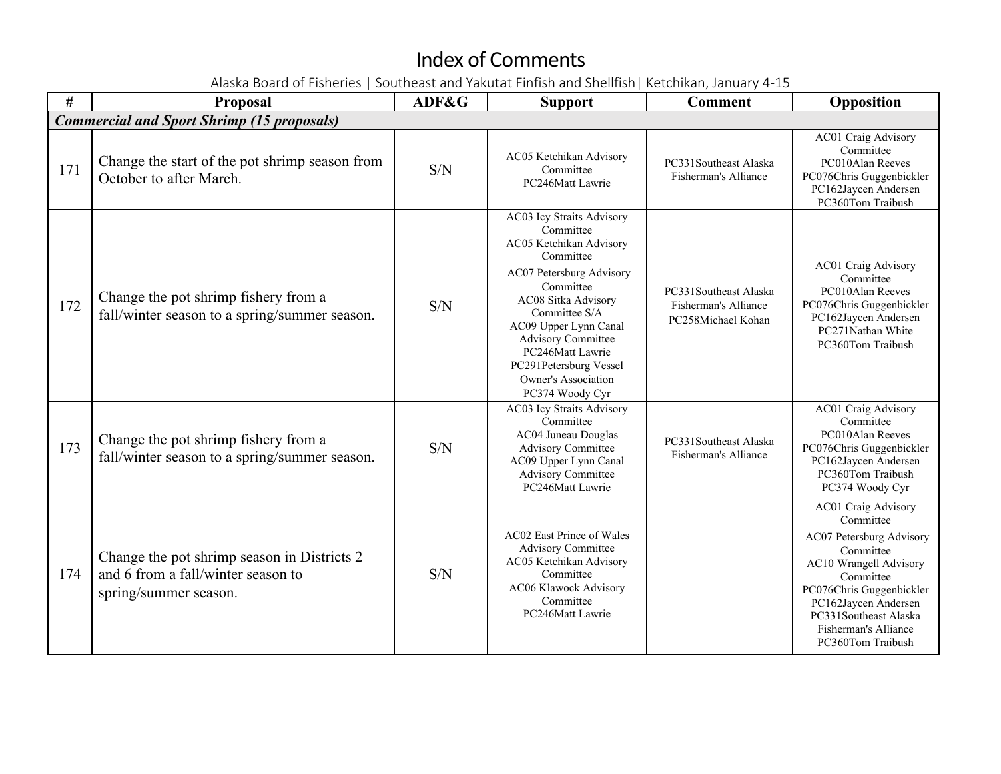| $\#$ | Proposal                                                                                                   | ADF&G | <b>Support</b>                                                                                                                                                                                                                                                                                                | <b>Comment</b>                                                      | Opposition                                                                                                                                                                                                                                        |  |  |  |
|------|------------------------------------------------------------------------------------------------------------|-------|---------------------------------------------------------------------------------------------------------------------------------------------------------------------------------------------------------------------------------------------------------------------------------------------------------------|---------------------------------------------------------------------|---------------------------------------------------------------------------------------------------------------------------------------------------------------------------------------------------------------------------------------------------|--|--|--|
|      | <b>Commercial and Sport Shrimp (15 proposals)</b>                                                          |       |                                                                                                                                                                                                                                                                                                               |                                                                     |                                                                                                                                                                                                                                                   |  |  |  |
| 171  | Change the start of the pot shrimp season from<br>October to after March.                                  | S/N   | AC05 Ketchikan Advisory<br>Committee<br>PC246Matt Lawrie                                                                                                                                                                                                                                                      | PC331Southeast Alaska<br>Fisherman's Alliance                       | AC01 Craig Advisory<br>Committee<br>PC010Alan Reeves<br>PC076Chris Guggenbickler<br>PC162Jaycen Andersen<br>PC360Tom Traibush                                                                                                                     |  |  |  |
| 172  | Change the pot shrimp fishery from a<br>fall/winter season to a spring/summer season.                      | S/N   | AC03 Icy Straits Advisory<br>Committee<br>AC05 Ketchikan Advisory<br>Committee<br>AC07 Petersburg Advisory<br>Committee<br>AC08 Sitka Advisory<br>Committee S/A<br>AC09 Upper Lynn Canal<br><b>Advisory Committee</b><br>PC246Matt Lawrie<br>PC291Petersburg Vessel<br>Owner's Association<br>PC374 Woody Cyr | PC331Southeast Alaska<br>Fisherman's Alliance<br>PC258Michael Kohan | <b>AC01 Craig Advisory</b><br>Committee<br>PC010Alan Reeves<br>PC076Chris Guggenbickler<br>PC162Jaycen Andersen<br>PC271Nathan White<br>PC360Tom Traibush                                                                                         |  |  |  |
| 173  | Change the pot shrimp fishery from a<br>fall/winter season to a spring/summer season.                      | S/N   | AC03 Icy Straits Advisory<br>Committee<br>AC04 Juneau Douglas<br><b>Advisory Committee</b><br>AC09 Upper Lynn Canal<br><b>Advisory Committee</b><br>PC246Matt Lawrie                                                                                                                                          | PC331Southeast Alaska<br>Fisherman's Alliance                       | AC01 Craig Advisory<br>Committee<br>PC010Alan Reeves<br>PC076Chris Guggenbickler<br>PC162Jaycen Andersen<br>PC360Tom Traibush<br>PC374 Woody Cyr                                                                                                  |  |  |  |
| 174  | Change the pot shrimp season in Districts 2<br>and 6 from a fall/winter season to<br>spring/summer season. | S/N   | <b>AC02 East Prince of Wales</b><br><b>Advisory Committee</b><br>AC05 Ketchikan Advisory<br>Committee<br>AC06 Klawock Advisory<br>Committee<br>PC246Matt Lawrie                                                                                                                                               |                                                                     | <b>AC01 Craig Advisory</b><br>Committee<br>AC07 Petersburg Advisory<br>Committee<br>AC10 Wrangell Advisory<br>Committee<br>PC076Chris Guggenbickler<br>PC162Jaycen Andersen<br>PC331Southeast Alaska<br>Fisherman's Alliance<br>PC360Tom Traibush |  |  |  |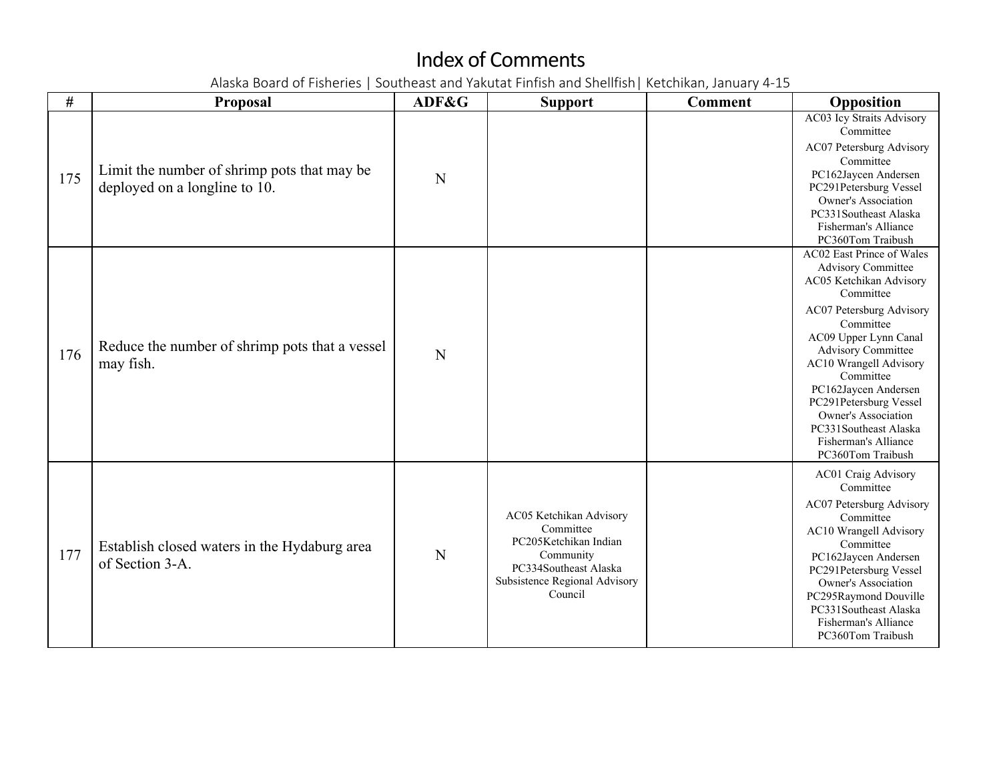| $\#$ | <b>Proposal</b>                                                              | ADF&G | <b>Support</b>                                                                                                                                  | <b>Comment</b> | Opposition                                                                                                                                                                                                                                                                                                                                                                                 |
|------|------------------------------------------------------------------------------|-------|-------------------------------------------------------------------------------------------------------------------------------------------------|----------------|--------------------------------------------------------------------------------------------------------------------------------------------------------------------------------------------------------------------------------------------------------------------------------------------------------------------------------------------------------------------------------------------|
| 175  | Limit the number of shrimp pots that may be<br>deployed on a longline to 10. | N     |                                                                                                                                                 |                | AC03 Icy Straits Advisory<br>Committee<br>AC07 Petersburg Advisory<br>Committee<br>PC162Jaycen Andersen<br>PC291Petersburg Vessel<br>Owner's Association<br>PC331Southeast Alaska<br>Fisherman's Alliance<br>PC360Tom Traibush                                                                                                                                                             |
| 176  | Reduce the number of shrimp pots that a vessel<br>may fish.                  | N     |                                                                                                                                                 |                | AC02 East Prince of Wales<br><b>Advisory Committee</b><br>AC05 Ketchikan Advisory<br>Committee<br>AC07 Petersburg Advisory<br>Committee<br>AC09 Upper Lynn Canal<br><b>Advisory Committee</b><br>AC10 Wrangell Advisory<br>Committee<br>PC162Jaycen Andersen<br>PC291Petersburg Vessel<br><b>Owner's Association</b><br>PC331Southeast Alaska<br>Fisherman's Alliance<br>PC360Tom Traibush |
| 177  | Establish closed waters in the Hydaburg area<br>of Section 3-A.              | N     | AC05 Ketchikan Advisory<br>Committee<br>PC205Ketchikan Indian<br>Community<br>PC334Southeast Alaska<br>Subsistence Regional Advisory<br>Council |                | AC01 Craig Advisory<br>Committee<br>AC07 Petersburg Advisory<br>Committee<br>AC10 Wrangell Advisory<br>Committee<br>PC162Jaycen Andersen<br>PC291Petersburg Vessel<br>Owner's Association<br>PC295Raymond Douville<br>PC331Southeast Alaska<br>Fisherman's Alliance<br>PC360Tom Traibush                                                                                                   |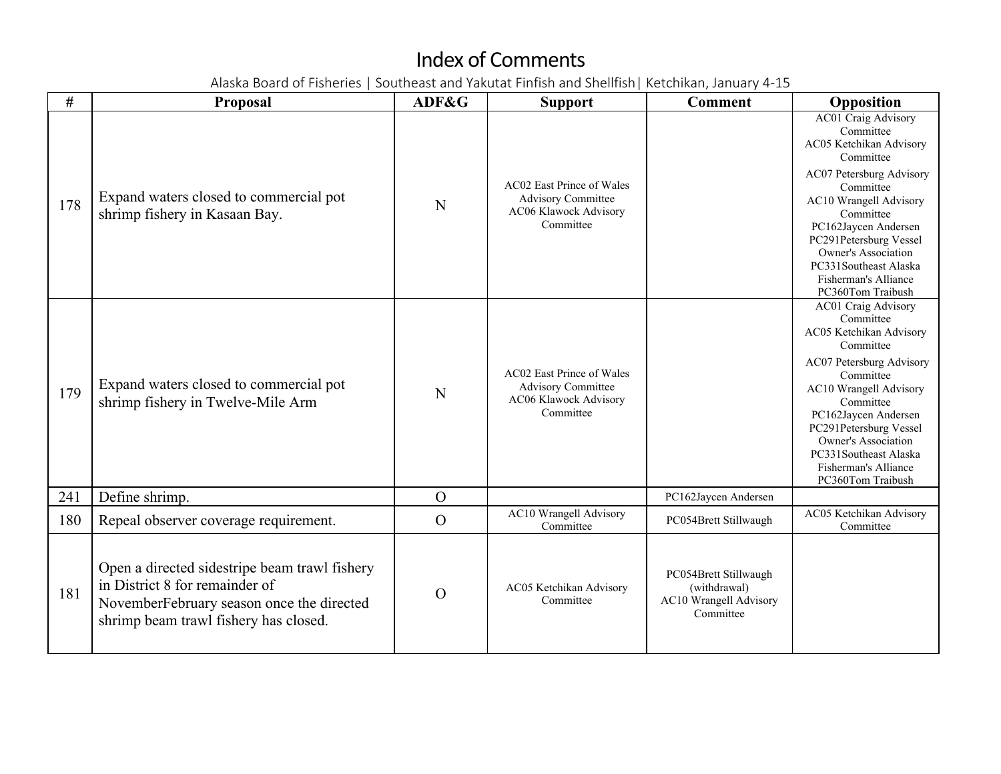| #   | Proposal                                                                                                                                                              | ADF&G          | <b>Support</b>                                                                               | <b>Comment</b>                                                               | Opposition                                                                                                                                                                                                                                                                                                            |
|-----|-----------------------------------------------------------------------------------------------------------------------------------------------------------------------|----------------|----------------------------------------------------------------------------------------------|------------------------------------------------------------------------------|-----------------------------------------------------------------------------------------------------------------------------------------------------------------------------------------------------------------------------------------------------------------------------------------------------------------------|
| 178 | Expand waters closed to commercial pot<br>shrimp fishery in Kasaan Bay.                                                                                               | N              | AC02 East Prince of Wales<br><b>Advisory Committee</b><br>AC06 Klawock Advisory<br>Committee |                                                                              | <b>AC01 Craig Advisory</b><br>Committee<br>AC05 Ketchikan Advisory<br>Committee<br>AC07 Petersburg Advisory<br>Committee<br>AC10 Wrangell Advisory<br>Committee<br>PC162Jaycen Andersen<br>PC291Petersburg Vessel<br><b>Owner's Association</b><br>PC331Southeast Alaska<br>Fisherman's Alliance<br>PC360Tom Traibush |
| 179 | Expand waters closed to commercial pot<br>shrimp fishery in Twelve-Mile Arm                                                                                           | N              | AC02 East Prince of Wales<br><b>Advisory Committee</b><br>AC06 Klawock Advisory<br>Committee |                                                                              | AC01 Craig Advisory<br>Committee<br>AC05 Ketchikan Advisory<br>Committee<br>AC07 Petersburg Advisory<br>Committee<br>AC10 Wrangell Advisory<br>Committee<br>PC162Jaycen Andersen<br>PC291Petersburg Vessel<br><b>Owner's Association</b><br>PC331Southeast Alaska<br>Fisherman's Alliance<br>PC360Tom Traibush        |
| 241 | Define shrimp.                                                                                                                                                        | $\overline{O}$ |                                                                                              | PC162Jaycen Andersen                                                         |                                                                                                                                                                                                                                                                                                                       |
| 180 | Repeal observer coverage requirement.                                                                                                                                 | $\overline{O}$ | AC10 Wrangell Advisory<br>Committee                                                          | PC054Brett Stillwaugh                                                        | AC05 Ketchikan Advisory<br>Committee                                                                                                                                                                                                                                                                                  |
| 181 | Open a directed sidestripe beam trawl fishery<br>in District 8 for remainder of<br>NovemberFebruary season once the directed<br>shrimp beam trawl fishery has closed. | $\overline{O}$ | AC05 Ketchikan Advisory<br>Committee                                                         | PC054Brett Stillwaugh<br>(withdrawal)<br>AC10 Wrangell Advisory<br>Committee |                                                                                                                                                                                                                                                                                                                       |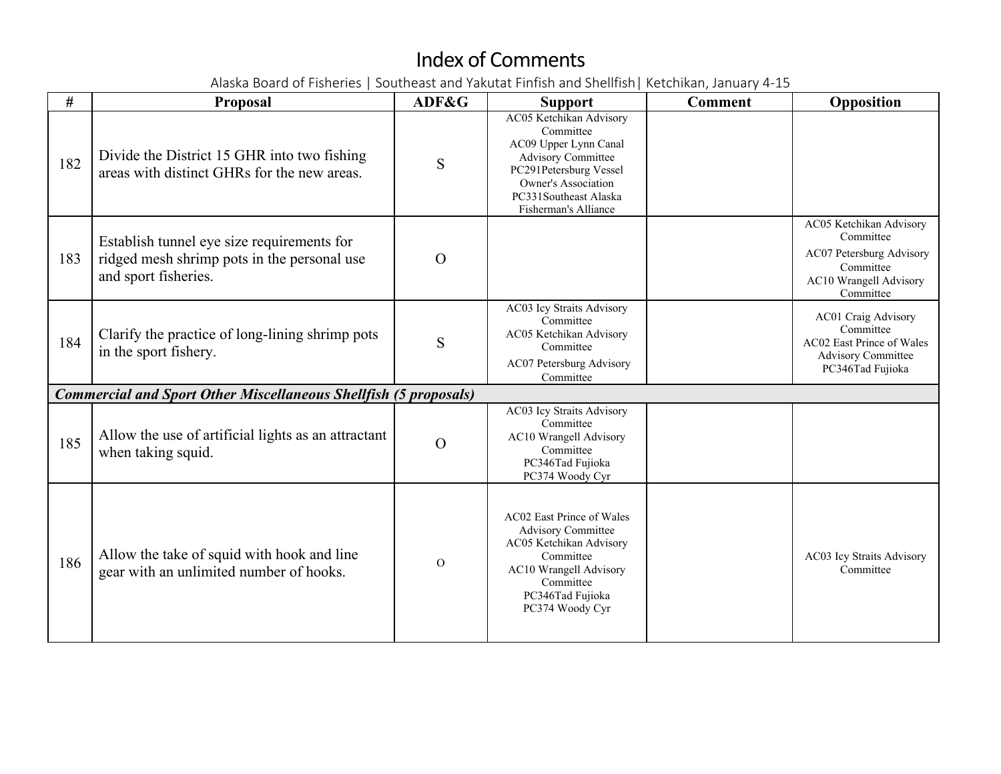| #   | <b>Proposal</b>                                                                                                   | ADF&G    | <b>Support</b>                                                                                                                                                                                      | <b>Comment</b> | Opposition                                                                                                                  |
|-----|-------------------------------------------------------------------------------------------------------------------|----------|-----------------------------------------------------------------------------------------------------------------------------------------------------------------------------------------------------|----------------|-----------------------------------------------------------------------------------------------------------------------------|
| 182 | Divide the District 15 GHR into two fishing<br>areas with distinct GHRs for the new areas.                        | S        | AC05 Ketchikan Advisory<br>Committee<br>AC09 Upper Lynn Canal<br><b>Advisory Committee</b><br>PC291Petersburg Vessel<br><b>Owner's Association</b><br>PC331Southeast Alaska<br>Fisherman's Alliance |                |                                                                                                                             |
| 183 | Establish tunnel eye size requirements for<br>ridged mesh shrimp pots in the personal use<br>and sport fisheries. | $\Omega$ |                                                                                                                                                                                                     |                | AC05 Ketchikan Advisory<br>Committee<br>AC07 Petersburg Advisory<br>Committee<br><b>AC10 Wrangell Advisory</b><br>Committee |
| 184 | Clarify the practice of long-lining shrimp pots<br>in the sport fishery.                                          | S        | AC03 Icy Straits Advisory<br>Committee<br>AC05 Ketchikan Advisory<br>Committee<br>AC07 Petersburg Advisory<br>Committee                                                                             |                | AC01 Craig Advisory<br>Committee<br>AC02 East Prince of Wales<br><b>Advisory Committee</b><br>PC346Tad Fujioka              |
|     | <b>Commercial and Sport Other Miscellaneous Shellfish (5 proposals)</b>                                           |          |                                                                                                                                                                                                     |                |                                                                                                                             |
| 185 | Allow the use of artificial lights as an attractant<br>when taking squid.                                         | $\Omega$ | AC03 Icy Straits Advisory<br>Committee<br>AC10 Wrangell Advisory<br>Committee<br>PC346Tad Fujioka<br>PC374 Woody Cyr                                                                                |                |                                                                                                                             |
| 186 | Allow the take of squid with hook and line<br>gear with an unlimited number of hooks.                             | $\Omega$ | AC02 East Prince of Wales<br><b>Advisory Committee</b><br>AC05 Ketchikan Advisory<br>Committee<br>AC10 Wrangell Advisory<br>Committee<br>PC346Tad Fujioka<br>PC374 Woody Cyr                        |                | AC03 Icy Straits Advisory<br>Committee                                                                                      |